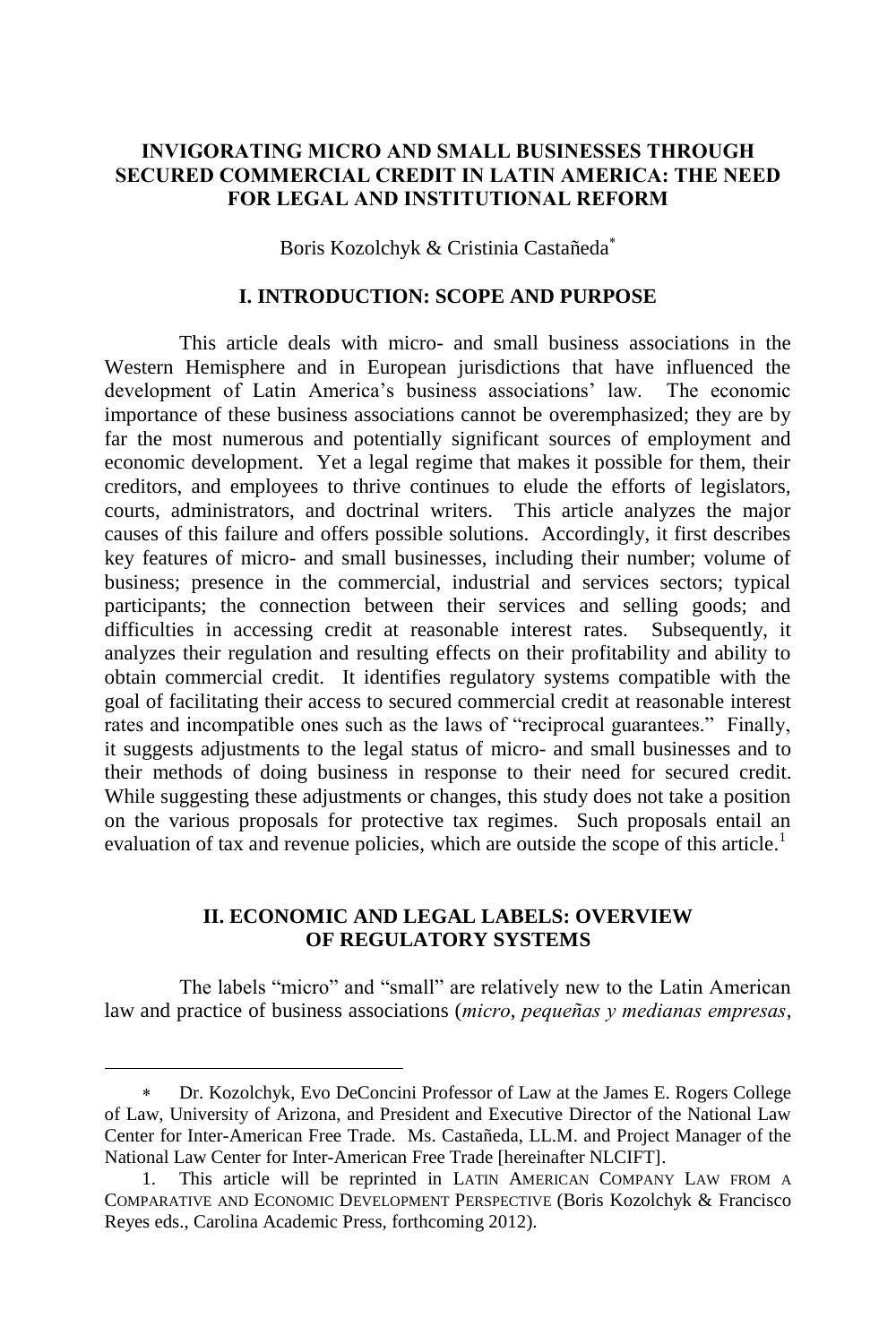## **INVIGORATING MICRO AND SMALL BUSINESSES THROUGH SECURED COMMERCIAL CREDIT IN LATIN AMERICA: THE NEED FOR LEGAL AND INSTITUTIONAL REFORM**

Boris Kozolchyk & Cristinia Castañeda

### **I. INTRODUCTION: SCOPE AND PURPOSE**

This article deals with micro- and small business associations in the Western Hemisphere and in European jurisdictions that have influenced the development of Latin America's business associations' law. The economic importance of these business associations cannot be overemphasized; they are by far the most numerous and potentially significant sources of employment and economic development. Yet a legal regime that makes it possible for them, their creditors, and employees to thrive continues to elude the efforts of legislators, courts, administrators, and doctrinal writers. This article analyzes the major causes of this failure and offers possible solutions. Accordingly, it first describes key features of micro- and small businesses, including their number; volume of business; presence in the commercial, industrial and services sectors; typical participants; the connection between their services and selling goods; and difficulties in accessing credit at reasonable interest rates. Subsequently, it analyzes their regulation and resulting effects on their profitability and ability to obtain commercial credit. It identifies regulatory systems compatible with the goal of facilitating their access to secured commercial credit at reasonable interest rates and incompatible ones such as the laws of "reciprocal guarantees." Finally, it suggests adjustments to the legal status of micro- and small businesses and to their methods of doing business in response to their need for secured credit. While suggesting these adjustments or changes, this study does not take a position on the various proposals for protective tax regimes. Such proposals entail an evaluation of tax and revenue policies, which are outside the scope of this article.<sup>1</sup>

# **II. ECONOMIC AND LEGAL LABELS: OVERVIEW OF REGULATORY SYSTEMS**

The labels "micro" and "small" are relatively new to the Latin American law and practice of business associations (*micro*, *pequeñas y medianas empresas*,

Dr. Kozolchyk, Evo DeConcini Professor of Law at the James E. Rogers College of Law, University of Arizona, and President and Executive Director of the National Law Center for Inter-American Free Trade. Ms. Castañeda, LL.M. and Project Manager of the National Law Center for Inter-American Free Trade [hereinafter NLCIFT].

<sup>1.</sup> This article will be reprinted in LATIN AMERICAN COMPANY LAW FROM A COMPARATIVE AND ECONOMIC DEVELOPMENT PERSPECTIVE (Boris Kozolchyk & Francisco Reyes eds., Carolina Academic Press, forthcoming 2012).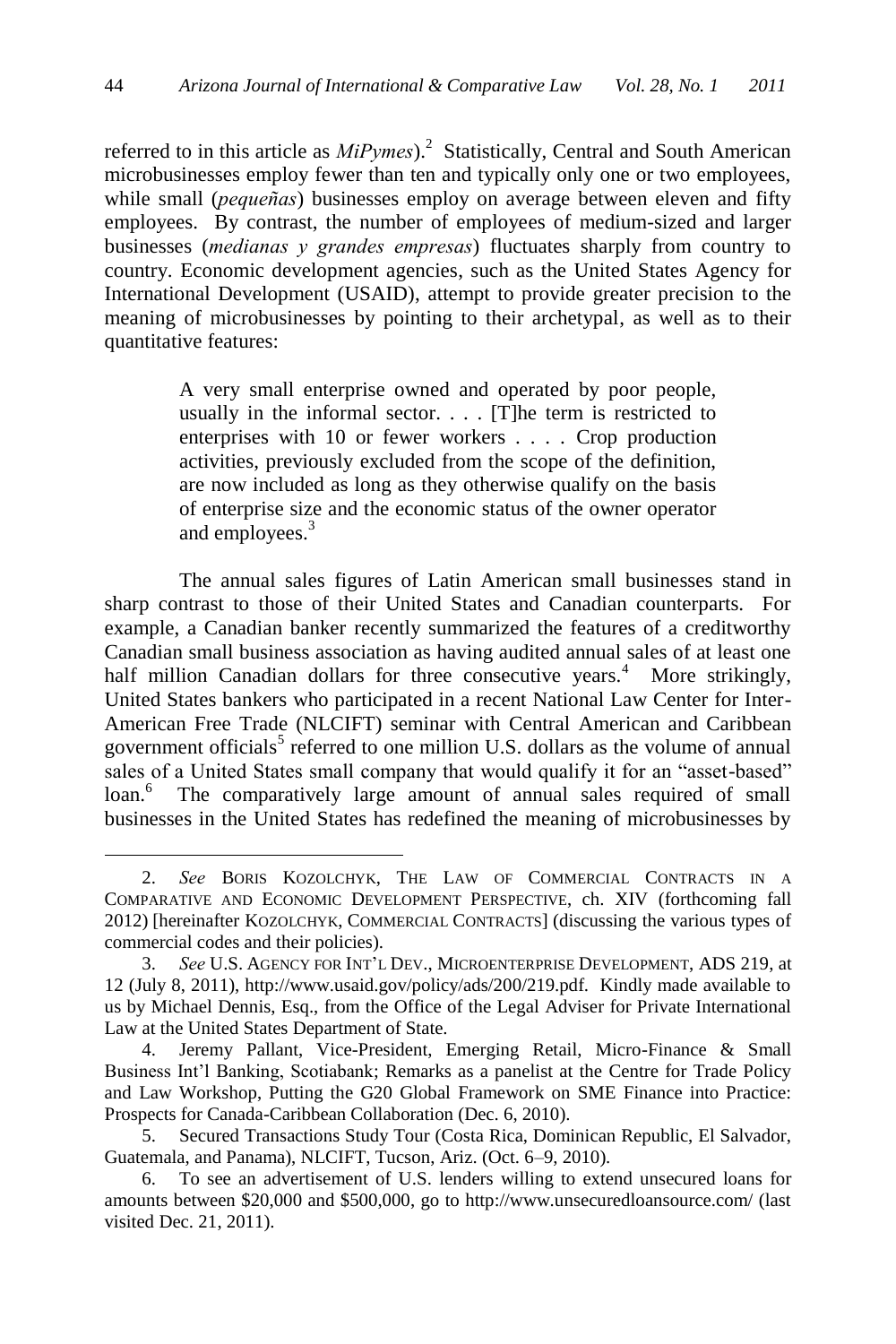referred to in this article as  $MiP\gamma mes$ <sup>2</sup> Statistically, Central and South American microbusinesses employ fewer than ten and typically only one or two employees, while small (*pequeñas*) businesses employ on average between eleven and fifty employees. By contrast, the number of employees of medium-sized and larger businesses (*medianas y grandes empresas*) fluctuates sharply from country to country. Economic development agencies, such as the United States Agency for International Development (USAID), attempt to provide greater precision to the meaning of microbusinesses by pointing to their archetypal, as well as to their quantitative features:

> A very small enterprise owned and operated by poor people, usually in the informal sector. . . . [T]he term is restricted to enterprises with 10 or fewer workers . . . . Crop production activities, previously excluded from the scope of the definition, are now included as long as they otherwise qualify on the basis of enterprise size and the economic status of the owner operator and employees. 3

The annual sales figures of Latin American small businesses stand in sharp contrast to those of their United States and Canadian counterparts. For example, a Canadian banker recently summarized the features of a creditworthy Canadian small business association as having audited annual sales of at least one half million Canadian dollars for three consecutive years.<sup>4</sup> More strikingly, United States bankers who participated in a recent National Law Center for Inter-American Free Trade (NLCIFT) seminar with Central American and Caribbean government officials<sup>5</sup> referred to one million U.S. dollars as the volume of annual sales of a United States small company that would qualify it for an "asset-based" loan.<sup>6</sup> The comparatively large amount of annual sales required of small businesses in the United States has redefined the meaning of microbusinesses by

<sup>2.</sup> *See* BORIS KOZOLCHYK, THE LAW OF COMMERCIAL CONTRACTS IN A COMPARATIVE AND ECONOMIC DEVELOPMENT PERSPECTIVE, ch. XIV (forthcoming fall 2012) [hereinafter KOZOLCHYK, COMMERCIAL CONTRACTS] (discussing the various types of commercial codes and their policies).

<sup>3.</sup> *See* U.S. AGENCY FOR INT'L DEV., MICROENTERPRISE DEVELOPMENT, ADS 219, at 12 (July 8, 2011), http://www.usaid.gov/policy/ads/200/219.pdf. Kindly made available to us by Michael Dennis, Esq., from the Office of the Legal Adviser for Private International Law at the United States Department of State.

<sup>4.</sup> Jeremy Pallant, Vice-President, Emerging Retail, Micro-Finance & Small Business Int'l Banking, Scotiabank; Remarks as a panelist at the Centre for Trade Policy and Law Workshop, Putting the G20 Global Framework on SME Finance into Practice: Prospects for Canada-Caribbean Collaboration (Dec. 6, 2010).

<sup>5.</sup> Secured Transactions Study Tour (Costa Rica, Dominican Republic, El Salvador, Guatemala, and Panama), NLCIFT, Tucson, Ariz. (Oct. 6–9, 2010).

<sup>6.</sup> To see an advertisement of U.S. lenders willing to extend unsecured loans for amounts between \$20,000 and \$500,000, go to http://www.unsecuredloansource.com/ (last visited Dec. 21, 2011).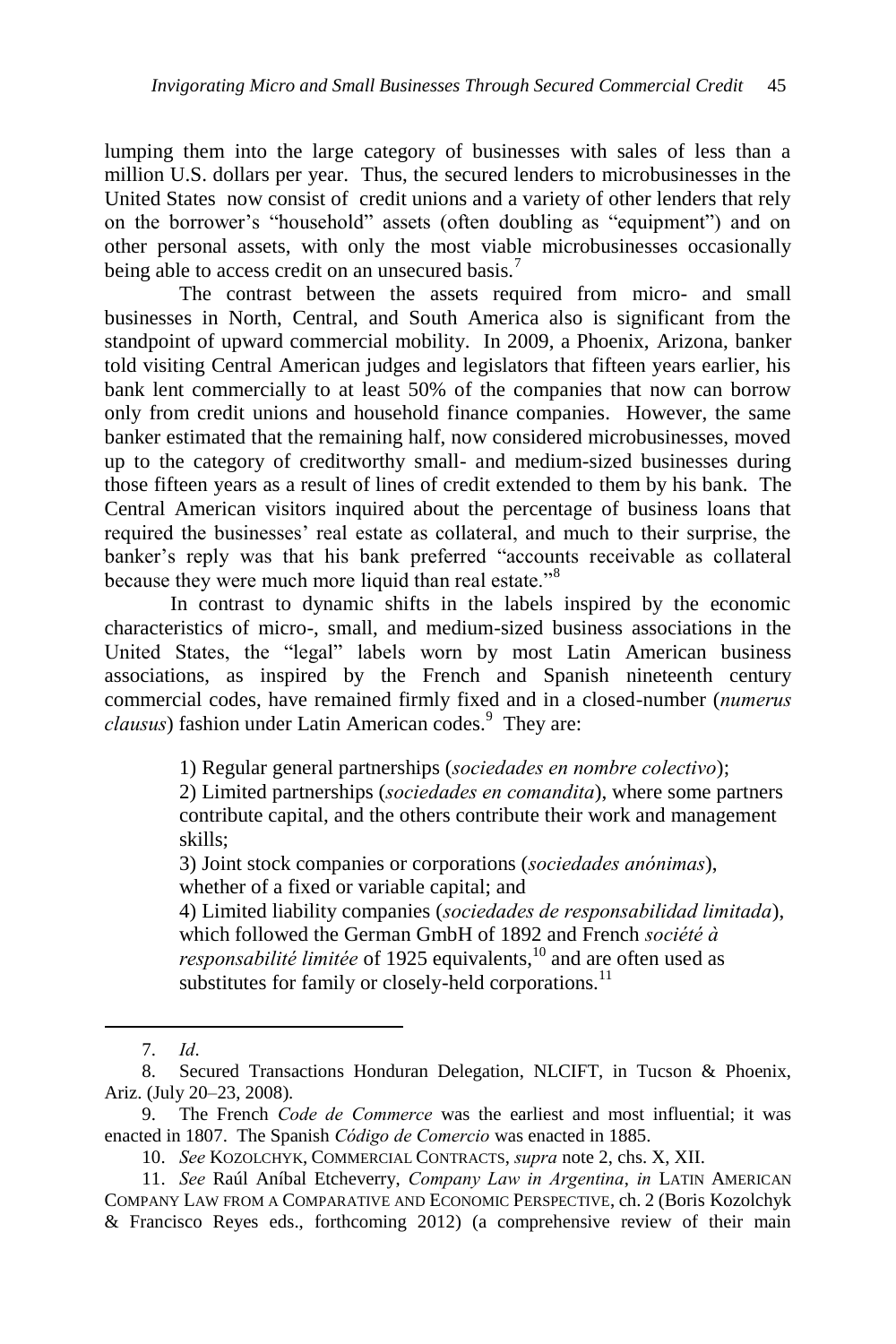lumping them into the large category of businesses with sales of less than a million U.S. dollars per year. Thus, the secured lenders to microbusinesses in the United States now consist of credit unions and a variety of other lenders that rely on the borrower's "household" assets (often doubling as "equipment") and on other personal assets, with only the most viable microbusinesses occasionally being able to access credit on an unsecured basis.<sup>7</sup>

The contrast between the assets required from micro- and small businesses in North, Central, and South America also is significant from the standpoint of upward commercial mobility. In 2009, a Phoenix, Arizona, banker told visiting Central American judges and legislators that fifteen years earlier, his bank lent commercially to at least 50% of the companies that now can borrow only from credit unions and household finance companies. However, the same banker estimated that the remaining half, now considered microbusinesses, moved up to the category of creditworthy small- and medium-sized businesses during those fifteen years as a result of lines of credit extended to them by his bank. The Central American visitors inquired about the percentage of business loans that required the businesses' real estate as collateral, and much to their surprise, the banker's reply was that his bank preferred "accounts receivable as collateral because they were much more liquid than real estate."<sup>8</sup>

In contrast to dynamic shifts in the labels inspired by the economic characteristics of micro-, small, and medium-sized business associations in the United States, the "legal" labels worn by most Latin American business associations, as inspired by the French and Spanish nineteenth century commercial codes, have remained firmly fixed and in a closed-number (*numerus*  clausus) fashion under Latin American codes.<sup>9</sup> They are:

1) Regular general partnerships (*sociedades en nombre colectivo*);

2) Limited partnerships (*sociedades en comandita*), where some partners contribute capital, and the others contribute their work and management skills;

3) Joint stock companies or corporations (*sociedades anónimas*), whether of a fixed or variable capital; and

4) Limited liability companies (*sociedades de responsabilidad limitada*), which followed the German GmbH of 1892 and French *société à responsabilité limitée* of 1925 equivalents, <sup>10</sup> and are often used as substitutes for family or closely-held corporations.<sup>11</sup>

<sup>7.</sup> *Id*.

<sup>8.</sup> Secured Transactions Honduran Delegation, NLCIFT, in Tucson & Phoenix, Ariz. (July 20–23, 2008).

<sup>9.</sup> The French *Code de Commerce* was the earliest and most influential; it was enacted in 1807. The Spanish *Código de Comercio* was enacted in 1885.

<sup>10.</sup> *See* KOZOLCHYK, COMMERCIAL CONTRACTS, *supra* note 2, chs. X, XII.

<sup>11.</sup> *See* Raúl Aníbal Etcheverry, *Company Law in Argentina*, *in* LATIN AMERICAN COMPANY LAW FROM A COMPARATIVE AND ECONOMIC PERSPECTIVE, ch. 2 (Boris Kozolchyk & Francisco Reyes eds., forthcoming 2012) (a comprehensive review of their main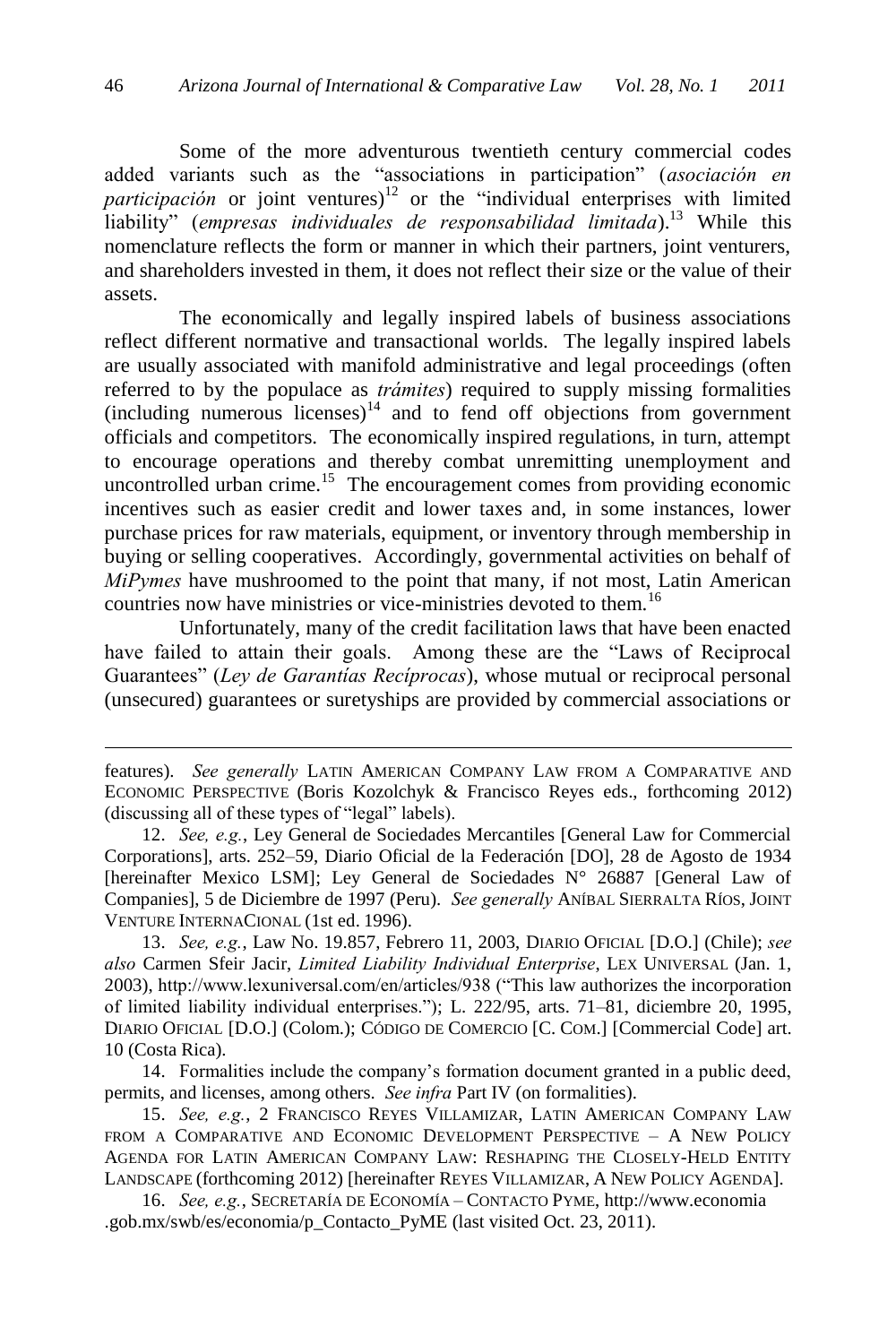Some of the more adventurous twentieth century commercial codes added variants such as the "associations in participation" (*asociación en participación* or joint ventures)<sup>12</sup> or the "individual enterprises with limited liability" (*empresas individuales de responsabilidad limitada*).<sup>13</sup> While this nomenclature reflects the form or manner in which their partners, joint venturers, and shareholders invested in them, it does not reflect their size or the value of their assets.

The economically and legally inspired labels of business associations reflect different normative and transactional worlds. The legally inspired labels are usually associated with manifold administrative and legal proceedings (often referred to by the populace as *trámites*) required to supply missing formalities  $(including$  numerous licenses)<sup>14</sup> and to fend off objections from government officials and competitors. The economically inspired regulations, in turn, attempt to encourage operations and thereby combat unremitting unemployment and uncontrolled urban crime.<sup>15</sup> The encouragement comes from providing economic incentives such as easier credit and lower taxes and, in some instances, lower purchase prices for raw materials, equipment, or inventory through membership in buying or selling cooperatives. Accordingly, governmental activities on behalf of *MiPymes* have mushroomed to the point that many, if not most, Latin American countries now have ministries or vice-ministries devoted to them.<sup>16</sup>

Unfortunately, many of the credit facilitation laws that have been enacted have failed to attain their goals. Among these are the "Laws of Reciprocal Guarantees‖ (*Ley de Garantías Recíprocas*), whose mutual or reciprocal personal (unsecured) guarantees or suretyships are provided by commercial associations or

 $\overline{a}$ 

13. *See, e.g.*, Law No. 19.857, Febrero 11, 2003, DIARIO OFICIAL [D.O.] (Chile); *see also* Carmen Sfeir Jacir, *Limited Liability Individual Enterprise*, LEX UNIVERSAL (Jan. 1, 2003), http://www.lexuniversal.com/en/articles/938 ("This law authorizes the incorporation of limited liability individual enterprises.‖); L. 222/95, arts. 71–81, diciembre 20, 1995, DIARIO OFICIAL [D.O.] (Colom.); CÓDIGO DE COMERCIO [C. COM.] [Commercial Code] art. 10 (Costa Rica).

14. Formalities include the company's formation document granted in a public deed, permits, and licenses, among others. *See infra* Part IV (on formalities).

15. *See, e.g.*, 2 FRANCISCO REYES VILLAMIZAR, LATIN AMERICAN COMPANY LAW FROM A COMPARATIVE AND ECONOMIC DEVELOPMENT PERSPECTIVE – A NEW POLICY AGENDA FOR LATIN AMERICAN COMPANY LAW: RESHAPING THE CLOSELY-HELD ENTITY LANDSCAPE (forthcoming 2012) [hereinafter REYES VILLAMIZAR, A NEW POLICY AGENDA].

16. *See, e.g.*, SECRETARÍA DE ECONOMÍA – CONTACTO PYME, http://www.economia .gob.mx/swb/es/economia/p\_Contacto\_PyME (last visited Oct. 23, 2011).

features). *See generally* LATIN AMERICAN COMPANY LAW FROM A COMPARATIVE AND ECONOMIC PERSPECTIVE (Boris Kozolchyk & Francisco Reyes eds., forthcoming 2012) (discussing all of these types of "legal" labels).

<sup>12.</sup> *See, e.g.*, Ley General de Sociedades Mercantiles [General Law for Commercial Corporations], arts. 252–59, Diario Oficial de la Federación [DO], 28 de Agosto de 1934 [hereinafter Mexico LSM]; Ley General de Sociedades N° 26887 [General Law of Companies], 5 de Diciembre de 1997 (Peru). *See generally* ANÍBAL SIERRALTA RÍOS, JOINT VENTURE INTERNACIONAL (1st ed. 1996).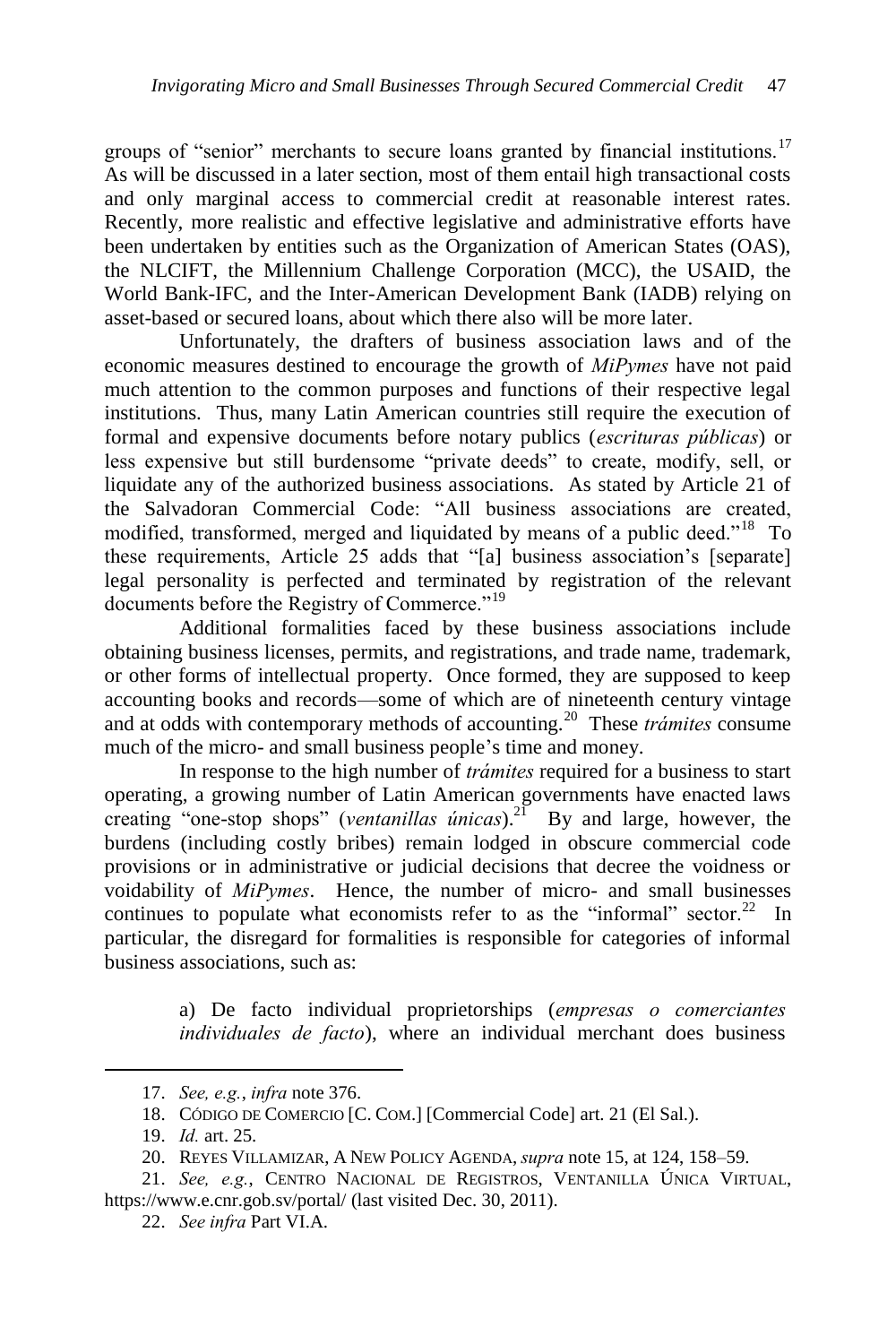groups of "senior" merchants to secure loans granted by financial institutions.<sup>17</sup> As will be discussed in a later section, most of them entail high transactional costs and only marginal access to commercial credit at reasonable interest rates. Recently, more realistic and effective legislative and administrative efforts have been undertaken by entities such as the Organization of American States (OAS), the NLCIFT, the Millennium Challenge Corporation (MCC), the USAID, the World Bank-IFC, and the Inter-American Development Bank (IADB) relying on asset-based or secured loans, about which there also will be more later.

Unfortunately, the drafters of business association laws and of the economic measures destined to encourage the growth of *MiPymes* have not paid much attention to the common purposes and functions of their respective legal institutions. Thus, many Latin American countries still require the execution of formal and expensive documents before notary publics (*escrituras públicas*) or less expensive but still burdensome "private deeds" to create, modify, sell, or liquidate any of the authorized business associations. As stated by Article 21 of the Salvadoran Commercial Code: "All business associations are created, modified, transformed, merged and liquidated by means of a public deed."<sup>18</sup> To these requirements, Article 25 adds that "[a] business association's [separate] legal personality is perfected and terminated by registration of the relevant documents before the Registry of Commerce."<sup>19</sup>

Additional formalities faced by these business associations include obtaining business licenses, permits, and registrations, and trade name, trademark, or other forms of intellectual property. Once formed, they are supposed to keep accounting books and records—some of which are of nineteenth century vintage and at odds with contemporary methods of accounting.<sup>20</sup> These *trámites* consume much of the micro- and small business people's time and money.

In response to the high number of *trámites* required for a business to start operating, a growing number of Latin American governments have enacted laws creating "one-stop shops" (*ventanillas únicas*).<sup>21</sup> By and large, however, the burdens (including costly bribes) remain lodged in obscure commercial code provisions or in administrative or judicial decisions that decree the voidness or voidability of *MiPymes*. Hence, the number of micro- and small businesses continues to populate what economists refer to as the "informal" sector.<sup>22</sup> In particular, the disregard for formalities is responsible for categories of informal business associations, such as:

> a) De facto individual proprietorships (*empresas o comerciantes individuales de facto*), where an individual merchant does business

<sup>17.</sup> *See, e.g.*, *infra* note 376.

<sup>18.</sup> CÓDIGO DE COMERCIO [C. COM.] [Commercial Code] art. 21 (El Sal.).

<sup>19.</sup> *Id.* art. 25.

<sup>20.</sup> REYES VILLAMIZAR, A NEW POLICY AGENDA, *supra* note 15, at 124, 158–59.

<sup>21.</sup> *See, e.g.*, CENTRO NACIONAL DE REGISTROS, VENTANILLA ÚNICA VIRTUAL, https://www.e.cnr.gob.sv/portal/ (last visited Dec. 30, 2011).

<sup>22.</sup> *See infra* Part VI.A.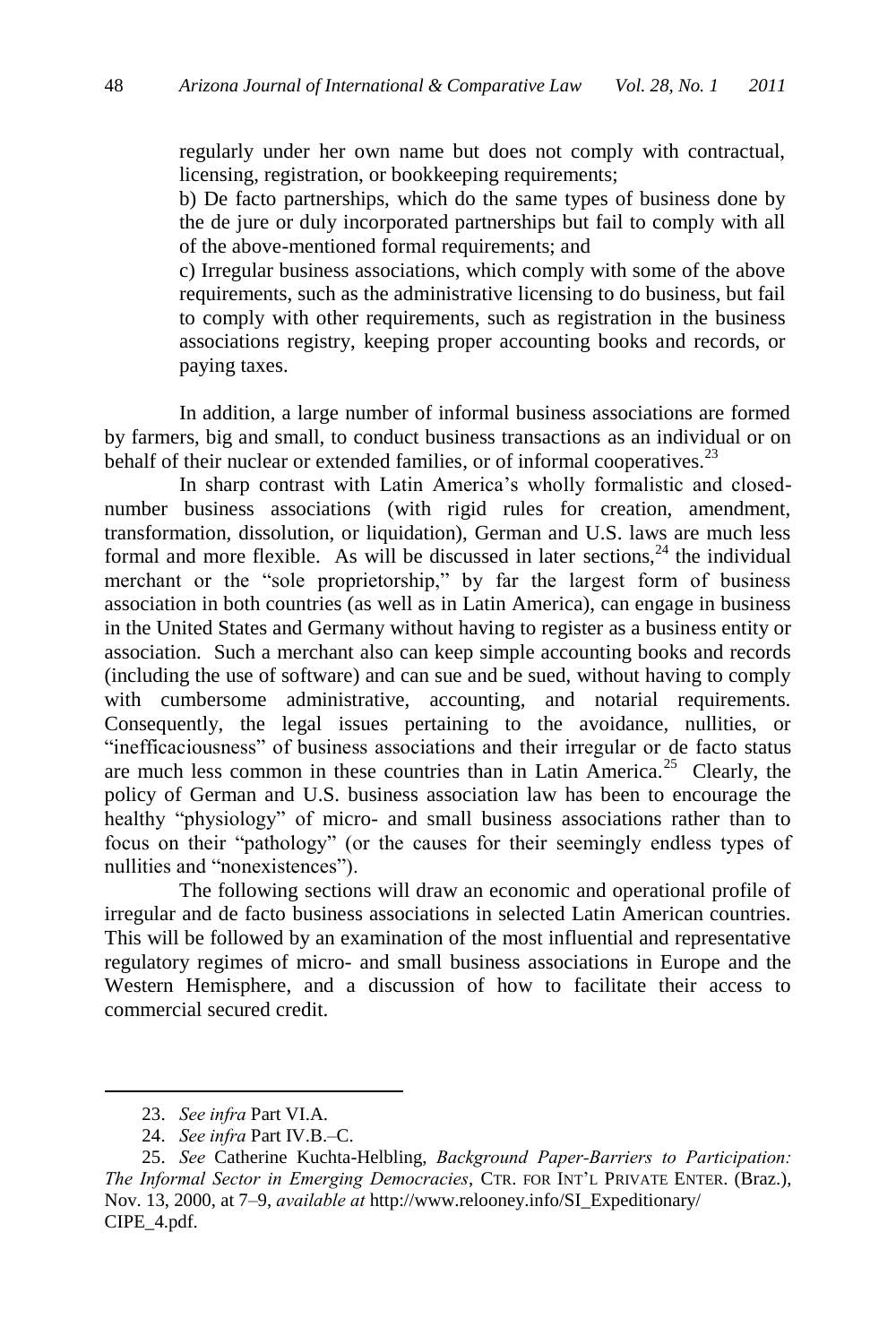regularly under her own name but does not comply with contractual, licensing, registration, or bookkeeping requirements;

b) De facto partnerships, which do the same types of business done by the de jure or duly incorporated partnerships but fail to comply with all of the above-mentioned formal requirements; and

c) Irregular business associations, which comply with some of the above requirements, such as the administrative licensing to do business, but fail to comply with other requirements, such as registration in the business associations registry, keeping proper accounting books and records, or paying taxes.

In addition, a large number of informal business associations are formed by farmers, big and small, to conduct business transactions as an individual or on behalf of their nuclear or extended families, or of informal cooperatives.<sup>23</sup>

In sharp contrast with Latin America's wholly formalistic and closednumber business associations (with rigid rules for creation, amendment, transformation, dissolution, or liquidation), German and U.S. laws are much less formal and more flexible. As will be discussed in later sections, $^{24}$  the individual merchant or the "sole proprietorship," by far the largest form of business association in both countries (as well as in Latin America), can engage in business in the United States and Germany without having to register as a business entity or association. Such a merchant also can keep simple accounting books and records (including the use of software) and can sue and be sued, without having to comply with cumbersome administrative, accounting, and notarial requirements. Consequently, the legal issues pertaining to the avoidance, nullities, or "inefficaciousness" of business associations and their irregular or de facto status are much less common in these countries than in Latin America.<sup>25</sup> Clearly, the policy of German and U.S. business association law has been to encourage the healthy "physiology" of micro- and small business associations rather than to focus on their "pathology" (or the causes for their seemingly endless types of nullities and "nonexistences").

The following sections will draw an economic and operational profile of irregular and de facto business associations in selected Latin American countries. This will be followed by an examination of the most influential and representative regulatory regimes of micro- and small business associations in Europe and the Western Hemisphere, and a discussion of how to facilitate their access to commercial secured credit.

<sup>23.</sup> *See infra* Part VI.A.

<sup>24.</sup> *See infra* Part IV.B.–C.

<sup>25.</sup> *See* Catherine Kuchta-Helbling, *Background Paper-Barriers to Participation: The Informal Sector in Emerging Democracies*, CTR. FOR INT'L PRIVATE ENTER. (Braz.), Nov. 13, 2000, at 7–9, *available at* http://www.relooney.info/SI\_Expeditionary/ CIPE\_4.pdf.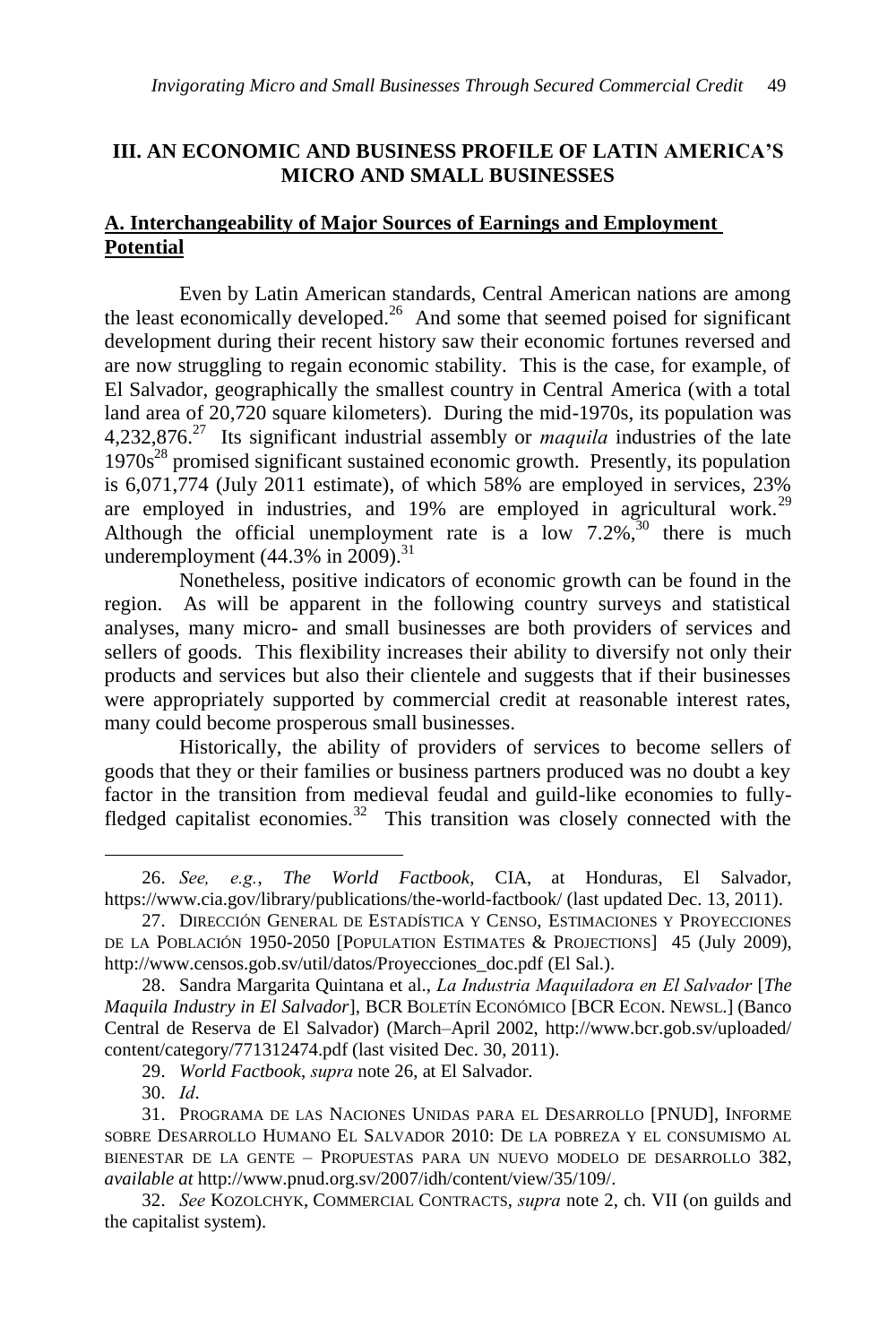# **III. AN ECONOMIC AND BUSINESS PROFILE OF LATIN AMERICA'S MICRO AND SMALL BUSINESSES**

# **A. Interchangeability of Major Sources of Earnings and Employment Potential**

Even by Latin American standards, Central American nations are among the least economically developed.<sup>26</sup> And some that seemed poised for significant development during their recent history saw their economic fortunes reversed and are now struggling to regain economic stability. This is the case, for example, of El Salvador, geographically the smallest country in Central America (with a total land area of 20,720 square kilometers). During the mid-1970s, its population was 4,232,876.<sup>27</sup> Its significant industrial assembly or *maquila* industries of the late  $1970s<sup>28</sup>$  promised significant sustained economic growth. Presently, its population is 6,071,774 (July 2011 estimate), of which 58% are employed in services, 23% are employed in industries, and  $19\%$  are employed in agricultural work.<sup>29</sup> Although the official unemployment rate is a low  $7.2\%$ ,<sup>30</sup> there is much underemployment  $(44.3\% \text{ in } 2009).$ <sup>31</sup>

Nonetheless, positive indicators of economic growth can be found in the region. As will be apparent in the following country surveys and statistical analyses, many micro- and small businesses are both providers of services and sellers of goods. This flexibility increases their ability to diversify not only their products and services but also their clientele and suggests that if their businesses were appropriately supported by commercial credit at reasonable interest rates, many could become prosperous small businesses.

Historically, the ability of providers of services to become sellers of goods that they or their families or business partners produced was no doubt a key factor in the transition from medieval feudal and guild-like economies to fullyfledged capitalist economies.<sup>32</sup> This transition was closely connected with the

<sup>26.</sup> *See, e.g.*, *The World Factbook*, CIA, at Honduras, El Salvador, <https://www.cia.gov/library/publications/the-world-factbook/> (last updated Dec. 13, 2011).

<sup>27.</sup> DIRECCIÓN GENERAL DE ESTADÍSTICA Y CENSO, ESTIMACIONES Y PROYECCIONES DE LA POBLACIÓN 1950-2050 [POPULATION ESTIMATES & PROJECTIONS] 45 (July 2009), http://www.censos.gob.sv/util/datos/Proyecciones\_doc.pdf (El Sal.).

<sup>28.</sup> Sandra Margarita Quintana et al., *La Industria Maquiladora en El Salvador* [*The Maquila Industry in El Salvador*], BCR BOLETÍN ECONÓMICO [BCR ECON. NEWSL.] (Banco Central de Reserva de El Salvador) (March–April 2002, http://www.bcr.gob.sv/uploaded/ content/category/771312474.pdf (last visited Dec. 30, 2011).

<sup>29.</sup> *World Factbook*, *supra* note 26, at El Salvador.

<sup>30.</sup> *Id*.

<sup>31.</sup> PROGRAMA DE LAS NACIONES UNIDAS PARA EL DESARROLLO [PNUD], INFORME SOBRE DESARROLLO HUMANO EL SALVADOR 2010: DE LA POBREZA Y EL CONSUMISMO AL BIENESTAR DE LA GENTE – PROPUESTAS PARA UN NUEVO MODELO DE DESARROLLO 382, *available at* http://www.pnud.org.sv/2007/idh/content/view/35/109/.

<sup>32.</sup> *See* KOZOLCHYK, COMMERCIAL CONTRACTS, *supra* note 2, ch. VII (on guilds and the capitalist system).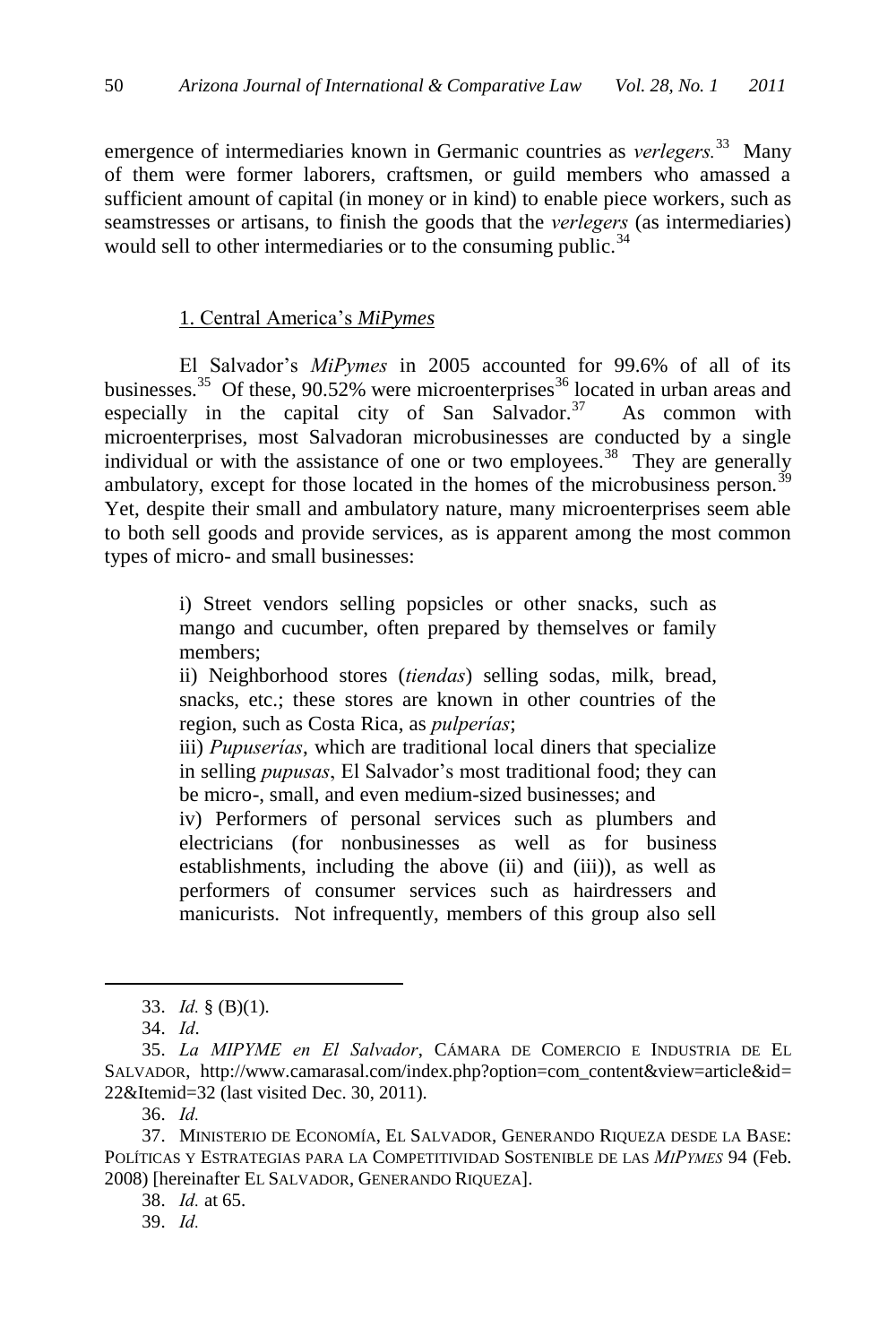emergence of intermediaries known in Germanic countries as *verlegers.*<sup>33</sup> Many of them were former laborers, craftsmen, or guild members who amassed a sufficient amount of capital (in money or in kind) to enable piece workers, such as seamstresses or artisans, to finish the goods that the *verlegers* (as intermediaries) would sell to other intermediaries or to the consuming public.<sup>34</sup>

### 1. Central America's *MiPymes*

El Salvador's *MiPymes* in 2005 accounted for 99.6% of all of its businesses.<sup>35</sup> Of these, 90.52% were microenterprises<sup>36</sup> located in urban areas and especially in the capital city of San Salvador. $37$  As common with microenterprises, most Salvadoran microbusinesses are conducted by a single individual or with the assistance of one or two employees.<sup>38</sup> They are generally ambulatory, except for those located in the homes of the microbusiness person.<sup>39</sup> Yet, despite their small and ambulatory nature, many microenterprises seem able to both sell goods and provide services, as is apparent among the most common types of micro- and small businesses:

> i) Street vendors selling popsicles or other snacks, such as mango and cucumber, often prepared by themselves or family members;

> ii) Neighborhood stores (*tiendas*) selling sodas, milk, bread, snacks, etc.; these stores are known in other countries of the region, such as Costa Rica, as *pulperías*;

> iii) *Pupuserías*, which are traditional local diners that specialize in selling *pupusas*, El Salvador's most traditional food; they can be micro-, small, and even medium-sized businesses; and

> iv) Performers of personal services such as plumbers and electricians (for nonbusinesses as well as for business establishments, including the above (ii) and (iii)), as well as performers of consumer services such as hairdressers and manicurists. Not infrequently, members of this group also sell

 $\overline{a}$ 

36. *Id.*

38. *Id.* at 65.

39. *Id.* 

<sup>33.</sup> *Id.* § (B)(1).

<sup>34.</sup> *Id*.

<sup>35.</sup> *La MIPYME en El Salvador*, CÁMARA DE COMERCIO E INDUSTRIA DE EL SALVADOR, http://www.camarasal.com/index.php?option=com\_content&view=article&id= 22&Itemid=32 (last visited Dec. 30, 2011).

<sup>37.</sup> MINISTERIO DE ECONOMÍA, EL SALVADOR, GENERANDO RIQUEZA DESDE LA BASE: POLÍTICAS Y ESTRATEGIAS PARA LA COMPETITIVIDAD SOSTENIBLE DE LAS *MIPYMES* 94 (Feb. 2008) [hereinafter EL SALVADOR, GENERANDO RIQUEZA].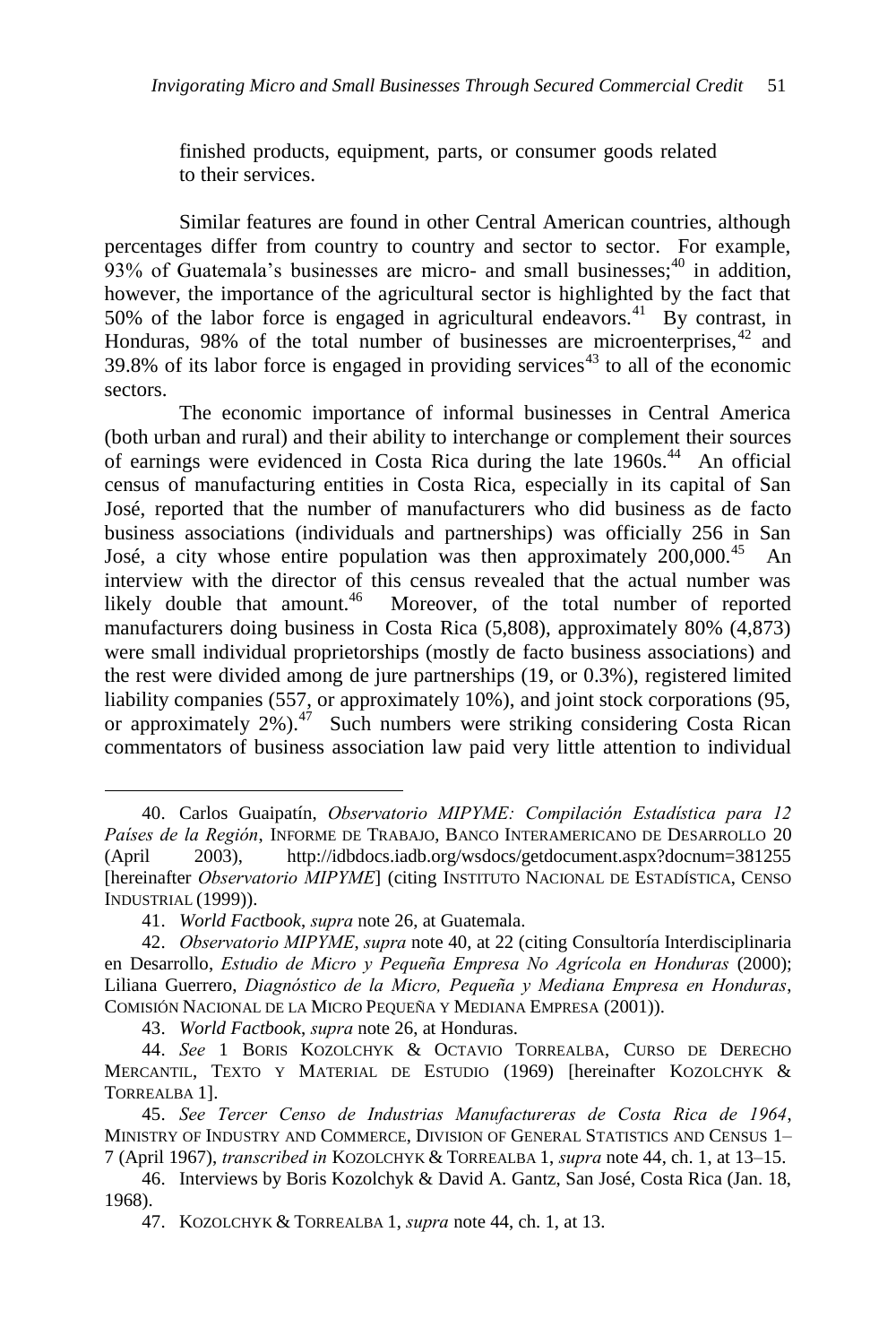finished products, equipment, parts, or consumer goods related to their services.

Similar features are found in other Central American countries, although percentages differ from country to country and sector to sector. For example, 93% of Guatemala's businesses are micro- and small businesses; $40$  in addition, however, the importance of the agricultural sector is highlighted by the fact that 50% of the labor force is engaged in agricultural endeavors.<sup>41</sup> By contrast, in Honduras, 98% of the total number of businesses are microenterprises, $42$  and 39.8% of its labor force is engaged in providing services<sup>43</sup> to all of the economic sectors.

The economic importance of informal businesses in Central America (both urban and rural) and their ability to interchange or complement their sources of earnings were evidenced in Costa Rica during the late 1960s.<sup>44</sup> An official census of manufacturing entities in Costa Rica, especially in its capital of San José, reported that the number of manufacturers who did business as de facto business associations (individuals and partnerships) was officially 256 in San José, a city whose entire population was then approximately 200,000.<sup>45</sup> An interview with the director of this census revealed that the actual number was likely double that amount. $46$  Moreover, of the total number of reported manufacturers doing business in Costa Rica (5,808), approximately 80% (4,873) were small individual proprietorships (mostly de facto business associations) and the rest were divided among de jure partnerships (19, or 0.3%), registered limited liability companies (557, or approximately 10%), and joint stock corporations (95, or approximately 2%).<sup>47</sup> Such numbers were striking considering Costa Rican commentators of business association law paid very little attention to individual

<sup>40.</sup> Carlos Guaipatín, *Observatorio MIPYME: Compilación Estadística para 12 Países de la Región*, INFORME DE TRABAJO, BANCO INTERAMERICANO DE DESARROLLO 20 (April 2003), http://idbdocs.iadb.org/wsdocs/getdocument.aspx?docnum=381255 [hereinafter *Observatorio MIPYME*] (citing INSTITUTO NACIONAL DE ESTADÍSTICA, CENSO INDUSTRIAL (1999)).

<sup>41.</sup> *World Factbook*, *supra* note 26, at Guatemala.

<sup>42.</sup> *Observatorio MIPYME*, *supra* note 40, at 22 (citing Consultoría Interdisciplinaria en Desarrollo, *Estudio de Micro y Pequeña Empresa No Agrícola en Honduras* (2000); Liliana Guerrero, *Diagnóstico de la Micro, Pequeña y Mediana Empresa en Honduras*, COMISIÓN NACIONAL DE LA MICRO PEQUEÑA Y MEDIANA EMPRESA (2001)).

<sup>43.</sup> *World Factbook*, *supra* note 26, at Honduras.

<sup>44.</sup> *See* 1 BORIS KOZOLCHYK & OCTAVIO TORREALBA, CURSO DE DERECHO MERCANTIL, TEXTO Y MATERIAL DE ESTUDIO (1969) [hereinafter KOZOLCHYK & TORREALBA 1].

<sup>45.</sup> *See Tercer Censo de Industrias Manufactureras de Costa Rica de 1964*, MINISTRY OF INDUSTRY AND COMMERCE, DIVISION OF GENERAL STATISTICS AND CENSUS 1– 7 (April 1967), *transcribed in* KOZOLCHYK & TORREALBA 1, *supra* note 44, ch. 1, at 13–15.

<sup>46.</sup> Interviews by Boris Kozolchyk & David A. Gantz, San José, Costa Rica (Jan. 18, 1968).

<sup>47.</sup> KOZOLCHYK & TORREALBA 1, *supra* note 44, ch. 1, at 13.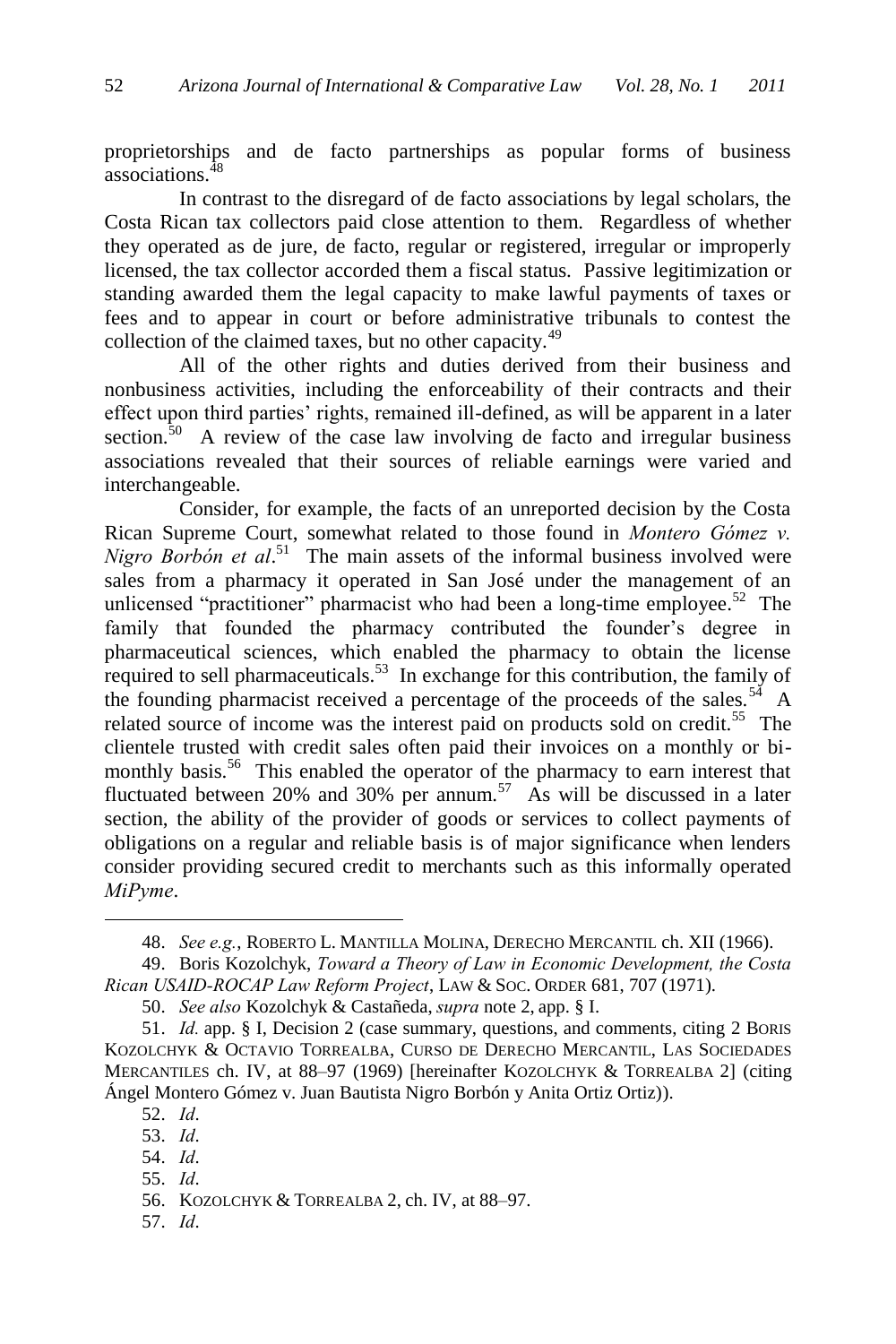proprietorships and de facto partnerships as popular forms of business associations.<sup>48</sup>

In contrast to the disregard of de facto associations by legal scholars, the Costa Rican tax collectors paid close attention to them. Regardless of whether they operated as de jure, de facto, regular or registered, irregular or improperly licensed, the tax collector accorded them a fiscal status. Passive legitimization or standing awarded them the legal capacity to make lawful payments of taxes or fees and to appear in court or before administrative tribunals to contest the collection of the claimed taxes, but no other capacity.<sup>49</sup>

All of the other rights and duties derived from their business and nonbusiness activities, including the enforceability of their contracts and their effect upon third parties' rights, remained ill-defined, as will be apparent in a later section.<sup>50</sup> A review of the case law involving de facto and irregular business associations revealed that their sources of reliable earnings were varied and interchangeable.

Consider, for example, the facts of an unreported decision by the Costa Rican Supreme Court, somewhat related to those found in *Montero Gómez v. Nigro Borbón et al*. <sup>51</sup> The main assets of the informal business involved were sales from a pharmacy it operated in San José under the management of an unlicensed "practitioner" pharmacist who had been a long-time employee.<sup>52</sup> The family that founded the pharmacy contributed the founder's degree in pharmaceutical sciences, which enabled the pharmacy to obtain the license required to sell pharmaceuticals.<sup>53</sup> In exchange for this contribution, the family of the founding pharmacist received a percentage of the proceeds of the sales.<sup>54</sup> A related source of income was the interest paid on products sold on credit.<sup>55</sup> The clientele trusted with credit sales often paid their invoices on a monthly or bimonthly basis.<sup>56</sup> This enabled the operator of the pharmacy to earn interest that fluctuated between 20% and 30% per annum.<sup>57</sup> As will be discussed in a later section, the ability of the provider of goods or services to collect payments of obligations on a regular and reliable basis is of major significance when lenders consider providing secured credit to merchants such as this informally operated *MiPyme*.

 $\overline{a}$ 

55. *Id*.

57. *Id*.

<sup>48.</sup> *See e.g.*, ROBERTO L. MANTILLA MOLINA, DERECHO MERCANTIL ch. XII (1966).

<sup>49.</sup> Boris Kozolchyk, *Toward a Theory of Law in Economic Development, the Costa Rican USAID-ROCAP Law Reform Project*, LAW & SOC. ORDER 681, 707 (1971).

<sup>50.</sup> *See also* Kozolchyk & Castañeda, *supra* note 2, app. § I.

<sup>51.</sup> *Id.* app. § I, Decision 2 (case summary, questions, and comments, citing 2 BORIS KOZOLCHYK & OCTAVIO TORREALBA, CURSO DE DERECHO MERCANTIL, LAS SOCIEDADES MERCANTILES ch. IV, at 88–97 (1969) [hereinafter KOZOLCHYK & TORREALBA 2] (citing Ángel Montero Gómez v. Juan Bautista Nigro Borbón y Anita Ortiz Ortiz)).

<sup>52.</sup> *Id*.

<sup>53.</sup> *Id*.

<sup>54.</sup> *Id*.

<sup>56.</sup> KOZOLCHYK & TORREALBA 2, ch. IV, at 88–97.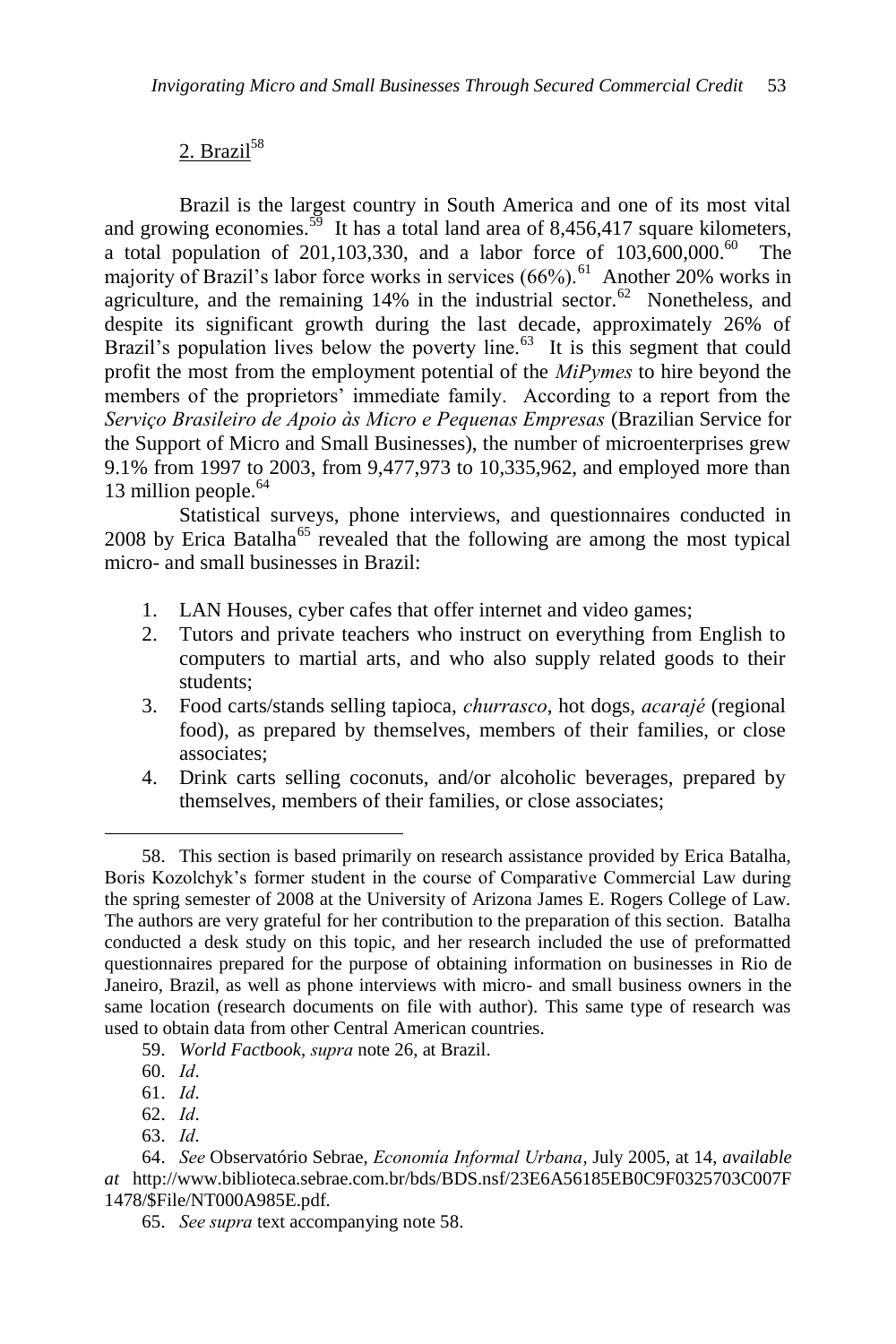# $2.$  Brazil<sup>58</sup>

Brazil is the largest country in South America and one of its most vital and growing economies.<sup>59</sup> It has a total land area of 8,456,417 square kilometers, a total population of 201,103,330, and a labor force of  $103,600,000$ .<sup>60</sup> The majority of Brazil's labor force works in services  $(66%)$ <sup>61</sup> Another 20% works in agriculture, and the remaining  $14\%$  in the industrial sector.<sup>62</sup> Nonetheless, and despite its significant growth during the last decade, approximately 26% of Brazil's population lives below the poverty line.<sup>63</sup> It is this segment that could profit the most from the employment potential of the *MiPymes* to hire beyond the members of the proprietors' immediate family. According to a report from the *Serviço Brasileiro de Apoio às Micro e Pequenas Empresas* (Brazilian Service for the Support of Micro and Small Businesses), the number of microenterprises grew 9.1% from 1997 to 2003, from 9,477,973 to 10,335,962, and employed more than 13 million people.<sup>64</sup>

Statistical surveys, phone interviews, and questionnaires conducted in  $2008$  by Erica Batalha<sup>65</sup> revealed that the following are among the most typical micro- and small businesses in Brazil:

- 1. LAN Houses, cyber cafes that offer internet and video games;
- 2. Tutors and private teachers who instruct on everything from English to computers to martial arts, and who also supply related goods to their students;
- 3. Food carts/stands selling tapioca, *churrasco*, hot dogs, *acarajé* (regional food), as prepared by themselves, members of their families, or close associates;
- 4. Drink carts selling coconuts, and/or alcoholic beverages, prepared by themselves, members of their families, or close associates;

 $\overline{a}$ 

63. *Id*.

<sup>58.</sup> This section is based primarily on research assistance provided by Erica Batalha, Boris Kozolchyk's former student in the course of Comparative Commercial Law during the spring semester of 2008 at the University of Arizona James E. Rogers College of Law. The authors are very grateful for her contribution to the preparation of this section. Batalha conducted a desk study on this topic, and her research included the use of preformatted questionnaires prepared for the purpose of obtaining information on businesses in Rio de Janeiro, Brazil, as well as phone interviews with micro- and small business owners in the same location (research documents on file with author). This same type of research was used to obtain data from other Central American countries.

<sup>59.</sup> *World Factbook*, *supra* note 26, at Brazil.

<sup>60.</sup> *Id*.

<sup>61.</sup> *Id*.

<sup>62.</sup> *Id*.

<sup>64.</sup> *See* Observatório Sebrae, *Economía Informal Urbana*, July 2005, at 14, *available at* http://www.biblioteca.sebrae.com.br/bds/BDS.nsf/23E6A56185EB0C9F0325703C007F 1478/\$File/NT000A985E.pdf.

<sup>65.</sup> *See supra* text accompanying note 58.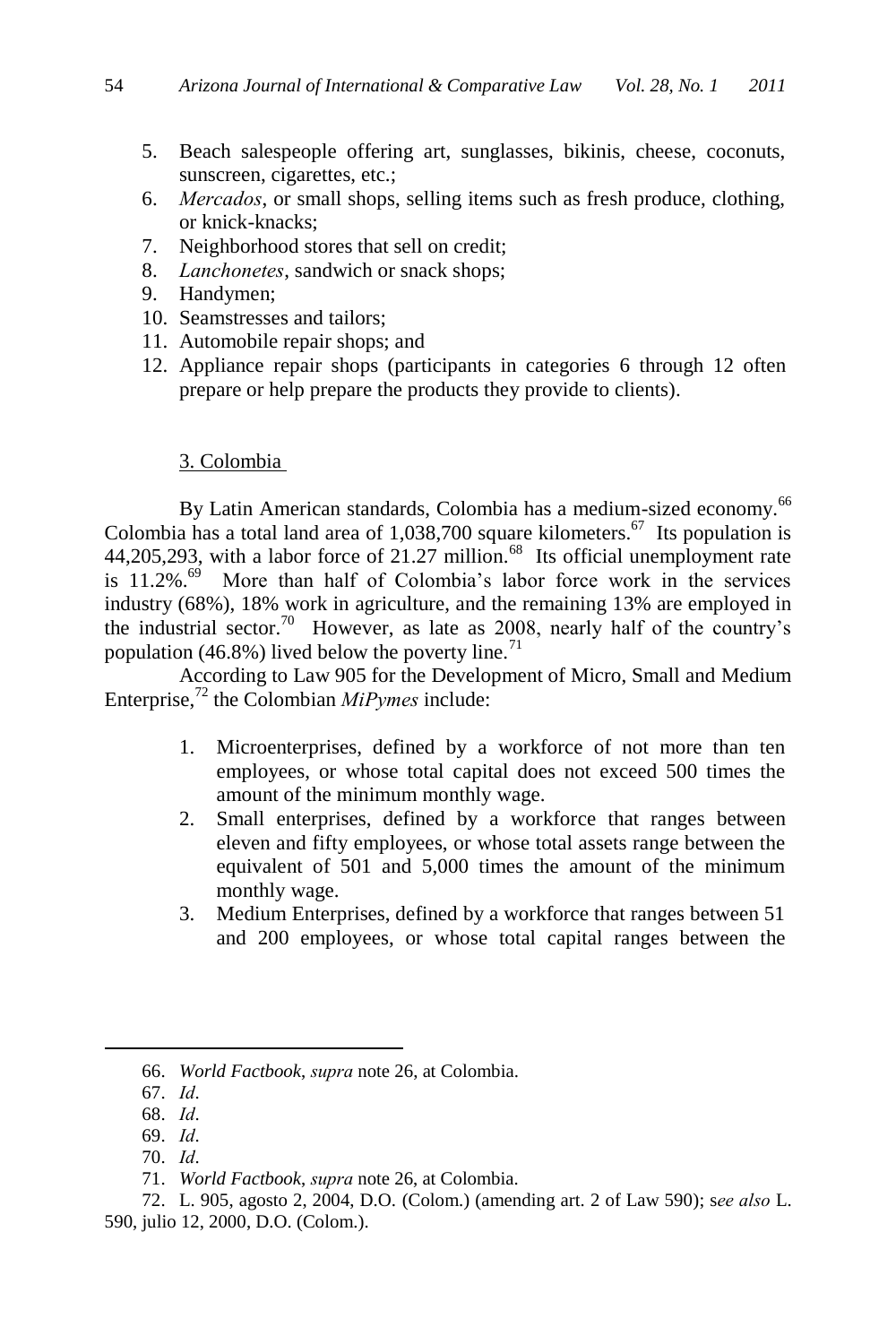- 5. Beach salespeople offering art, sunglasses, bikinis, cheese, coconuts, sunscreen, cigarettes, etc.;
- 6. *Mercados*, or small shops, selling items such as fresh produce, clothing, or knick-knacks;
- 7. Neighborhood stores that sell on credit;
- 8. *Lanchonetes*, sandwich or snack shops;
- 9. Handymen;
- 10. Seamstresses and tailors;
- 11. Automobile repair shops; and
- 12. Appliance repair shops (participants in categories 6 through 12 often prepare or help prepare the products they provide to clients).

## 3. Colombia

By Latin American standards, Colombia has a medium-sized economy.<sup>66</sup> Colombia has a total land area of  $1,038,700$  square kilometers.<sup>67</sup> Its population is  $44,205,293$ , with a labor force of 21.27 million.<sup>68</sup> Its official unemployment rate is 11.2%.<sup>69</sup> More than half of Colombia's labor force work in the services industry (68%), 18% work in agriculture, and the remaining 13% are employed in the industrial sector.<sup>70</sup> However, as late as 2008, nearly half of the country's population (46.8%) lived below the poverty line.<sup>71</sup>

According to Law 905 for the Development of Micro, Small and Medium Enterprise,<sup>72</sup> the Colombian *MiPymes* include:

- 1. Microenterprises, defined by a workforce of not more than ten employees, or whose total capital does not exceed 500 times the amount of the minimum monthly wage.
- 2. Small enterprises, defined by a workforce that ranges between eleven and fifty employees, or whose total assets range between the equivalent of 501 and 5,000 times the amount of the minimum monthly wage.
- 3. Medium Enterprises, defined by a workforce that ranges between 51 and 200 employees, or whose total capital ranges between the

<sup>66.</sup> *World Factbook*, *supra* note 26, at Colombia.

<sup>67.</sup> *Id*.

<sup>68.</sup> *Id*.

<sup>69.</sup> *Id*.

<sup>70.</sup> *Id*.

<sup>71.</sup> *World Factbook*, *supra* note 26, at Colombia.

<sup>72.</sup> L. 905, agosto 2, 2004, D.O. (Colom.) (amending art. 2 of Law 590); s*ee also* L. 590, julio 12, 2000, D.O. (Colom.).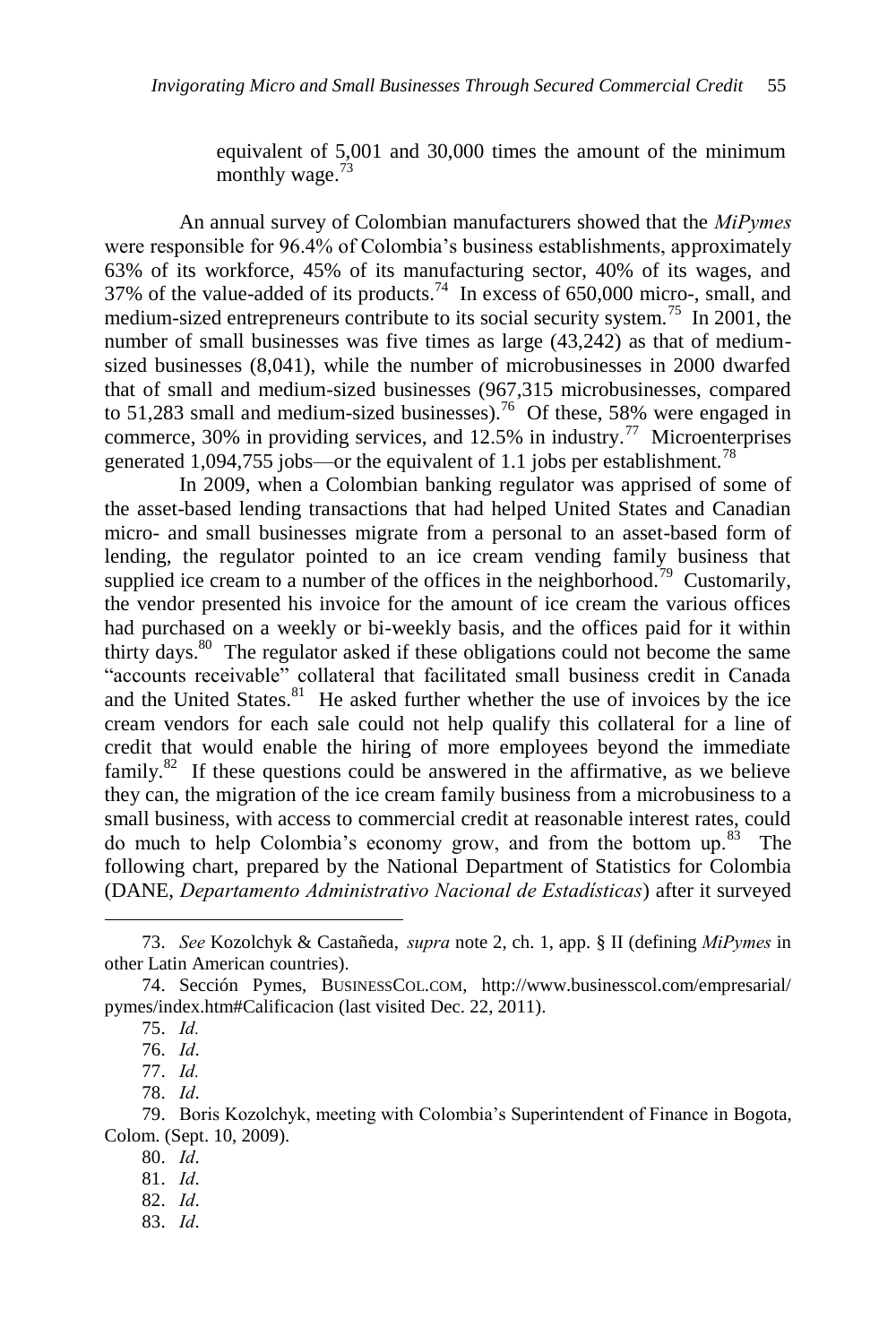equivalent of 5,001 and 30,000 times the amount of the minimum monthly wage. $73$ 

An annual survey of Colombian manufacturers showed that the *MiPymes* were responsible for 96.4% of Colombia's business establishments, approximately 63% of its workforce, 45% of its manufacturing sector, 40% of its wages, and 37% of the value-added of its products.<sup>74</sup> In excess of 650,000 micro-, small, and medium-sized entrepreneurs contribute to its social security system.<sup>75</sup> In 2001, the number of small businesses was five times as large (43,242) as that of mediumsized businesses (8,041), while the number of microbusinesses in 2000 dwarfed that of small and medium-sized businesses (967,315 microbusinesses, compared to 51,283 small and medium-sized businesses).<sup>76</sup> Of these, 58% were engaged in commerce, 30% in providing services, and 12.5% in industry.<sup>77</sup> Microenterprises generated 1,094,755 jobs—or the equivalent of 1.1 jobs per establishment.<sup>78</sup>

In 2009, when a Colombian banking regulator was apprised of some of the asset-based lending transactions that had helped United States and Canadian micro- and small businesses migrate from a personal to an asset-based form of lending, the regulator pointed to an ice cream vending family business that supplied ice cream to a number of the offices in the neighborhood.<sup>79</sup> Customarily, the vendor presented his invoice for the amount of ice cream the various offices had purchased on a weekly or bi-weekly basis, and the offices paid for it within thirty days.<sup>80</sup> The regulator asked if these obligations could not become the same "accounts receivable" collateral that facilitated small business credit in Canada and the United States. $81$  He asked further whether the use of invoices by the ice cream vendors for each sale could not help qualify this collateral for a line of credit that would enable the hiring of more employees beyond the immediate family. $82$  If these questions could be answered in the affirmative, as we believe they can, the migration of the ice cream family business from a microbusiness to a small business, with access to commercial credit at reasonable interest rates, could do much to help Colombia's economy grow, and from the bottom up.<sup>83</sup> The following chart, prepared by the National Department of Statistics for Colombia (DANE, *Departamento Administrativo Nacional de Estadísticas*) after it surveyed

- 82. *Id*.
- 83. *Id*.

<sup>73.</sup> *See* Kozolchyk & Castañeda, *supra* note 2, ch. 1, app. § II (defining *MiPymes* in other Latin American countries).

<sup>74.</sup> Sección Pymes, BUSINESSCOL.COM, <http://www.businesscol.com/empresarial/> pymes/index.htm#Calificacion (last visited Dec. 22, 2011).

<sup>75.</sup> *Id.*

<sup>76.</sup> *Id*.

<sup>77.</sup> *Id.*

<sup>78.</sup> *Id*.

<sup>79.</sup> Boris Kozolchyk, meeting with Colombia's Superintendent of Finance in Bogota, Colom. (Sept. 10, 2009).

<sup>80.</sup> *Id*.

<sup>81.</sup> *Id*.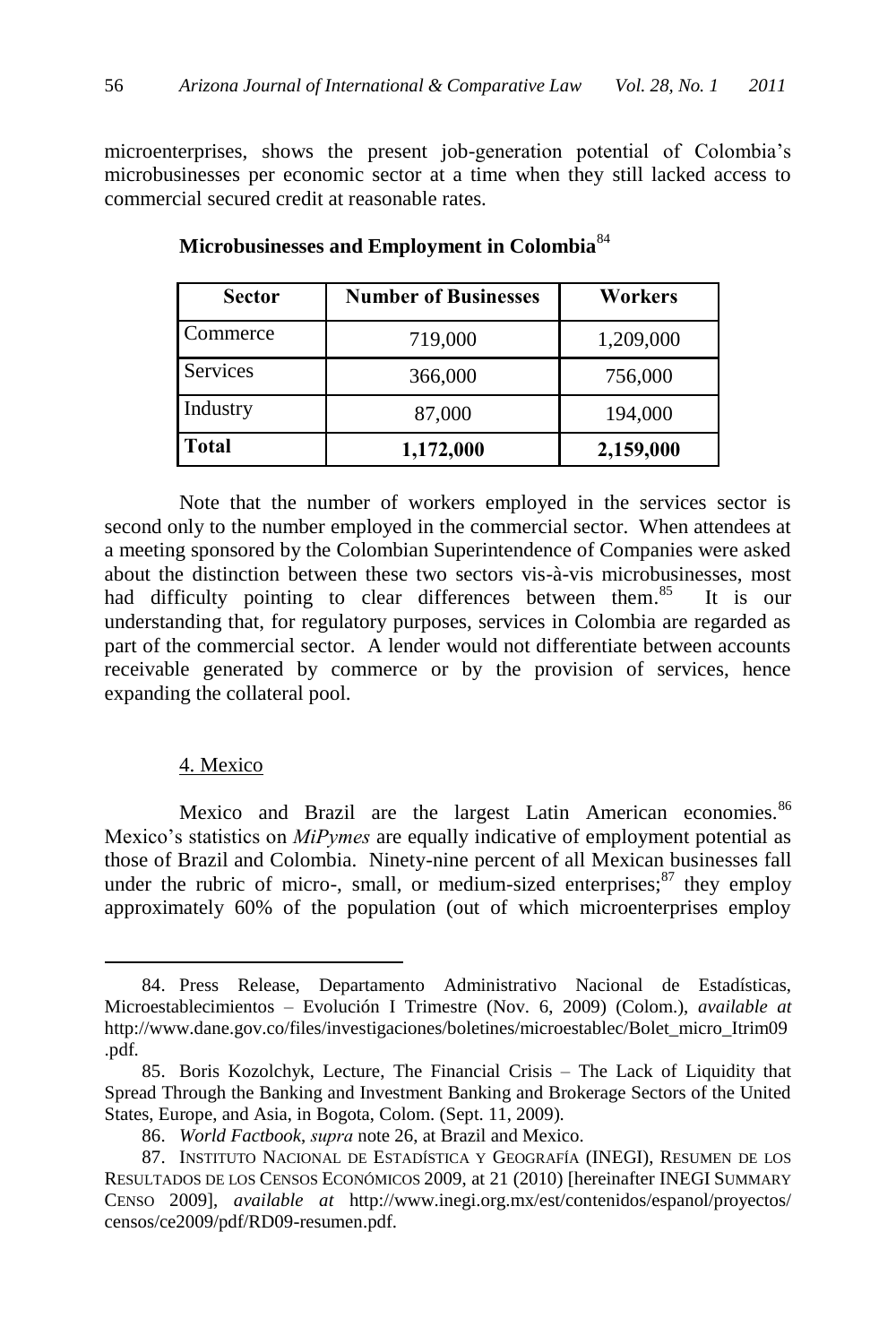microenterprises, shows the present job-generation potential of Colombia's microbusinesses per economic sector at a time when they still lacked access to commercial secured credit at reasonable rates.

| <b>Sector</b> | <b>Number of Businesses</b> | Workers   |
|---------------|-----------------------------|-----------|
| Commerce      | 719,000                     | 1,209,000 |
| Services      | 366,000                     | 756,000   |
| Industry      | 87,000                      | 194,000   |
| <b>Total</b>  | 1,172,000                   | 2,159,000 |

**Microbusinesses and Employment in Colombia**<sup>84</sup>

Note that the number of workers employed in the services sector is second only to the number employed in the commercial sector. When attendees at a meeting sponsored by the Colombian Superintendence of Companies were asked about the distinction between these two sectors vis-à-vis microbusinesses, most had difficulty pointing to clear differences between them.<sup>85</sup> It is our understanding that, for regulatory purposes, services in Colombia are regarded as part of the commercial sector. A lender would not differentiate between accounts receivable generated by commerce or by the provision of services, hence expanding the collateral pool.

### 4. Mexico

 $\overline{a}$ 

Mexico and Brazil are the largest Latin American economies.<sup>86</sup> Mexico's statistics on *MiPymes* are equally indicative of employment potential as those of Brazil and Colombia. Ninety-nine percent of all Mexican businesses fall under the rubric of micro-, small, or medium-sized enterprises; $87$  they employ approximately 60% of the population (out of which microenterprises employ

<sup>84.</sup> Press Release, Departamento Administrativo Nacional de Estadísticas, Microestablecimientos – Evolución I Trimestre (Nov. 6, 2009) (Colom.), *available at* http://www.dane.gov.co/files/investigaciones/boletines/microestablec/Bolet\_micro\_Itrim09 .pdf.

<sup>85.</sup> Boris Kozolchyk, Lecture, The Financial Crisis – The Lack of Liquidity that Spread Through the Banking and Investment Banking and Brokerage Sectors of the United States, Europe, and Asia, in Bogota, Colom. (Sept. 11, 2009).

<sup>86.</sup> *World Factbook*, *supra* note 26, at Brazil and Mexico.

<sup>87.</sup> INSTITUTO NACIONAL DE ESTADÍSTICA Y GEOGRAFÍA (INEGI), RESUMEN DE LOS RESULTADOS DE LOS CENSOS ECONÓMICOS 2009, at 21 (2010) [hereinafter INEGI SUMMARY CENSO 2009], *available at* http://www.inegi.org.mx/est/contenidos/espanol/proyectos/ censos/ce2009/pdf/RD09-resumen.pdf.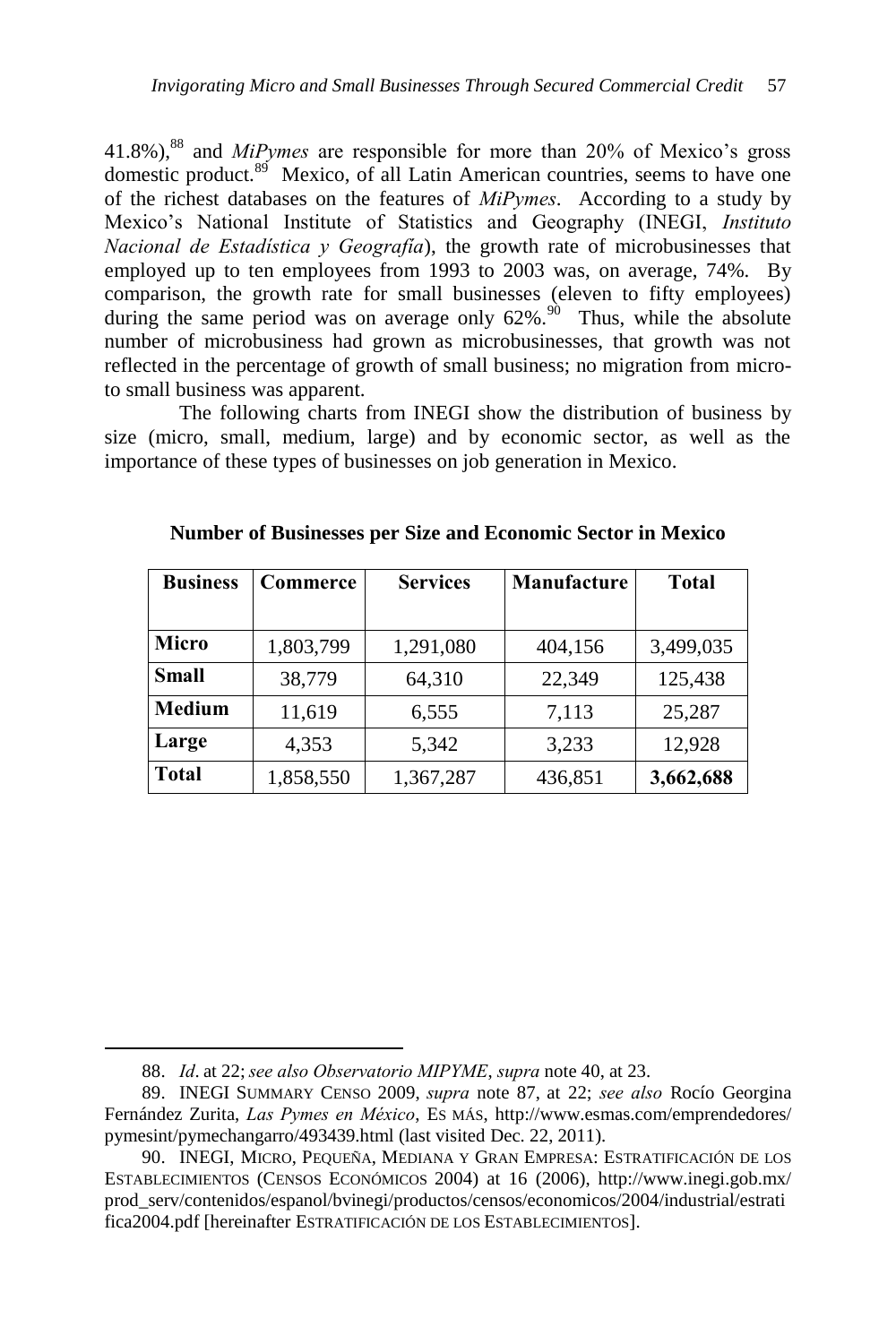41.8%),<sup>88</sup> and *MiPymes* are responsible for more than 20% of Mexico's gross domestic product.<sup>89</sup> Mexico, of all Latin American countries, seems to have one of the richest databases on the features of *MiPymes*. According to a study by Mexico's National Institute of Statistics and Geography (INEGI, *Instituto Nacional de Estadística y Geografía*), the growth rate of microbusinesses that employed up to ten employees from 1993 to 2003 was, on average, 74%. By comparison, the growth rate for small businesses (eleven to fifty employees) during the same period was on average only  $62\%$ .<sup>90</sup> Thus, while the absolute number of microbusiness had grown as microbusinesses, that growth was not reflected in the percentage of growth of small business; no migration from microto small business was apparent.

The following charts from INEGI show the distribution of business by size (micro, small, medium, large) and by economic sector, as well as the importance of these types of businesses on job generation in Mexico.

| <b>Business</b> | Commerce  | <b>Services</b> | Manufacture | <b>Total</b> |
|-----------------|-----------|-----------------|-------------|--------------|
|                 |           |                 |             |              |
| Micro           | 1,803,799 | 1,291,080       | 404,156     | 3,499,035    |
| <b>Small</b>    | 38,779    | 64,310          | 22,349      | 125,438      |
| Medium          | 11,619    | 6,555           | 7,113       | 25,287       |
| Large           | 4,353     | 5,342           | 3,233       | 12,928       |
| Total           | 1,858,550 | 1,367,287       | 436,851     | 3,662,688    |

**Number of Businesses per Size and Economic Sector in Mexico**

<sup>88.</sup> *Id*. at 22;*see also Observatorio MIPYME*, *supra* note 40, at 23.

<sup>89.</sup> INEGI SUMMARY CENSO 2009, *supra* note 87, at 22; *see also* Rocío Georgina Fernández Zurita, *Las Pymes en México*, ES MÁS, http://www.esmas.com/emprendedores/ pymesint/pymechangarro/493439.html (last visited Dec. 22, 2011).

<sup>90.</sup> INEGI, MICRO, PEQUEÑA, MEDIANA Y GRAN EMPRESA: ESTRATIFICACIÓN DE LOS ESTABLECIMIENTOS (CENSOS ECONÓMICOS 2004) at 16 (2006), http://www.inegi.gob.mx/ prod\_serv/contenidos/espanol/bvinegi/productos/censos/economicos/2004/industrial/estrati fica2004.pdf [hereinafter ESTRATIFICACIÓN DE LOS ESTABLECIMIENTOS].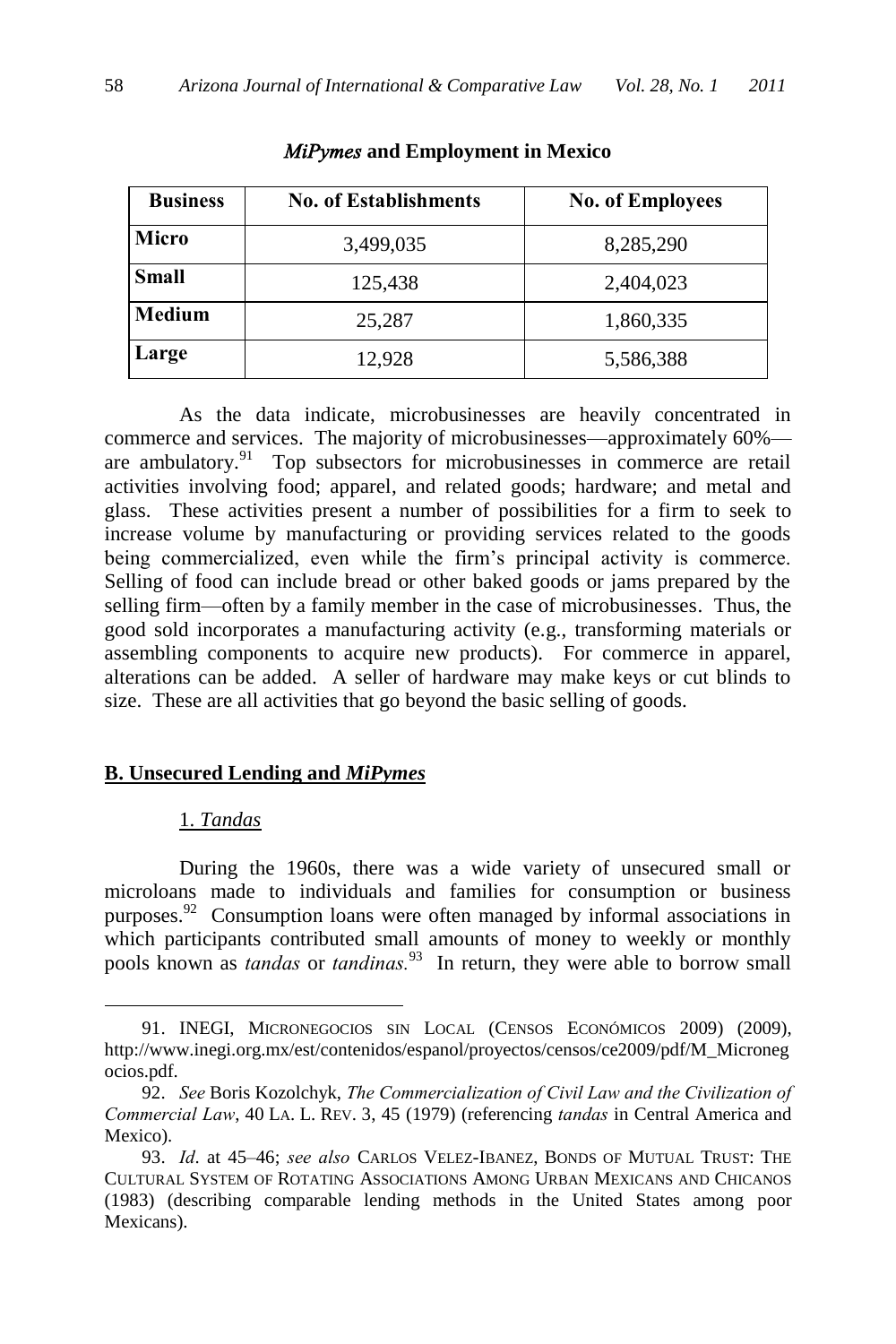| <b>Business</b> | <b>No. of Establishments</b> | <b>No. of Employees</b> |
|-----------------|------------------------------|-------------------------|
| Micro           | 3,499,035                    | 8,285,290               |
| <b>Small</b>    | 125,438                      | 2,404,023               |
| Medium          | 25,287                       | 1,860,335               |
| Large           | 12,928                       | 5,586,388               |

*MiPymes* **and Employment in Mexico**

As the data indicate, microbusinesses are heavily concentrated in commerce and services. The majority of microbusinesses—approximately 60% are ambulatory.<sup>91</sup> Top subsectors for microbusinesses in commerce are retail activities involving food; apparel, and related goods; hardware; and metal and glass. These activities present a number of possibilities for a firm to seek to increase volume by manufacturing or providing services related to the goods being commercialized, even while the firm's principal activity is commerce. Selling of food can include bread or other baked goods or jams prepared by the selling firm—often by a family member in the case of microbusinesses. Thus, the good sold incorporates a manufacturing activity (e.g., transforming materials or assembling components to acquire new products). For commerce in apparel, alterations can be added. A seller of hardware may make keys or cut blinds to size. These are all activities that go beyond the basic selling of goods.

### **B. Unsecured Lending and** *MiPymes*

### 1. *Tandas*

 $\overline{a}$ 

During the 1960s, there was a wide variety of unsecured small or microloans made to individuals and families for consumption or business purposes.<sup>92</sup> Consumption loans were often managed by informal associations in which participants contributed small amounts of money to weekly or monthly pools known as *tandas* or *tandinas.*<sup>93</sup> In return, they were able to borrow small

<sup>91.</sup> INEGI, MICRONEGOCIOS SIN LOCAL (CENSOS ECONÓMICOS 2009) (2009), http://www.inegi.org.mx/est/contenidos/espanol/proyectos/censos/ce2009/pdf/M\_Microneg ocios.pdf.

<sup>92.</sup> *See* Boris Kozolchyk, *The Commercialization of Civil Law and the Civilization of Commercial Law*, 40 LA. L. REV. 3, 45 (1979) (referencing *tandas* in Central America and Mexico).

<sup>93.</sup> *Id*. at 45–46; *see also* CARLOS VELEZ-IBANEZ, BONDS OF MUTUAL TRUST: THE CULTURAL SYSTEM OF ROTATING ASSOCIATIONS AMONG URBAN MEXICANS AND CHICANOS (1983) (describing comparable lending methods in the United States among poor Mexicans).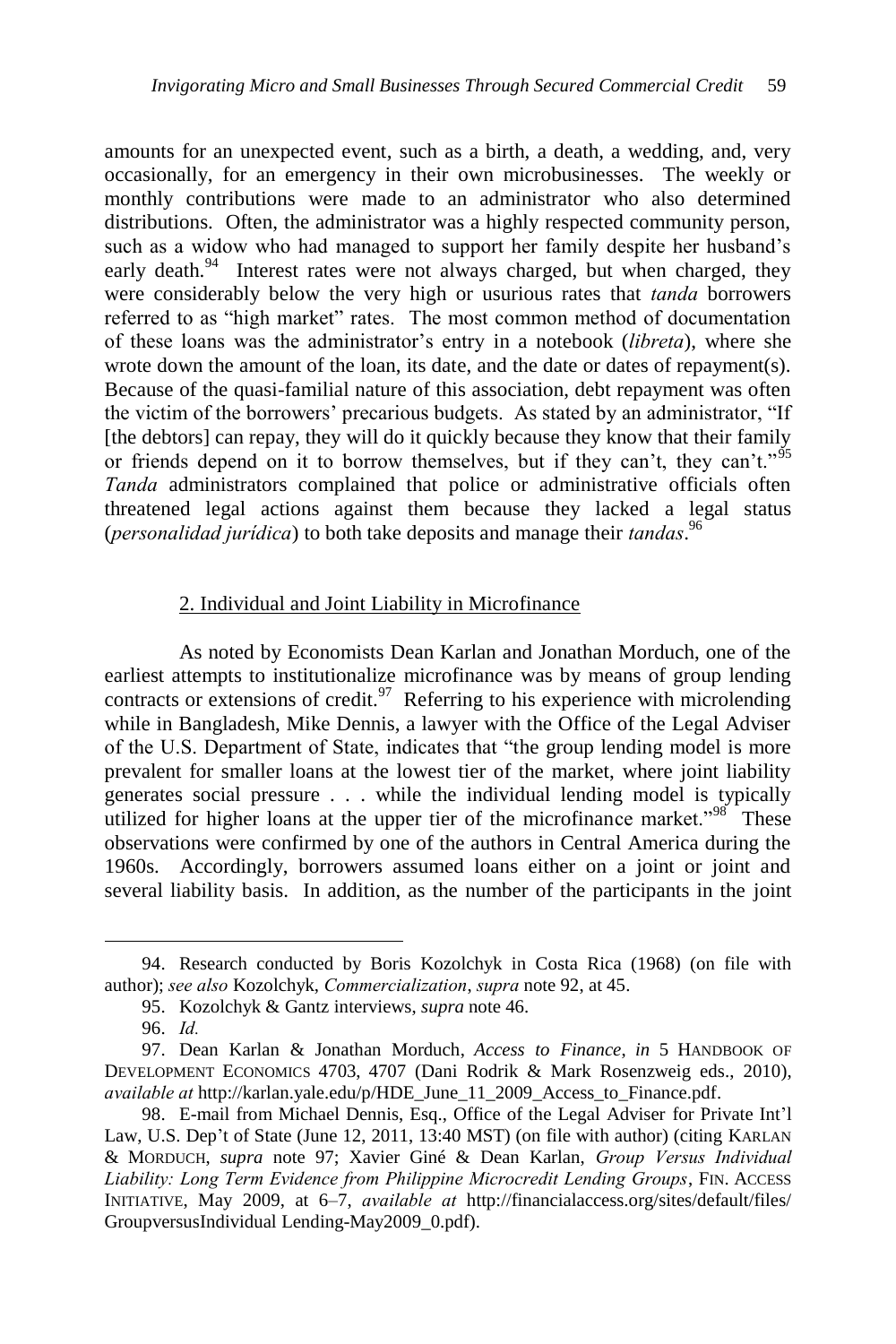amounts for an unexpected event, such as a birth, a death, a wedding, and, very occasionally, for an emergency in their own microbusinesses. The weekly or monthly contributions were made to an administrator who also determined distributions. Often, the administrator was a highly respected community person, such as a widow who had managed to support her family despite her husband's early death.<sup>94</sup> Interest rates were not always charged, but when charged, they were considerably below the very high or usurious rates that *tanda* borrowers referred to as "high market" rates. The most common method of documentation of these loans was the administrator's entry in a notebook (*libreta*), where she wrote down the amount of the loan, its date, and the date or dates of repayment(s). Because of the quasi-familial nature of this association, debt repayment was often the victim of the borrowers' precarious budgets. As stated by an administrator, "If [the debtors] can repay, they will do it quickly because they know that their family or friends depend on it to borrow themselves, but if they can't, they can't.<sup>95</sup> *Tanda* administrators complained that police or administrative officials often threatened legal actions against them because they lacked a legal status (*personalidad jurídica*) to both take deposits and manage their *tandas*. 96

### 2. Individual and Joint Liability in Microfinance

As noted by Economists Dean Karlan and Jonathan Morduch, one of the earliest attempts to institutionalize microfinance was by means of group lending contracts or extensions of credit. $97$  Referring to his experience with microlending while in Bangladesh, Mike Dennis, a lawyer with the Office of the Legal Adviser of the U.S. Department of State, indicates that "the group lending model is more prevalent for smaller loans at the lowest tier of the market, where joint liability generates social pressure . . . while the individual lending model is typically utilized for higher loans at the upper tier of the microfinance market.<sup> $98$ </sup> These observations were confirmed by one of the authors in Central America during the 1960s. Accordingly, borrowers assumed loans either on a joint or joint and several liability basis. In addition, as the number of the participants in the joint

<sup>94.</sup> Research conducted by Boris Kozolchyk in Costa Rica (1968) (on file with author); *see also* Kozolchyk, *Commercialization*, *supra* note 92, at 45.

<sup>95.</sup> Kozolchyk & Gantz interviews, *supra* note 46.

<sup>96.</sup> *Id.*

<sup>97.</sup> Dean Karlan & Jonathan Morduch, *Access to Finance*, *in* 5 HANDBOOK OF DEVELOPMENT ECONOMICS 4703, 4707 (Dani Rodrik & Mark Rosenzweig eds., 2010), *available at* http://karlan.yale.edu/p/HDE\_June\_11\_2009\_Access\_to\_Finance.pdf.

<sup>98.</sup> E-mail from Michael Dennis, Esq., Office of the Legal Adviser for Private Int'l Law, U.S. Dep't of State (June 12, 2011, 13:40 MST) (on file with author) (citing KARLAN & MORDUCH, *supra* note 97; Xavier Giné & Dean Karlan, *Group Versus Individual Liability: Long Term Evidence from Philippine Microcredit Lending Groups*, FIN. ACCESS INITIATIVE, May 2009, at 6–7, *available at* [http://financialaccess.org/sites/default/files/](http://financialaccess.org/sites/default/files/%20GroupversusIndividual)  [GroupversusIndividual](http://financialaccess.org/sites/default/files/%20GroupversusIndividual) Lending-May2009\_0.pdf).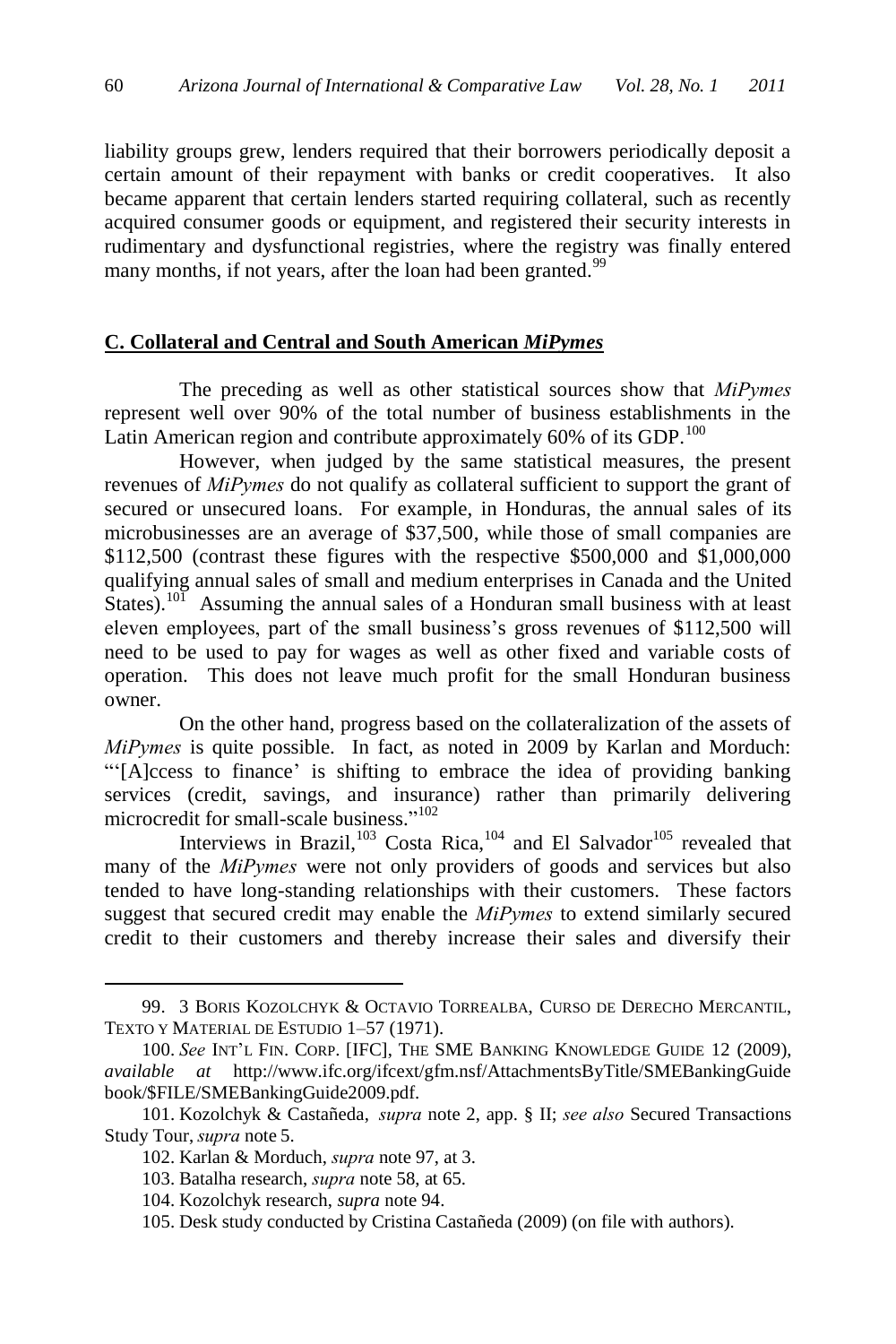liability groups grew, lenders required that their borrowers periodically deposit a certain amount of their repayment with banks or credit cooperatives. It also became apparent that certain lenders started requiring collateral, such as recently acquired consumer goods or equipment, and registered their security interests in rudimentary and dysfunctional registries, where the registry was finally entered many months, if not years, after the loan had been granted.<sup>99</sup>

### **C. Collateral and Central and South American** *MiPymes*

The preceding as well as other statistical sources show that *MiPymes* represent well over 90% of the total number of business establishments in the Latin American region and contribute approximately  $60\%$  of its GDP.<sup>100</sup>

However, when judged by the same statistical measures, the present revenues of *MiPymes* do not qualify as collateral sufficient to support the grant of secured or unsecured loans. For example, in Honduras, the annual sales of its microbusinesses are an average of \$37,500, while those of small companies are \$112,500 (contrast these figures with the respective \$500,000 and \$1,000,000 qualifying annual sales of small and medium enterprises in Canada and the United States).<sup>101</sup> Assuming the annual sales of a Honduran small business with at least eleven employees, part of the small business's gross revenues of \$112,500 will need to be used to pay for wages as well as other fixed and variable costs of operation. This does not leave much profit for the small Honduran business owner.

On the other hand, progress based on the collateralization of the assets of *MiPymes* is quite possible. In fact, as noted in 2009 by Karlan and Morduch: ―‗[A]ccess to finance' is shifting to embrace the idea of providing banking services (credit, savings, and insurance) rather than primarily delivering microcredit for small-scale business."<sup>102</sup>

Interviews in Brazil, $103 \text{ Costa Rica}$ ,  $104 \text{ and El Salvador}$ <sup>105</sup> revealed that many of the *MiPymes* were not only providers of goods and services but also tended to have long-standing relationships with their customers. These factors suggest that secured credit may enable the *MiPymes* to extend similarly secured credit to their customers and thereby increase their sales and diversify their

<sup>99.</sup> 3 BORIS KOZOLCHYK & OCTAVIO TORREALBA, CURSO DE DERECHO MERCANTIL, TEXTO Y MATERIAL DE ESTUDIO 1–57 (1971).

<sup>100.</sup> *See* INT'L FIN. CORP. [IFC], THE SME BANKING KNOWLEDGE GUIDE 12 (2009), *available at* http://www.ifc.org/ifcext/gfm.nsf/AttachmentsByTitle/SMEBankingGuide book/\$FILE/SMEBankingGuide2009.pdf.

<sup>101.</sup> Kozolchyk & Castañeda, *supra* note 2, app. § II; *see also* Secured Transactions Study Tour, *supra* note 5.

<sup>102.</sup> Karlan & Morduch, *supra* note 97, at 3.

<sup>103.</sup> Batalha research, *supra* note 58, at 65.

<sup>104.</sup> Kozolchyk research, *supra* note 94.

<sup>105.</sup> Desk study conducted by Cristina Castañeda (2009) (on file with authors).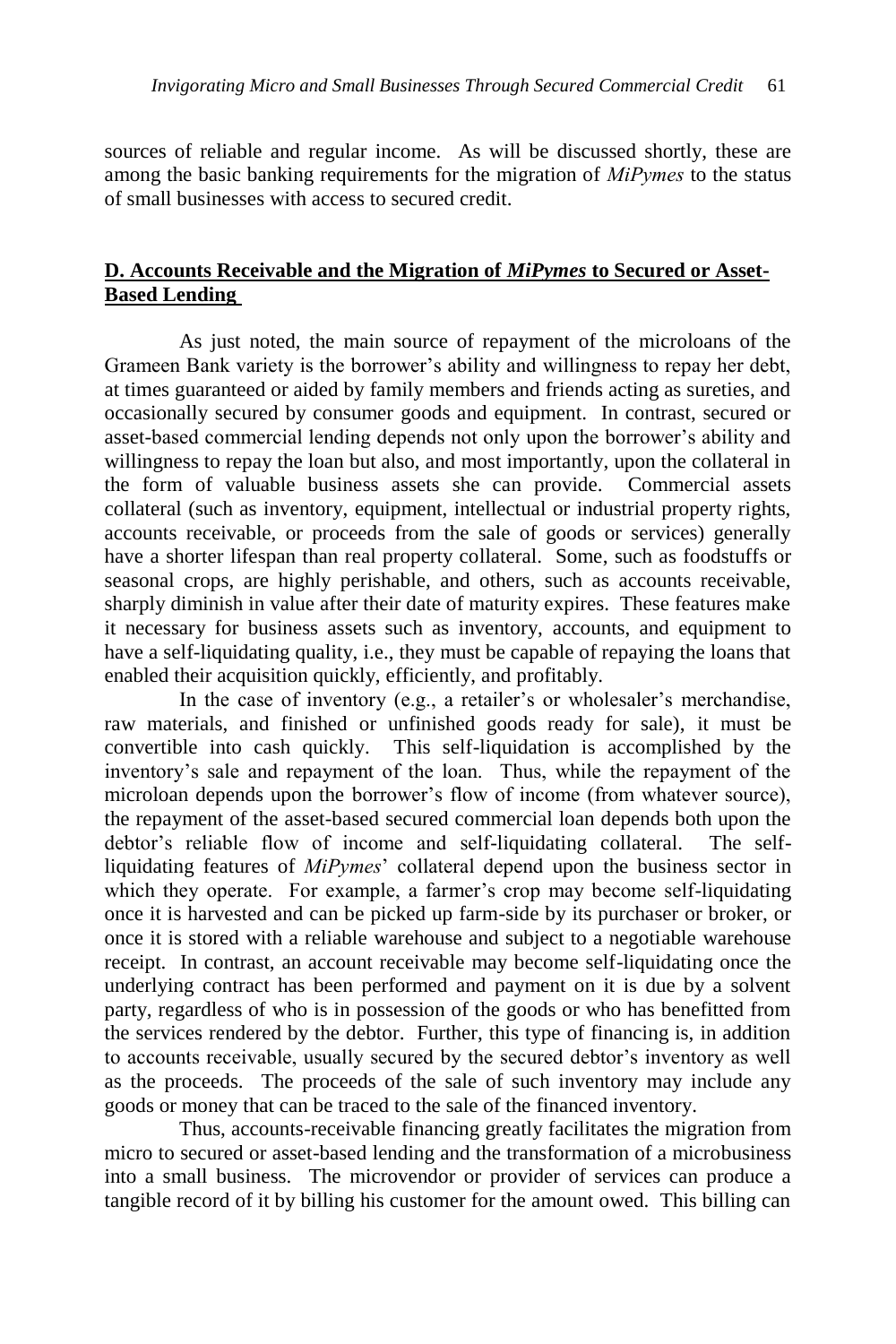sources of reliable and regular income. As will be discussed shortly, these are among the basic banking requirements for the migration of *MiPymes* to the status of small businesses with access to secured credit.

# **D. Accounts Receivable and the Migration of** *MiPymes* **to Secured or Asset-Based Lending**

As just noted, the main source of repayment of the microloans of the Grameen Bank variety is the borrower's ability and willingness to repay her debt, at times guaranteed or aided by family members and friends acting as sureties, and occasionally secured by consumer goods and equipment. In contrast, secured or asset-based commercial lending depends not only upon the borrower's ability and willingness to repay the loan but also, and most importantly, upon the collateral in the form of valuable business assets she can provide. Commercial assets collateral (such as inventory, equipment, intellectual or industrial property rights, accounts receivable, or proceeds from the sale of goods or services) generally have a shorter lifespan than real property collateral. Some, such as foodstuffs or seasonal crops, are highly perishable, and others, such as accounts receivable, sharply diminish in value after their date of maturity expires. These features make it necessary for business assets such as inventory, accounts, and equipment to have a self-liquidating quality, i.e., they must be capable of repaying the loans that enabled their acquisition quickly, efficiently, and profitably.

In the case of inventory (e.g., a retailer's or wholesaler's merchandise, raw materials, and finished or unfinished goods ready for sale), it must be convertible into cash quickly. This self-liquidation is accomplished by the inventory's sale and repayment of the loan. Thus, while the repayment of the microloan depends upon the borrower's flow of income (from whatever source), the repayment of the asset-based secured commercial loan depends both upon the debtor's reliable flow of income and self-liquidating collateral. The selfliquidating features of *MiPymes*' collateral depend upon the business sector in which they operate. For example, a farmer's crop may become self-liquidating once it is harvested and can be picked up farm-side by its purchaser or broker, or once it is stored with a reliable warehouse and subject to a negotiable warehouse receipt. In contrast, an account receivable may become self-liquidating once the underlying contract has been performed and payment on it is due by a solvent party, regardless of who is in possession of the goods or who has benefitted from the services rendered by the debtor. Further, this type of financing is, in addition to accounts receivable, usually secured by the secured debtor's inventory as well as the proceeds. The proceeds of the sale of such inventory may include any goods or money that can be traced to the sale of the financed inventory.

Thus, accounts-receivable financing greatly facilitates the migration from micro to secured or asset-based lending and the transformation of a microbusiness into a small business. The microvendor or provider of services can produce a tangible record of it by billing his customer for the amount owed. This billing can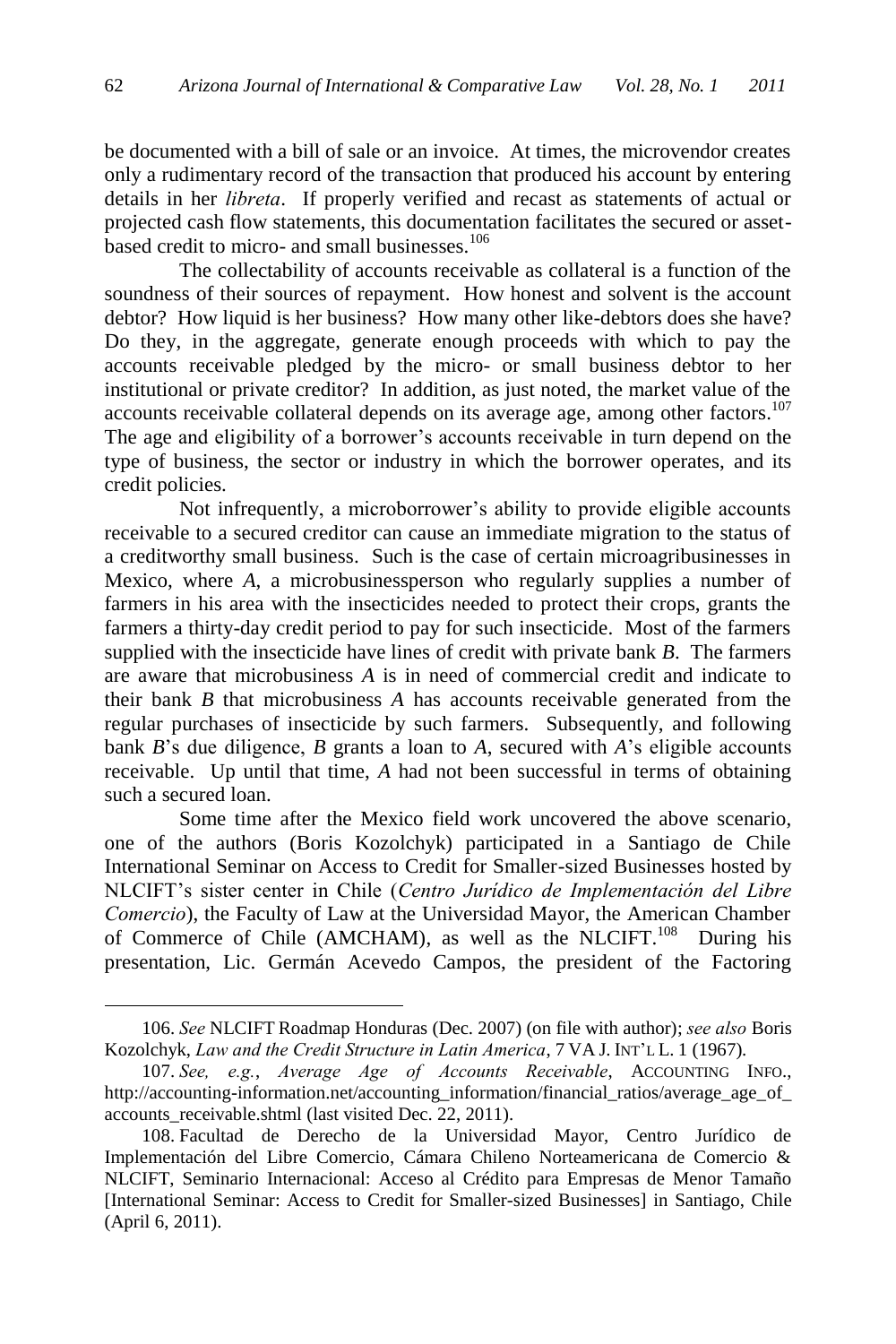be documented with a bill of sale or an invoice. At times, the microvendor creates only a rudimentary record of the transaction that produced his account by entering details in her *libreta*. If properly verified and recast as statements of actual or projected cash flow statements, this documentation facilitates the secured or assetbased credit to micro- and small businesses.<sup>106</sup>

The collectability of accounts receivable as collateral is a function of the soundness of their sources of repayment. How honest and solvent is the account debtor? How liquid is her business? How many other like-debtors does she have? Do they, in the aggregate, generate enough proceeds with which to pay the accounts receivable pledged by the micro- or small business debtor to her institutional or private creditor? In addition, as just noted, the market value of the accounts receivable collateral depends on its average age, among other factors.<sup>107</sup> The age and eligibility of a borrower's accounts receivable in turn depend on the type of business, the sector or industry in which the borrower operates, and its credit policies.

Not infrequently, a microborrower's ability to provide eligible accounts receivable to a secured creditor can cause an immediate migration to the status of a creditworthy small business. Such is the case of certain microagribusinesses in Mexico, where *A*, a microbusinessperson who regularly supplies a number of farmers in his area with the insecticides needed to protect their crops, grants the farmers a thirty-day credit period to pay for such insecticide. Most of the farmers supplied with the insecticide have lines of credit with private bank *B*. The farmers are aware that microbusiness *A* is in need of commercial credit and indicate to their bank *B* that microbusiness *A* has accounts receivable generated from the regular purchases of insecticide by such farmers. Subsequently, and following bank *B*'s due diligence, *B* grants a loan to *A*, secured with *A*'s eligible accounts receivable. Up until that time, *A* had not been successful in terms of obtaining such a secured loan.

Some time after the Mexico field work uncovered the above scenario, one of the authors (Boris Kozolchyk) participated in a Santiago de Chile International Seminar on Access to Credit for Smaller-sized Businesses hosted by NLCIFT's sister center in Chile (*Centro Jurídico de Implementación del Libre Comercio*), the Faculty of Law at the Universidad Mayor, the American Chamber of Commerce of Chile (AMCHAM), as well as the NLCIFT.<sup>108</sup> During his presentation, Lic. Germán Acevedo Campos, the president of the Factoring

<sup>106.</sup> *See* NLCIFT Roadmap Honduras (Dec. 2007) (on file with author); *see also* Boris Kozolchyk, *Law and the Credit Structure in Latin America*, 7 VA J. INT'L L. 1 (1967).

<sup>107.</sup> *See, e.g.*, *Average Age of Accounts Receivable*, ACCOUNTING INFO., http://accounting-information.net/accounting\_information/financial\_ratios/average\_age\_of accounts receivable.shtml (last visited Dec. 22, 2011).

<sup>108.</sup> Facultad de Derecho de la Universidad Mayor, Centro Jurídico de Implementación del Libre Comercio, Cámara Chileno Norteamericana de Comercio & NLCIFT, Seminario Internacional: Acceso al Crédito para Empresas de Menor Tamaño [International Seminar: Access to Credit for Smaller-sized Businesses] in Santiago, Chile (April 6, 2011).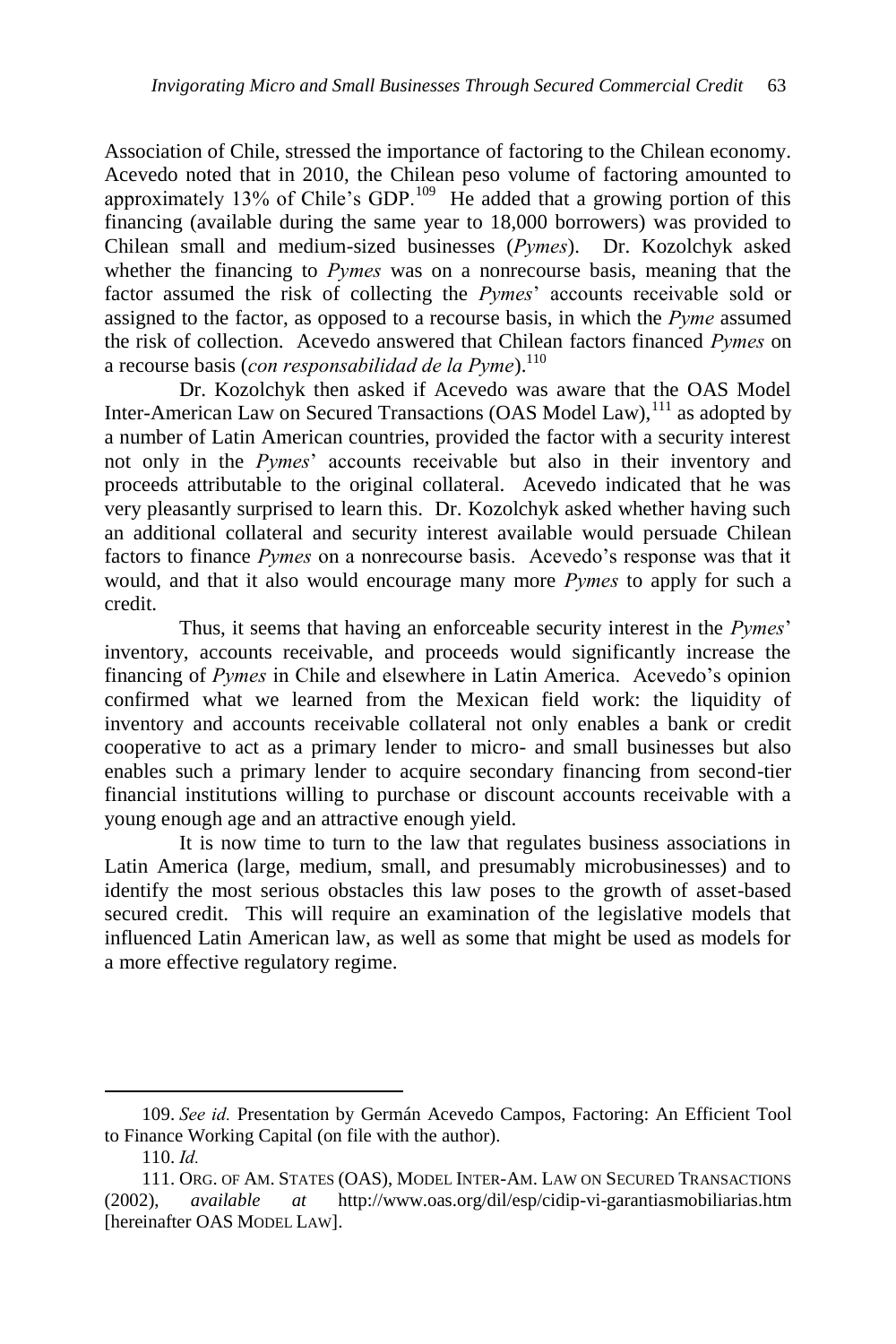Association of Chile, stressed the importance of factoring to the Chilean economy. Acevedo noted that in 2010, the Chilean peso volume of factoring amounted to approximately 13% of Chile's GDP.<sup>109</sup> He added that a growing portion of this financing (available during the same year to 18,000 borrowers) was provided to Chilean small and medium-sized businesses (*Pymes*). Dr. Kozolchyk asked whether the financing to *Pymes* was on a nonrecourse basis, meaning that the factor assumed the risk of collecting the *Pymes*' accounts receivable sold or assigned to the factor, as opposed to a recourse basis, in which the *Pyme* assumed the risk of collection. Acevedo answered that Chilean factors financed *Pymes* on a recourse basis (*con responsabilidad de la Pyme*).<sup>110</sup>

Dr. Kozolchyk then asked if Acevedo was aware that the OAS Model Inter-American Law on Secured Transactions (OAS Model Law),<sup>111</sup> as adopted by a number of Latin American countries, provided the factor with a security interest not only in the *Pymes*' accounts receivable but also in their inventory and proceeds attributable to the original collateral. Acevedo indicated that he was very pleasantly surprised to learn this. Dr. Kozolchyk asked whether having such an additional collateral and security interest available would persuade Chilean factors to finance *Pymes* on a nonrecourse basis. Acevedo's response was that it would, and that it also would encourage many more *Pymes* to apply for such a credit.

Thus, it seems that having an enforceable security interest in the *Pymes*' inventory, accounts receivable, and proceeds would significantly increase the financing of *Pymes* in Chile and elsewhere in Latin America. Acevedo's opinion confirmed what we learned from the Mexican field work: the liquidity of inventory and accounts receivable collateral not only enables a bank or credit cooperative to act as a primary lender to micro- and small businesses but also enables such a primary lender to acquire secondary financing from second-tier financial institutions willing to purchase or discount accounts receivable with a young enough age and an attractive enough yield.

It is now time to turn to the law that regulates business associations in Latin America (large, medium, small, and presumably microbusinesses) and to identify the most serious obstacles this law poses to the growth of asset-based secured credit. This will require an examination of the legislative models that influenced Latin American law, as well as some that might be used as models for a more effective regulatory regime.

<sup>109.</sup> *See id.* Presentation by Germán Acevedo Campos, Factoring: An Efficient Tool to Finance Working Capital (on file with the author).

<sup>110.</sup> *Id.* 

<sup>111.</sup> ORG. OF AM. STATES (OAS), MODEL INTER-AM. LAW ON SECURED TRANSACTIONS (2002), *available at* http://www.oas.org/dil/esp/cidip-vi-garantiasmobiliarias.htm [hereinafter OAS MODEL LAW].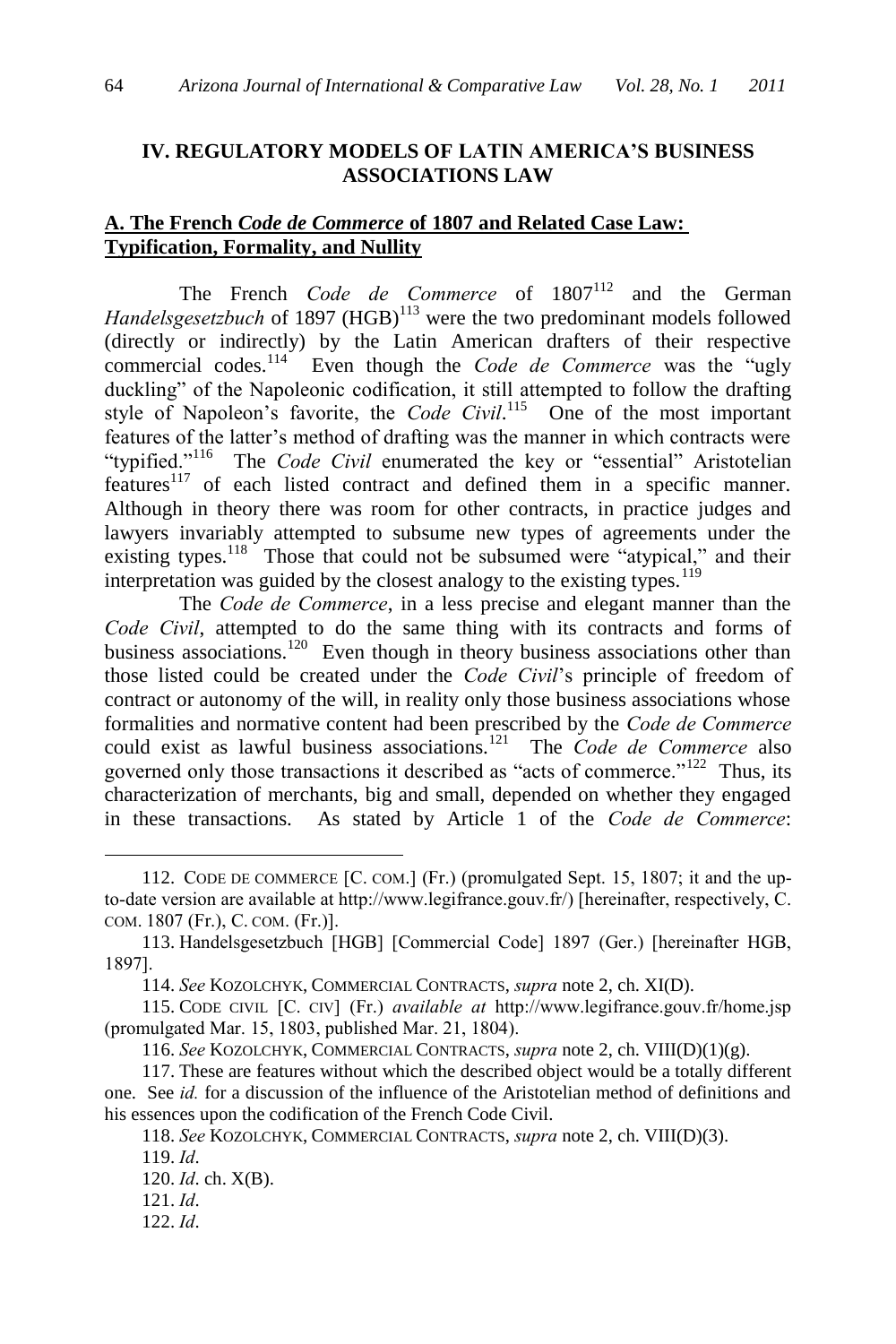### **IV. REGULATORY MODELS OF LATIN AMERICA'S BUSINESS ASSOCIATIONS LAW**

# **A. The French** *Code de Commerce* **of 1807 and Related Case Law: Typification, Formality, and Nullity**

The French *Code de Commerce* of  $1807^{112}$  and the German *Handelsgesetzbuch* of 1897 (HGB)<sup>113</sup> were the two predominant models followed (directly or indirectly) by the Latin American drafters of their respective commercial codes.<sup>114</sup> Even though the *Code de Commerce* was the "ugly duckling" of the Napoleonic codification, it still attempted to follow the drafting style of Napoleon's favorite, the *Code Civil*.<sup>115</sup> One of the most important features of the latter's method of drafting was the manner in which contracts were "typified."<sup>116</sup> The *Code Civil* enumerated the key or "essential" Aristotelian features<sup>117</sup> of each listed contract and defined them in a specific manner. Although in theory there was room for other contracts, in practice judges and lawyers invariably attempted to subsume new types of agreements under the existing types.<sup>118</sup> Those that could not be subsumed were "atypical," and their interpretation was guided by the closest analogy to the existing types.<sup>119</sup>

The *Code de Commerce*, in a less precise and elegant manner than the *Code Civil*, attempted to do the same thing with its contracts and forms of business associations.<sup>120</sup> Even though in theory business associations other than those listed could be created under the *Code Civil*'s principle of freedom of contract or autonomy of the will, in reality only those business associations whose formalities and normative content had been prescribed by the *Code de Commerce* could exist as lawful business associations.<sup>121</sup> The *Code de Commerce* also governed only those transactions it described as "acts of commerce."<sup>122</sup> Thus, its characterization of merchants, big and small, depended on whether they engaged in these transactions. As stated by Article 1 of the *Code de Commerce*:

<sup>112.</sup> CODE DE COMMERCE [C. COM.] (Fr.) (promulgated Sept. 15, 1807; it and the upto-date version are available at http://www.legifrance.gouv.fr/) [hereinafter, respectively, C. COM. 1807 (Fr.), C. COM. (Fr.)].

<sup>113.</sup> Handelsgesetzbuch [HGB] [Commercial Code] 1897 (Ger.) [hereinafter HGB, 1897].

<sup>114.</sup> *See* KOZOLCHYK, COMMERCIAL CONTRACTS, *supra* note 2, ch. XI(D).

<sup>115.</sup> CODE CIVIL [C. CIV] (Fr.) *available at* http://www.legifrance.gouv.fr/home.jsp (promulgated Mar. 15, 1803, published Mar. 21, 1804).

<sup>116.</sup> *See* KOZOLCHYK, COMMERCIAL CONTRACTS, *supra* note 2, ch. VIII(D)(1)(g).

<sup>117.</sup> These are features without which the described object would be a totally different one. See *id.* for a discussion of the influence of the Aristotelian method of definitions and his essences upon the codification of the French Code Civil.

<sup>118.</sup> *See* KOZOLCHYK, COMMERCIAL CONTRACTS, *supra* note 2, ch. VIII(D)(3).

<sup>119.</sup> *Id*.

<sup>120.</sup> *Id*. ch. X(B).

<sup>121.</sup> *Id*.

<sup>122.</sup> *Id*.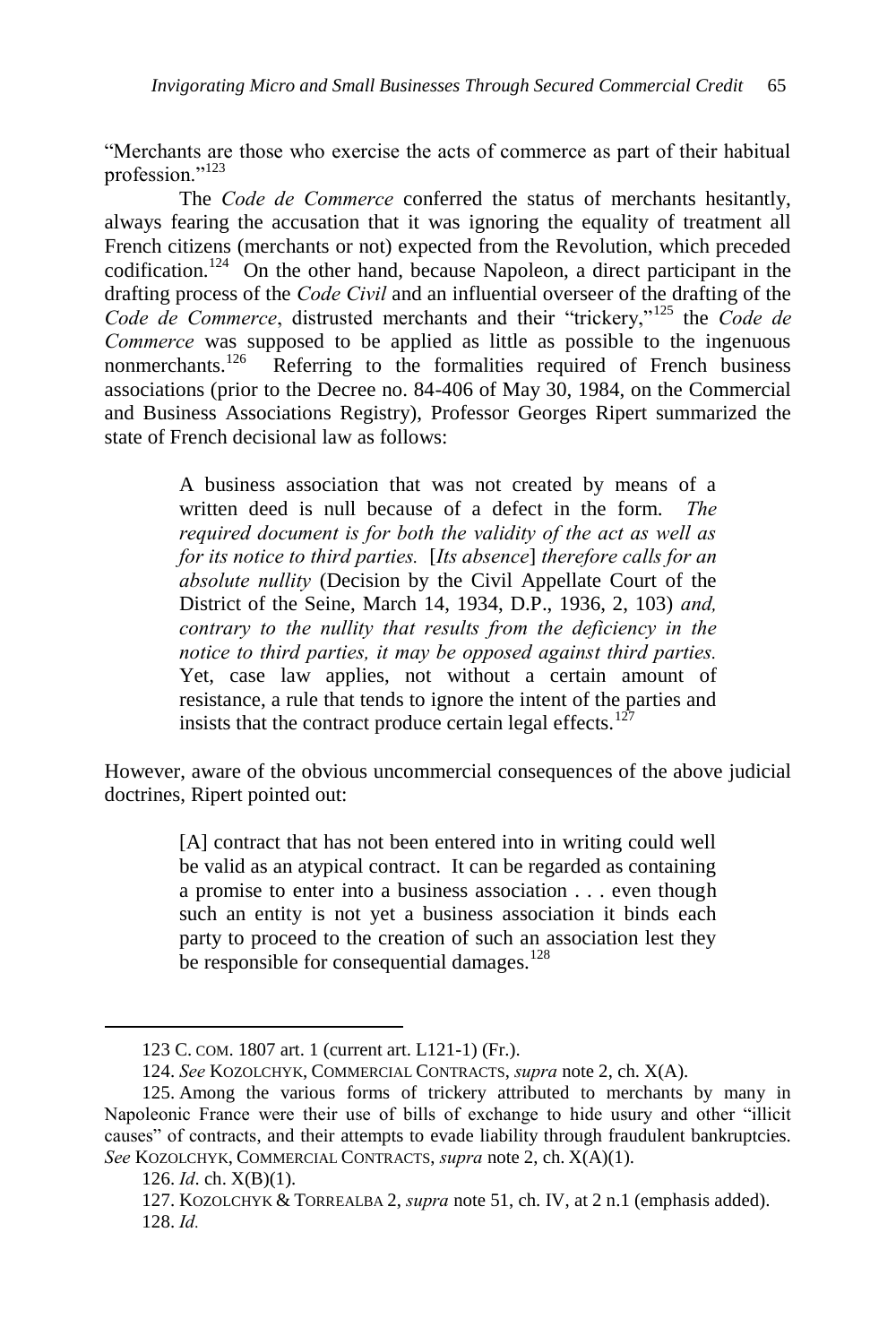―Merchants are those who exercise the acts of commerce as part of their habitual profession."<sup>123</sup>

The *Code de Commerce* conferred the status of merchants hesitantly, always fearing the accusation that it was ignoring the equality of treatment all French citizens (merchants or not) expected from the Revolution, which preceded codification.<sup>124</sup> On the other hand, because Napoleon, a direct participant in the drafting process of the *Code Civil* and an influential overseer of the drafting of the *Code de Commerce*, distrusted merchants and their "trickery,"<sup>125</sup> the *Code de Commerce* was supposed to be applied as little as possible to the ingenuous nonmerchants.<sup>126</sup> Referring to the formalities required of French business associations (prior to the Decree no. 84-406 of May 30, 1984, on the Commercial and Business Associations Registry), Professor Georges Ripert summarized the state of French decisional law as follows:

> A business association that was not created by means of a written deed is null because of a defect in the form. *The required document is for both the validity of the act as well as for its notice to third parties.* [*Its absence*] *therefore calls for an absolute nullity* (Decision by the Civil Appellate Court of the District of the Seine, March 14, 1934, D.P., 1936, 2, 103) *and, contrary to the nullity that results from the deficiency in the notice to third parties, it may be opposed against third parties.* Yet, case law applies, not without a certain amount of resistance, a rule that tends to ignore the intent of the parties and insists that the contract produce certain legal effects.<sup>127</sup>

However, aware of the obvious uncommercial consequences of the above judicial doctrines, Ripert pointed out:

> [A] contract that has not been entered into in writing could well be valid as an atypical contract. It can be regarded as containing a promise to enter into a business association . . . even though such an entity is not yet a business association it binds each party to proceed to the creation of such an association lest they be responsible for consequential damages. $128$

<sup>123</sup> C. COM. 1807 art. 1 (current art. L121-1) (Fr.).

<sup>124.</sup> *See* KOZOLCHYK, COMMERCIAL CONTRACTS, *supra* note 2, ch. X(A).

<sup>125.</sup> Among the various forms of trickery attributed to merchants by many in Napoleonic France were their use of bills of exchange to hide usury and other "illicit" causes‖ of contracts, and their attempts to evade liability through fraudulent bankruptcies. *See* KOZOLCHYK, COMMERCIAL CONTRACTS, *supra* note 2, ch. X(A)(1).

<sup>126.</sup> *Id*. ch. X(B)(1).

<sup>127.</sup> KOZOLCHYK & TORREALBA 2, *supra* note 51, ch. IV, at 2 n.1 (emphasis added). 128. *Id.*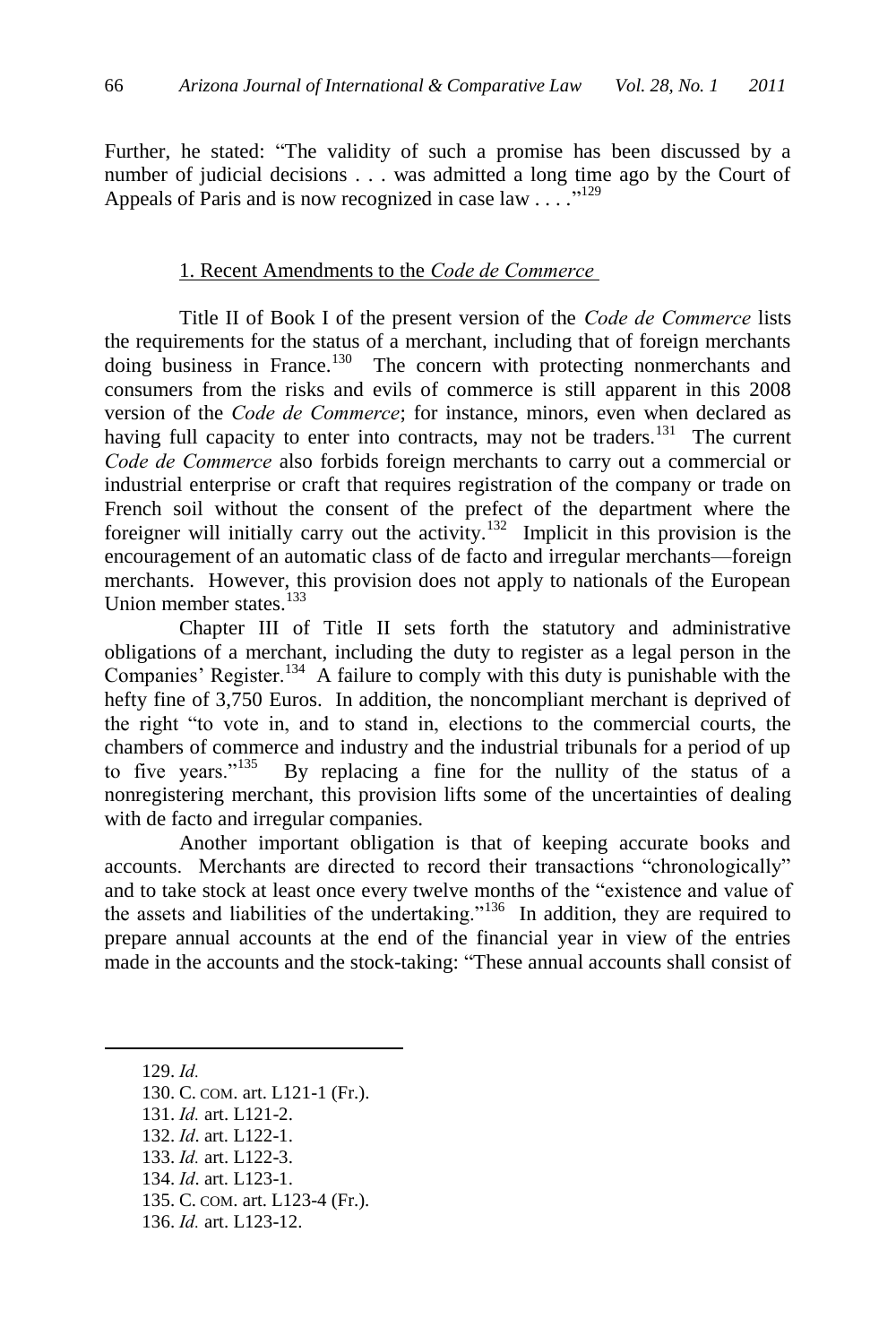Further, he stated: "The validity of such a promise has been discussed by a number of judicial decisions . . . was admitted a long time ago by the Court of Appeals of Paris and is now recognized in case law . . . .<sup>"129</sup>

### 1. Recent Amendments to the *Code de Commerce*

Title II of Book I of the present version of the *Code de Commerce* lists the requirements for the status of a merchant, including that of foreign merchants doing business in France.<sup>130</sup> The concern with protecting nonmerchants and consumers from the risks and evils of commerce is still apparent in this 2008 version of the *Code de Commerce*; for instance, minors, even when declared as having full capacity to enter into contracts, may not be traders.<sup>131</sup> The current *Code de Commerce* also forbids foreign merchants to carry out a commercial or industrial enterprise or craft that requires registration of the company or trade on French soil without the consent of the prefect of the department where the foreigner will initially carry out the activity.<sup>132</sup> Implicit in this provision is the encouragement of an automatic class of de facto and irregular merchants—foreign merchants. However, this provision does not apply to nationals of the European Union member states.<sup>133</sup>

Chapter III of Title II sets forth the statutory and administrative obligations of a merchant, including the duty to register as a legal person in the Companies' Register.<sup>134</sup> A failure to comply with this duty is punishable with the hefty fine of 3,750 Euros. In addition, the noncompliant merchant is deprived of the right "to vote in, and to stand in, elections to the commercial courts, the chambers of commerce and industry and the industrial tribunals for a period of up to five years." $135$  By replacing a fine for the nullity of the status of a nonregistering merchant, this provision lifts some of the uncertainties of dealing with de facto and irregular companies.

Another important obligation is that of keeping accurate books and accounts. Merchants are directed to record their transactions "chronologically" and to take stock at least once every twelve months of the "existence and value of the assets and liabilities of the undertaking."<sup>136</sup> In addition, they are required to prepare annual accounts at the end of the financial year in view of the entries made in the accounts and the stock-taking: "These annual accounts shall consist of

- 130. C. COM. art. L121-1 (Fr.).
- 131. *Id.* art. L121-2.
- 132. *Id*. art. L122-1.
- 133. *Id.* art. L122-3.
- 134. *Id*. art. L123-1.
- 135. C. COM. art. L123-4 (Fr.).
- 136. *Id.* art. L123-12.

<sup>129.</sup> *Id.*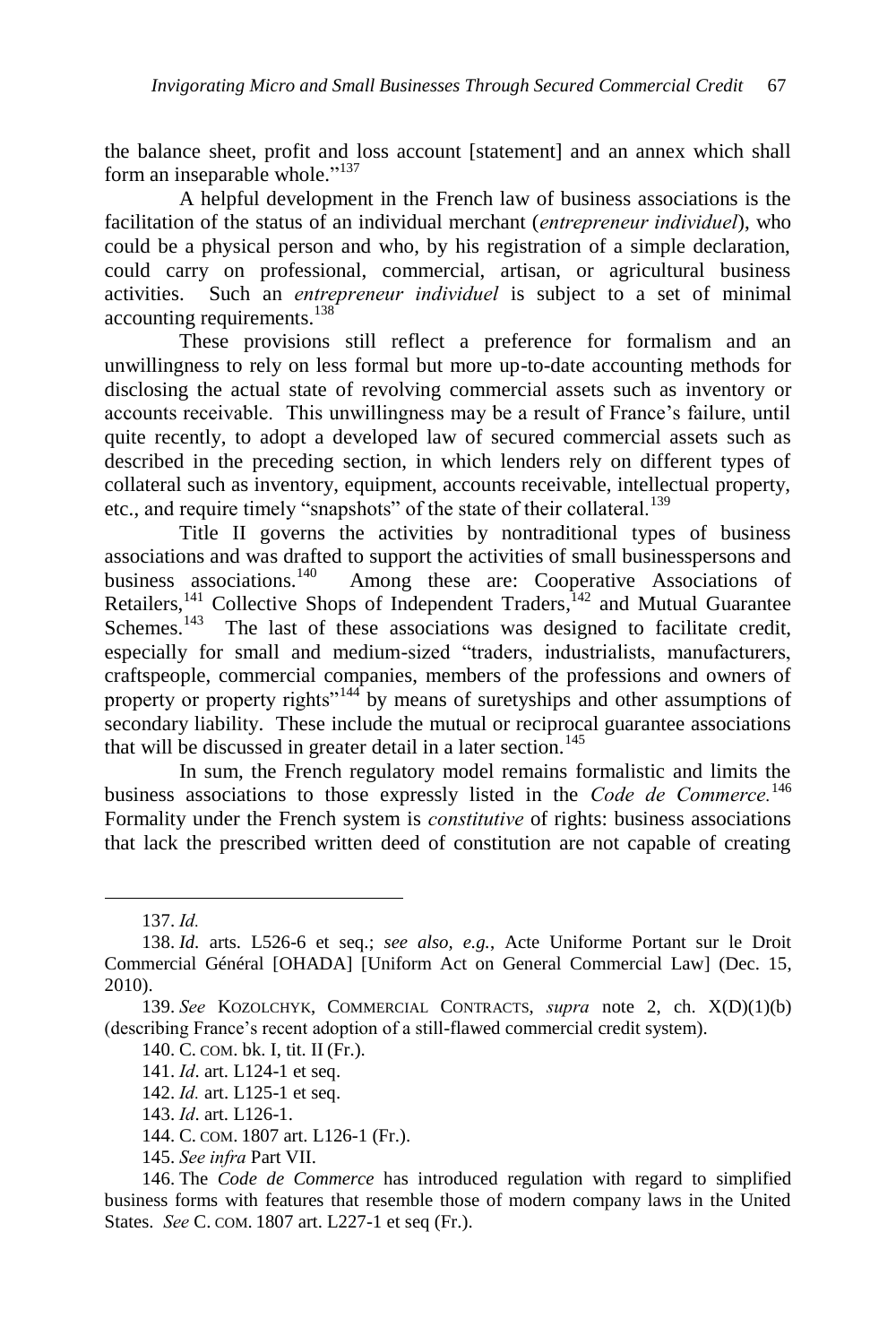the balance sheet, profit and loss account [statement] and an annex which shall form an inseparable whole."<sup>137</sup>

A helpful development in the French law of business associations is the facilitation of the status of an individual merchant (*entrepreneur individuel*), who could be a physical person and who, by his registration of a simple declaration, could carry on professional, commercial, artisan, or agricultural business activities. Such an *entrepreneur individuel* is subject to a set of minimal accounting requirements.<sup>138</sup>

These provisions still reflect a preference for formalism and an unwillingness to rely on less formal but more up-to-date accounting methods for disclosing the actual state of revolving commercial assets such as inventory or accounts receivable. This unwillingness may be a result of France's failure, until quite recently, to adopt a developed law of secured commercial assets such as described in the preceding section, in which lenders rely on different types of collateral such as inventory, equipment, accounts receivable, intellectual property, etc., and require timely "snapshots" of the state of their collateral.<sup>139</sup>

Title II governs the activities by nontraditional types of business associations and was drafted to support the activities of small businesspersons and business associations.<sup>140</sup> Among these are: Cooperative Associations of Among these are: Cooperative Associations of Retailers,<sup>141</sup> Collective Shops of Independent Traders,<sup>142</sup> and Mutual Guarantee Schemes.<sup>143</sup> The last of these associations was designed to facilitate credit, especially for small and medium-sized "traders, industrialists, manufacturers, craftspeople, commercial companies, members of the professions and owners of property or property rights<sup>"144</sup> by means of suretyships and other assumptions of secondary liability. These include the mutual or reciprocal guarantee associations that will be discussed in greater detail in a later section.<sup>145</sup>

In sum, the French regulatory model remains formalistic and limits the business associations to those expressly listed in the *Code de Commerce.*<sup>146</sup> Formality under the French system is *constitutive* of rights: business associations that lack the prescribed written deed of constitution are not capable of creating

 $\overline{a}$ 

145. *See infra* Part VII.

<sup>137.</sup> *Id.*

<sup>138.</sup> *Id.* arts. L526-6 et seq.; *see also, e.g.*, Acte Uniforme Portant sur le Droit Commercial Général [OHADA] [Uniform Act on General Commercial Law] (Dec. 15, 2010).

<sup>139.</sup> *See* KOZOLCHYK, COMMERCIAL CONTRACTS, *supra* note 2, ch. X(D)(1)(b) (describing France's recent adoption of a still-flawed commercial credit system).

<sup>140.</sup> C. COM. bk. I, tit. II (Fr.).

<sup>141.</sup> *Id*. art. L124-1 et seq.

<sup>142.</sup> *Id.* art. L125-1 et seq.

<sup>143.</sup> *Id*. art. L126-1.

<sup>144.</sup> C. COM. 1807 art. L126-1 (Fr.).

<sup>146.</sup> The *Code de Commerce* has introduced regulation with regard to simplified business forms with features that resemble those of modern company laws in the United States. *See* C. COM. 1807 art. L227-1 et seq (Fr.).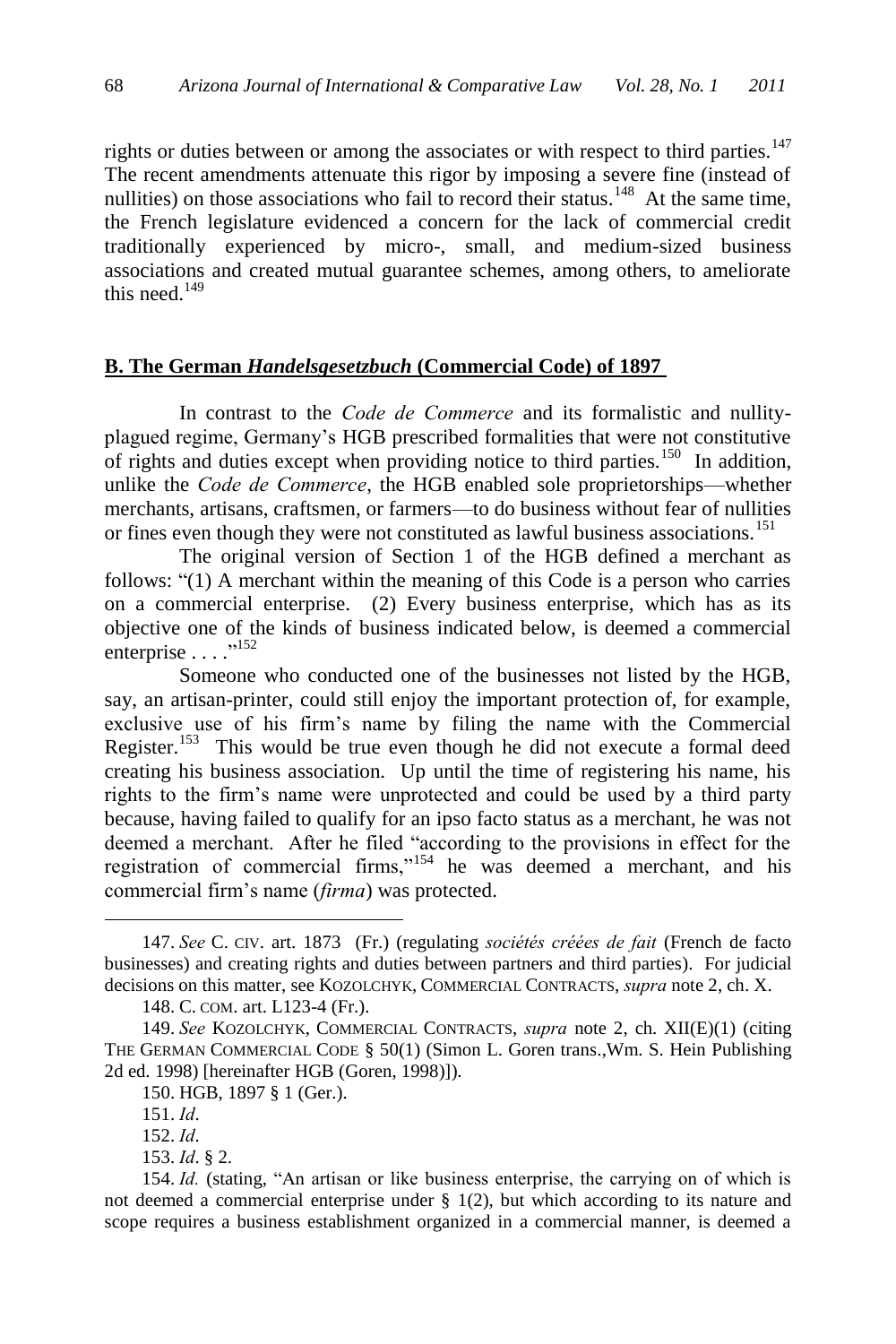rights or duties between or among the associates or with respect to third parties.<sup>147</sup> The recent amendments attenuate this rigor by imposing a severe fine (instead of nullities) on those associations who fail to record their status.<sup>148</sup> At the same time, the French legislature evidenced a concern for the lack of commercial credit traditionally experienced by micro-, small, and medium-sized business associations and created mutual guarantee schemes, among others, to ameliorate this need. $149$ 

### **B. The German** *Handelsgesetzbuch* **(Commercial Code) of 1897**

In contrast to the *Code de Commerce* and its formalistic and nullityplagued regime, Germany's HGB prescribed formalities that were not constitutive of rights and duties except when providing notice to third parties.<sup>150</sup> In addition, unlike the *Code de Commerce*, the HGB enabled sole proprietorships—whether merchants, artisans, craftsmen, or farmers—to do business without fear of nullities or fines even though they were not constituted as lawful business associations.<sup>151</sup>

The original version of Section 1 of the HGB defined a merchant as follows: "(1) A merchant within the meaning of this Code is a person who carries on a commercial enterprise. (2) Every business enterprise, which has as its objective one of the kinds of business indicated below, is deemed a commercial enterprise . . . .<sup>"152</sup>

Someone who conducted one of the businesses not listed by the HGB, say, an artisan-printer, could still enjoy the important protection of, for example, exclusive use of his firm's name by filing the name with the Commercial Register.<sup>153</sup> This would be true even though he did not execute a formal deed creating his business association. Up until the time of registering his name, his rights to the firm's name were unprotected and could be used by a third party because, having failed to qualify for an ipso facto status as a merchant, he was not deemed a merchant. After he filed "according to the provisions in effect for the registration of commercial firms, $n^{154}$  he was deemed a merchant, and his commercial firm's name (*firma*) was protected.

<sup>147.</sup> *See* C. CIV. art. 1873 (Fr.) (regulating *sociétés créées de fait* (French de facto businesses) and creating rights and duties between partners and third parties). For judicial decisions on this matter, see KOZOLCHYK, COMMERCIAL CONTRACTS, *supra* note 2, ch. X.

<sup>148.</sup> C. COM. art. L123-4 (Fr.).

<sup>149.</sup> *See* KOZOLCHYK, COMMERCIAL CONTRACTS, *supra* note 2, ch. XII(E)(1) (citing THE GERMAN COMMERCIAL CODE § 50(1) (Simon L. Goren trans.,Wm. S. Hein Publishing 2d ed. 1998) [hereinafter HGB (Goren, 1998)]).

<sup>150.</sup> HGB, 1897 § 1 (Ger.).

<sup>151.</sup> *Id*.

<sup>152.</sup> *Id*.

<sup>153.</sup> *Id*. § 2.

<sup>154.</sup> *Id.* (stating, "An artisan or like business enterprise, the carrying on of which is not deemed a commercial enterprise under  $\S$  1(2), but which according to its nature and scope requires a business establishment organized in a commercial manner, is deemed a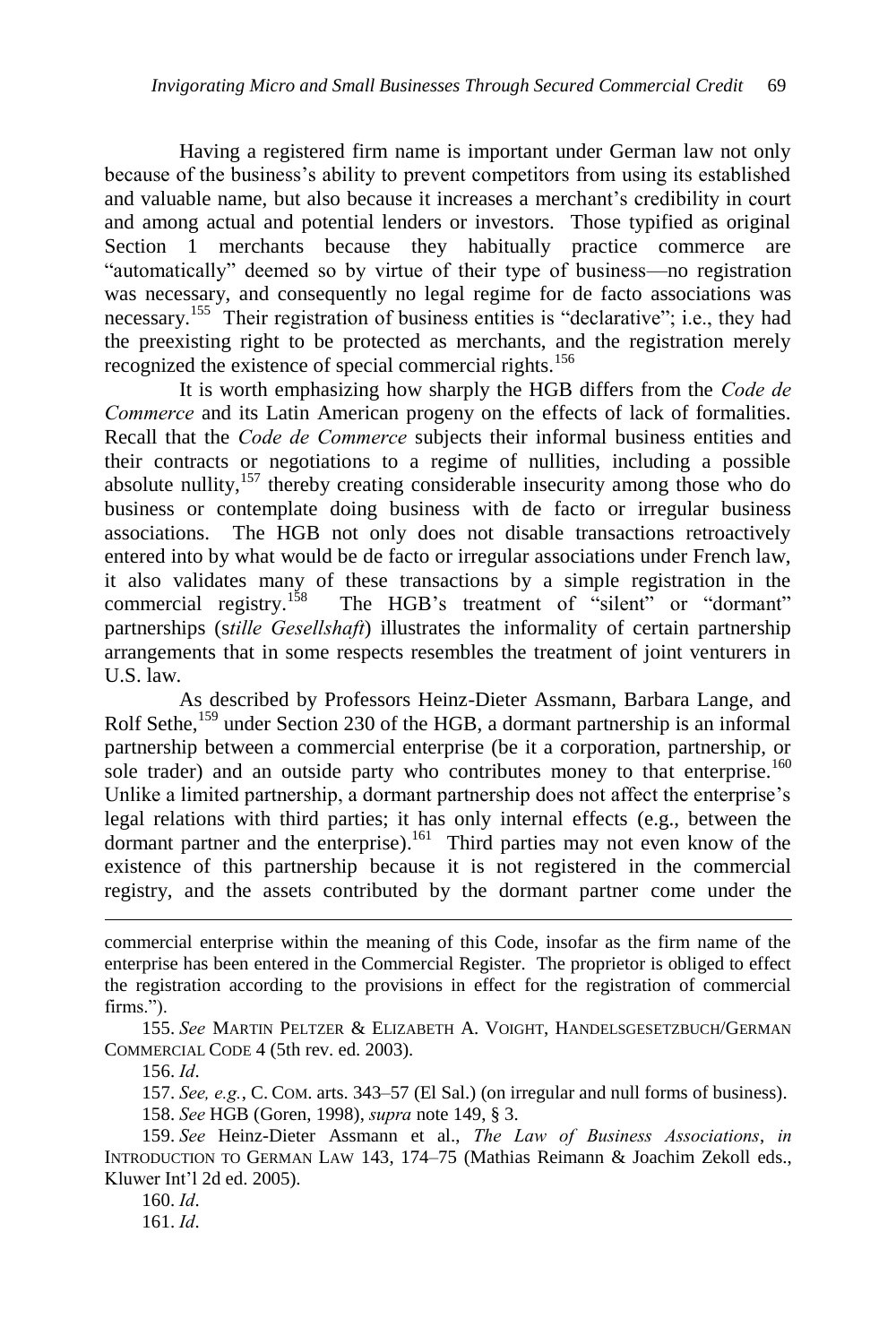Having a registered firm name is important under German law not only because of the business's ability to prevent competitors from using its established and valuable name, but also because it increases a merchant's credibility in court and among actual and potential lenders or investors. Those typified as original Section 1 merchants because they habitually practice commerce are "automatically" deemed so by virtue of their type of business—no registration was necessary, and consequently no legal regime for de facto associations was necessary.<sup>155</sup> Their registration of business entities is "declarative"; i.e., they had the preexisting right to be protected as merchants, and the registration merely recognized the existence of special commercial rights.<sup>156</sup>

It is worth emphasizing how sharply the HGB differs from the *Code de Commerce* and its Latin American progeny on the effects of lack of formalities. Recall that the *Code de Commerce* subjects their informal business entities and their contracts or negotiations to a regime of nullities, including a possible absolute nullity, $157$  thereby creating considerable insecurity among those who do business or contemplate doing business with de facto or irregular business associations. The HGB not only does not disable transactions retroactively entered into by what would be de facto or irregular associations under French law, it also validates many of these transactions by a simple registration in the commercial registry.<sup>158</sup> The HGB's treatment of "silent" or "dormant" partnerships (s*tille Gesellshaft*) illustrates the informality of certain partnership arrangements that in some respects resembles the treatment of joint venturers in U.S. law.

As described by Professors Heinz-Dieter Assmann, Barbara Lange, and Rolf Sethe,<sup>159</sup> under Section 230 of the HGB, a dormant partnership is an informal partnership between a commercial enterprise (be it a corporation, partnership, or sole trader) and an outside party who contributes money to that enterprise.<sup>160</sup> Unlike a limited partnership, a dormant partnership does not affect the enterprise's legal relations with third parties; it has only internal effects (e.g., between the dormant partner and the enterprise).<sup>161</sup> Third parties may not even know of the existence of this partnership because it is not registered in the commercial registry, and the assets contributed by the dormant partner come under the

156. *Id*.

 $\overline{a}$ 

157. *See, e.g.*, C. COM. arts. 343–57 (El Sal.) (on irregular and null forms of business).

158. *See* HGB (Goren, 1998), *supra* note 149, § 3.

159. *See* Heinz-Dieter Assmann et al., *The Law of Business Associations*, *in* INTRODUCTION TO GERMAN LAW 143, 174–75 (Mathias Reimann & Joachim Zekoll eds., Kluwer Int'l 2d ed. 2005).

160. *Id*.

161. *Id*.

commercial enterprise within the meaning of this Code, insofar as the firm name of the enterprise has been entered in the Commercial Register. The proprietor is obliged to effect the registration according to the provisions in effect for the registration of commercial firms.").

<sup>155.</sup> *See* MARTIN PELTZER & ELIZABETH A. VOIGHT, HANDELSGESETZBUCH/GERMAN COMMERCIAL CODE 4 (5th rev. ed. 2003).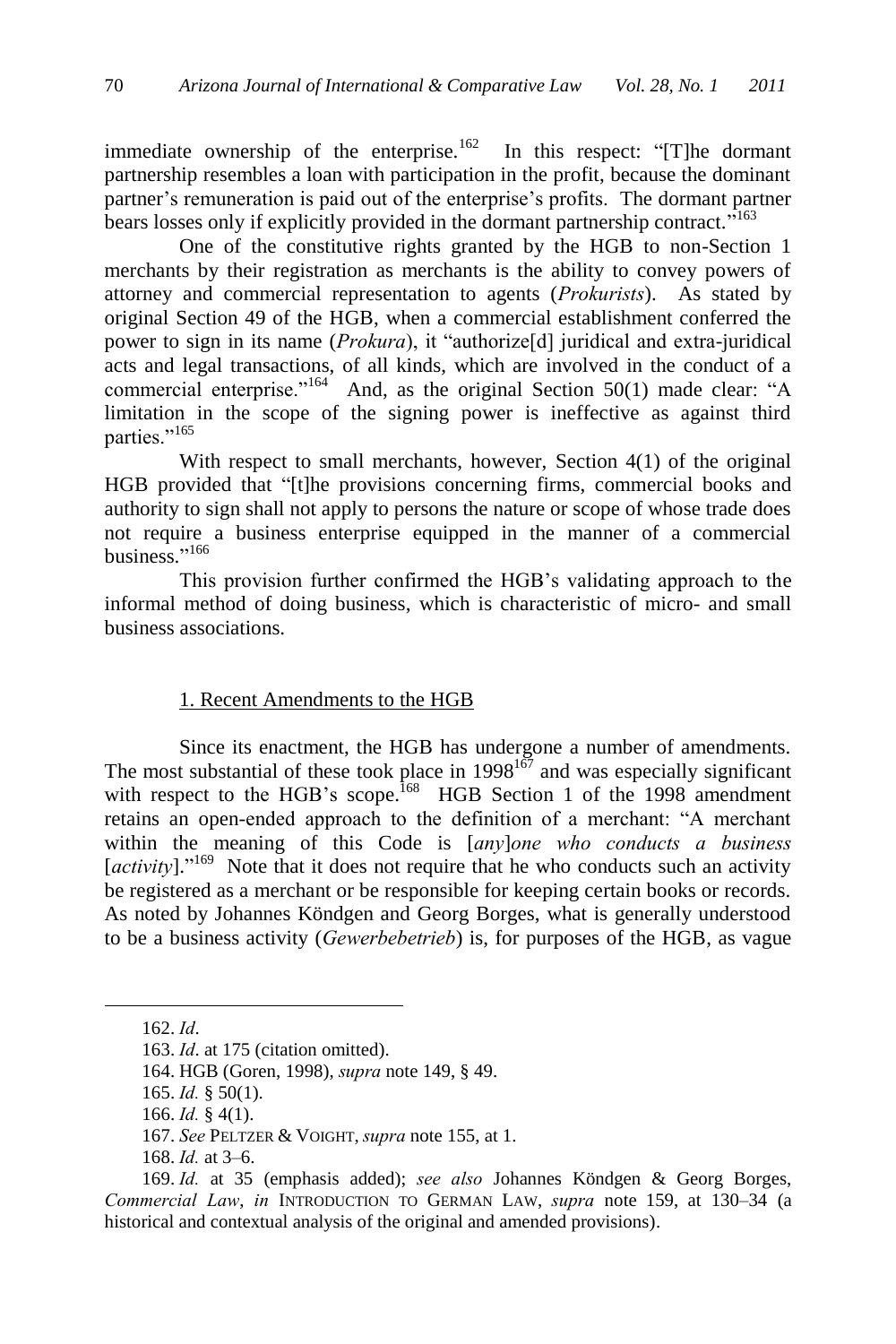immediate ownership of the enterprise.<sup>162</sup> In this respect: "[T]he dormant partnership resembles a loan with participation in the profit, because the dominant partner's remuneration is paid out of the enterprise's profits. The dormant partner bears losses only if explicitly provided in the dormant partnership contract."<sup>163</sup>

One of the constitutive rights granted by the HGB to non-Section 1 merchants by their registration as merchants is the ability to convey powers of attorney and commercial representation to agents (*Prokurists*). As stated by original Section 49 of the HGB, when a commercial establishment conferred the power to sign in its name (*Prokura*), it "authorize[d] juridical and extra-juridical acts and legal transactions, of all kinds, which are involved in the conduct of a commercial enterprise."<sup>164</sup> And, as the original Section 50(1) made clear: "A limitation in the scope of the signing power is ineffective as against third parties."<sup>165</sup>

With respect to small merchants, however, Section 4(1) of the original HGB provided that "[t]he provisions concerning firms, commercial books and authority to sign shall not apply to persons the nature or scope of whose trade does not require a business enterprise equipped in the manner of a commercial business."<sup>166</sup>

This provision further confirmed the HGB's validating approach to the informal method of doing business, which is characteristic of micro- and small business associations.

### 1. Recent Amendments to the HGB

Since its enactment, the HGB has undergone a number of amendments. The most substantial of these took place in  $1998^{167}$  and was especially significant with respect to the HGB's scope.<sup>168</sup> HGB Section 1 of the 1998 amendment retains an open-ended approach to the definition of a merchant: "A merchant within the meaning of this Code is [*any*]*one who conducts a business*  [*activity*]."<sup>169</sup> Note that it does not require that he who conducts such an activity be registered as a merchant or be responsible for keeping certain books or records. As noted by Johannes Köndgen and Georg Borges, what is generally understood to be a business activity (*Gewerbebetrieb*) is, for purposes of the HGB, as vague

<sup>162.</sup> *Id*.

<sup>163.</sup> *Id*. at 175 (citation omitted).

<sup>164.</sup> HGB (Goren, 1998), *supra* note 149, § 49.

<sup>165.</sup> *Id.* § 50(1).

<sup>166.</sup> *Id.* § 4(1).

<sup>167.</sup> *See* PELTZER & VOIGHT, *supra* note 155, at 1.

<sup>168.</sup> *Id.* at 3–6.

<sup>169.</sup> *Id.* at 35 (emphasis added); *see also* Johannes Köndgen & Georg Borges, *Commercial Law*, *in* INTRODUCTION TO GERMAN LAW, *supra* note 159, at 130–34 (a historical and contextual analysis of the original and amended provisions).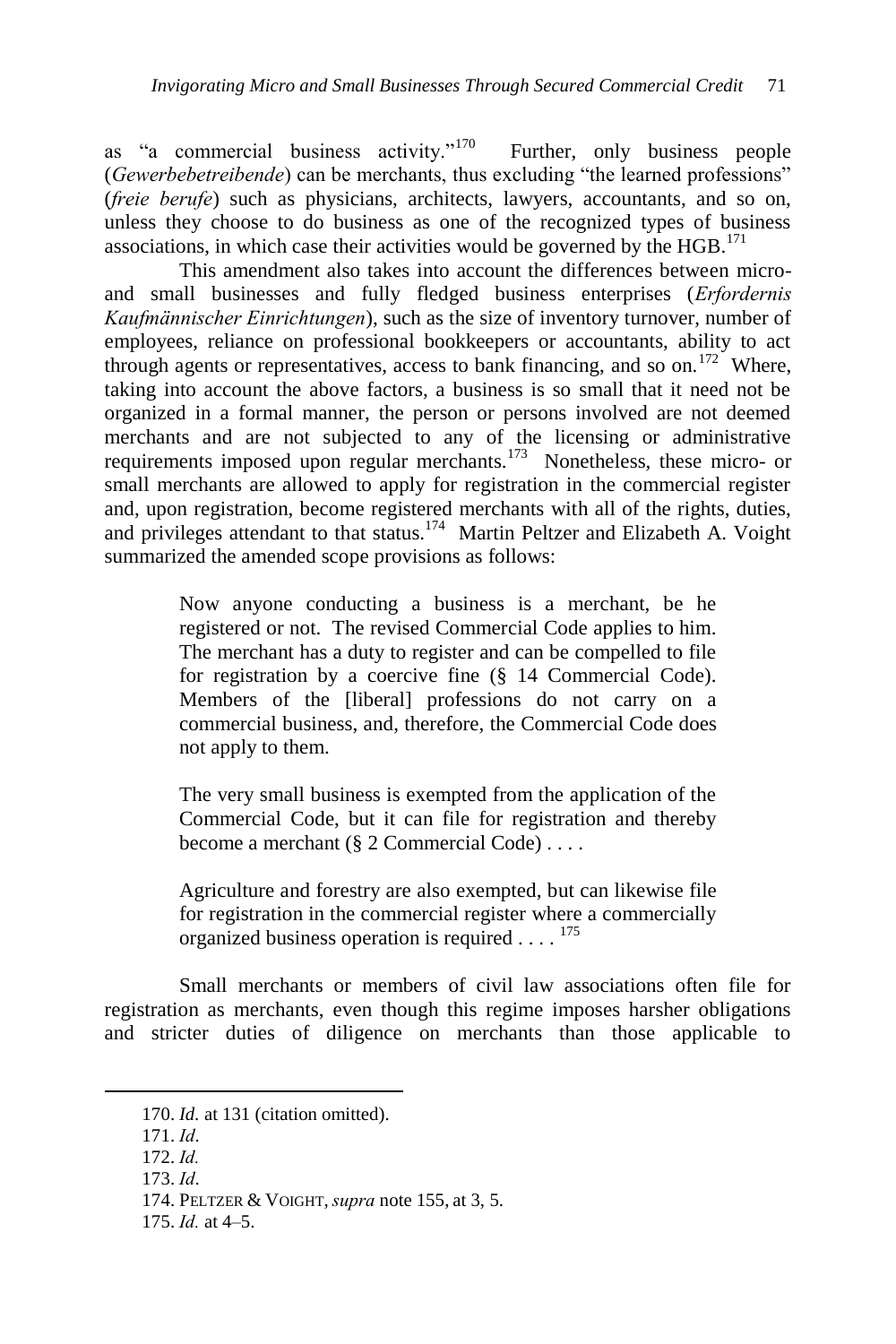as "a commercial business activity." $170$  Further, only business people (*Gewerbebetreibende*) can be merchants, thus excluding "the learned professions" (*freie berufe*) such as physicians, architects, lawyers, accountants, and so on, unless they choose to do business as one of the recognized types of business associations, in which case their activities would be governed by the  $HGB$ .<sup>171</sup>

This amendment also takes into account the differences between microand small businesses and fully fledged business enterprises (*Erfordernis Kaufmännischer Einrichtungen*), such as the size of inventory turnover, number of employees, reliance on professional bookkeepers or accountants, ability to act through agents or representatives, access to bank financing, and so on.<sup>172</sup> Where, taking into account the above factors, a business is so small that it need not be organized in a formal manner, the person or persons involved are not deemed merchants and are not subjected to any of the licensing or administrative requirements imposed upon regular merchants.<sup>173</sup> Nonetheless, these micro- or small merchants are allowed to apply for registration in the commercial register and, upon registration, become registered merchants with all of the rights, duties, and privileges attendant to that status.<sup>174</sup> Martin Peltzer and Elizabeth A. Voight summarized the amended scope provisions as follows:

> Now anyone conducting a business is a merchant, be he registered or not. The revised Commercial Code applies to him. The merchant has a duty to register and can be compelled to file for registration by a coercive fine (§ 14 Commercial Code). Members of the [liberal] professions do not carry on a commercial business, and, therefore, the Commercial Code does not apply to them.

> The very small business is exempted from the application of the Commercial Code, but it can file for registration and thereby become a merchant (§ 2 Commercial Code) . . . .

> Agriculture and forestry are also exempted, but can likewise file for registration in the commercial register where a commercially organized business operation is required  $\ldots$ . <sup>175</sup>

Small merchants or members of civil law associations often file for registration as merchants, even though this regime imposes harsher obligations and stricter duties of diligence on merchants than those applicable to

<sup>170.</sup> *Id.* at 131 (citation omitted).

<sup>171.</sup> *Id*.

<sup>172.</sup> *Id.*

<sup>173.</sup> *Id*.

<sup>174.</sup> PELTZER & VOIGHT, *supra* note 155, at 3, 5.

<sup>175.</sup> *Id.* at 4–5.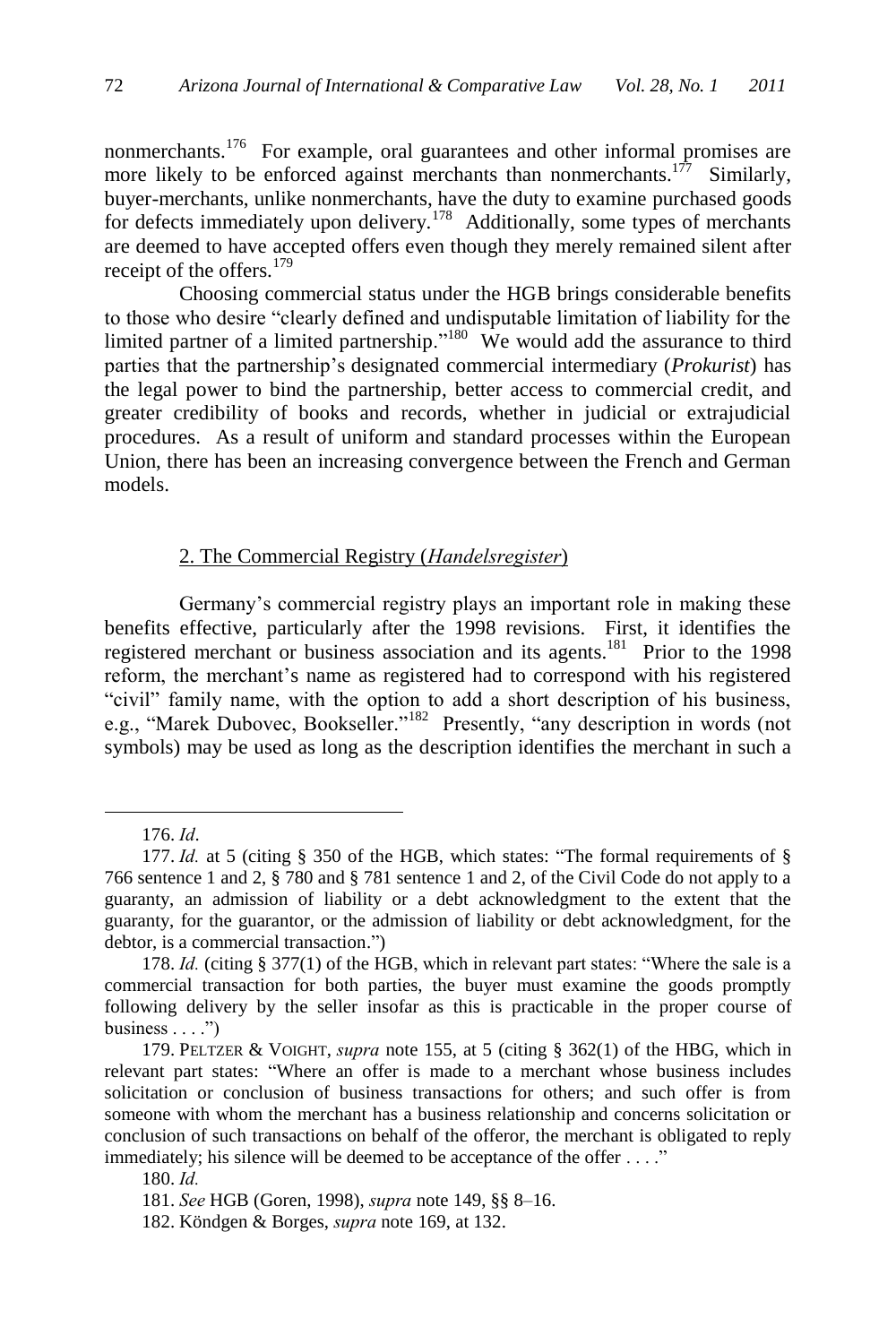nonmerchants.<sup>176</sup> For example, oral guarantees and other informal promises are more likely to be enforced against merchants than nonmerchants.<sup>177</sup> Similarly, buyer-merchants, unlike nonmerchants, have the duty to examine purchased goods for defects immediately upon delivery.<sup>178</sup> Additionally, some types of merchants are deemed to have accepted offers even though they merely remained silent after receipt of the offers.<sup>179</sup>

Choosing commercial status under the HGB brings considerable benefits to those who desire "clearly defined and undisputable limitation of liability for the limited partner of a limited partnership."<sup>180</sup> We would add the assurance to third parties that the partnership's designated commercial intermediary (*Prokurist*) has the legal power to bind the partnership, better access to commercial credit, and greater credibility of books and records, whether in judicial or extrajudicial procedures. As a result of uniform and standard processes within the European Union, there has been an increasing convergence between the French and German models.

### 2. The Commercial Registry (*Handelsregister*)

Germany's commercial registry plays an important role in making these benefits effective, particularly after the 1998 revisions. First, it identifies the registered merchant or business association and its agents.<sup>181</sup> Prior to the 1998 reform, the merchant's name as registered had to correspond with his registered "civil" family name, with the option to add a short description of his business, e.g., "Marek Dubovec, Bookseller."<sup>182</sup> Presently, "any description in words (not symbols) may be used as long as the description identifies the merchant in such a

<sup>176.</sup> *Id*.

<sup>177.</sup> *Id.* at 5 (citing § 350 of the HGB, which states: "The formal requirements of § 766 sentence 1 and 2, § 780 and § 781 sentence 1 and 2, of the Civil Code do not apply to a guaranty, an admission of liability or a debt acknowledgment to the extent that the guaranty, for the guarantor, or the admission of liability or debt acknowledgment, for the debtor, is a commercial transaction.")

<sup>178.</sup> *Id.* (citing § 377(1) of the HGB, which in relevant part states: "Where the sale is a commercial transaction for both parties, the buyer must examine the goods promptly following delivery by the seller insofar as this is practicable in the proper course of business  $\dots$ ")

<sup>179.</sup> PELTZER & VOIGHT, *supra* note 155, at 5 (citing § 362(1) of the HBG, which in relevant part states: "Where an offer is made to a merchant whose business includes solicitation or conclusion of business transactions for others; and such offer is from someone with whom the merchant has a business relationship and concerns solicitation or conclusion of such transactions on behalf of the offeror, the merchant is obligated to reply immediately; his silence will be deemed to be acceptance of the offer . . . ."

<sup>180.</sup> *Id.* 

<sup>181.</sup> *See* HGB (Goren, 1998), *supra* note 149, §§ 8–16.

<sup>182.</sup> Köndgen & Borges, *supra* note 169, at 132.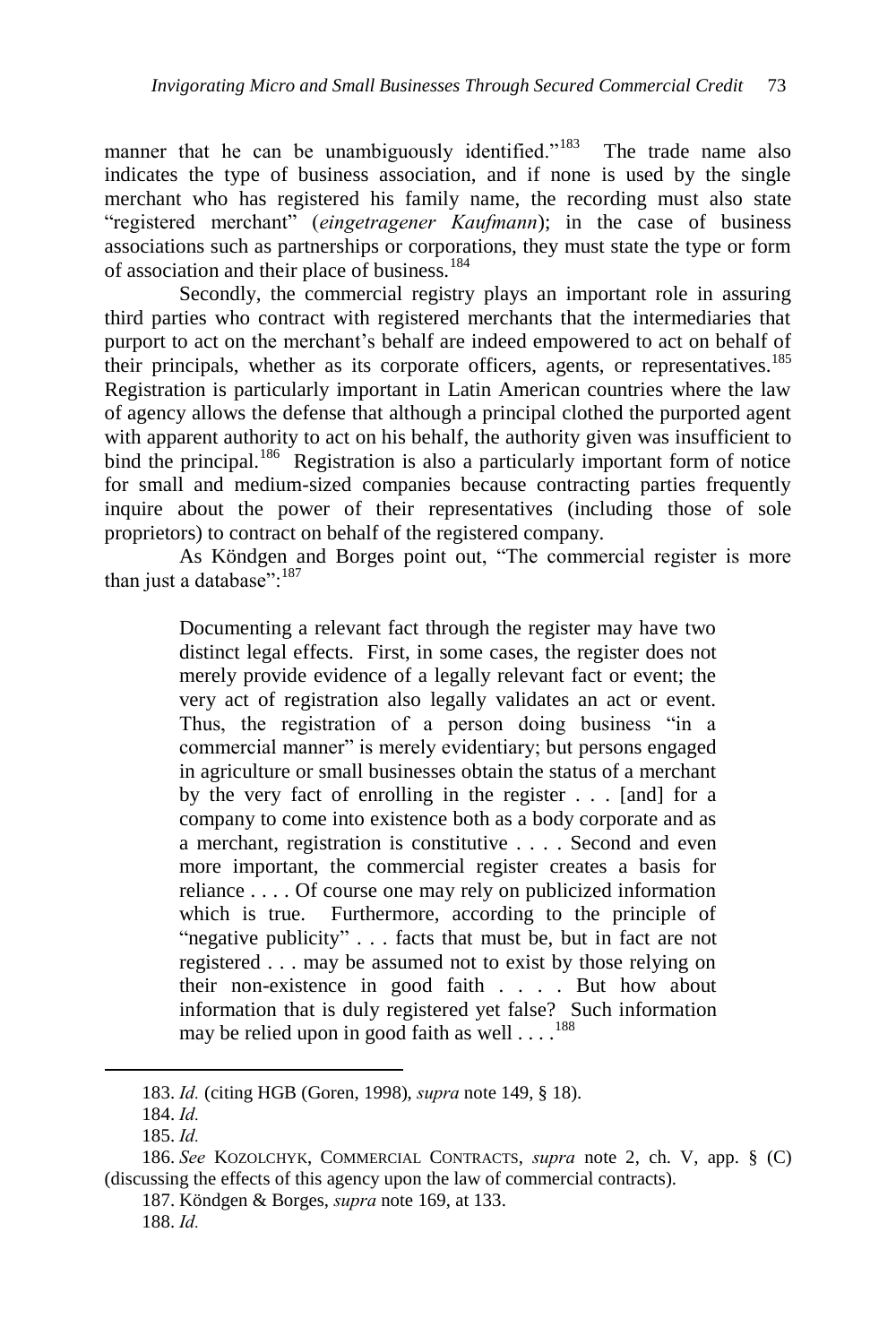manner that he can be unambiguously identified. $183$  The trade name also indicates the type of business association, and if none is used by the single merchant who has registered his family name, the recording must also state "registered merchant" (*eingetragener Kaufmann*); in the case of business associations such as partnerships or corporations, they must state the type or form of association and their place of business.<sup>184</sup>

Secondly, the commercial registry plays an important role in assuring third parties who contract with registered merchants that the intermediaries that purport to act on the merchant's behalf are indeed empowered to act on behalf of their principals, whether as its corporate officers, agents, or representatives.<sup>185</sup> Registration is particularly important in Latin American countries where the law of agency allows the defense that although a principal clothed the purported agent with apparent authority to act on his behalf, the authority given was insufficient to bind the principal.<sup>186</sup> Registration is also a particularly important form of notice for small and medium-sized companies because contracting parties frequently inquire about the power of their representatives (including those of sole proprietors) to contract on behalf of the registered company.

As Köndgen and Borges point out, "The commercial register is more than just a database":<sup>187</sup>

> Documenting a relevant fact through the register may have two distinct legal effects. First, in some cases, the register does not merely provide evidence of a legally relevant fact or event; the very act of registration also legally validates an act or event. Thus, the registration of a person doing business "in a commercial manner" is merely evidentiary; but persons engaged in agriculture or small businesses obtain the status of a merchant by the very fact of enrolling in the register . . . [and] for a company to come into existence both as a body corporate and as a merchant, registration is constitutive . . . . Second and even more important, the commercial register creates a basis for reliance . . . . Of course one may rely on publicized information which is true. Furthermore, according to the principle of "negative publicity" . . . facts that must be, but in fact are not registered . . . may be assumed not to exist by those relying on their non-existence in good faith . . . . But how about information that is duly registered yet false? Such information may be relied upon in good faith as well  $\dots$ .<sup>188</sup>

<sup>183.</sup> *Id.* (citing HGB (Goren, 1998), *supra* note 149, § 18).

<sup>184.</sup> *Id.*

<sup>185.</sup> *Id.*

<sup>186.</sup> *See* KOZOLCHYK, COMMERCIAL CONTRACTS, *supra* note 2, ch. V, app. § (C) (discussing the effects of this agency upon the law of commercial contracts).

<sup>187.</sup> Köndgen & Borges, *supra* note 169, at 133.

<sup>188.</sup> *Id.*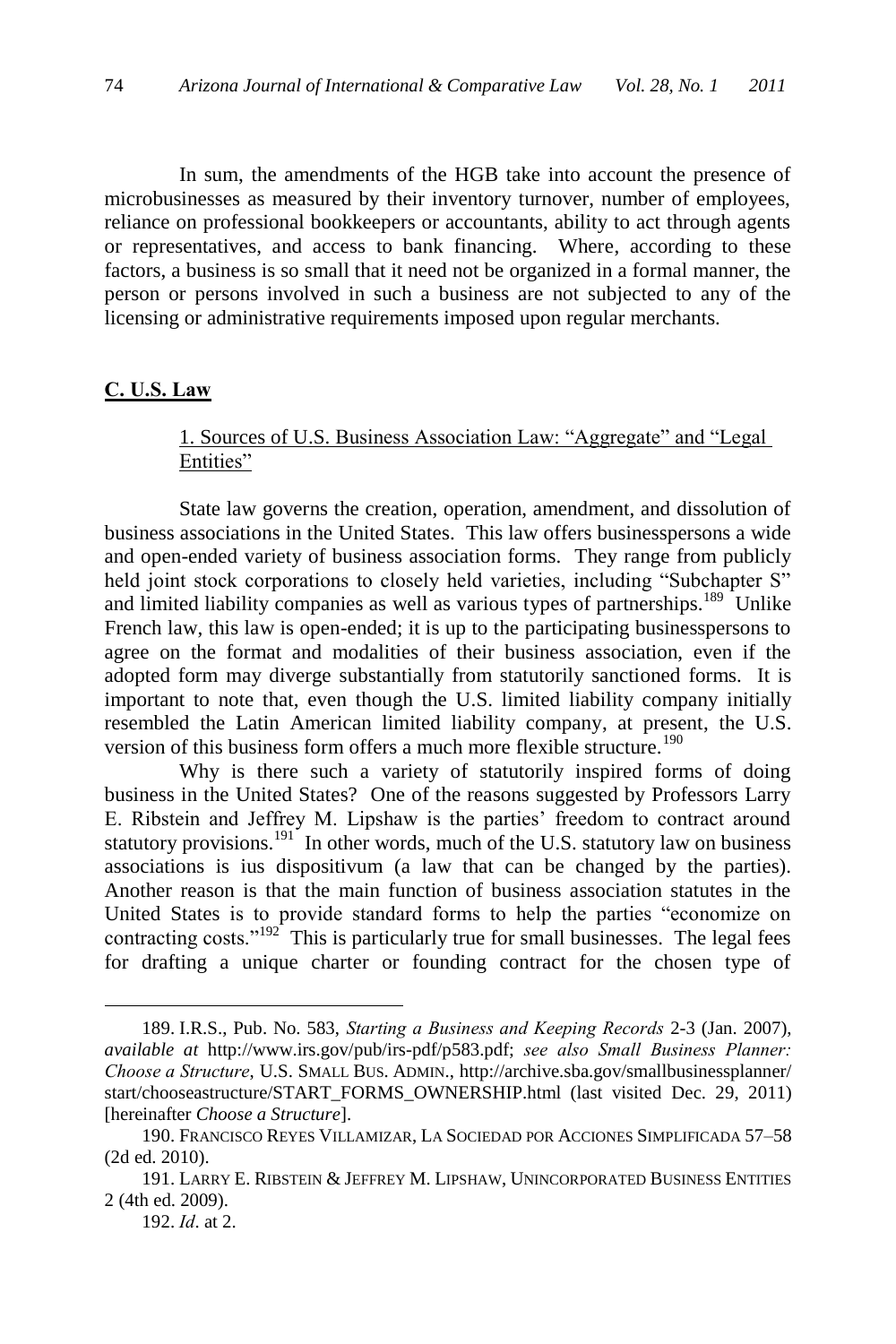In sum, the amendments of the HGB take into account the presence of microbusinesses as measured by their inventory turnover, number of employees, reliance on professional bookkeepers or accountants, ability to act through agents or representatives, and access to bank financing. Where, according to these factors, a business is so small that it need not be organized in a formal manner, the person or persons involved in such a business are not subjected to any of the licensing or administrative requirements imposed upon regular merchants.

#### **C. U.S. Law**

# 1. Sources of U.S. Business Association Law: "Aggregate" and "Legal Entities"

State law governs the creation, operation, amendment, and dissolution of business associations in the United States. This law offers businesspersons a wide and open-ended variety of business association forms. They range from publicly held joint stock corporations to closely held varieties, including "Subchapter S" and limited liability companies as well as various types of partnerships.<sup>189</sup> Unlike French law, this law is open-ended; it is up to the participating businesspersons to agree on the format and modalities of their business association, even if the adopted form may diverge substantially from statutorily sanctioned forms. It is important to note that, even though the U.S. limited liability company initially resembled the Latin American limited liability company, at present, the U.S. version of this business form offers a much more flexible structure.<sup>190</sup>

Why is there such a variety of statutorily inspired forms of doing business in the United States? One of the reasons suggested by Professors Larry E. Ribstein and Jeffrey M. Lipshaw is the parties' freedom to contract around statutory provisions.<sup>191</sup> In other words, much of the U.S. statutory law on business associations is ius dispositivum (a law that can be changed by the parties). Another reason is that the main function of business association statutes in the United States is to provide standard forms to help the parties "economize on contracting costs." $192^{\circ}$  This is particularly true for small businesses. The legal fees for drafting a unique charter or founding contract for the chosen type of

<sup>189.</sup> I.R.S., Pub. No. 583, *Starting a Business and Keeping Records* 2-3 (Jan. 2007), *available at* http://www.irs.gov/pub/irs-pdf/p583.pdf; *see also Small Business Planner: Choose a Structure*, U.S. SMALL BUS. ADMIN., http://archive.sba.gov/smallbusinessplanner/ start/chooseastructure/START\_FORMS\_OWNERSHIP.html (last visited Dec. 29, 2011) [hereinafter *Choose a Structure*].

<sup>190.</sup> FRANCISCO REYES VILLAMIZAR, LA SOCIEDAD POR ACCIONES SIMPLIFICADA 57–58 (2d ed. 2010).

<sup>191.</sup> LARRY E. RIBSTEIN & JEFFREY M. LIPSHAW, UNINCORPORATED BUSINESS ENTITIES 2 (4th ed. 2009).

<sup>192.</sup> *Id*. at 2.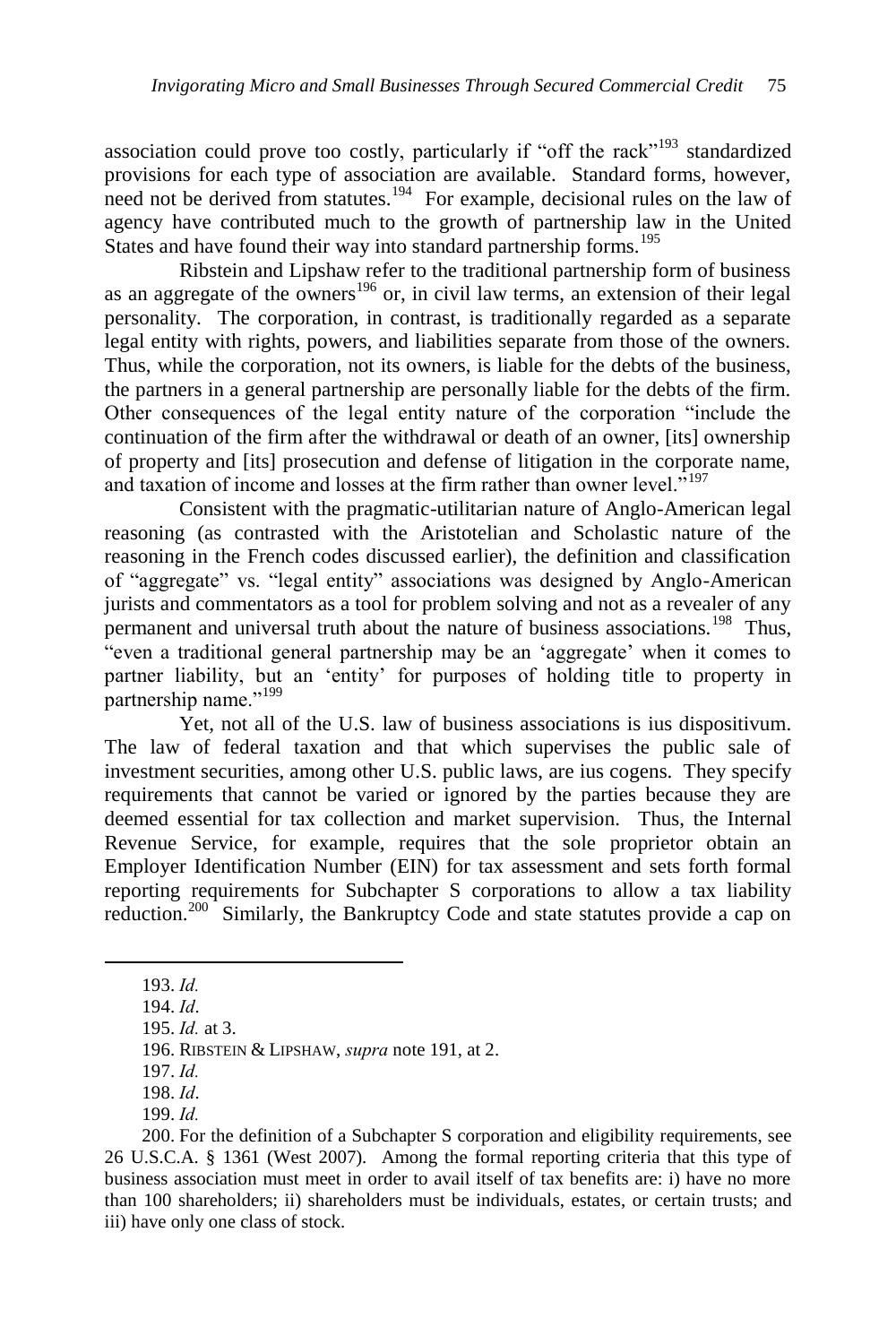association could prove too costly, particularly if "off the rack"<sup>193</sup> standardized provisions for each type of association are available. Standard forms, however, need not be derived from statutes.<sup>194</sup> For example, decisional rules on the law of agency have contributed much to the growth of partnership law in the United States and have found their way into standard partnership forms.<sup>195</sup>

Ribstein and Lipshaw refer to the traditional partnership form of business as an aggregate of the owners<sup>196</sup> or, in civil law terms, an extension of their legal personality. The corporation, in contrast, is traditionally regarded as a separate legal entity with rights, powers, and liabilities separate from those of the owners. Thus, while the corporation, not its owners, is liable for the debts of the business, the partners in a general partnership are personally liable for the debts of the firm. Other consequences of the legal entity nature of the corporation "include the continuation of the firm after the withdrawal or death of an owner, [its] ownership of property and [its] prosecution and defense of litigation in the corporate name, and taxation of income and losses at the firm rather than owner level.<sup> $5197$ </sup>

Consistent with the pragmatic-utilitarian nature of Anglo-American legal reasoning (as contrasted with the Aristotelian and Scholastic nature of the reasoning in the French codes discussed earlier), the definition and classification of "aggregate" vs. "legal entity" associations was designed by Anglo-American jurists and commentators as a tool for problem solving and not as a revealer of any permanent and universal truth about the nature of business associations.<sup>198</sup> Thus, ―even a traditional general partnership may be an ‗aggregate' when it comes to partner liability, but an 'entity' for purposes of holding title to property in partnership name."<sup>199</sup>

Yet, not all of the U.S. law of business associations is ius dispositivum. The law of federal taxation and that which supervises the public sale of investment securities, among other U.S. public laws, are ius cogens. They specify requirements that cannot be varied or ignored by the parties because they are deemed essential for tax collection and market supervision. Thus, the Internal Revenue Service, for example, requires that the sole proprietor obtain an Employer Identification Number (EIN) for tax assessment and sets forth formal reporting requirements for Subchapter S corporations to allow a tax liability reduction.<sup>200</sup> Similarly, the Bankruptcy Code and state statutes provide a cap on

<sup>193.</sup> *Id.*

<sup>194.</sup> *Id*.

<sup>195.</sup> *Id.* at 3.

<sup>196.</sup> RIBSTEIN & LIPSHAW, *supra* note 191, at 2.

<sup>197.</sup> *Id.*

<sup>198.</sup> *Id*.

<sup>199.</sup> *Id.*

<sup>200.</sup> For the definition of a Subchapter S corporation and eligibility requirements, see 26 U.S.C.A. § 1361 (West 2007). Among the formal reporting criteria that this type of business association must meet in order to avail itself of tax benefits are: i) have no more than 100 shareholders; ii) shareholders must be individuals, estates, or certain trusts; and iii) have only one class of stock.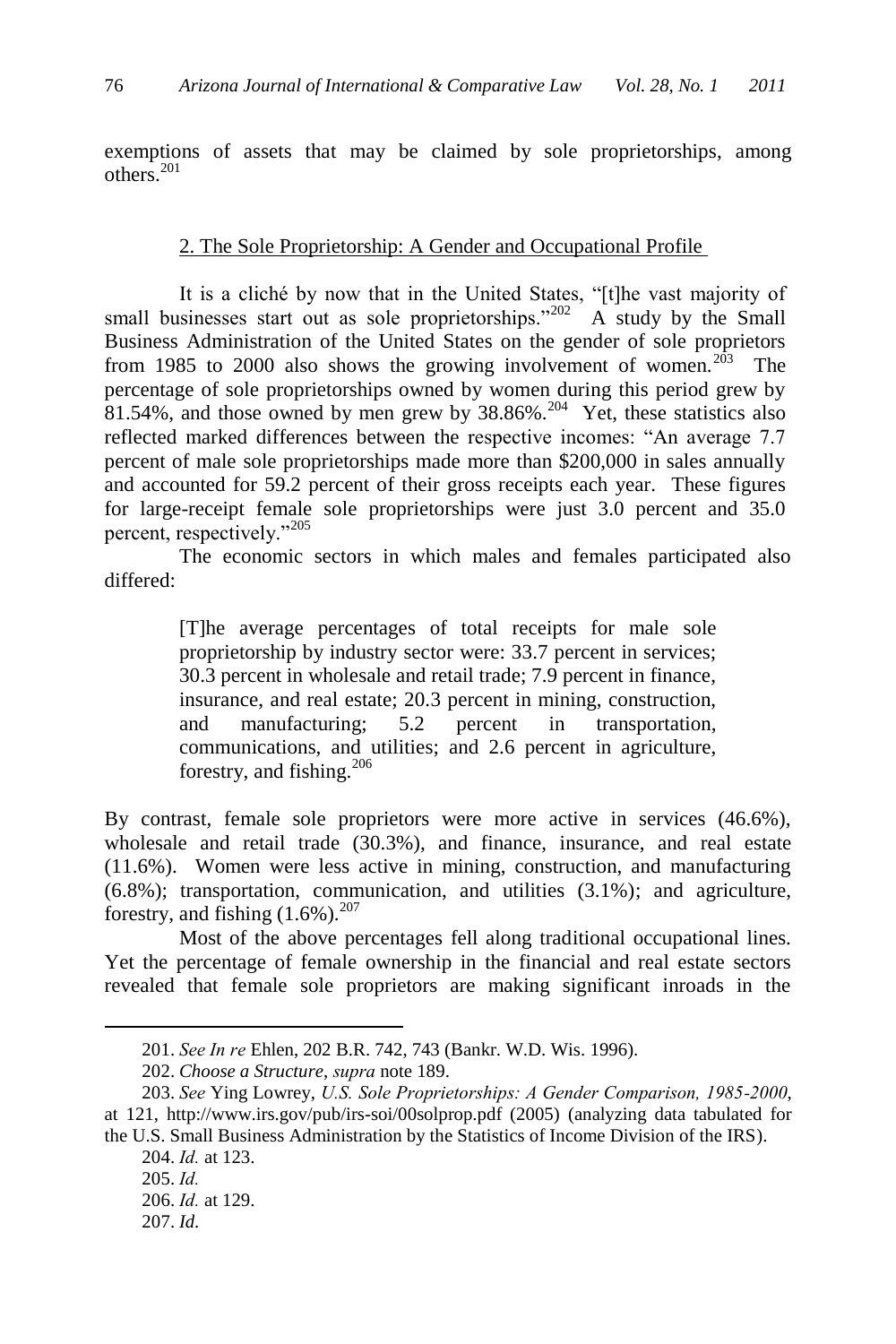exemptions of assets that may be claimed by sole proprietorships, among others. 201

#### 2. The Sole Proprietorship: A Gender and Occupational Profile

It is a cliché by now that in the United States, "[t]he vast majority of small businesses start out as sole proprietorships."<sup>202</sup> A study by the Small Business Administration of the United States on the gender of sole proprietors from 1985 to 2000 also shows the growing involvement of women.<sup>203</sup> The percentage of sole proprietorships owned by women during this period grew by  $81.54\%$ , and those owned by men grew by  $38.86\%$ .<sup>204</sup> Yet, these statistics also reflected marked differences between the respective incomes: "An average 7.7 percent of male sole proprietorships made more than \$200,000 in sales annually and accounted for 59.2 percent of their gross receipts each year. These figures for large-receipt female sole proprietorships were just 3.0 percent and 35.0 percent, respectively."<sup>205</sup>

The economic sectors in which males and females participated also differed:

> [T]he average percentages of total receipts for male sole proprietorship by industry sector were: 33.7 percent in services; 30.3 percent in wholesale and retail trade; 7.9 percent in finance, insurance, and real estate; 20.3 percent in mining, construction, and manufacturing; 5.2 percent in transportation, communications, and utilities; and 2.6 percent in agriculture, forestry, and fishing.<sup>206</sup>

By contrast, female sole proprietors were more active in services (46.6%), wholesale and retail trade (30.3%), and finance, insurance, and real estate (11.6%). Women were less active in mining, construction, and manufacturing (6.8%); transportation, communication, and utilities (3.1%); and agriculture, forestry, and fishing  $(1.6\%)$ .<sup>207</sup>

Most of the above percentages fell along traditional occupational lines. Yet the percentage of female ownership in the financial and real estate sectors revealed that female sole proprietors are making significant inroads in the

<sup>201.</sup> *See In re* Ehlen, 202 B.R. 742, 743 (Bankr. W.D. Wis. 1996).

<sup>202.</sup> *Choose a Structure*, *supra* note 189.

<sup>203.</sup> *See* Ying Lowrey, *U.S. Sole Proprietorships: A Gender Comparison, 1985-2000*, at 121, http://www.irs.gov/pub/irs-soi/00solprop.pdf (2005) (analyzing data tabulated for

the U.S. Small Business Administration by the Statistics of Income Division of the IRS). 204. *Id.* at 123.

<sup>205.</sup> *Id.*

<sup>206.</sup> *Id.* at 129.

<sup>207.</sup> *Id.*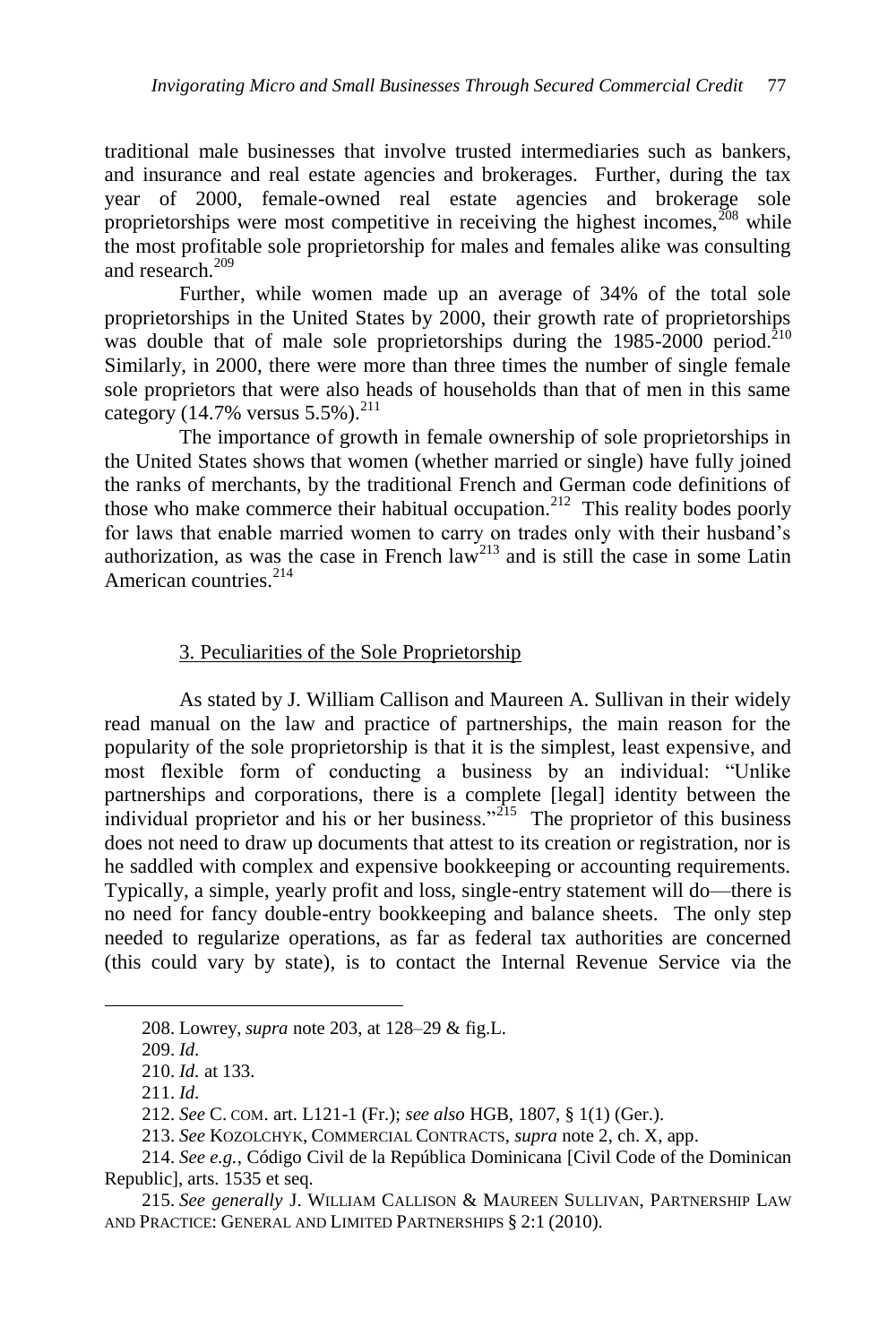traditional male businesses that involve trusted intermediaries such as bankers, and insurance and real estate agencies and brokerages. Further, during the tax year of 2000, female-owned real estate agencies and brokerage sole proprietorships were most competitive in receiving the highest incomes,  $\frac{208}{3}$  while the most profitable sole proprietorship for males and females alike was consulting and research.<sup>209</sup>

Further, while women made up an average of 34% of the total sole proprietorships in the United States by 2000, their growth rate of proprietorships was double that of male sole proprietorships during the  $1985-2000$  period.<sup>210</sup> Similarly, in 2000, there were more than three times the number of single female sole proprietors that were also heads of households than that of men in this same category (14.7% versus  $5.5\%$ ).<sup>211</sup>

The importance of growth in female ownership of sole proprietorships in the United States shows that women (whether married or single) have fully joined the ranks of merchants, by the traditional French and German code definitions of those who make commerce their habitual occupation.<sup>212</sup> This reality bodes poorly for laws that enable married women to carry on trades only with their husband's authorization, as was the case in French  $law<sup>213</sup>$  and is still the case in some Latin American countries.<sup>214</sup>

#### 3. Peculiarities of the Sole Proprietorship

As stated by J. William Callison and Maureen A. Sullivan in their widely read manual on the law and practice of partnerships, the main reason for the popularity of the sole proprietorship is that it is the simplest, least expensive, and most flexible form of conducting a business by an individual: "Unlike" partnerships and corporations, there is a complete [legal] identity between the individual proprietor and his or her business.<sup>315</sup> The proprietor of this business does not need to draw up documents that attest to its creation or registration, nor is he saddled with complex and expensive bookkeeping or accounting requirements. Typically, a simple, yearly profit and loss, single-entry statement will do—there is no need for fancy double-entry bookkeeping and balance sheets. The only step needed to regularize operations, as far as federal tax authorities are concerned (this could vary by state), is to contact the Internal Revenue Service via the

<sup>208.</sup> Lowrey, *supra* note 203, at 128–29 & fig.L.

<sup>209.</sup> *Id.*

<sup>210.</sup> *Id.* at 133.

<sup>211.</sup> *Id.*

<sup>212.</sup> *See* C. COM. art. L121-1 (Fr.); *see also* HGB, 1807, § 1(1) (Ger.).

<sup>213.</sup> *See* KOZOLCHYK, COMMERCIAL CONTRACTS, *supra* note 2, ch. X, app.

<sup>214.</sup> *See e.g.*, Código Civil de la República Dominicana [Civil Code of the Dominican Republic], arts. 1535 et seq.

<sup>215.</sup> *See generally* J. WILLIAM CALLISON & MAUREEN SULLIVAN, PARTNERSHIP LAW AND PRACTICE: GENERAL AND LIMITED PARTNERSHIPS § 2:1 (2010).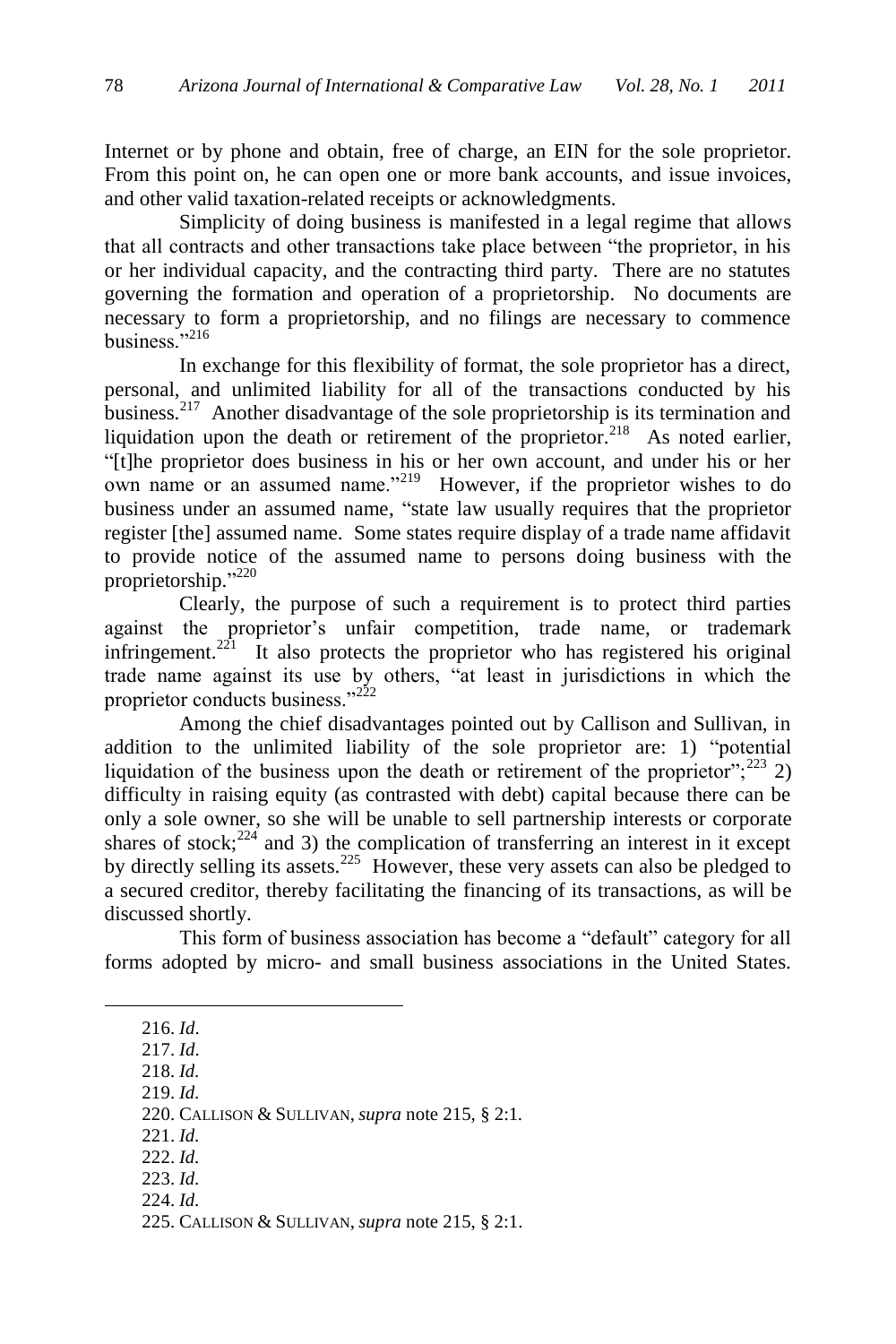Internet or by phone and obtain, free of charge, an EIN for the sole proprietor. From this point on, he can open one or more bank accounts, and issue invoices, and other valid taxation-related receipts or acknowledgments.

Simplicity of doing business is manifested in a legal regime that allows that all contracts and other transactions take place between "the proprietor, in his or her individual capacity, and the contracting third party. There are no statutes governing the formation and operation of a proprietorship. No documents are necessary to form a proprietorship, and no filings are necessary to commence business. $216$ 

In exchange for this flexibility of format, the sole proprietor has a direct, personal, and unlimited liability for all of the transactions conducted by his business.<sup>217</sup> Another disadvantage of the sole proprietorship is its termination and liquidation upon the death or retirement of the proprietor.<sup>218</sup> As noted earlier, ―[t]he proprietor does business in his or her own account, and under his or her own name or an assumed name. $^{219}$  However, if the proprietor wishes to do business under an assumed name, "state law usually requires that the proprietor register [the] assumed name. Some states require display of a trade name affidavit to provide notice of the assumed name to persons doing business with the proprietorship."220

Clearly, the purpose of such a requirement is to protect third parties against the proprietor's unfair competition, trade name, or trademark infringement.<sup>221</sup> It also protects the proprietor who has registered his original trade name against its use by others, "at least in jurisdictions in which the proprietor conducts business."<sup>222</sup>

Among the chief disadvantages pointed out by Callison and Sullivan, in addition to the unlimited liability of the sole proprietor are: 1) "potential liquidation of the business upon the death or retirement of the proprietor";<sup>223</sup> 2) difficulty in raising equity (as contrasted with debt) capital because there can be only a sole owner, so she will be unable to sell partnership interests or corporate shares of stock; $^{224}$  and 3) the complication of transferring an interest in it except by directly selling its assets.<sup>225</sup> However, these very assets can also be pledged to a secured creditor, thereby facilitating the financing of its transactions, as will be discussed shortly.

This form of business association has become a "default" category for all forms adopted by micro- and small business associations in the United States.

216. *Id*.

 $\overline{a}$ 

217. *Id*.

218. *Id.*

219. *Id.*

220. CALLISON & SULLIVAN, *supra* note 215, § 2:1*.*

221. *Id.*

222. *Id.*

223. *Id.*

224. *Id.*

<sup>225.</sup> CALLISON & SULLIVAN, *supra* note 215, § 2:1.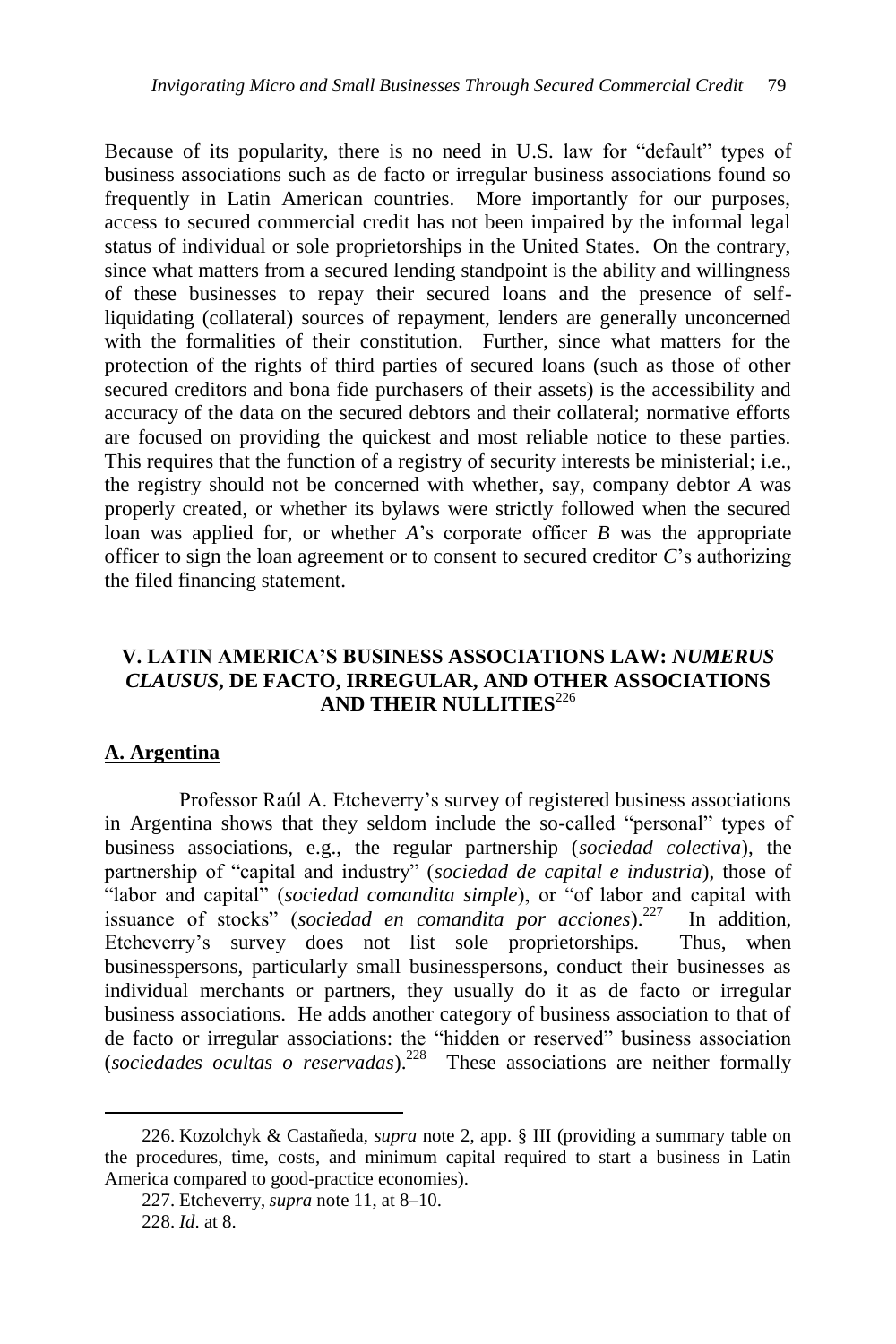Because of its popularity, there is no need in U.S. law for "default" types of business associations such as de facto or irregular business associations found so frequently in Latin American countries. More importantly for our purposes, access to secured commercial credit has not been impaired by the informal legal status of individual or sole proprietorships in the United States. On the contrary, since what matters from a secured lending standpoint is the ability and willingness of these businesses to repay their secured loans and the presence of selfliquidating (collateral) sources of repayment, lenders are generally unconcerned with the formalities of their constitution. Further, since what matters for the protection of the rights of third parties of secured loans (such as those of other secured creditors and bona fide purchasers of their assets) is the accessibility and accuracy of the data on the secured debtors and their collateral; normative efforts are focused on providing the quickest and most reliable notice to these parties. This requires that the function of a registry of security interests be ministerial; i.e., the registry should not be concerned with whether, say, company debtor *A* was properly created, or whether its bylaws were strictly followed when the secured loan was applied for, or whether *A*'s corporate officer *B* was the appropriate officer to sign the loan agreement or to consent to secured creditor *C*'s authorizing the filed financing statement.

# **V. LATIN AMERICA'S BUSINESS ASSOCIATIONS LAW:** *NUMERUS CLAUSUS***, DE FACTO, IRREGULAR, AND OTHER ASSOCIATIONS AND THEIR NULLITIES**<sup>226</sup>

## **A. Argentina**

 $\overline{a}$ 

Professor Raúl A. Etcheverry's survey of registered business associations in Argentina shows that they seldom include the so-called "personal" types of business associations, e.g., the regular partnership (*sociedad colectiva*), the partnership of "capital and industry" (*sociedad de capital e industria*), those of "labor and capital" (*sociedad comandita simple*), or "of labor and capital with issuance of stocks" (*sociedad en comandita por acciones*).<sup>227</sup> In addition, Etcheverry's survey does not list sole proprietorships. Thus, when businesspersons, particularly small businesspersons, conduct their businesses as individual merchants or partners, they usually do it as de facto or irregular business associations. He adds another category of business association to that of de facto or irregular associations: the "hidden or reserved" business association (*sociedades ocultas o reservadas*).<sup>228</sup> These associations are neither formally

<sup>226.</sup> Kozolchyk & Castañeda, *supra* note 2, app. § III (providing a summary table on the procedures, time, costs, and minimum capital required to start a business in Latin America compared to good-practice economies).

<sup>227.</sup> Etcheverry, *supra* note 11, at 8–10. 228. *Id*. at 8.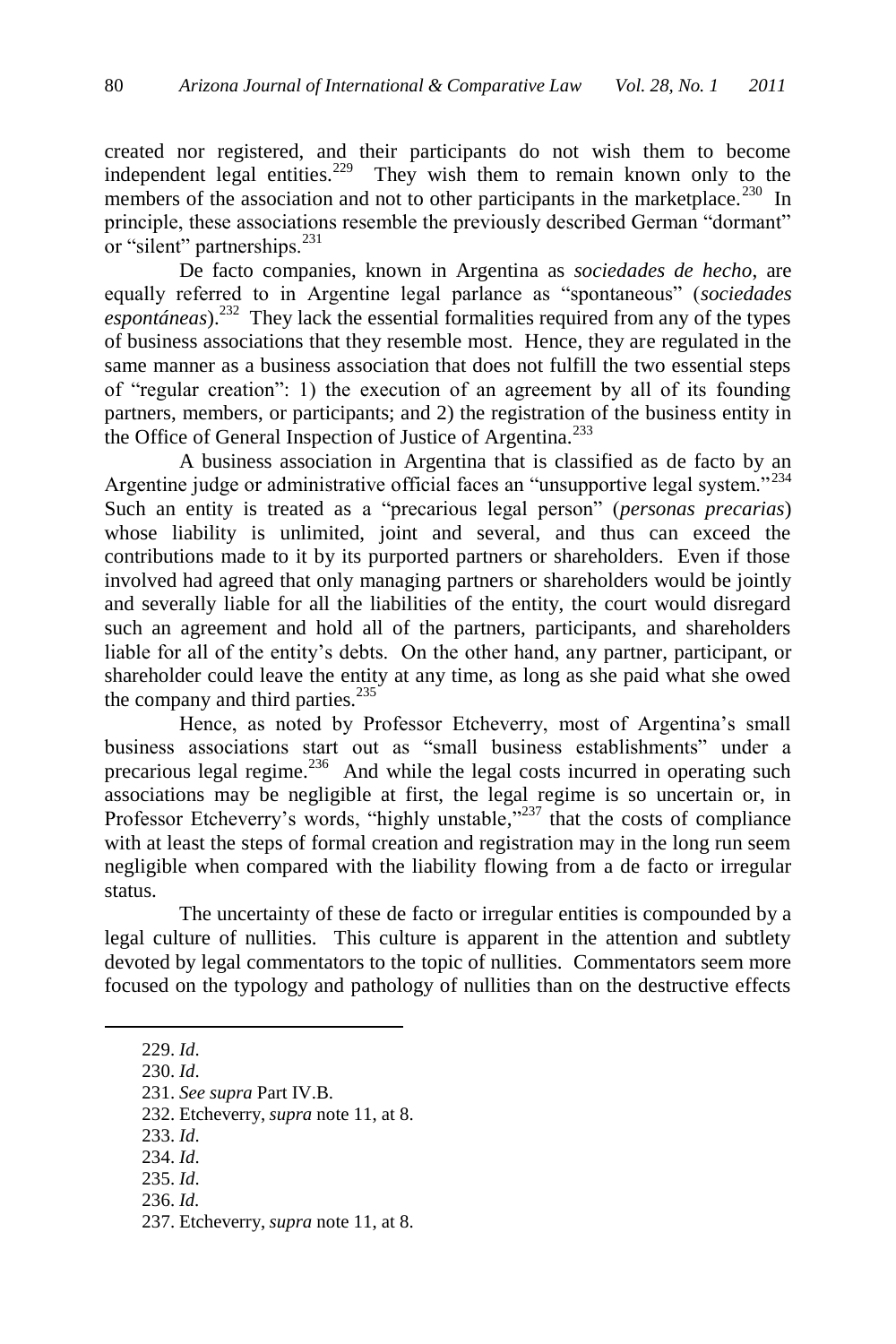created nor registered, and their participants do not wish them to become independent legal entities.<sup>229</sup> They wish them to remain known only to the members of the association and not to other participants in the marketplace.<sup>230</sup> In principle, these associations resemble the previously described German "dormant" or "silent" partnerships.<sup>231</sup>

De facto companies, known in Argentina as *sociedades de hecho*, are equally referred to in Argentine legal parlance as "spontaneous" (*sociedades* espontáneas).<sup>232</sup> They lack the essential formalities required from any of the types of business associations that they resemble most. Hence, they are regulated in the same manner as a business association that does not fulfill the two essential steps of "regular creation": 1) the execution of an agreement by all of its founding partners, members, or participants; and 2) the registration of the business entity in the Office of General Inspection of Justice of Argentina.<sup>233</sup>

A business association in Argentina that is classified as de facto by an Argentine judge or administrative official faces an "unsupportive legal system."<sup>234</sup> Such an entity is treated as a "precarious legal person" (*personas precarias*) whose liability is unlimited, joint and several, and thus can exceed the contributions made to it by its purported partners or shareholders. Even if those involved had agreed that only managing partners or shareholders would be jointly and severally liable for all the liabilities of the entity, the court would disregard such an agreement and hold all of the partners, participants, and shareholders liable for all of the entity's debts. On the other hand, any partner, participant, or shareholder could leave the entity at any time, as long as she paid what she owed the company and third parties. $^{235}$ 

Hence, as noted by Professor Etcheverry, most of Argentina's small business associations start out as "small business establishments" under a precarious legal regime. $236$  And while the legal costs incurred in operating such associations may be negligible at first, the legal regime is so uncertain or, in Professor Etcheverry's words, "highly unstable," $237$  that the costs of compliance with at least the steps of formal creation and registration may in the long run seem negligible when compared with the liability flowing from a de facto or irregular status.

The uncertainty of these de facto or irregular entities is compounded by a legal culture of nullities. This culture is apparent in the attention and subtlety devoted by legal commentators to the topic of nullities. Commentators seem more focused on the typology and pathology of nullities than on the destructive effects

229. *Id*.

 $\overline{a}$ 

230. *Id*.

231. *See supra* Part IV.B.

232. Etcheverry, *supra* note 11, at 8.

- 233. *Id*.
- 234. *Id*.
- 235. *Id*. 236. *Id.*
- 

<sup>237.</sup> Etcheverry, *supra* note 11, at 8.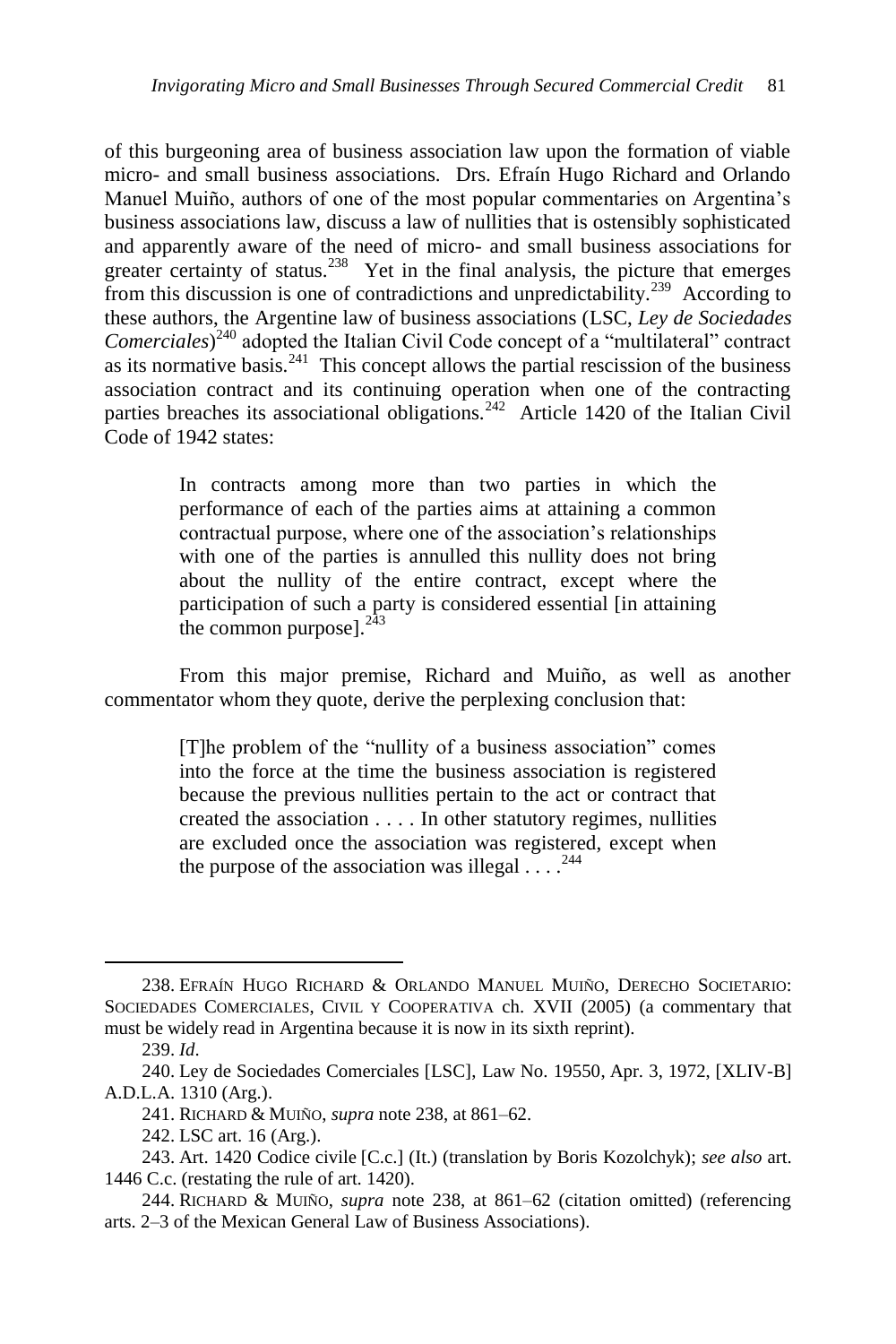<span id="page-38-0"></span>of this burgeoning area of business association law upon the formation of viable micro- and small business associations. Drs. Efraín Hugo Richard and Orlando Manuel Muiño, authors of one of the most popular commentaries on Argentina's business associations law, discuss a law of nullities that is ostensibly sophisticated and apparently aware of the need of micro- and small business associations for greater certainty of status.<sup>238</sup> Yet in the final analysis, the picture that emerges from this discussion is one of contradictions and unpredictability.<sup>239</sup> According to these authors, the Argentine law of business associations (LSC, *Ley de Sociedades Comerciales*)<sup>240</sup> adopted the Italian Civil Code concept of a "multilateral" contract as its normative basis. $241$  This concept allows the partial rescission of the business association contract and its continuing operation when one of the contracting parties breaches its associational obligations.<sup>242</sup> Article 1420 of the Italian Civil Code of 1942 states:

> In contracts among more than two parties in which the performance of each of the parties aims at attaining a common contractual purpose, where one of the association's relationships with one of the parties is annulled this nullity does not bring about the nullity of the entire contract, except where the participation of such a party is considered essential [in attaining the common purpose]. $2\overline{43}$

From this major premise, Richard and Muiño, as well as another commentator whom they quote, derive the perplexing conclusion that:

> [T]he problem of the "nullity of a business association" comes into the force at the time the business association is registered because the previous nullities pertain to the act or contract that created the association . . . . In other statutory regimes, nullities are excluded once the association was registered, except when the purpose of the association was illegal  $\dots$ .<sup>244</sup>

<sup>238.</sup> EFRAÍN HUGO RICHARD & ORLANDO MANUEL MUIÑO, DERECHO SOCIETARIO: SOCIEDADES COMERCIALES, CIVIL Y COOPERATIVA ch. XVII (2005) (a commentary that must be widely read in Argentina because it is now in its sixth reprint).

<sup>239.</sup> *Id*.

<sup>240.</sup> Ley de Sociedades Comerciales [LSC], Law No. 19550, Apr. 3, 1972, [XLIV-B] A.D.L.A. 1310 (Arg.).

<sup>241.</sup> RICHARD & MUIÑO, *supra* not[e 238,](#page-38-0) at 861–62.

<sup>242.</sup> LSC art. 16 (Arg.).

<sup>243.</sup> Art. 1420 Codice civile [C.c.] (It.) (translation by Boris Kozolchyk); *see also* art. 1446 C.c. (restating the rule of art. 1420).

<sup>244.</sup> RICHARD & MUIÑO, *supra* note [238,](#page-38-0) at 861–62 (citation omitted) (referencing arts. 2–3 of the Mexican General Law of Business Associations).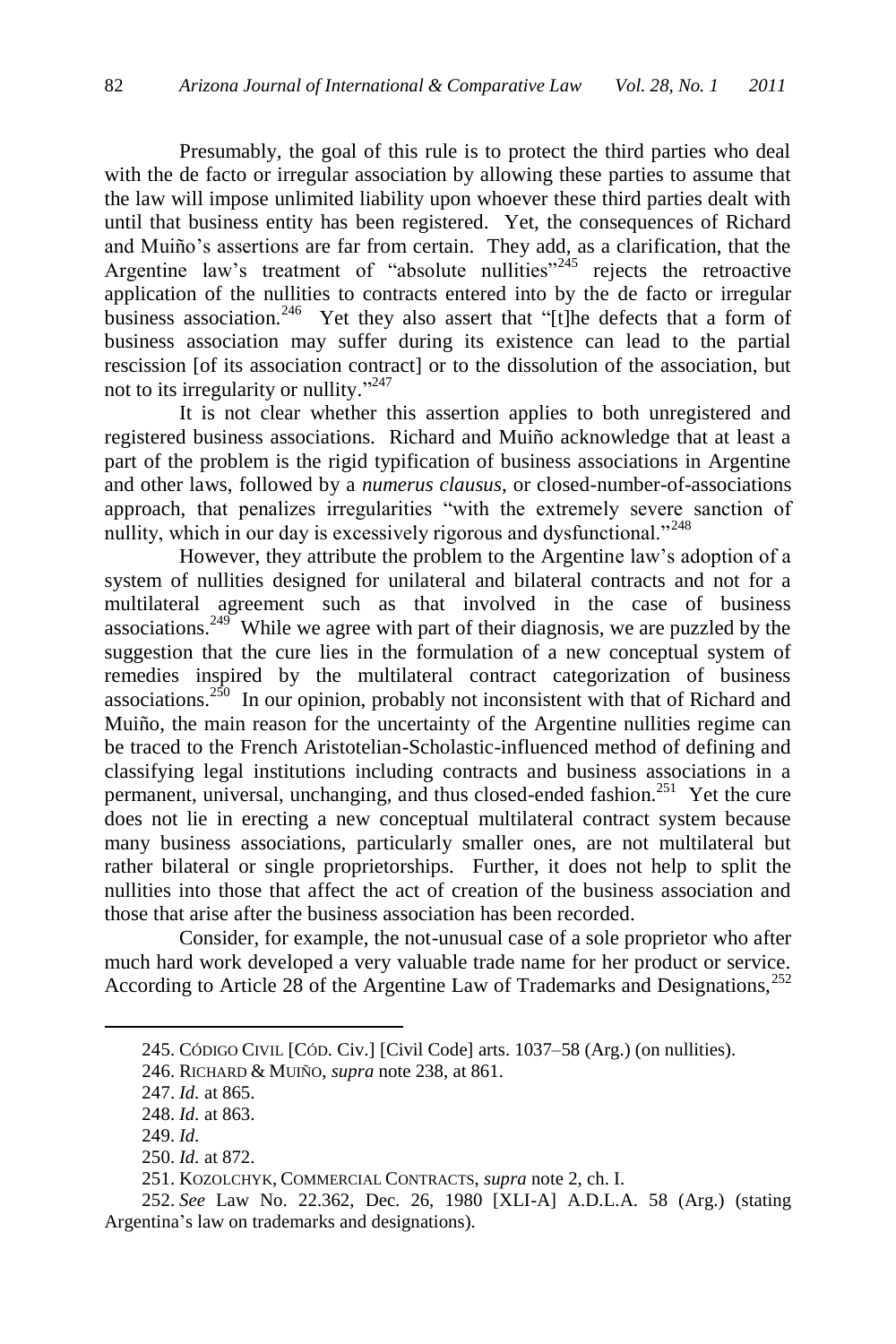Presumably, the goal of this rule is to protect the third parties who deal with the de facto or irregular association by allowing these parties to assume that the law will impose unlimited liability upon whoever these third parties dealt with until that business entity has been registered. Yet, the consequences of Richard and Muiño's assertions are far from certain. They add, as a clarification, that the Argentine law's treatment of "absolute nullities"<sup>245</sup> rejects the retroactive application of the nullities to contracts entered into by the de facto or irregular business association.<sup>246</sup> Yet they also assert that "[t]he defects that a form of business association may suffer during its existence can lead to the partial rescission [of its association contract] or to the dissolution of the association, but not to its irregularity or nullity."<sup>247</sup>

It is not clear whether this assertion applies to both unregistered and registered business associations. Richard and Muiño acknowledge that at least a part of the problem is the rigid typification of business associations in Argentine and other laws, followed by a *numerus clausus*, or closed-number-of-associations approach, that penalizes irregularities "with the extremely severe sanction of nullity, which in our day is excessively rigorous and dysfunctional."<sup>248</sup>

However, they attribute the problem to the Argentine law's adoption of a system of nullities designed for unilateral and bilateral contracts and not for a multilateral agreement such as that involved in the case of business associations.<sup>249</sup> While we agree with part of their diagnosis, we are puzzled by the suggestion that the cure lies in the formulation of a new conceptual system of remedies inspired by the multilateral contract categorization of business associations.<sup>250</sup> In our opinion, probably not inconsistent with that of Richard and Muiño, the main reason for the uncertainty of the Argentine nullities regime can be traced to the French Aristotelian-Scholastic-influenced method of defining and classifying legal institutions including contracts and business associations in a permanent, universal, unchanging, and thus closed-ended fashion.<sup>251</sup> Yet the cure does not lie in erecting a new conceptual multilateral contract system because many business associations, particularly smaller ones, are not multilateral but rather bilateral or single proprietorships. Further, it does not help to split the nullities into those that affect the act of creation of the business association and those that arise after the business association has been recorded.

Consider, for example, the not-unusual case of a sole proprietor who after much hard work developed a very valuable trade name for her product or service. According to Article 28 of the Argentine Law of Trademarks and Designations,<sup>252</sup>

<sup>245.</sup> CÓDIGO CIVIL [CÓD. Civ.] [Civil Code] arts. 1037–58 (Arg.) (on nullities).

<sup>246.</sup> RICHARD & MUIÑO, *supra* not[e 238,](#page-38-0) at 861.

<sup>247.</sup> *Id.* at 865.

<sup>248.</sup> *Id.* at 863.

<sup>249.</sup> *Id.*

<sup>250.</sup> *Id.* at 872.

<sup>251.</sup> KOZOLCHYK, COMMERCIAL CONTRACTS, *supra* note 2, ch. I.

<sup>252.</sup> *See* Law No. 22.362, Dec. 26, 1980 [XLI-A] A.D.L.A. 58 (Arg.) (stating Argentina's law on trademarks and designations).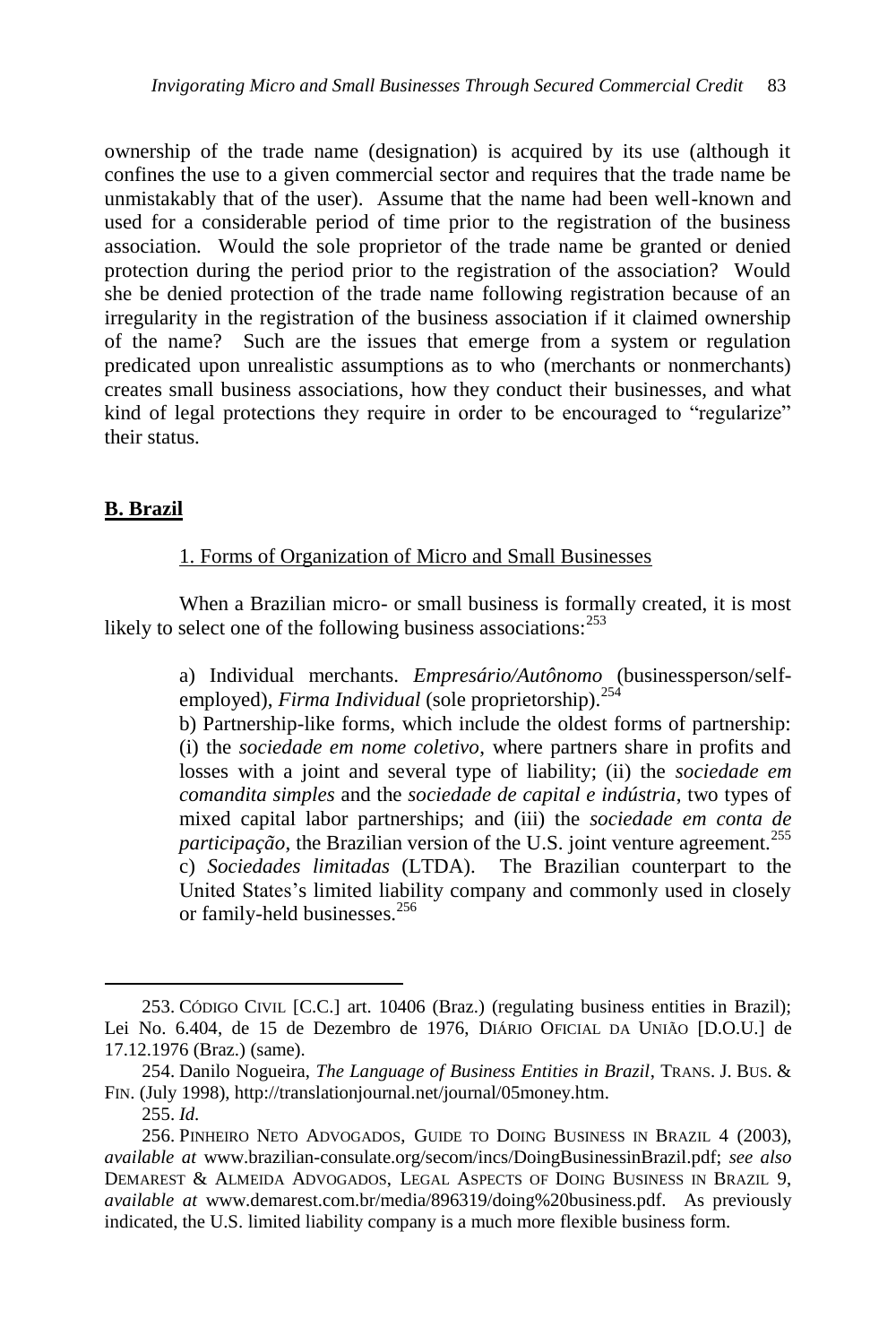ownership of the trade name (designation) is acquired by its use (although it confines the use to a given commercial sector and requires that the trade name be unmistakably that of the user). Assume that the name had been well-known and used for a considerable period of time prior to the registration of the business association. Would the sole proprietor of the trade name be granted or denied protection during the period prior to the registration of the association? Would she be denied protection of the trade name following registration because of an irregularity in the registration of the business association if it claimed ownership of the name? Such are the issues that emerge from a system or regulation predicated upon unrealistic assumptions as to who (merchants or nonmerchants) creates small business associations, how they conduct their businesses, and what kind of legal protections they require in order to be encouraged to "regularize" their status.

### **B. Brazil**

### 1. Forms of Organization of Micro and Small Businesses

When a Brazilian micro- or small business is formally created, it is most likely to select one of the following business associations:<sup>253</sup>

> a) Individual merchants. *Empresário/Autônomo* (businessperson/selfemployed), *Firma Individual* (sole proprietorship).<sup>254</sup>

> <span id="page-40-0"></span>b) Partnership-like forms, which include the oldest forms of partnership: (i) the *sociedade em nome coletivo*, where partners share in profits and losses with a joint and several type of liability; (ii) the *sociedade em comandita simples* and the *sociedade de capital e indústria*, two types of mixed capital labor partnerships; and (iii) the *sociedade em conta de participação*, the Brazilian version of the U.S. joint venture agreement.<sup>255</sup> c) *Sociedades limitadas* (LTDA). The Brazilian counterpart to the United States's limited liability company and commonly used in closely or family-held businesses.<sup>256</sup>

<sup>253.</sup> CÓDIGO CIVIL [C.C.] art. 10406 (Braz.) (regulating business entities in Brazil); Lei No. 6.404, de 15 de Dezembro de 1976, DIÁRIO OFICIAL DA UNIÃO [D.O.U.] de 17.12.1976 (Braz.) (same).

<sup>254.</sup> Danilo Nogueira, *The Language of Business Entities in Brazil*, TRANS. J. BUS. & FIN. (July 1998), http://translationjournal.net/journal/05money.htm.

<sup>255.</sup> *Id.* 

<sup>256.</sup> PINHEIRO NETO ADVOGADOS, GUIDE TO DOING BUSINESS IN BRAZIL 4 (2003), *available at* www.brazilian-consulate.org/secom/incs/DoingBusinessinBrazil.pdf; *see also*  DEMAREST & ALMEIDA ADVOGADOS, LEGAL ASPECTS OF DOING BUSINESS IN BRAZIL 9, *available at* www.demarest.com.br/media/896319/doing%20business.pdf*.* As previously indicated, the U.S. limited liability company is a much more flexible business form.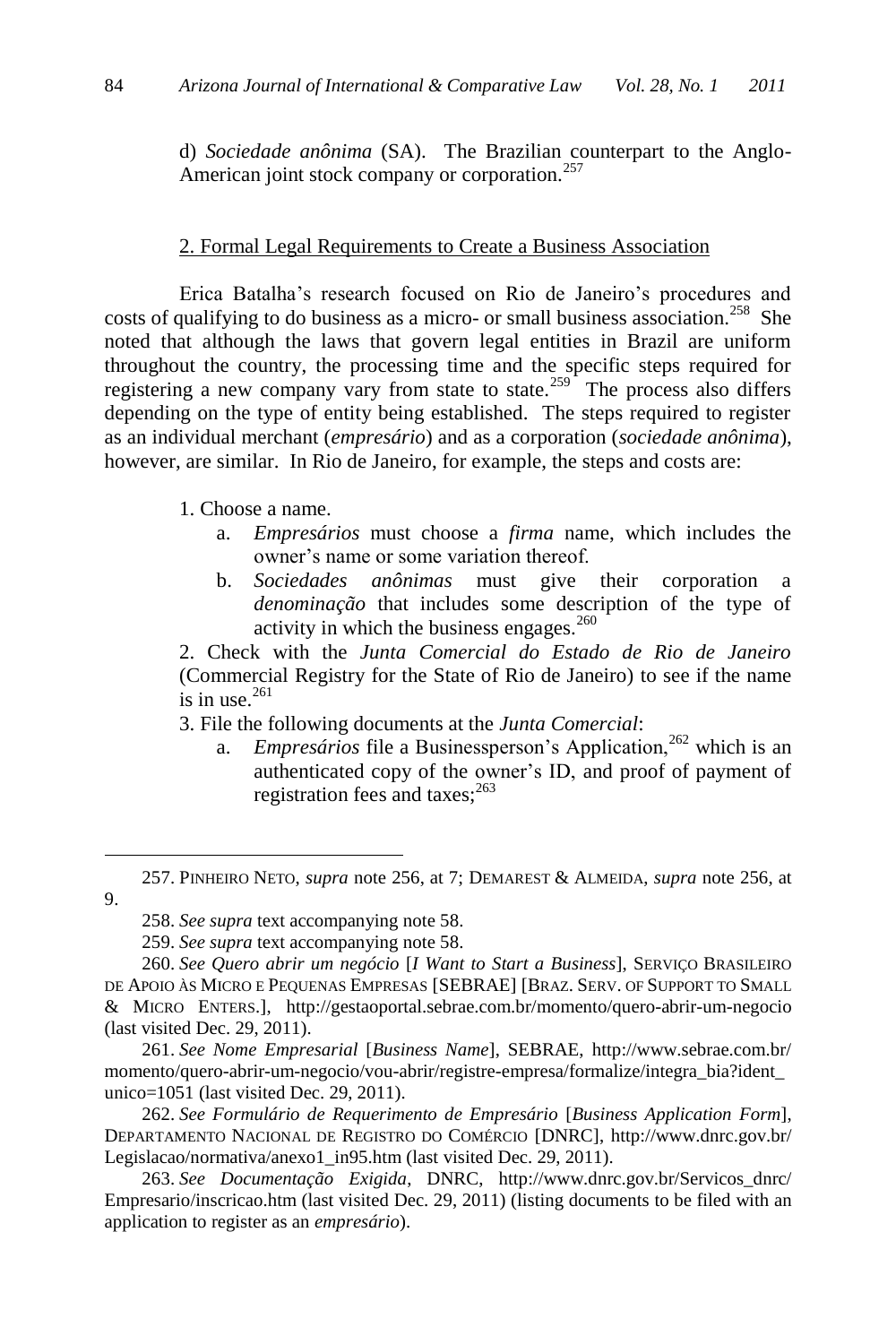d) *Sociedade anônima* (SA). The Brazilian counterpart to the Anglo-American joint stock company or corporation.<sup>257</sup>

# 2. Formal Legal Requirements to Create a Business Association

Erica Batalha's research focused on Rio de Janeiro's procedures and costs of qualifying to do business as a micro- or small business association.<sup>258</sup> She noted that although the laws that govern legal entities in Brazil are uniform throughout the country, the processing time and the specific steps required for registering a new company vary from state to state.<sup>259</sup> The process also differs depending on the type of entity being established. The steps required to register as an individual merchant (*empresário*) and as a corporation (*sociedade anônima*), however, are similar. In Rio de Janeiro, for example, the steps and costs are:

1. Choose a name.

- a. *Empresários* must choose a *firma* name, which includes the owner's name or some variation thereof.
- b. *Sociedades anônimas* must give their corporation a *denominação* that includes some description of the type of activity in which the business engages. $260$

2. Check with the *Junta Comercial do Estado de Rio de Janeiro* (Commercial Registry for the State of Rio de Janeiro) to see if the name is in use. $261$ 

3. File the following documents at the *Junta Comercial*:

a. *Empresários* file a Businessperson's Application,<sup>262</sup> which is an authenticated copy of the owner's ID, and proof of payment of registration fees and taxes: $^{263}$ 

 $\overline{a}$ 

261. *See Nome Empresarial* [*Business Name*], SEBRAE, http://www.sebrae.com.br/ momento/quero-abrir-um-negocio/vou-abrir/registre-empresa/formalize/integra\_bia?ident\_ unico=1051 (last visited Dec. 29, 2011).

262. *See Formulário de Requerimento de Empresário* [*Business Application Form*], DEPARTAMENTO NACIONAL DE REGISTRO DO COMÉRCIO [DNRC], http://www.dnrc.gov.br/ Legislacao/normativa/anexo1\_in95.htm (last visited Dec. 29, 2011).

263. *See Documentação Exigida*, DNRC, http://www.dnrc.gov.br/Servicos\_dnrc/ Empresario/inscricao.htm (last visited Dec. 29, 2011) (listing documents to be filed with an application to register as an *empresário*).

<sup>257.</sup> PINHEIRO NETO, *supra* note [256,](#page-40-0) at 7; DEMAREST & ALMEIDA, *supra* not[e 256,](#page-40-0) at 9.

<sup>258.</sup> *See supra* text accompanying note 58.

<sup>259.</sup> *See supra* text accompanying note 58.

<sup>260.</sup> *See Quero abrir um negócio* [*I Want to Start a Business*], SERVIÇO BRASILEIRO DE APOIO ÀS MICRO E PEQUENAS EMPRESAS [SEBRAE] [BRAZ. SERV. OF SUPPORT TO SMALL & MICRO ENTERS.], http://gestaoportal.sebrae.com.br/momento/quero-abrir-um-negocio (last visited Dec. 29, 2011).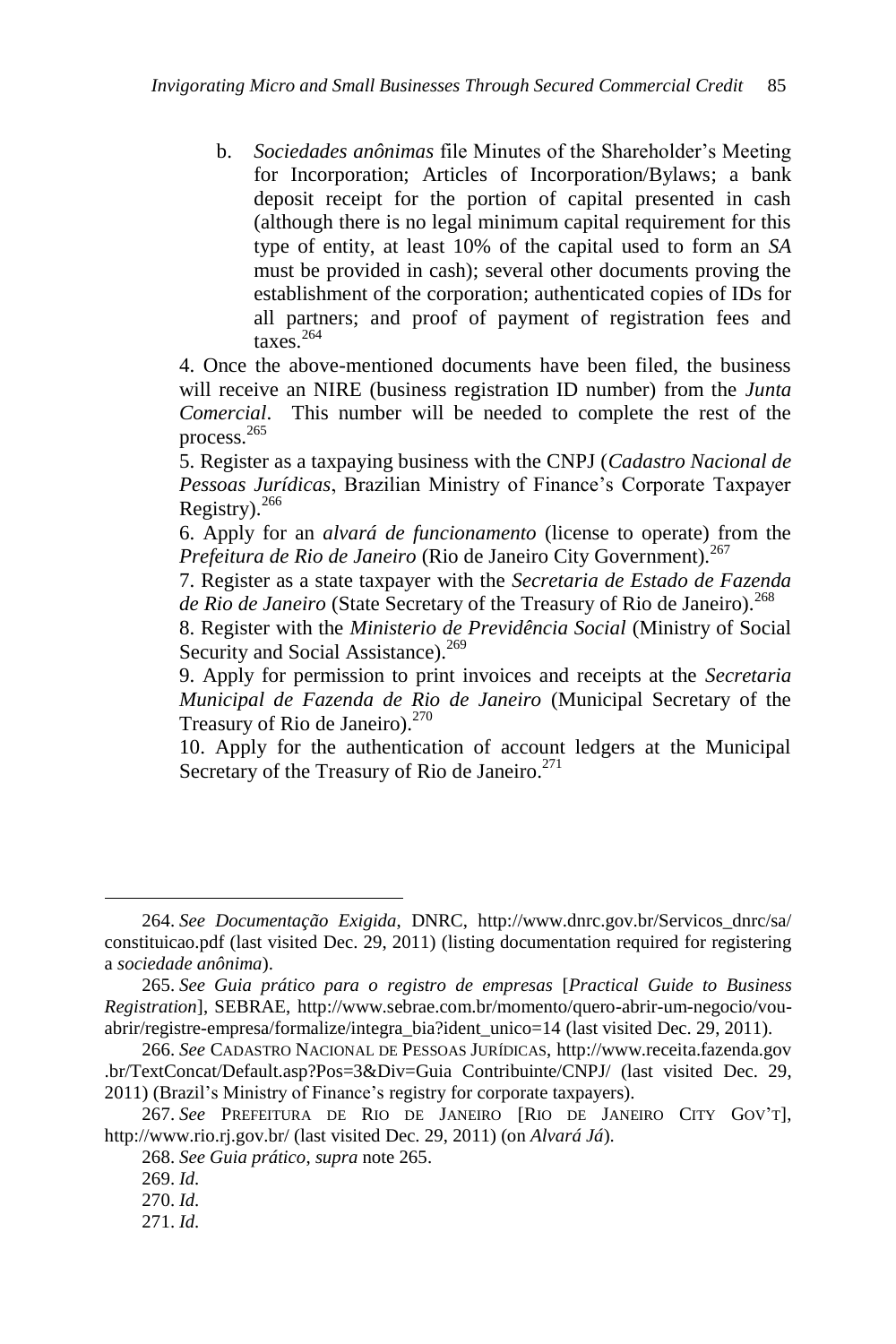b. *Sociedades anônimas* file Minutes of the Shareholder's Meeting for Incorporation; Articles of Incorporation/Bylaws; a bank deposit receipt for the portion of capital presented in cash (although there is no legal minimum capital requirement for this type of entity, at least 10% of the capital used to form an *SA* must be provided in cash); several other documents proving the establishment of the corporation; authenticated copies of IDs for all partners; and proof of payment of registration fees and taxes. 264

4. Once the above-mentioned documents have been filed, the business will receive an NIRE (business registration ID number) from the *Junta Comercial*. This number will be needed to complete the rest of the process.<sup>265</sup>

<span id="page-42-0"></span>5. Register as a taxpaying business with the CNPJ (*Cadastro Nacional de Pessoas Jurídicas*, Brazilian Ministry of Finance's Corporate Taxpayer Registry).<sup>266</sup>

<span id="page-42-1"></span>6. Apply for an *alvará de funcionamento* (license to operate) from the *Prefeitura de Rio de Janeiro* (Rio de Janeiro City Government).<sup>267</sup>

7. Register as a state taxpayer with the *Secretaria de Estado de Fazenda*  de Rio de Janeiro (State Secretary of the Treasury of Rio de Janeiro).<sup>268</sup>

8. Register with the *Ministerio de Previdência Social* (Ministry of Social Security and Social Assistance).<sup>269</sup>

9. Apply for permission to print invoices and receipts at the *Secretaria Municipal de Fazenda de Rio de Janeiro* (Municipal Secretary of the Treasury of Rio de Janeiro).<sup>270</sup>

10. Apply for the authentication of account ledgers at the Municipal Secretary of the Treasury of Rio de Janeiro.<sup>271</sup>

<sup>264.</sup> *See Documentação Exigida*, DNRC, [http://www.dnrc.gov.br/Servicos\\_dnrc/sa/](http://www.dnrc.gov.br/Servicos_dnrc/sa/) constituicao.pdf (last visited Dec. 29, 2011) (listing documentation required for registering a *sociedade anônima*).

<sup>265.</sup> *See Guia prático para o registro de empresas* [*Practical Guide to Business Registration*], SEBRAE, http://www.sebrae.com.br/momento/quero-abrir-um-negocio/vouabrir/registre-empresa/formalize/integra\_bia?ident\_unico=14 (last visited Dec. 29, 2011).

<sup>266.</sup> *See* CADASTRO NACIONAL DE PESSOAS JURÍDICAS, http://www.receita.fazenda.gov .br/TextConcat/Default.asp?Pos=3&Div=Guia Contribuinte/CNPJ/ (last visited Dec. 29, 2011) (Brazil's Ministry of Finance's registry for corporate taxpayers).

<sup>267.</sup> *See* PREFEITURA DE RIO DE JANEIRO [RIO DE JANEIRO CITY GOV'T], http://www.rio.rj.gov.br/ (last visited Dec. 29, 2011) (on *Alvará Já*).

<sup>268.</sup> *See Guia prático*, *supra* not[e 265.](#page-42-0)

<sup>269.</sup> *Id.*

<sup>270.</sup> *Id.*

<sup>271.</sup> *Id.*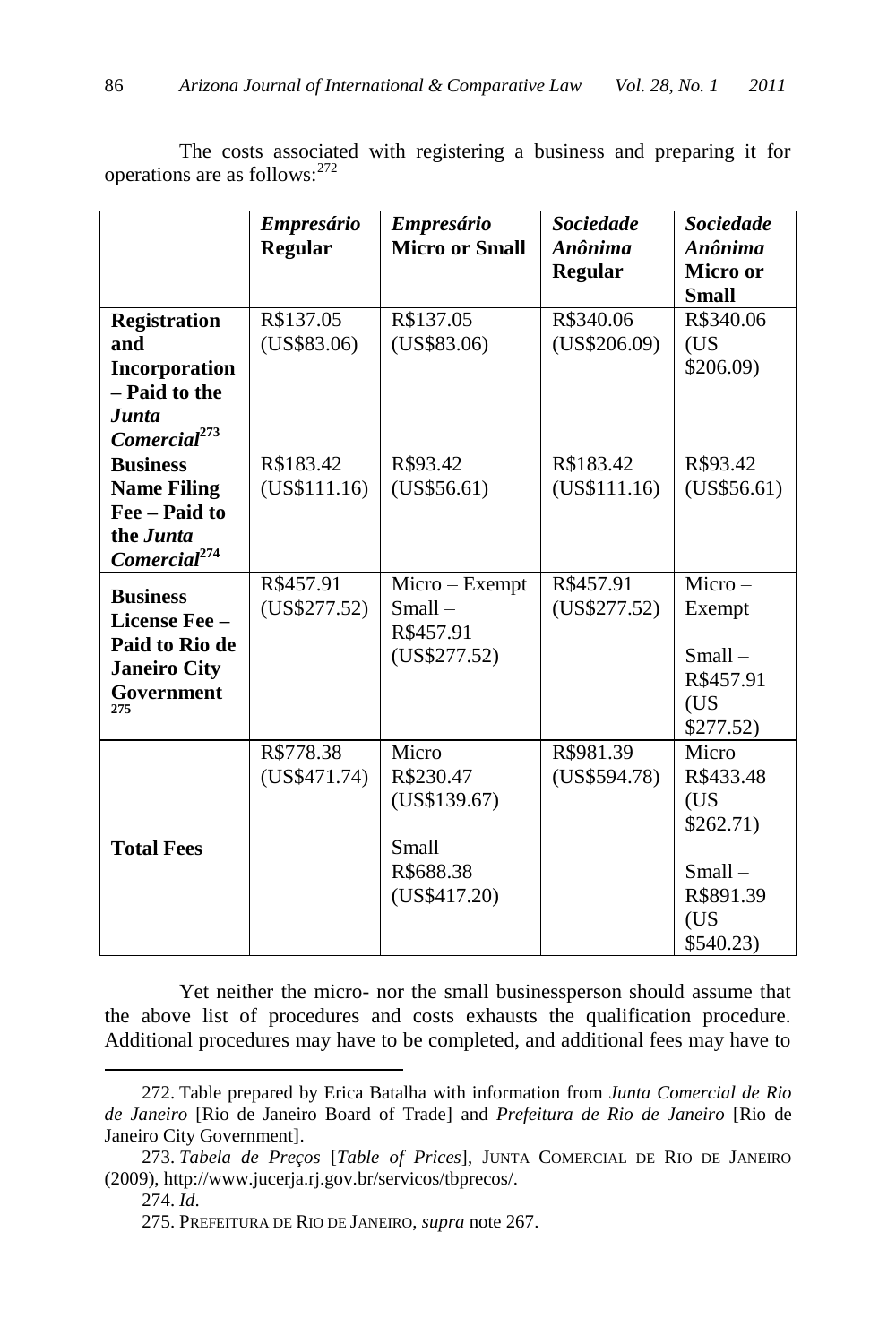<span id="page-43-0"></span>

|                          | <b>Empresário</b> | <b>Empresário</b>     | <b>Sociedade</b> | <b>Sociedade</b> |
|--------------------------|-------------------|-----------------------|------------------|------------------|
|                          | <b>Regular</b>    | <b>Micro or Small</b> | Anônima          | Anônima          |
|                          |                   |                       | <b>Regular</b>   | Micro or         |
|                          |                   |                       |                  | <b>Small</b>     |
| <b>Registration</b>      | R\$137.05         | R\$137.05             | R\$340.06        | R\$340.06        |
| and                      | (US\$83.06)       | (US\$83.06)           | (US\$206.09)     | (US              |
| Incorporation            |                   |                       |                  | \$206.09         |
| - Paid to the            |                   |                       |                  |                  |
| Junta                    |                   |                       |                  |                  |
| Comercial <sup>273</sup> |                   |                       |                  |                  |
| <b>Business</b>          | R\$183.42         | R\$93.42              | R\$183.42        | R\$93.42         |
| <b>Name Filing</b>       | (US\$111.16)      | (US\$56.61)           | (US\$111.16)     | (US\$56.61)      |
| Fee - Paid to            |                   |                       |                  |                  |
| the <i>Junta</i>         |                   |                       |                  |                  |
| Comercial <sup>274</sup> |                   |                       |                  |                  |
| <b>Business</b>          | R\$457.91         | Micro - Exempt        | R\$457.91        | $Micro-$         |
| License Fee -            | (US\$277.52)      | $Small-$              | (US\$277.52)     | Exempt           |
| Paid to Rio de           |                   | R\$457.91             |                  |                  |
| <b>Janeiro City</b>      |                   | (US\$277.52)          |                  | $Small-$         |
| Government               |                   |                       |                  | R\$457.91        |
| 275                      |                   |                       |                  | (US)             |
|                          |                   |                       |                  | \$277.52)        |
|                          | R\$778.38         | $Micro-$              | R\$981.39        | $Micro-$         |
|                          | (US\$471.74)      | R\$230.47             | (US\$594.78)     | R\$433.48        |
|                          |                   | (US\$139.67)          |                  | (US              |
|                          |                   |                       |                  | \$262.71)        |
| <b>Total Fees</b>        |                   | $Small-$              |                  |                  |
|                          |                   | R\$688.38             |                  | $Small-$         |
|                          |                   | (US\$417.20)          |                  | R\$891.39        |
|                          |                   |                       |                  | (US              |
|                          |                   |                       |                  | \$540.23         |

The costs associated with registering a business and preparing it for operations are as follows:<sup>272</sup>

Yet neither the micro- nor the small businessperson should assume that the above list of procedures and costs exhausts the qualification procedure. Additional procedures may have to be completed, and additional fees may have to

<sup>272.</sup> Table prepared by Erica Batalha with information from *Junta Comercial de Rio de Janeiro* [Rio de Janeiro Board of Trade] and *Prefeitura de Rio de Janeiro* [Rio de Janeiro City Government].

<sup>273.</sup> *Tabela de Preços* [*Table of Prices*], JUNTA COMERCIAL DE RIO DE JANEIRO (2009), http://www.jucerja.rj.gov.br/servicos/tbprecos/.

<sup>274.</sup> *Id*.

<sup>275.</sup> PREFEITURA DE RIO DE JANEIRO, *supra* note [267.](#page-42-1)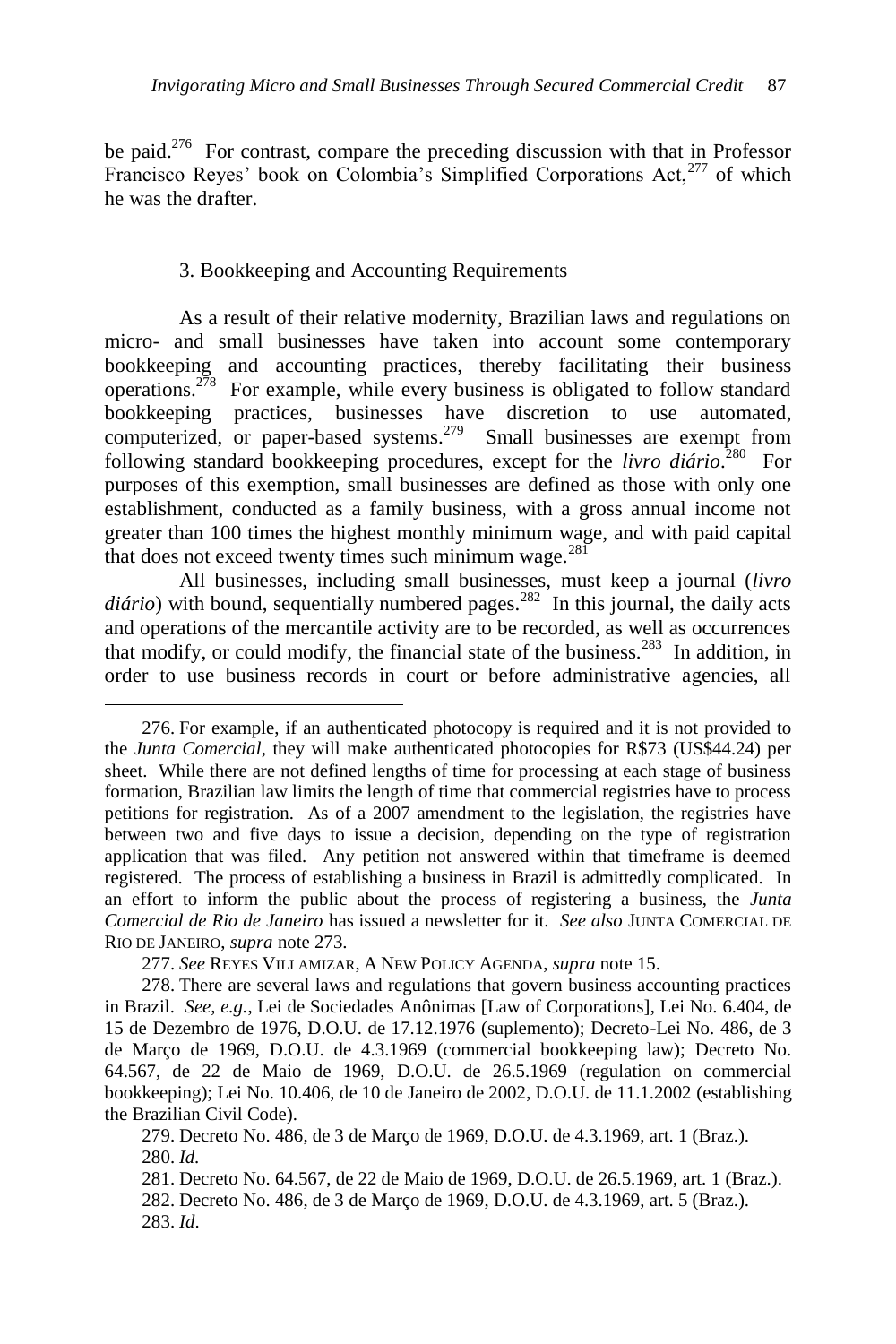be paid. $276$  For contrast, compare the preceding discussion with that in Professor Francisco Reyes' book on Colombia's Simplified Corporations Act,<sup>277</sup> of which he was the drafter.

### 3. Bookkeeping and Accounting Requirements

As a result of their relative modernity, Brazilian laws and regulations on micro- and small businesses have taken into account some contemporary bookkeeping and accounting practices, thereby facilitating their business operations.<sup>278</sup> For example, while every business is obligated to follow standard bookkeeping practices, businesses have discretion to use automated, computerized, or paper-based systems.<sup>279</sup> Small businesses are exempt from following standard bookkeeping procedures, except for the *livro diário*. 280 For purposes of this exemption, small businesses are defined as those with only one establishment, conducted as a family business, with a gross annual income not greater than 100 times the highest monthly minimum wage, and with paid capital that does not exceed twenty times such minimum wage.<sup>281</sup>

All businesses, including small businesses, must keep a journal (*livro*  diário) with bound, sequentially numbered pages.<sup>282</sup> In this journal, the daily acts and operations of the mercantile activity are to be recorded, as well as occurrences that modify, or could modify, the financial state of the business.<sup>283</sup> In addition, in order to use business records in court or before administrative agencies, all

<sup>276.</sup> For example, if an authenticated photocopy is required and it is not provided to the *Junta Comercial*, they will make authenticated photocopies for R\$73 (US\$44.24) per sheet. While there are not defined lengths of time for processing at each stage of business formation, Brazilian law limits the length of time that commercial registries have to process petitions for registration. As of a 2007 amendment to the legislation, the registries have between two and five days to issue a decision, depending on the type of registration application that was filed. Any petition not answered within that timeframe is deemed registered. The process of establishing a business in Brazil is admittedly complicated. In an effort to inform the public about the process of registering a business, the *Junta Comercial de Rio de Janeiro* has issued a newsletter for it. *See also* JUNTA COMERCIAL DE RIO DE JANEIRO, *supra* not[e 273.](#page-43-0)

<sup>277.</sup> *See* REYES VILLAMIZAR, A NEW POLICY AGENDA, *supra* note 15.

<sup>278.</sup> There are several laws and regulations that govern business accounting practices in Brazil. *See, e.g.*, Lei de Sociedades Anônimas [Law of Corporations], Lei No. 6.404, de 15 de Dezembro de 1976, D.O.U. de 17.12.1976 (suplemento); Decreto-Lei No. 486, de 3 de Março de 1969, D.O.U. de 4.3.1969 (commercial bookkeeping law); Decreto No. 64.567, de 22 de Maio de 1969, D.O.U. de 26.5.1969 (regulation on commercial bookkeeping); Lei No. 10.406, de 10 de Janeiro de 2002, D.O.U. de 11.1.2002 (establishing the Brazilian Civil Code).

<sup>279.</sup> Decreto No. 486, de 3 de Março de 1969, D.O.U. de 4.3.1969, art. 1 (Braz.). 280. *Id.*

<sup>281.</sup> Decreto No. 64.567, de 22 de Maio de 1969, D.O.U. de 26.5.1969, art. 1 (Braz.).

<sup>282.</sup> Decreto No. 486, de 3 de Março de 1969, D.O.U. de 4.3.1969, art. 5 (Braz.).

<sup>283.</sup> *Id*.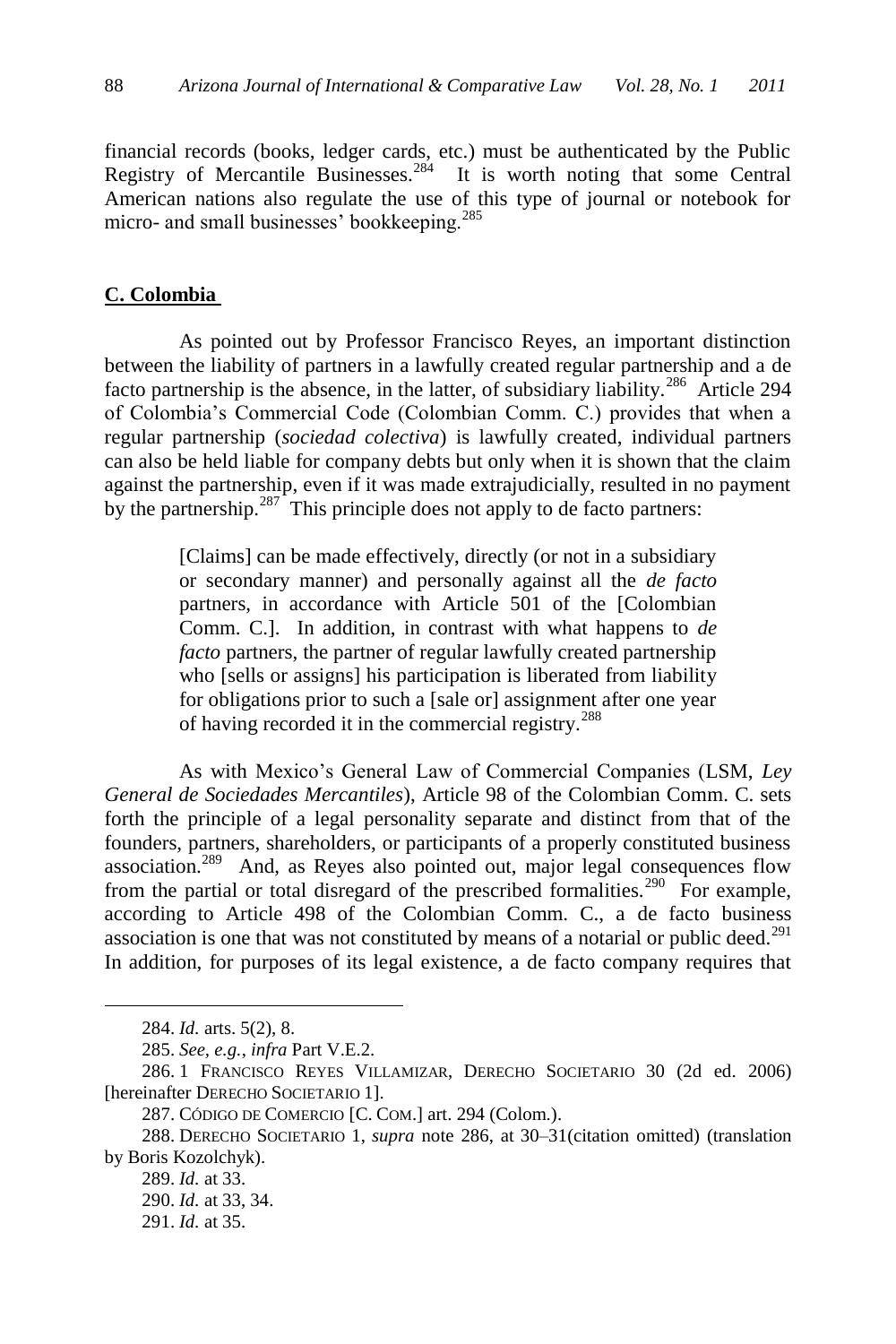financial records (books, ledger cards, etc.) must be authenticated by the Public Registry of Mercantile Businesses.<sup>284</sup> It is worth noting that some Central American nations also regulate the use of this type of journal or notebook for micro- and small businesses' bookkeeping.<sup>285</sup>

#### **C. Colombia**

As pointed out by Professor Francisco Reyes, an important distinction between the liability of partners in a lawfully created regular partnership and a de facto partnership is the absence, in the latter, of subsidiary liability.<sup>286</sup> Article 294 of Colombia's Commercial Code (Colombian Comm. C.) provides that when a regular partnership (*sociedad colectiva*) is lawfully created, individual partners can also be held liable for company debts but only when it is shown that the claim against the partnership, even if it was made extrajudicially, resulted in no payment by the partnership. $287$  This principle does not apply to de facto partners:

> <span id="page-45-0"></span>[Claims] can be made effectively, directly (or not in a subsidiary or secondary manner) and personally against all the *de facto* partners, in accordance with Article 501 of the [Colombian Comm. C.]. In addition, in contrast with what happens to *de facto* partners, the partner of regular lawfully created partnership who [sells or assigns] his participation is liberated from liability for obligations prior to such a [sale or] assignment after one year of having recorded it in the commercial registry.<sup>288</sup>

As with Mexico's General Law of Commercial Companies (LSM, *Ley General de Sociedades Mercantiles*), Article 98 of the Colombian Comm. C. sets forth the principle of a legal personality separate and distinct from that of the founders, partners, shareholders, or participants of a properly constituted business association.<sup>289</sup> And, as Reyes also pointed out, major legal consequences flow from the partial or total disregard of the prescribed formalities.<sup>290</sup> For example, according to Article 498 of the Colombian Comm. C., a de facto business association is one that was not constituted by means of a notarial or public deed.<sup>291</sup> In addition, for purposes of its legal existence, a de facto company requires that

<sup>284.</sup> *Id.* arts. 5(2), 8.

<sup>285.</sup> *See, e.g.*, *infra* Part V.E.2.

<sup>286.</sup> 1 FRANCISCO REYES VILLAMIZAR, DERECHO SOCIETARIO 30 (2d ed. 2006) [hereinafter DERECHO SOCIETARIO 1].

<sup>287.</sup> CÓDIGO DE COMERCIO [C. COM.] art. 294 (Colom.).

<sup>288.</sup> DERECHO SOCIETARIO 1, *supra* note 286, at 30–31(citation omitted) (translation by Boris Kozolchyk).

<sup>289.</sup> *Id.* at 33.

<sup>290.</sup> *Id.* at 33, 34.

<sup>291.</sup> *Id.* at 35.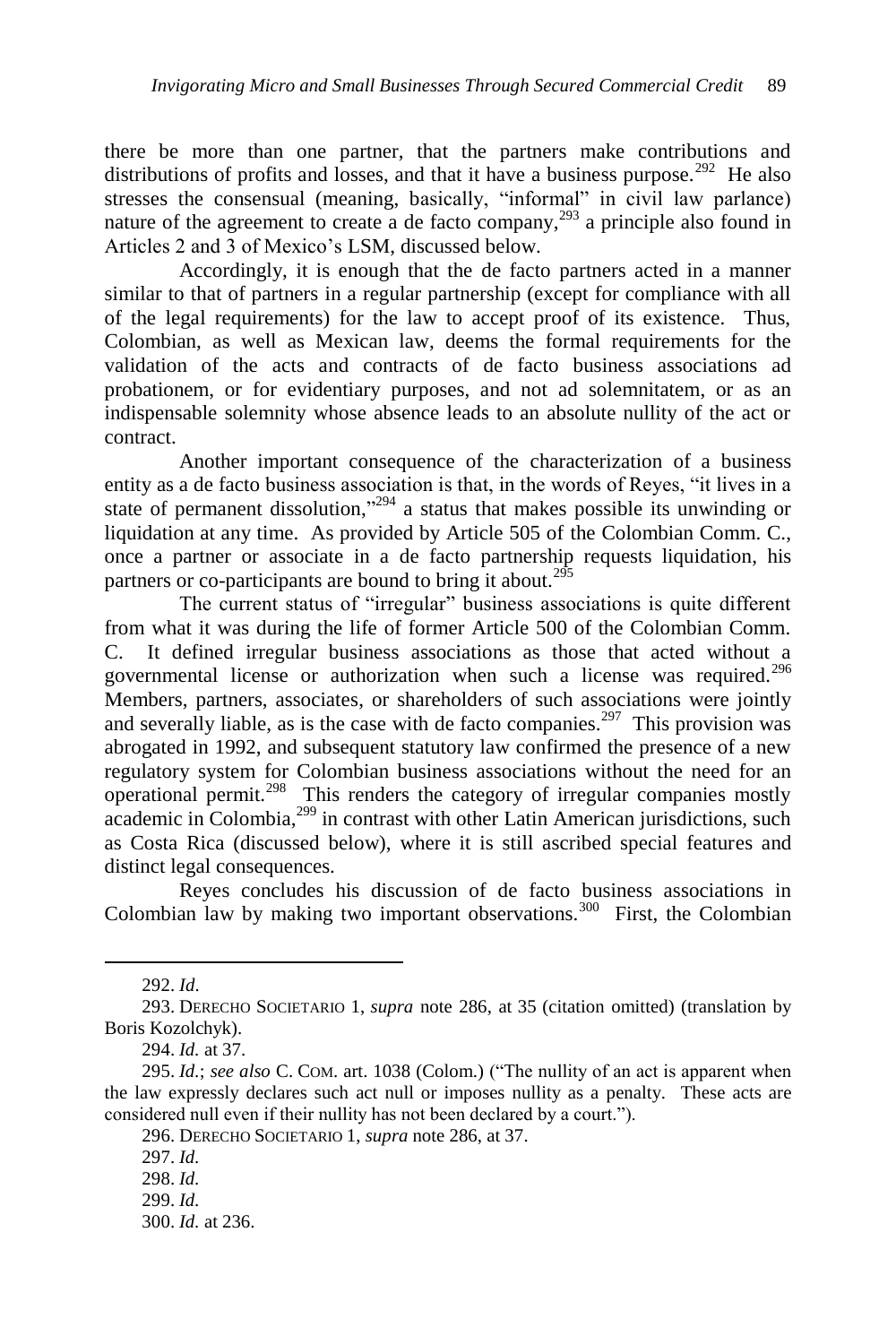there be more than one partner, that the partners make contributions and distributions of profits and losses, and that it have a business purpose.<sup>292</sup> He also stresses the consensual (meaning, basically, "informal" in civil law parlance) nature of the agreement to create a de facto company,  $293$  a principle also found in Articles 2 and 3 of Mexico's LSM, discussed below.

Accordingly, it is enough that the de facto partners acted in a manner similar to that of partners in a regular partnership (except for compliance with all of the legal requirements) for the law to accept proof of its existence. Thus, Colombian, as well as Mexican law, deems the formal requirements for the validation of the acts and contracts of de facto business associations ad probationem, or for evidentiary purposes, and not ad solemnitatem, or as an indispensable solemnity whose absence leads to an absolute nullity of the act or contract.

Another important consequence of the characterization of a business entity as a de facto business association is that, in the words of Reyes, "it lives in a state of permanent dissolution," $294$  a status that makes possible its unwinding or liquidation at any time. As provided by Article 505 of the Colombian Comm. C., once a partner or associate in a de facto partnership requests liquidation, his partners or co-participants are bound to bring it about.<sup>295</sup>

The current status of "irregular" business associations is quite different from what it was during the life of former Article 500 of the Colombian Comm. C. It defined irregular business associations as those that acted without a governmental license or authorization when such a license was required.<sup>296</sup> Members, partners, associates, or shareholders of such associations were jointly and severally liable, as is the case with de facto companies.<sup>297</sup> This provision was abrogated in 1992, and subsequent statutory law confirmed the presence of a new regulatory system for Colombian business associations without the need for an operational permit.<sup>298</sup> This renders the category of irregular companies mostly academic in Colombia,<sup>299</sup> in contrast with other Latin American jurisdictions, such as Costa Rica (discussed below), where it is still ascribed special features and distinct legal consequences.

Reyes concludes his discussion of de facto business associations in Colombian law by making two important observations.<sup>300</sup> First, the Colombian

<sup>292.</sup> *Id*.

<sup>293.</sup> DERECHO SOCIETARIO 1, *supra* note [286,](#page-45-0) at 35 (citation omitted) (translation by Boris Kozolchyk).

<sup>294.</sup> *Id.* at 37.

<sup>295.</sup> *Id.*; *see also* C. Com. art. 1038 (Colom.) ("The nullity of an act is apparent when the law expressly declares such act null or imposes nullity as a penalty. These acts are considered null even if their nullity has not been declared by a court.").

<sup>296.</sup> DERECHO SOCIETARIO 1, *supra* not[e 286,](#page-45-0) at 37.

<sup>297.</sup> *Id.*

<sup>298.</sup> *Id.*

<sup>299.</sup> *Id.*

<sup>300.</sup> *Id.* at 236.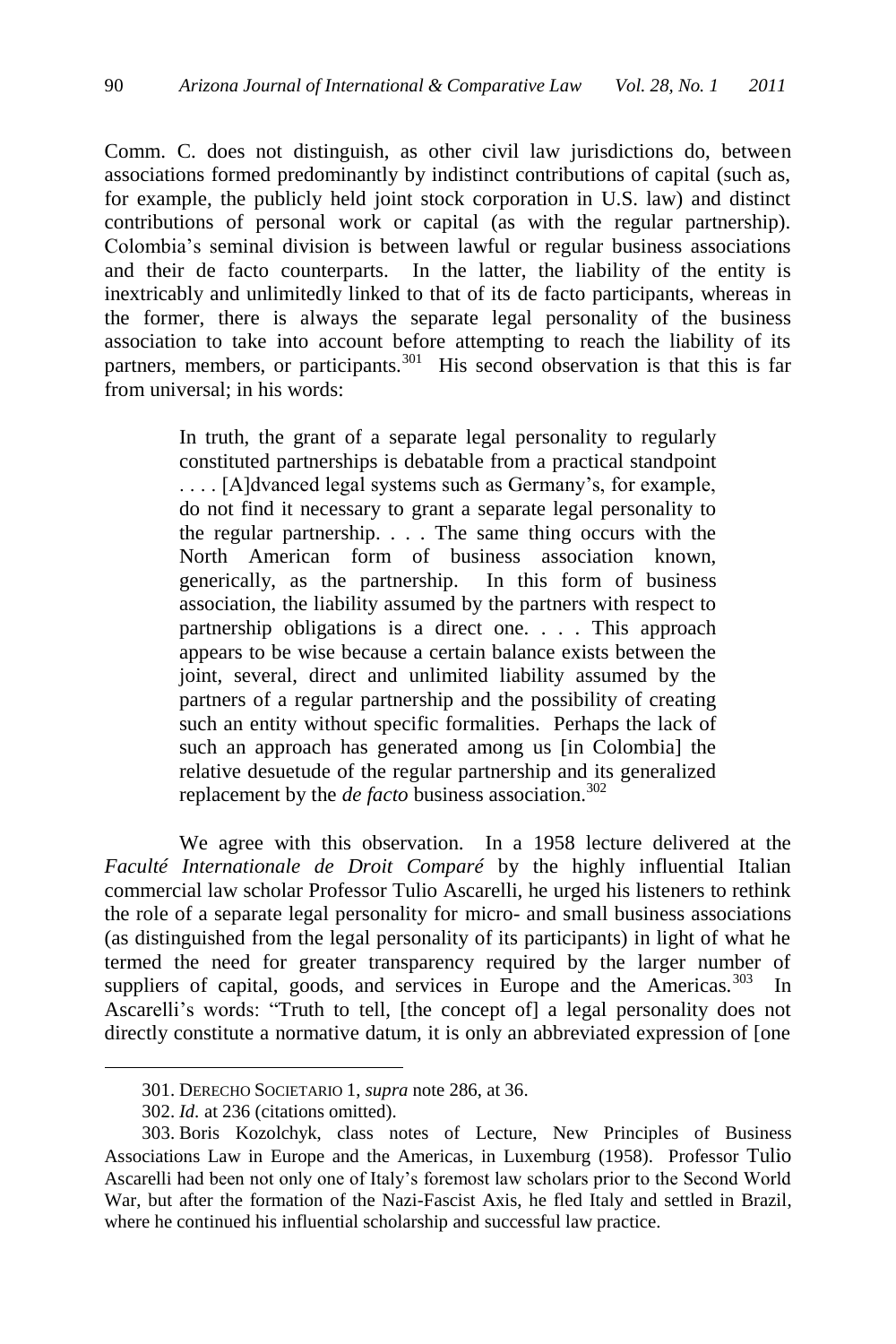Comm. C. does not distinguish, as other civil law jurisdictions do, between associations formed predominantly by indistinct contributions of capital (such as, for example, the publicly held joint stock corporation in U.S. law) and distinct contributions of personal work or capital (as with the regular partnership). Colombia's seminal division is between lawful or regular business associations and their de facto counterparts. In the latter, the liability of the entity is inextricably and unlimitedly linked to that of its de facto participants, whereas in the former, there is always the separate legal personality of the business association to take into account before attempting to reach the liability of its partners, members, or participants.<sup>301</sup> His second observation is that this is far from universal; in his words:

> In truth, the grant of a separate legal personality to regularly constituted partnerships is debatable from a practical standpoint . . . . [A]dvanced legal systems such as Germany's, for example, do not find it necessary to grant a separate legal personality to the regular partnership. . . . The same thing occurs with the North American form of business association known, generically, as the partnership. In this form of business association, the liability assumed by the partners with respect to partnership obligations is a direct one. . . . This approach appears to be wise because a certain balance exists between the joint, several, direct and unlimited liability assumed by the partners of a regular partnership and the possibility of creating such an entity without specific formalities. Perhaps the lack of such an approach has generated among us [in Colombia] the relative desuetude of the regular partnership and its generalized replacement by the *de facto* business association.<sup>302</sup>

We agree with this observation. In a 1958 lecture delivered at the *Faculté Internationale de Droit Comparé* by the highly influential Italian commercial law scholar Professor Tulio Ascarelli, he urged his listeners to rethink the role of a separate legal personality for micro- and small business associations (as distinguished from the legal personality of its participants) in light of what he termed the need for greater transparency required by the larger number of suppliers of capital, goods, and services in Europe and the Americas.<sup>303</sup> In Ascarelli's words: "Truth to tell, [the concept of] a legal personality does not directly constitute a normative datum, it is only an abbreviated expression of [one

<sup>301.</sup> DERECHO SOCIETARIO 1, *supra* not[e 286,](#page-45-0) at 36.

<sup>302.</sup> *Id.* at 236 (citations omitted).

<sup>303.</sup> Boris Kozolchyk, class notes of Lecture, New Principles of Business Associations Law in Europe and the Americas, in Luxemburg (1958). Professor Tulio Ascarelli had been not only one of Italy's foremost law scholars prior to the Second World War, but after the formation of the Nazi-Fascist Axis, he fled Italy and settled in Brazil, where he continued his influential scholarship and successful law practice.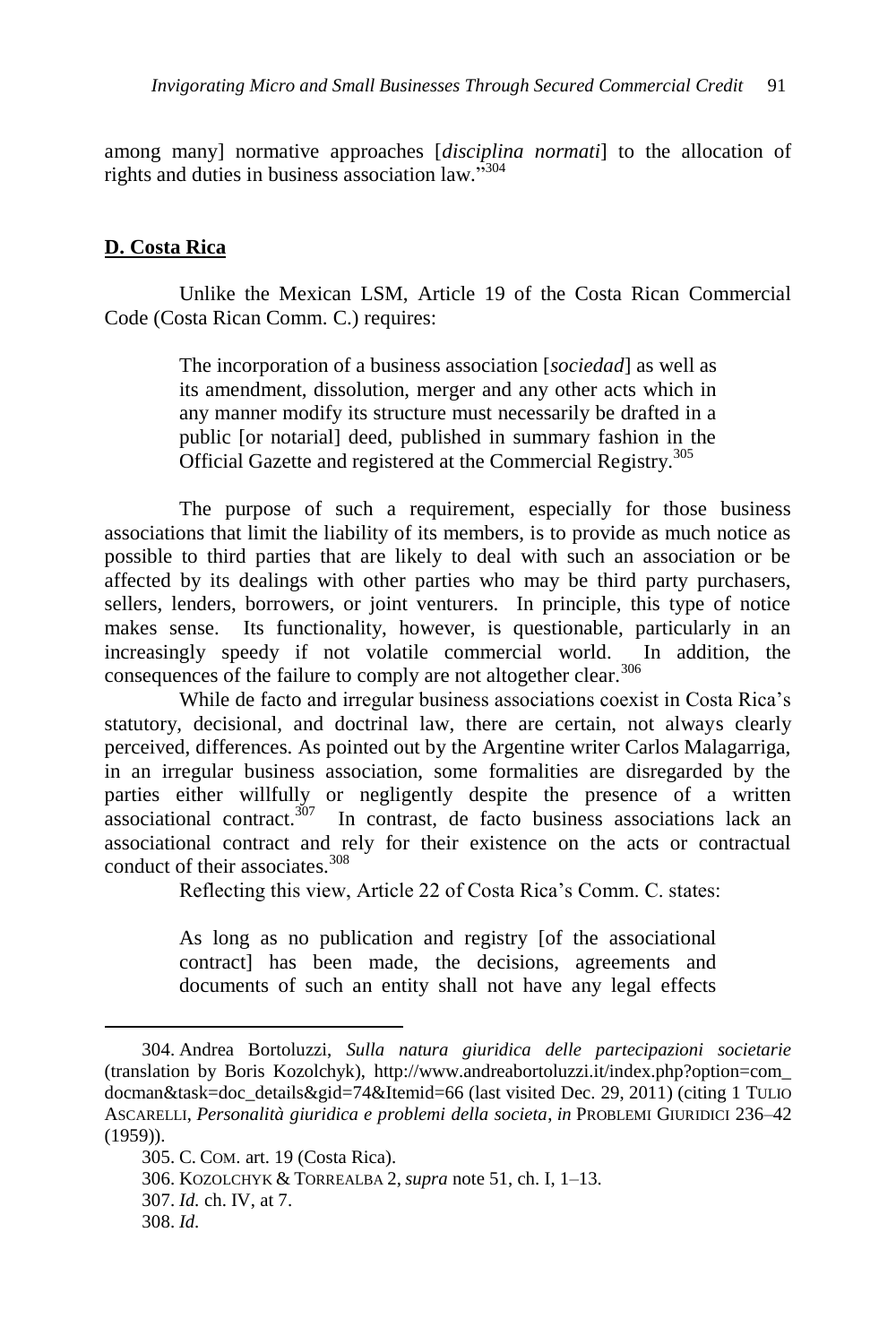among many] normative approaches [*disciplina normati*] to the allocation of rights and duties in business association law. $^{3304}$ 

# **D. Costa Rica**

 $\overline{a}$ 

Unlike the Mexican LSM, Article 19 of the Costa Rican Commercial Code (Costa Rican Comm. C.) requires:

> The incorporation of a business association [*sociedad*] as well as its amendment, dissolution, merger and any other acts which in any manner modify its structure must necessarily be drafted in a public [or notarial] deed, published in summary fashion in the Official Gazette and registered at the Commercial Registry.<sup>305</sup>

The purpose of such a requirement, especially for those business associations that limit the liability of its members, is to provide as much notice as possible to third parties that are likely to deal with such an association or be affected by its dealings with other parties who may be third party purchasers, sellers, lenders, borrowers, or joint venturers. In principle, this type of notice makes sense. Its functionality, however, is questionable, particularly in an increasingly speedy if not volatile commercial world. In addition, the consequences of the failure to comply are not altogether clear.<sup>306</sup>

While de facto and irregular business associations coexist in Costa Rica's statutory, decisional, and doctrinal law, there are certain, not always clearly perceived, differences. As pointed out by the Argentine writer Carlos Malagarriga, in an irregular business association, some formalities are disregarded by the parties either willfully or negligently despite the presence of a written associational contract. $307$  In contrast, de facto business associations lack an associational contract and rely for their existence on the acts or contractual conduct of their associates.<sup>308</sup>

Reflecting this view, Article 22 of Costa Rica's Comm. C. states:

As long as no publication and registry [of the associational contract] has been made, the decisions, agreements and documents of such an entity shall not have any legal effects

<sup>304.</sup> Andrea Bortoluzzi, *Sulla natura giuridica delle partecipazioni societarie* (translation by Boris Kozolchyk), http://www.andreabortoluzzi.it/index.php?option=com\_ docman&task=doc\_details&gid=74&Itemid=66 (last visited Dec. 29, 2011) (citing 1 TULIO ASCARELLI, *Personalità giuridica e problemi della societa*, *in* PROBLEMI GIURIDICI 236–42 (1959)).

<sup>305.</sup> C. COM. art. 19 (Costa Rica). 306. KOZOLCHYK & TORREALBA 2, *supra* note 51, ch. I, 1–13. 307. *Id.* ch. IV, at 7. 308. *Id.*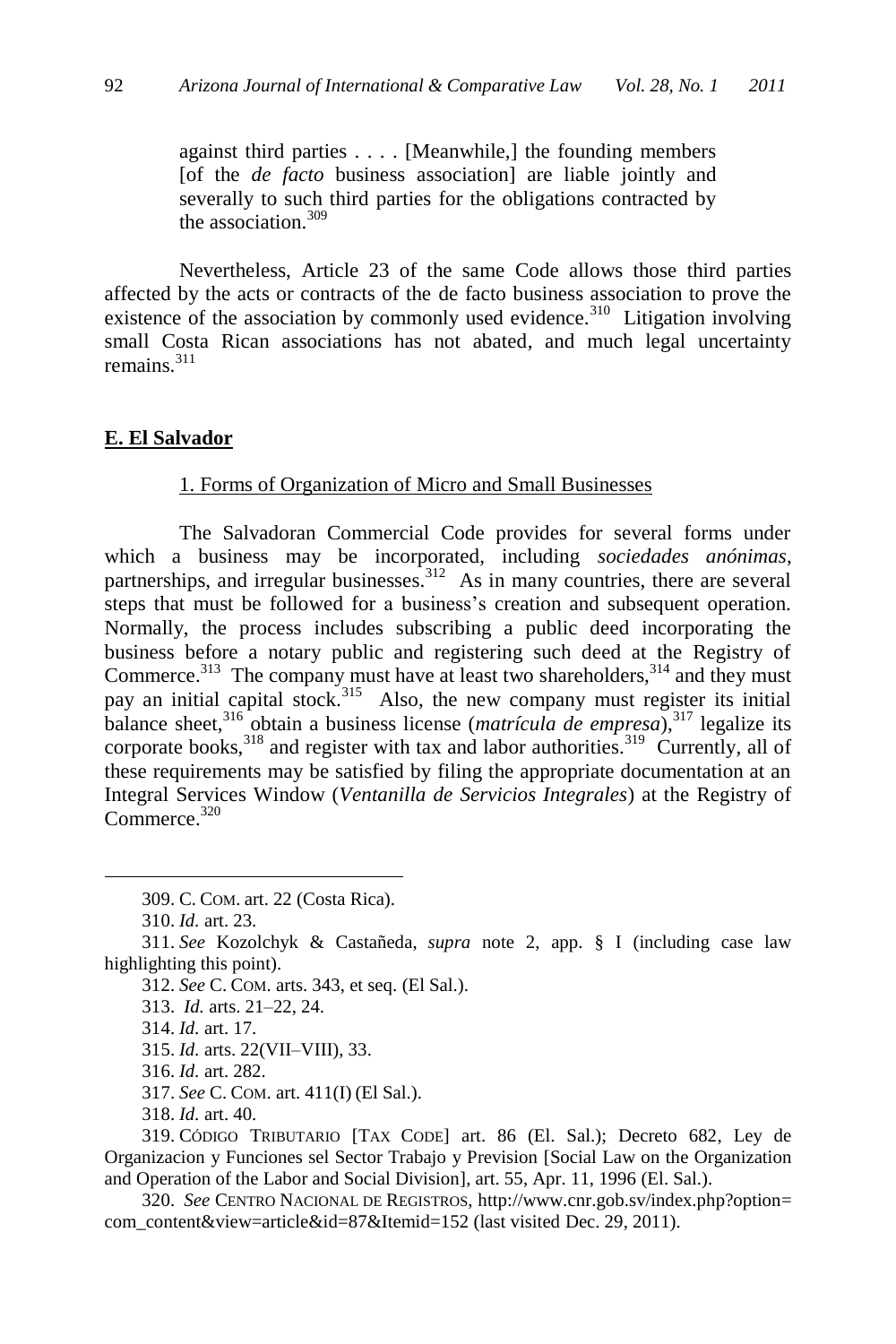against third parties . . . . [Meanwhile,] the founding members [of the *de facto* business association] are liable jointly and severally to such third parties for the obligations contracted by the association.<sup>309</sup>

Nevertheless, Article 23 of the same Code allows those third parties affected by the acts or contracts of the de facto business association to prove the existence of the association by commonly used evidence.<sup>310</sup> Litigation involving small Costa Rican associations has not abated, and much legal uncertainty remains.<sup>311</sup>

#### **E. El Salvador**

#### 1. Forms of Organization of Micro and Small Businesses

The Salvadoran Commercial Code provides for several forms under which a business may be incorporated, including *sociedades anónimas*, partnerships, and irregular businesses.<sup>312</sup> As in many countries, there are several steps that must be followed for a business's creation and subsequent operation. Normally, the process includes subscribing a public deed incorporating the business before a notary public and registering such deed at the Registry of Commerce. $313$  The company must have at least two shareholders,  $314$  and they must pay an initial capital stock.<sup>315</sup> Also, the new company must register its initial balance sheet,<sup>316</sup> obtain a business license (*matrícula de empresa*),<sup>317</sup> legalize its corporate books,  $318$  and register with tax and labor authorities.  $319$  Currently, all of these requirements may be satisfied by filing the appropriate documentation at an Integral Services Window (*Ventanilla de Servicios Integrales*) at the Registry of Commerce.<sup>320</sup>

309. C. COM. art. 22 (Costa Rica).

310. *Id.* art. 23.

 $\overline{a}$ 

312. *See* C. COM. arts. 343, et seq. (El Sal.).

314. *Id.* art. 17.

315. *Id.* arts. 22(VII–VIII), 33.

316. *Id.* art. 282.

317. *See* C. COM. art. 411(I) (El Sal.).

318. *Id.* art. 40.

319. CÓDIGO TRIBUTARIO [TAX CODE] art. 86 (El. Sal.); Decreto 682, Ley de Organizacion y Funciones sel Sector Trabajo y Prevision [Social Law on the Organization and Operation of the Labor and Social Division], art. 55, Apr. 11, 1996 (El. Sal.).

320. *See* CENTRO NACIONAL DE REGISTROS, http://www.cnr.gob.sv/index.php?option= com\_content&view=article&id=87&Itemid=152 (last visited Dec. 29, 2011).

<sup>311.</sup> *See* Kozolchyk & Castañeda, *supra* note 2, app. § I (including case law highlighting this point).

<sup>313.</sup> *Id.* arts. 21–22, 24.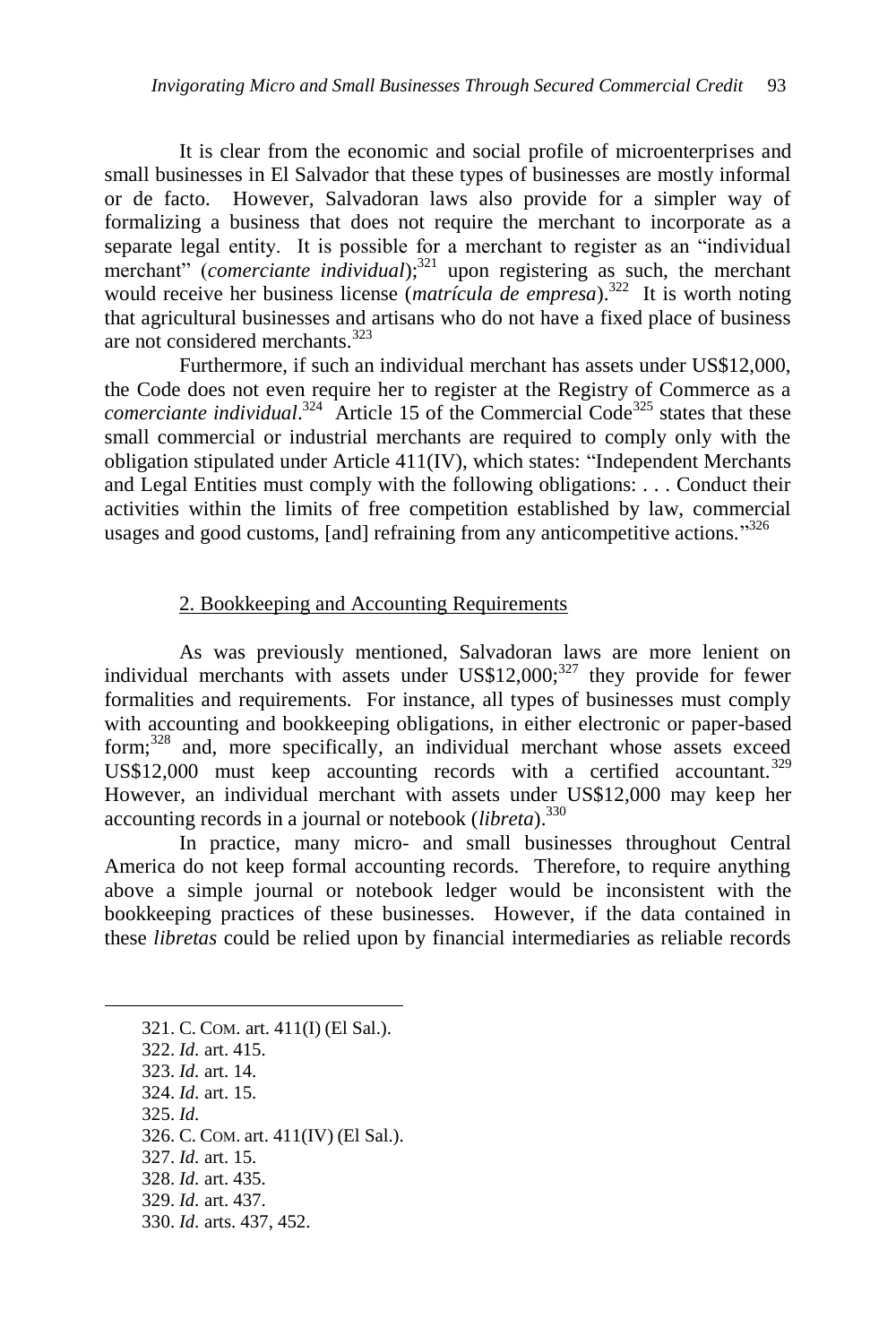It is clear from the economic and social profile of microenterprises and small businesses in El Salvador that these types of businesses are mostly informal or de facto. However, Salvadoran laws also provide for a simpler way of formalizing a business that does not require the merchant to incorporate as a separate legal entity. It is possible for a merchant to register as an "individual merchant<sup>"</sup> (*comerciante individual*);<sup>321</sup> upon registering as such, the merchant would receive her business license (*matrícula de empresa*).<sup>322</sup> It is worth noting that agricultural businesses and artisans who do not have a fixed place of business are not considered merchants.<sup>323</sup>

Furthermore, if such an individual merchant has assets under US\$12,000, the Code does not even require her to register at the Registry of Commerce as a *comerciante individual.*<sup>324</sup> Article 15 of the Commercial Code<sup>325</sup> states that these small commercial or industrial merchants are required to comply only with the obligation stipulated under Article 411(IV), which states: "Independent Merchants and Legal Entities must comply with the following obligations: . . . Conduct their activities within the limits of free competition established by law, commercial usages and good customs, [and] refraining from any anticompetitive actions.<sup>326</sup>

## 2. Bookkeeping and Accounting Requirements

As was previously mentioned, Salvadoran laws are more lenient on individual merchants with assets under  $\text{US$12,000$}^{327}$  they provide for fewer formalities and requirements. For instance, all types of businesses must comply with accounting and bookkeeping obligations, in either electronic or paper-based form; $328$  and, more specifically, an individual merchant whose assets exceed US\$12,000 must keep accounting records with a certified accountant.<sup>329</sup> However, an individual merchant with assets under US\$12,000 may keep her accounting records in a journal or notebook (*libreta*).<sup>330</sup>

In practice, many micro- and small businesses throughout Central America do not keep formal accounting records. Therefore, to require anything above a simple journal or notebook ledger would be inconsistent with the bookkeeping practices of these businesses. However, if the data contained in these *libretas* could be relied upon by financial intermediaries as reliable records

321. C. COM. art. 411(I) (El Sal.). 322. *Id.* art. 415. 323. *Id.* art. 14. 324. *Id.* art. 15. 325. *Id.*  326. C. COM. art. 411(IV) (El Sal.). 327. *Id.* art. 15. 328. *Id.* art. 435. 329. *Id.* art. 437. 330. *Id.* arts. 437, 452.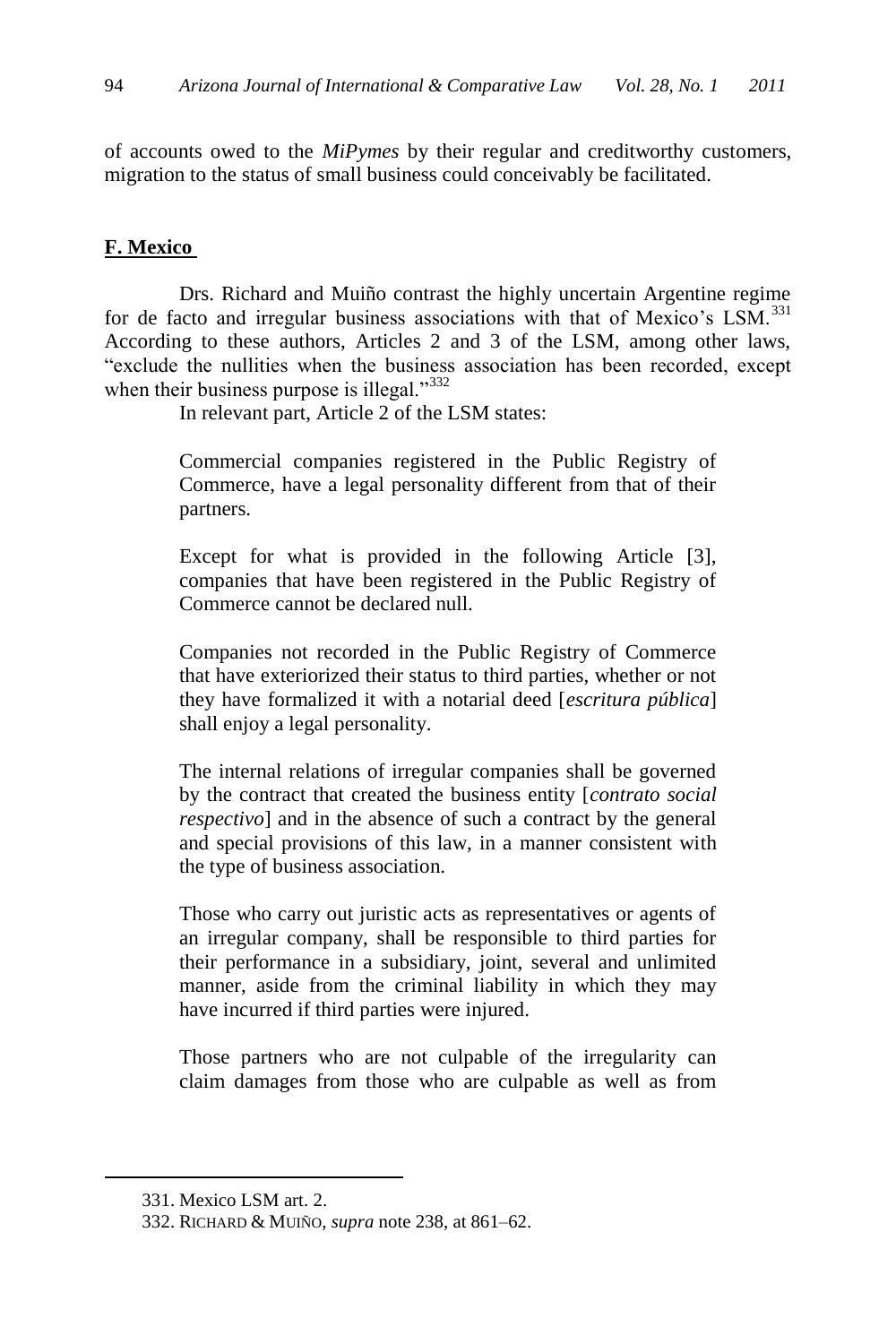of accounts owed to the *MiPymes* by their regular and creditworthy customers, migration to the status of small business could conceivably be facilitated.

### **F. Mexico**

Drs. Richard and Muiño contrast the highly uncertain Argentine regime for de facto and irregular business associations with that of Mexico's LSM.<sup>331</sup> According to these authors, Articles 2 and 3 of the LSM, among other laws, "exclude the nullities when the business association has been recorded, except when their business purpose is illegal. $^{332}$ 

In relevant part, Article 2 of the LSM states:

Commercial companies registered in the Public Registry of Commerce, have a legal personality different from that of their partners.

Except for what is provided in the following Article [3], companies that have been registered in the Public Registry of Commerce cannot be declared null.

Companies not recorded in the Public Registry of Commerce that have exteriorized their status to third parties, whether or not they have formalized it with a notarial deed [*escritura pública*] shall enjoy a legal personality.

The internal relations of irregular companies shall be governed by the contract that created the business entity [*contrato social respectivo*] and in the absence of such a contract by the general and special provisions of this law, in a manner consistent with the type of business association.

Those who carry out juristic acts as representatives or agents of an irregular company, shall be responsible to third parties for their performance in a subsidiary, joint, several and unlimited manner, aside from the criminal liability in which they may have incurred if third parties were injured.

Those partners who are not culpable of the irregularity can claim damages from those who are culpable as well as from

<sup>331.</sup> Mexico LSM art. 2.

<sup>332.</sup> RICHARD & MUIÑO, *supra* not[e 238,](#page-38-0) at 861–62.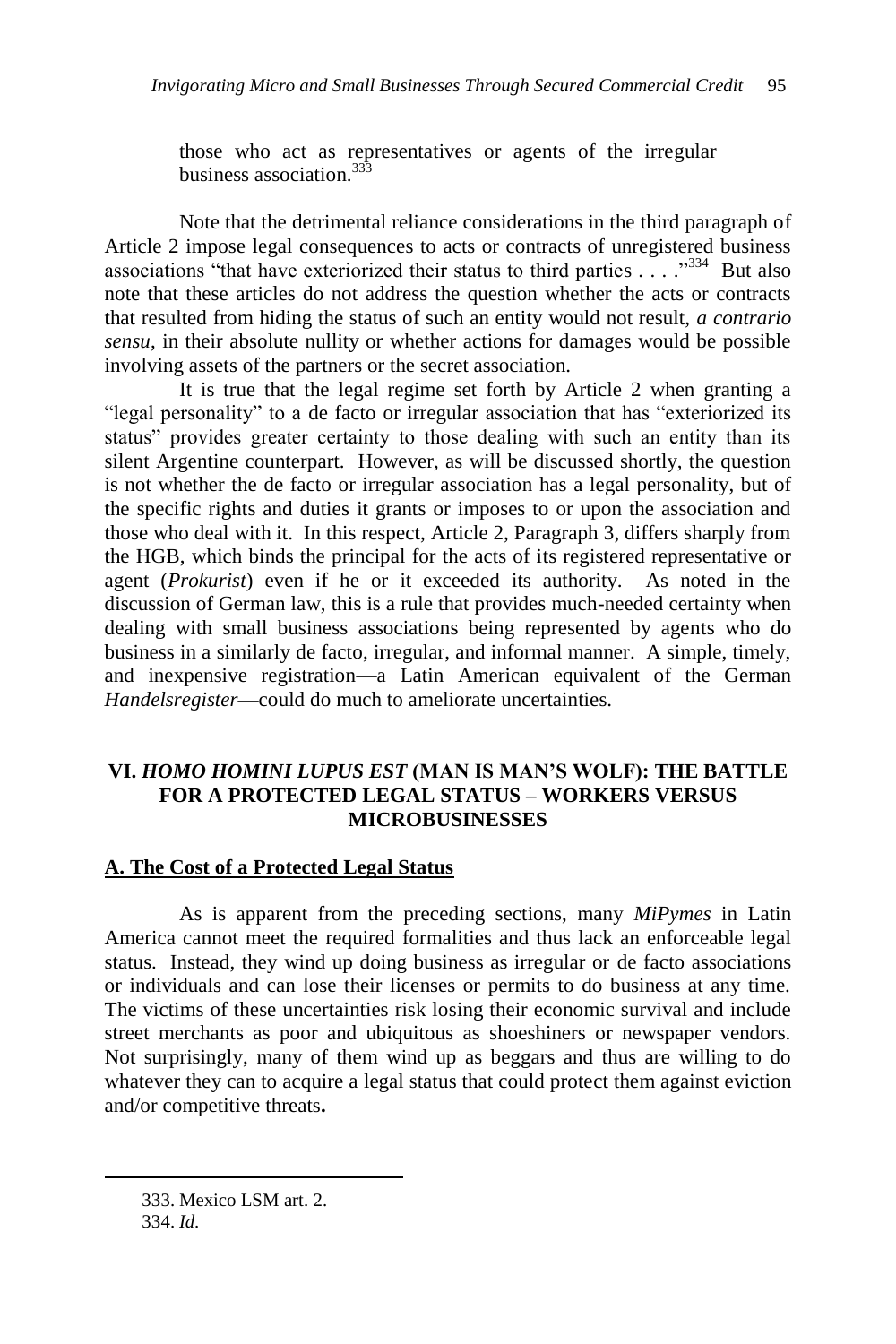those who act as representatives or agents of the irregular business association.<sup>333</sup>

Note that the detrimental reliance considerations in the third paragraph of Article 2 impose legal consequences to acts or contracts of unregistered business associations "that have exteriorized their status to third parties  $\ldots$ ."<sup>334</sup> But also note that these articles do not address the question whether the acts or contracts that resulted from hiding the status of such an entity would not result, *a contrario sensu*, in their absolute nullity or whether actions for damages would be possible involving assets of the partners or the secret association.

It is true that the legal regime set forth by Article 2 when granting a "legal personality" to a de facto or irregular association that has "exteriorized its status" provides greater certainty to those dealing with such an entity than its silent Argentine counterpart. However, as will be discussed shortly, the question is not whether the de facto or irregular association has a legal personality, but of the specific rights and duties it grants or imposes to or upon the association and those who deal with it. In this respect, Article 2, Paragraph 3, differs sharply from the HGB, which binds the principal for the acts of its registered representative or agent (*Prokurist*) even if he or it exceeded its authority. As noted in the discussion of German law, this is a rule that provides much-needed certainty when dealing with small business associations being represented by agents who do business in a similarly de facto, irregular, and informal manner. A simple, timely, and inexpensive registration—a Latin American equivalent of the German *Handelsregister*—could do much to ameliorate uncertainties.

# **VI.** *HOMO HOMINI LUPUS EST* **(MAN IS MAN'S WOLF): THE BATTLE FOR A PROTECTED LEGAL STATUS – WORKERS VERSUS MICROBUSINESSES**

### **A. The Cost of a Protected Legal Status**

As is apparent from the preceding sections, many *MiPymes* in Latin America cannot meet the required formalities and thus lack an enforceable legal status. Instead, they wind up doing business as irregular or de facto associations or individuals and can lose their licenses or permits to do business at any time. The victims of these uncertainties risk losing their economic survival and include street merchants as poor and ubiquitous as shoeshiners or newspaper vendors. Not surprisingly, many of them wind up as beggars and thus are willing to do whatever they can to acquire a legal status that could protect them against eviction and/or competitive threats**.** 

<sup>333.</sup> Mexico LSM art. 2.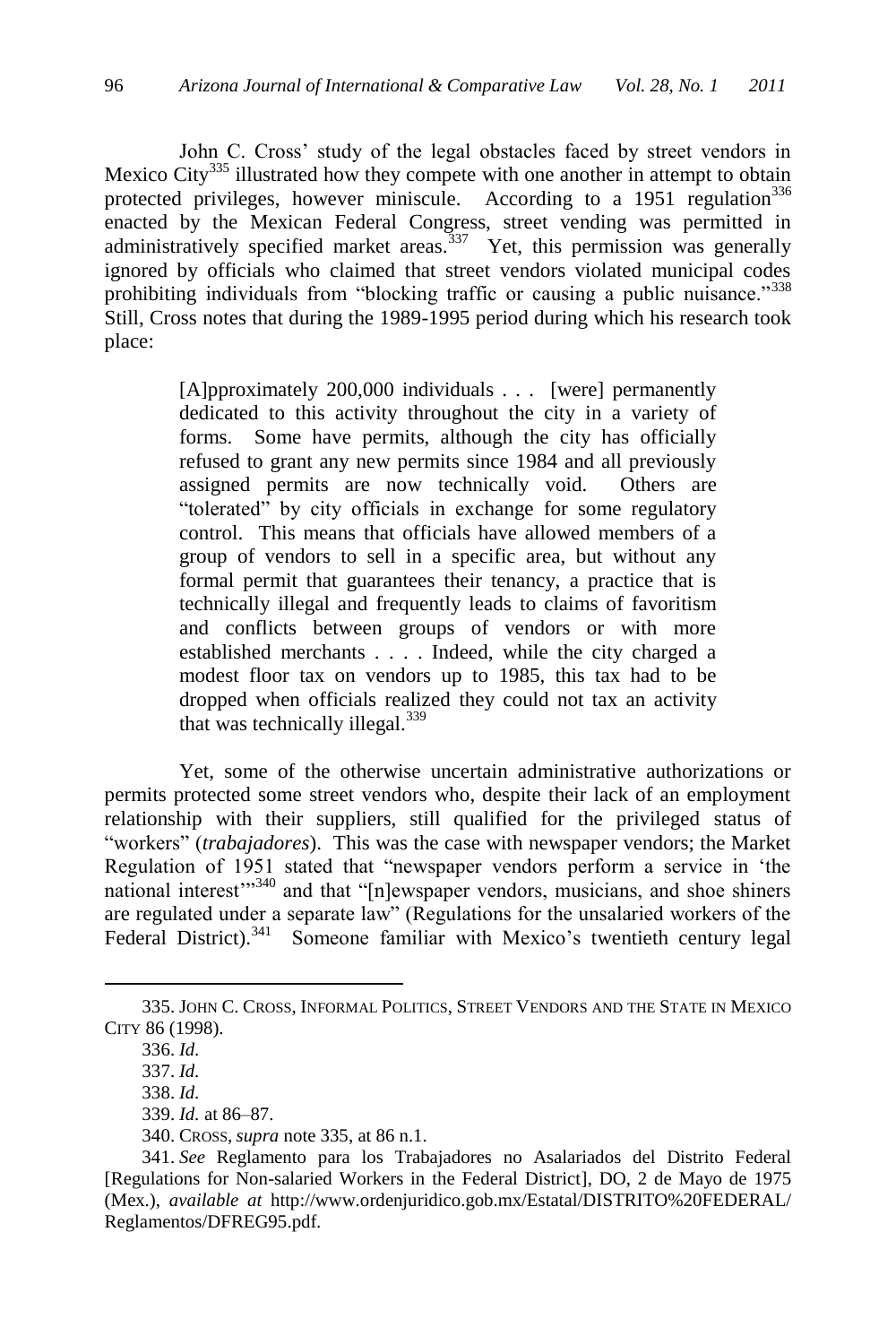John C. Cross' study of the legal obstacles faced by street vendors in Mexico City<sup>335</sup> illustrated how they compete with one another in attempt to obtain protected privileges, however miniscule. According to a  $1951$  regulation<sup>336</sup> enacted by the Mexican Federal Congress, street vending was permitted in administratively specified market areas.<sup>337</sup> Yet, this permission was generally ignored by officials who claimed that street vendors violated municipal codes prohibiting individuals from "blocking traffic or causing a public nuisance."<sup>338</sup> Still, Cross notes that during the 1989-1995 period during which his research took place:

> [A]pproximately 200,000 individuals . . . [were] permanently dedicated to this activity throughout the city in a variety of forms. Some have permits, although the city has officially refused to grant any new permits since 1984 and all previously assigned permits are now technically void. Others are "tolerated" by city officials in exchange for some regulatory control. This means that officials have allowed members of a group of vendors to sell in a specific area, but without any formal permit that guarantees their tenancy, a practice that is technically illegal and frequently leads to claims of favoritism and conflicts between groups of vendors or with more established merchants . . . . Indeed, while the city charged a modest floor tax on vendors up to 1985, this tax had to be dropped when officials realized they could not tax an activity that was technically illegal.<sup>339</sup>

Yet, some of the otherwise uncertain administrative authorizations or permits protected some street vendors who, despite their lack of an employment relationship with their suppliers, still qualified for the privileged status of "workers" (*trabajadores*). This was the case with newspaper vendors; the Market Regulation of 1951 stated that "newspaper vendors perform a service in 'the national interest $^{340}$  and that "[n]ewspaper vendors, musicians, and shoe shiners are regulated under a separate law" (Regulations for the unsalaried workers of the Federal District).<sup>341</sup> Someone familiar with Mexico's twentieth century legal

<sup>335.</sup> JOHN C. CROSS, INFORMAL POLITICS, STREET VENDORS AND THE STATE IN MEXICO CITY 86 (1998).

<sup>336.</sup> *Id.*

<sup>337.</sup> *Id.*

<sup>338.</sup> *Id.*

<sup>339.</sup> *Id.* at 86–87.

<sup>340.</sup> CROSS, *supra* note 335, at 86 n.1.

<sup>341.</sup> *See* Reglamento para los Trabajadores no Asalariados del Distrito Federal [Regulations for Non-salaried Workers in the Federal District], DO, 2 de Mayo de 1975 (Mex.), *available at* http://www.ordenjuridico.gob.mx/Estatal/DISTRITO%20FEDERAL/ Reglamentos/DFREG95.pdf.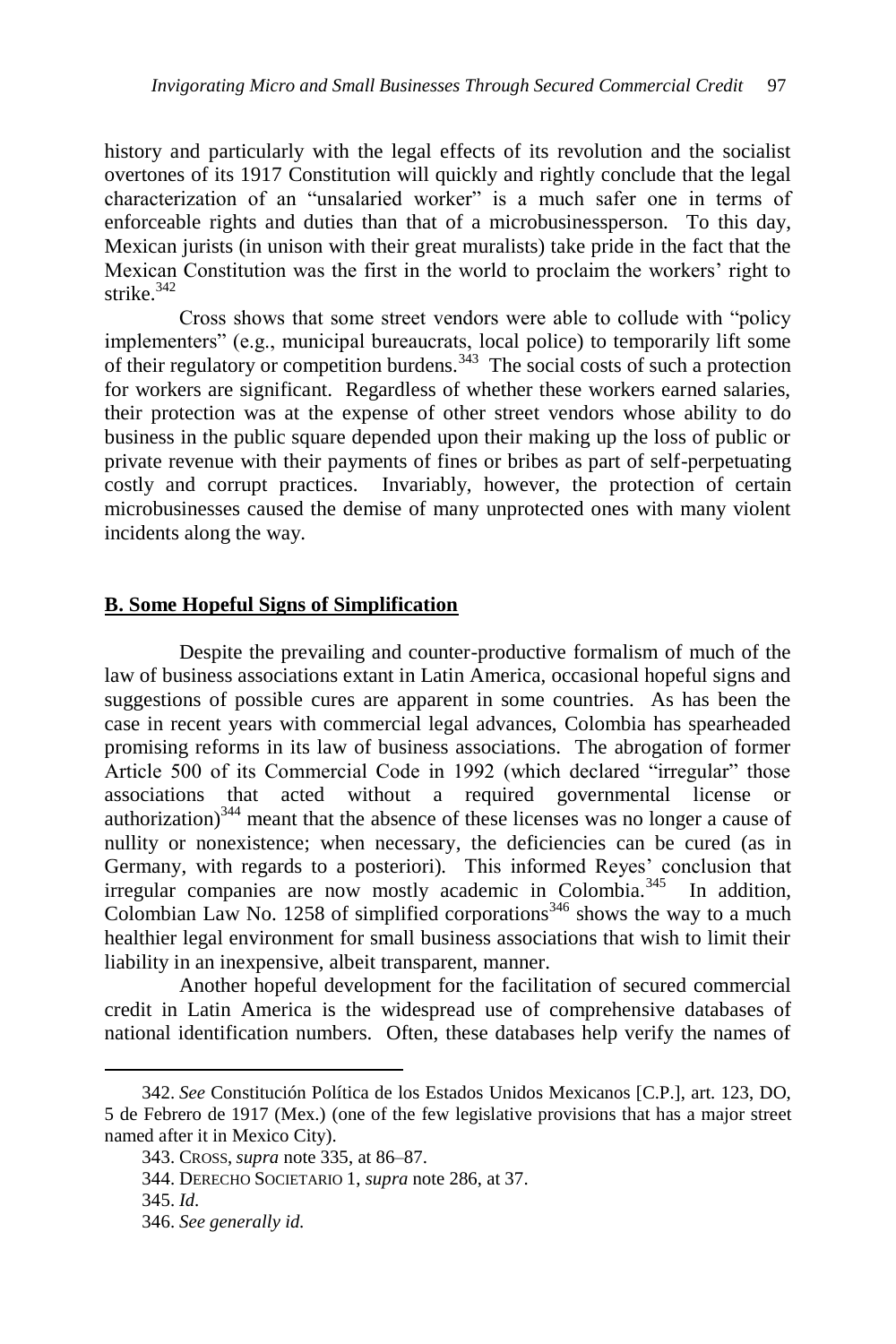history and particularly with the legal effects of its revolution and the socialist overtones of its 1917 Constitution will quickly and rightly conclude that the legal characterization of an "unsalaried worker" is a much safer one in terms of enforceable rights and duties than that of a microbusinessperson. To this day, Mexican jurists (in unison with their great muralists) take pride in the fact that the Mexican Constitution was the first in the world to proclaim the workers' right to strike.<sup>342</sup>

Cross shows that some street vendors were able to collude with "policy implementers" (e.g., municipal bureaucrats, local police) to temporarily lift some of their regulatory or competition burdens.<sup>343</sup> The social costs of such a protection for workers are significant. Regardless of whether these workers earned salaries, their protection was at the expense of other street vendors whose ability to do business in the public square depended upon their making up the loss of public or private revenue with their payments of fines or bribes as part of self-perpetuating costly and corrupt practices. Invariably, however, the protection of certain microbusinesses caused the demise of many unprotected ones with many violent incidents along the way.

### **B. Some Hopeful Signs of Simplification**

Despite the prevailing and counter-productive formalism of much of the law of business associations extant in Latin America, occasional hopeful signs and suggestions of possible cures are apparent in some countries. As has been the case in recent years with commercial legal advances, Colombia has spearheaded promising reforms in its law of business associations. The abrogation of former Article 500 of its Commercial Code in 1992 (which declared "irregular" those associations that acted without a required governmental license or authorization) $344$  meant that the absence of these licenses was no longer a cause of nullity or nonexistence; when necessary, the deficiencies can be cured (as in Germany, with regards to a posteriori)*.* This informed Reyes' conclusion that irregular companies are now mostly academic in Colombia.<sup>345</sup> In addition, Colombian Law No. 1258 of simplified corporations<sup>346</sup> shows the way to a much healthier legal environment for small business associations that wish to limit their liability in an inexpensive, albeit transparent, manner.

Another hopeful development for the facilitation of secured commercial credit in Latin America is the widespread use of comprehensive databases of national identification numbers. Often, these databases help verify the names of

<sup>342.</sup> *See* Constitución Política de los Estados Unidos Mexicanos [C.P.], art. 123, DO, 5 de Febrero de 1917 (Mex.) (one of the few legislative provisions that has a major street named after it in Mexico City).

<sup>343.</sup> CROSS, *supra* note 335, at 86–87.

<sup>344.</sup> DERECHO SOCIETARIO 1, *supra* note 286, at 37.

<sup>345.</sup> *Id.*

<sup>346.</sup> *See generally id.*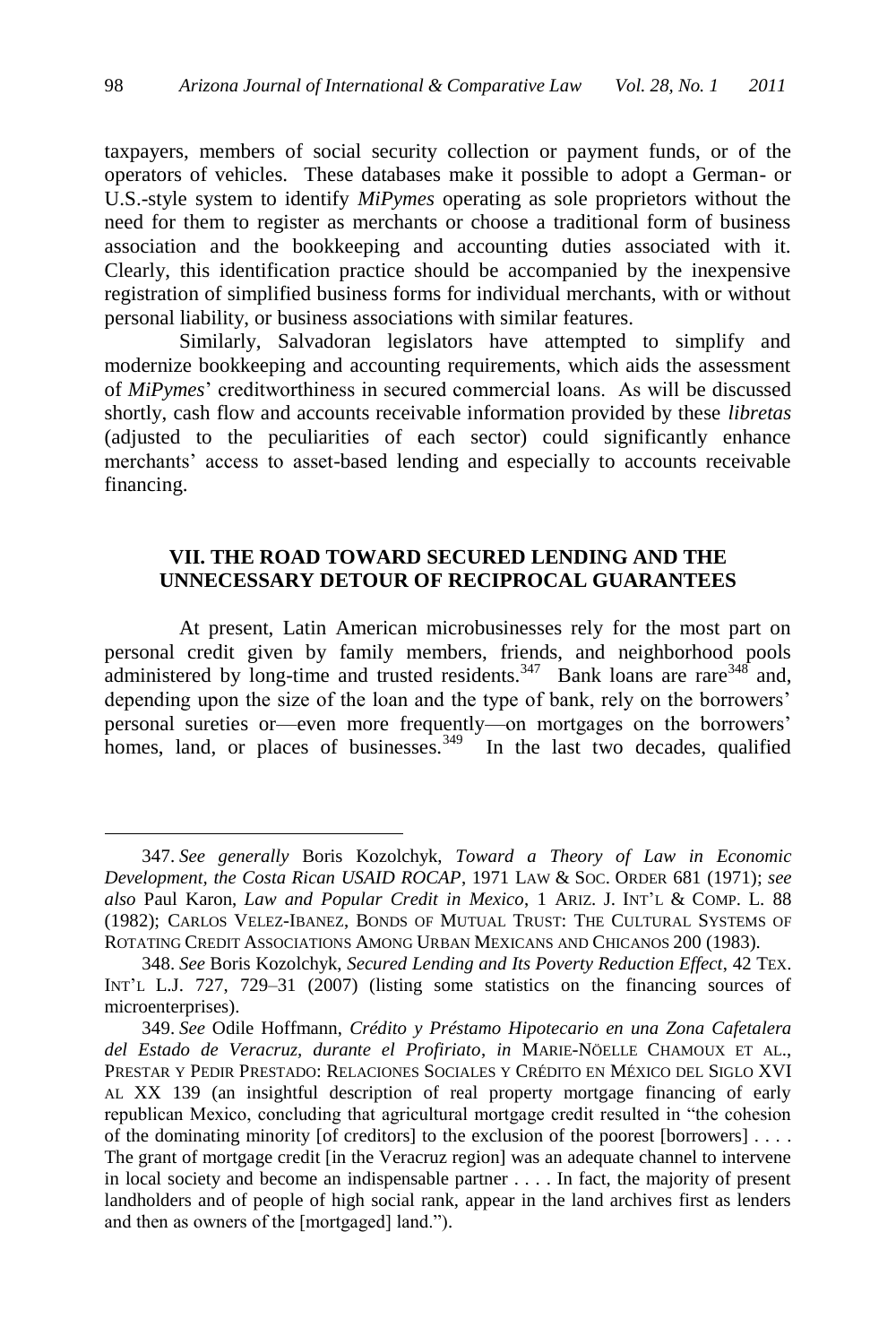taxpayers, members of social security collection or payment funds, or of the operators of vehicles. These databases make it possible to adopt a German- or U.S.-style system to identify *MiPymes* operating as sole proprietors without the need for them to register as merchants or choose a traditional form of business association and the bookkeeping and accounting duties associated with it. Clearly, this identification practice should be accompanied by the inexpensive registration of simplified business forms for individual merchants, with or without personal liability, or business associations with similar features.

Similarly, Salvadoran legislators have attempted to simplify and modernize bookkeeping and accounting requirements, which aids the assessment of *MiPymes*' creditworthiness in secured commercial loans. As will be discussed shortly, cash flow and accounts receivable information provided by these *libretas* (adjusted to the peculiarities of each sector) could significantly enhance merchants' access to asset-based lending and especially to accounts receivable financing.

# **VII. THE ROAD TOWARD SECURED LENDING AND THE UNNECESSARY DETOUR OF RECIPROCAL GUARANTEES**

At present, Latin American microbusinesses rely for the most part on personal credit given by family members, friends, and neighborhood pools administered by long-time and trusted residents.  $347$  Bank loans are rare  $348$  and, depending upon the size of the loan and the type of bank, rely on the borrowers' personal sureties or—even more frequently—on mortgages on the borrowers' homes, land, or places of businesses.<sup>349</sup> In the last two decades, qualified

<sup>347.</sup> *See generally* Boris Kozolchyk, *Toward a Theory of Law in Economic Development, the Costa Rican USAID ROCAP*, 1971 LAW & SOC. ORDER 681 (1971); *see also* Paul Karon, *Law and Popular Credit in Mexico*, 1 ARIZ. J. INT'L & COMP. L. 88 (1982); CARLOS VELEZ-IBANEZ, BONDS OF MUTUAL TRUST: THE CULTURAL SYSTEMS OF ROTATING CREDIT ASSOCIATIONS AMONG URBAN MEXICANS AND CHICANOS 200 (1983).

<sup>348.</sup> *See* Boris Kozolchyk, *Secured Lending and Its Poverty Reduction Effect*, 42 TEX. INT'L L.J. 727, 729–31 (2007) (listing some statistics on the financing sources of microenterprises).

<sup>349.</sup> *See* Odile Hoffmann, *Crédito y Préstamo Hipotecario en una Zona Cafetalera del Estado de Veracruz, durante el Profiriato*, *in* MARIE-NÖELLE CHAMOUX ET AL., PRESTAR Y PEDIR PRESTADO: RELACIONES SOCIALES Y CRÉDITO EN MÉXICO DEL SIGLO XVI AL XX 139 (an insightful description of real property mortgage financing of early republican Mexico, concluding that agricultural mortgage credit resulted in "the cohesion" of the dominating minority [of creditors] to the exclusion of the poorest [borrowers] . . . . The grant of mortgage credit [in the Veracruz region] was an adequate channel to intervene in local society and become an indispensable partner . . . . In fact, the majority of present landholders and of people of high social rank, appear in the land archives first as lenders and then as owners of the [mortgaged] land.").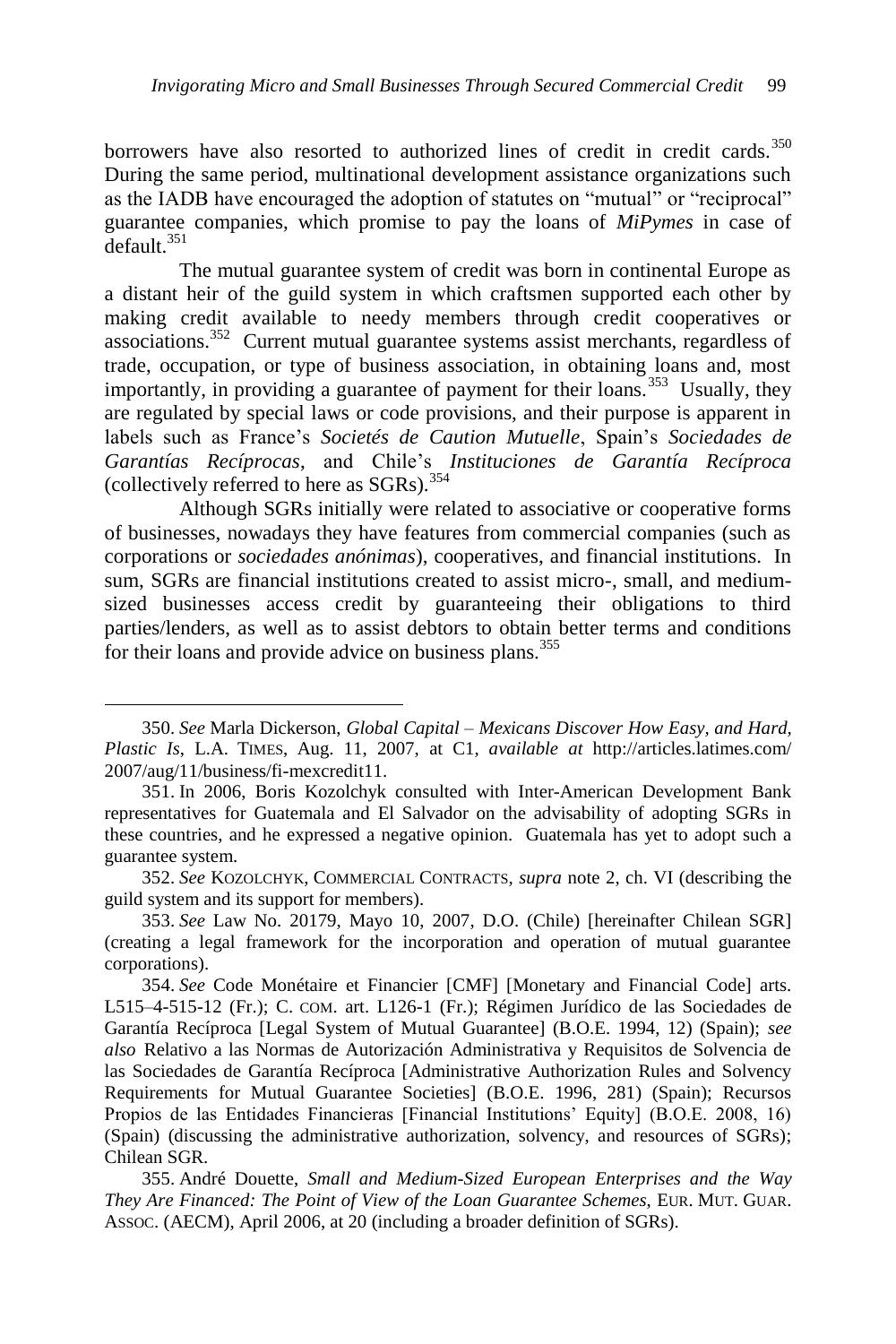borrowers have also resorted to authorized lines of credit in credit cards.<sup>350</sup> During the same period, multinational development assistance organizations such as the IADB have encouraged the adoption of statutes on "mutual" or "reciprocal" guarantee companies, which promise to pay the loans of *MiPymes* in case of default.<sup>351</sup>

The mutual guarantee system of credit was born in continental Europe as a distant heir of the guild system in which craftsmen supported each other by making credit available to needy members through credit cooperatives or associations.<sup>352</sup> Current mutual guarantee systems assist merchants, regardless of trade, occupation, or type of business association, in obtaining loans and, most importantly, in providing a guarantee of payment for their loans.<sup>353</sup> Usually, they are regulated by special laws or code provisions, and their purpose is apparent in labels such as France's *Societés de Caution Mutuelle*, Spain's *Sociedades de Garantías Recíprocas*, and Chile's *Instituciones de Garantía Recíproca*  (collectively referred to here as  $SGRs$ ).<sup>354</sup>

Although SGRs initially were related to associative or cooperative forms of businesses, nowadays they have features from commercial companies (such as corporations or *sociedades anónimas*), cooperatives, and financial institutions. In sum, SGRs are financial institutions created to assist micro-, small, and mediumsized businesses access credit by guaranteeing their obligations to third parties/lenders, as well as to assist debtors to obtain better terms and conditions for their loans and provide advice on business plans.<sup>355</sup>

<sup>350.</sup> *See* Marla Dickerson, *Global Capital – Mexicans Discover How Easy, and Hard, Plastic Is*, L.A. TIMES, Aug. 11, 2007, at C1, *available at* http://articles.latimes.com/ 2007/aug/11/business/fi-mexcredit11.

<sup>351.</sup> In 2006, Boris Kozolchyk consulted with Inter-American Development Bank representatives for Guatemala and El Salvador on the advisability of adopting SGRs in these countries, and he expressed a negative opinion. Guatemala has yet to adopt such a guarantee system.

<sup>352.</sup> *See* KOZOLCHYK, COMMERCIAL CONTRACTS, *supra* note 2, ch. VI (describing the guild system and its support for members).

<sup>353.</sup> *See* Law No. 20179, Mayo 10, 2007, D.O. (Chile) [hereinafter Chilean SGR] (creating a legal framework for the incorporation and operation of mutual guarantee corporations).

<sup>354.</sup> *See* Code Monétaire et Financier [CMF] [Monetary and Financial Code] arts. L515–4-515-12 (Fr.); C. COM. art. L126-1 (Fr.); Régimen Jurídico de las Sociedades de Garantía Recíproca [Legal System of Mutual Guarantee] (B.O.E. 1994, 12) (Spain); *see also* Relativo a las Normas de Autorización Administrativa y Requisitos de Solvencia de las Sociedades de Garantía Recíproca [Administrative Authorization Rules and Solvency Requirements for Mutual Guarantee Societies] (B.O.E. 1996, 281) (Spain); Recursos Propios de las Entidades Financieras [Financial Institutions' Equity] (B.O.E. 2008, 16) (Spain) (discussing the administrative authorization, solvency, and resources of SGRs); Chilean SGR.

<sup>355.</sup> André Douette, *Small and Medium-Sized European Enterprises and the Way They Are Financed: The Point of View of the Loan Guarantee Schemes*, EUR. MUT. GUAR. ASSOC. (AECM), April 2006, at 20 (including a broader definition of SGRs).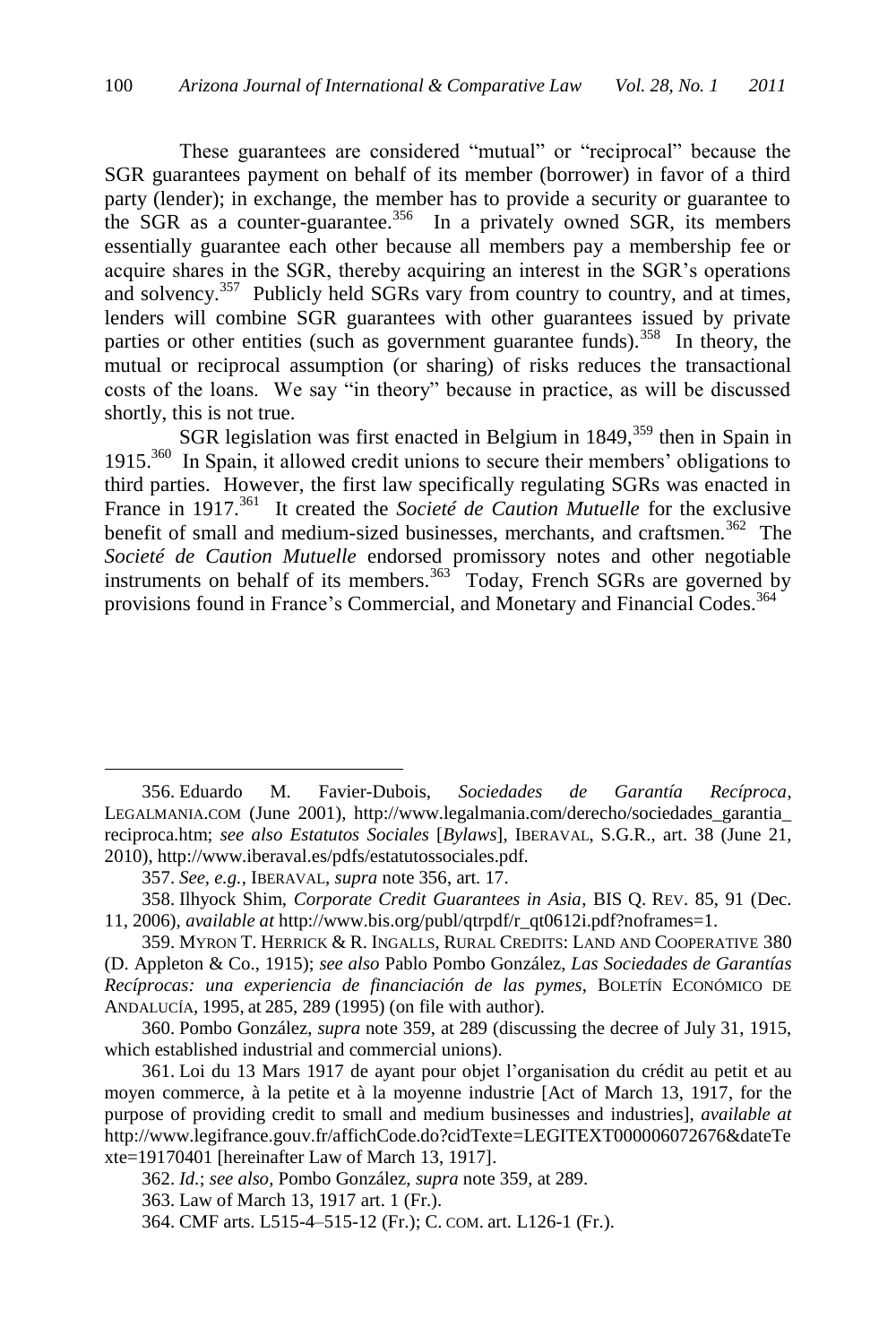<span id="page-57-0"></span>These guarantees are considered "mutual" or "reciprocal" because the SGR guarantees payment on behalf of its member (borrower) in favor of a third party (lender); in exchange, the member has to provide a security or guarantee to the SGR as a counter-guarantee.<sup>356</sup> In a privately owned SGR, its members essentially guarantee each other because all members pay a membership fee or acquire shares in the SGR, thereby acquiring an interest in the SGR's operations and solvency.<sup>357</sup> Publicly held SGRs vary from country to country, and at times, lenders will combine SGR guarantees with other guarantees issued by private parties or other entities (such as government guarantee funds).<sup>358</sup> In theory, the mutual or reciprocal assumption (or sharing) of risks reduces the transactional costs of the loans. We say "in theory" because in practice, as will be discussed shortly, this is not true.

<span id="page-57-1"></span>SGR legislation was first enacted in Belgium in  $1849$ ,  $359$  then in Spain in 1915.<sup>360</sup> In Spain, it allowed credit unions to secure their members' obligations to third parties. However, the first law specifically regulating SGRs was enacted in France in 1917.<sup>361</sup> It created the *Societé de Caution Mutuelle* for the exclusive benefit of small and medium-sized businesses, merchants, and craftsmen.<sup>362</sup> The *Societé de Caution Mutuelle* endorsed promissory notes and other negotiable instruments on behalf of its members.<sup>363</sup> Today, French SGRs are governed by provisions found in France's Commercial, and Monetary and Financial Codes.<sup>364</sup>

<sup>356.</sup> Eduardo M. Favier-Dubois, *Sociedades de Garantía Recíproca*, LEGALMANIA.COM (June 2001), http://www.legalmania.com/derecho/sociedades\_garantia\_ reciproca.htm; *see also Estatutos Sociales* [*Bylaws*], IBERAVAL, S.G.R., art. 38 (June 21, 2010), http://www.iberaval.es/pdfs/estatutossociales.pdf.

<sup>357.</sup> *See, e.g.*, IBERAVAL, *supra* note [356,](#page-57-0) art. 17.

<sup>358.</sup> Ilhyock Shim, *Corporate Credit Guarantees in Asia*, BIS Q. REV. 85, 91 (Dec. 11, 2006), *available at* http://www.bis.org/publ/qtrpdf/r\_qt0612i.pdf?noframes=1.

<sup>359.</sup> MYRON T. HERRICK & R. INGALLS, RURAL CREDITS: LAND AND COOPERATIVE 380 (D. Appleton & Co., 1915); *see also* Pablo Pombo González, *Las Sociedades de Garantías Recíprocas: una experiencia de financiación de las pymes*, BOLETÍN ECONÓMICO DE ANDALUCÍA, 1995, at 285, 289 (1995) (on file with author).

<sup>360.</sup> Pombo González, *supra* note 359, at 289 (discussing the decree of July 31, 1915, which established industrial and commercial unions).

<sup>361.</sup> Loi du 13 Mars 1917 de ayant pour objet l'organisation du crédit au petit et au moyen commerce, à la petite et à la moyenne industrie [Act of March 13, 1917, for the purpose of providing credit to small and medium businesses and industries], *available at*  http://www.legifrance.gouv.fr/affichCode.do?cidTexte=LEGITEXT000006072676&dateTe xte=19170401 [hereinafter Law of March 13, 1917].

<sup>362.</sup> *Id.*; *see also*, Pombo González, *supra* note [359,](#page-57-1) at 289.

<sup>363.</sup> Law of March 13, 1917 art. 1 (Fr.).

<sup>364.</sup> CMF arts. L515-4–515-12 (Fr.); C. COM. art. L126-1 (Fr.).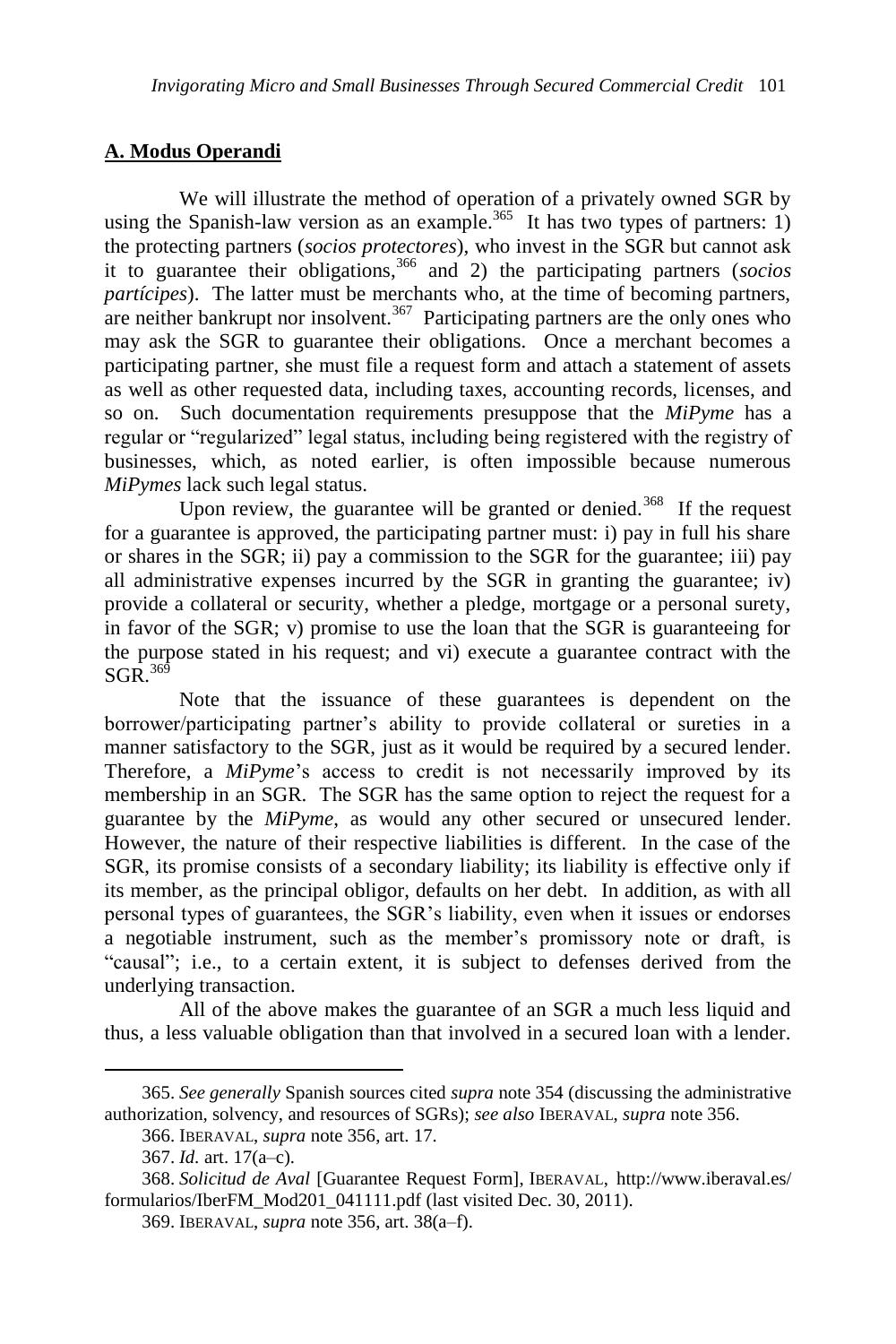# **A. Modus Operandi**

We will illustrate the method of operation of a privately owned SGR by using the Spanish-law version as an example.<sup>365</sup> It has two types of partners: 1) the protecting partners (*socios protectores*), who invest in the SGR but cannot ask it to guarantee their obligations, <sup>366</sup> and 2) the participating partners (*socios partícipes*). The latter must be merchants who, at the time of becoming partners, are neither bankrupt nor insolvent.<sup>367</sup> Participating partners are the only ones who may ask the SGR to guarantee their obligations. Once a merchant becomes a participating partner, she must file a request form and attach a statement of assets as well as other requested data, including taxes, accounting records, licenses, and so on. Such documentation requirements presuppose that the *MiPyme* has a regular or "regularized" legal status, including being registered with the registry of businesses, which, as noted earlier, is often impossible because numerous *MiPymes* lack such legal status.

Upon review, the guarantee will be granted or denied.<sup>368</sup> If the request for a guarantee is approved, the participating partner must: i) pay in full his share or shares in the SGR; ii) pay a commission to the SGR for the guarantee; iii) pay all administrative expenses incurred by the SGR in granting the guarantee; iv) provide a collateral or security, whether a pledge, mortgage or a personal surety, in favor of the SGR; v) promise to use the loan that the SGR is guaranteeing for the purpose stated in his request; and vi) execute a guarantee contract with the  $SGR$ <sup>369</sup>

Note that the issuance of these guarantees is dependent on the borrower/participating partner's ability to provide collateral or sureties in a manner satisfactory to the SGR, just as it would be required by a secured lender. Therefore, a *MiPyme*'s access to credit is not necessarily improved by its membership in an SGR. The SGR has the same option to reject the request for a guarantee by the *MiPyme*, as would any other secured or unsecured lender. However, the nature of their respective liabilities is different. In the case of the SGR, its promise consists of a secondary liability; its liability is effective only if its member, as the principal obligor, defaults on her debt. In addition, as with all personal types of guarantees, the SGR's liability, even when it issues or endorses a negotiable instrument, such as the member's promissory note or draft, is "causal"; i.e., to a certain extent, it is subject to defenses derived from the underlying transaction.

All of the above makes the guarantee of an SGR a much less liquid and thus, a less valuable obligation than that involved in a secured loan with a lender.

<sup>365.</sup> *See generally* Spanish sources cited *supra* note 354 (discussing the administrative authorization, solvency, and resources of SGRs); *see also* IBERAVAL, *supra* note 356.

<sup>366.</sup> IBERAVAL, *supra* not[e 356,](#page-57-0) art. 17.

<sup>367.</sup> *Id.* art. 17(a–c).

<sup>368.</sup> *Solicitud de Aval* [Guarantee Request Form], IBERAVAL, http://www.iberaval.es/ formularios/IberFM\_Mod201\_041111.pdf (last visited Dec. 30, 2011).

<sup>369.</sup> IBERAVAL, *supra* note 356, art. 38(a–f).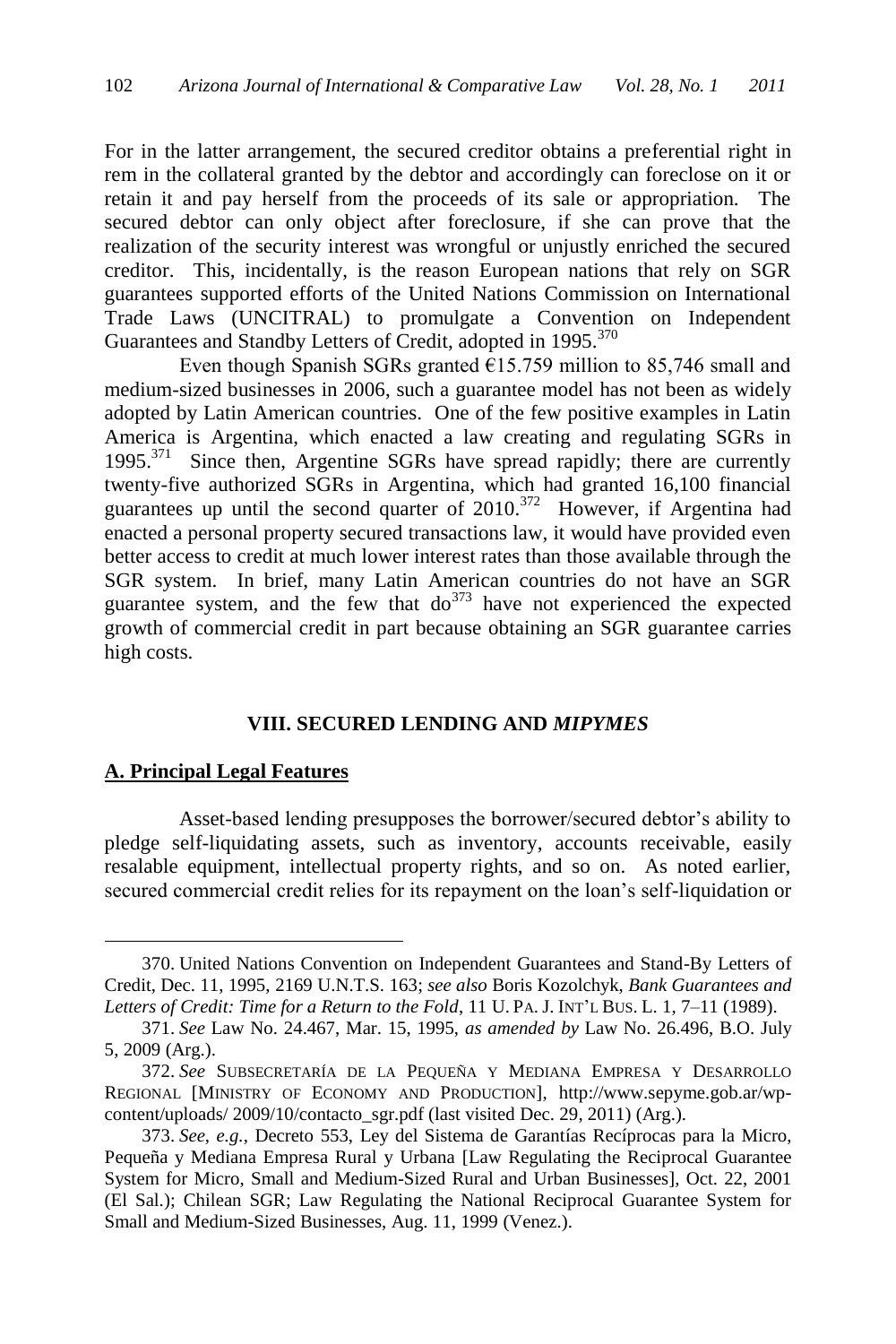For in the latter arrangement, the secured creditor obtains a preferential right in rem in the collateral granted by the debtor and accordingly can foreclose on it or retain it and pay herself from the proceeds of its sale or appropriation. The secured debtor can only object after foreclosure, if she can prove that the realization of the security interest was wrongful or unjustly enriched the secured creditor. This, incidentally, is the reason European nations that rely on SGR guarantees supported efforts of the United Nations Commission on International Trade Laws (UNCITRAL) to promulgate a Convention on Independent Guarantees and Standby Letters of Credit, adopted in 1995.<sup>370</sup>

Even though Spanish SGRs granted  $E15.759$  million to 85,746 small and medium-sized businesses in 2006, such a guarantee model has not been as widely adopted by Latin American countries. One of the few positive examples in Latin America is Argentina, which enacted a law creating and regulating SGRs in 1995.<sup>371</sup> Since then, Argentine SGRs have spread rapidly; there are currently twenty-five authorized SGRs in Argentina, which had granted 16,100 financial guarantees up until the second quarter of  $2010$ .<sup>372</sup> However, if Argentina had enacted a personal property secured transactions law, it would have provided even better access to credit at much lower interest rates than those available through the SGR system. In brief, many Latin American countries do not have an SGR guarantee system, and the few that  $d\sigma^{373}$  have not experienced the expected growth of commercial credit in part because obtaining an SGR guarantee carries high costs.

### **VIII. SECURED LENDING AND** *MIPYMES*

#### **A. Principal Legal Features**

 $\overline{a}$ 

Asset-based lending presupposes the borrower/secured debtor's ability to pledge self-liquidating assets, such as inventory, accounts receivable, easily resalable equipment, intellectual property rights, and so on. As noted earlier, secured commercial credit relies for its repayment on the loan's self-liquidation or

<sup>370.</sup> United Nations Convention on Independent Guarantees and Stand-By Letters of Credit, Dec. 11, 1995, 2169 U.N.T.S. 163; *see also* Boris Kozolchyk, *Bank Guarantees and Letters of Credit: Time for a Return to the Fold*, 11 U. PA. J. INT'L BUS. L. 1, 7–11 (1989).

<sup>371.</sup> *See* Law No. 24.467, Mar. 15, 1995, *as amended by* Law No. 26.496, B.O. July 5, 2009 (Arg.).

<sup>372.</sup> *See* SUBSECRETARÍA DE LA PEQUEÑA Y MEDIANA EMPRESA Y DESARROLLO REGIONAL [MINISTRY OF ECONOMY AND PRODUCTION], http://www.sepyme.gob.ar/wpcontent/uploads/ 2009/10/contacto\_sgr.pdf (last visited Dec. 29, 2011) (Arg.).

<sup>373.</sup> *See, e.g.*, Decreto 553, Ley del Sistema de Garantías Recíprocas para la Micro, Pequeña y Mediana Empresa Rural y Urbana [Law Regulating the Reciprocal Guarantee System for Micro, Small and Medium-Sized Rural and Urban Businesses], Oct. 22, 2001 (El Sal.); Chilean SGR; Law Regulating the National Reciprocal Guarantee System for Small and Medium-Sized Businesses, Aug. 11, 1999 (Venez.).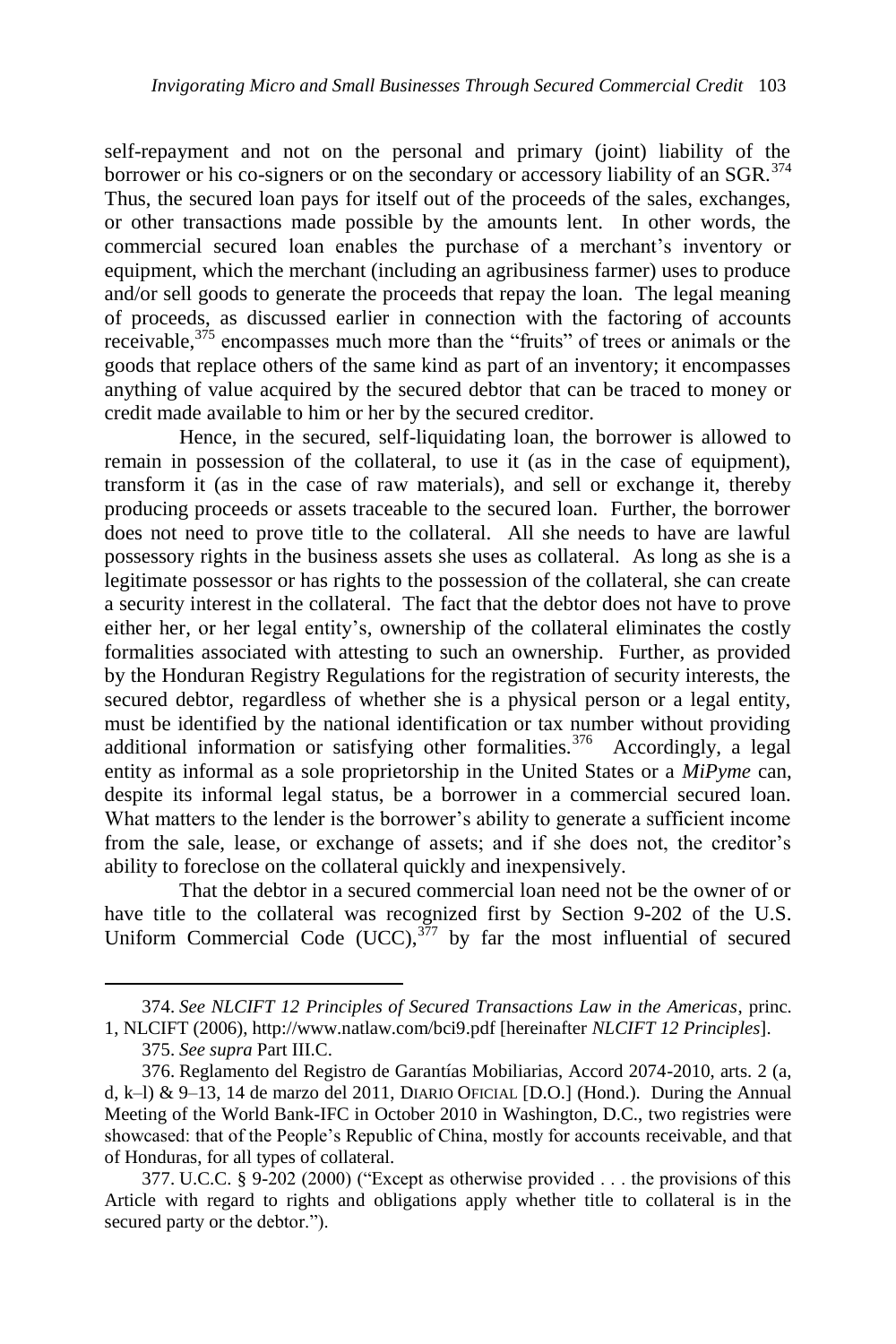<span id="page-60-0"></span>self-repayment and not on the personal and primary (joint) liability of the borrower or his co-signers or on the secondary or accessory liability of an SGR.<sup>374</sup> Thus, the secured loan pays for itself out of the proceeds of the sales, exchanges, or other transactions made possible by the amounts lent. In other words, the commercial secured loan enables the purchase of a merchant's inventory or equipment, which the merchant (including an agribusiness farmer) uses to produce and/or sell goods to generate the proceeds that repay the loan. The legal meaning of proceeds, as discussed earlier in connection with the factoring of accounts receivable, $3^{75}$  encompasses much more than the "fruits" of trees or animals or the goods that replace others of the same kind as part of an inventory; it encompasses anything of value acquired by the secured debtor that can be traced to money or credit made available to him or her by the secured creditor.

Hence, in the secured, self-liquidating loan, the borrower is allowed to remain in possession of the collateral, to use it (as in the case of equipment), transform it (as in the case of raw materials), and sell or exchange it, thereby producing proceeds or assets traceable to the secured loan. Further, the borrower does not need to prove title to the collateral. All she needs to have are lawful possessory rights in the business assets she uses as collateral. As long as she is a legitimate possessor or has rights to the possession of the collateral, she can create a security interest in the collateral. The fact that the debtor does not have to prove either her, or her legal entity's, ownership of the collateral eliminates the costly formalities associated with attesting to such an ownership. Further, as provided by the Honduran Registry Regulations for the registration of security interests, the secured debtor, regardless of whether she is a physical person or a legal entity, must be identified by the national identification or tax number without providing additional information or satisfying other formalities.<sup>376</sup> Accordingly, a legal entity as informal as a sole proprietorship in the United States or a *MiPyme* can, despite its informal legal status, be a borrower in a commercial secured loan. What matters to the lender is the borrower's ability to generate a sufficient income from the sale, lease, or exchange of assets; and if she does not, the creditor's ability to foreclose on the collateral quickly and inexpensively.

That the debtor in a secured commercial loan need not be the owner of or have title to the collateral was recognized first by Section 9-202 of the U.S. Uniform Commercial Code (UCC),  $377$  by far the most influential of secured

<sup>374.</sup> *See NLCIFT 12 Principles of Secured Transactions Law in the Americas*, princ. 1, NLCIFT (2006), http://www.natlaw.com/bci9.pdf [hereinafter *NLCIFT 12 Principles*].

<sup>375.</sup> *See supra* Part III.C.

<sup>376.</sup> Reglamento del Registro de Garantías Mobiliarias, Accord 2074-2010, arts. 2 (a, d, k–l) & 9–13, 14 de marzo del 2011, DIARIO OFICIAL [D.O.] (Hond.). During the Annual Meeting of the World Bank-IFC in October 2010 in Washington, D.C., two registries were showcased: that of the People's Republic of China, mostly for accounts receivable, and that of Honduras, for all types of collateral.

<sup>377.</sup> U.C.C. § 9-202 (2000) ("Except as otherwise provided  $\dots$  the provisions of this Article with regard to rights and obligations apply whether title to collateral is in the secured party or the debtor.").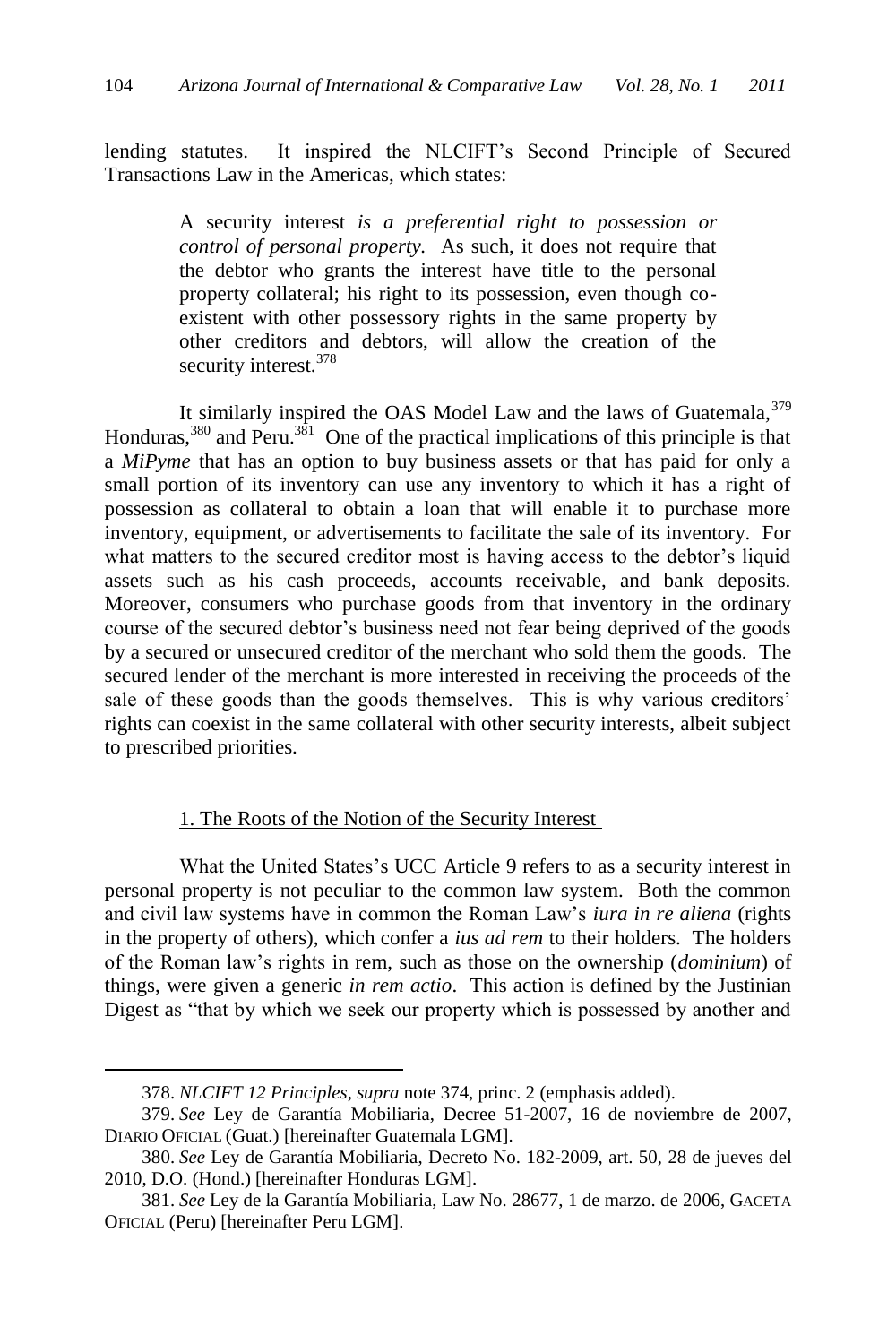lending statutes. It inspired the NLCIFT's Second Principle of Secured Transactions Law in the Americas, which states:

> A security interest *is a preferential right to possession or control of personal property.* As such, it does not require that the debtor who grants the interest have title to the personal property collateral; his right to its possession, even though coexistent with other possessory rights in the same property by other creditors and debtors, will allow the creation of the security interest.<sup>378</sup>

It similarly inspired the OAS Model Law and the laws of Guatemala,  $379$ Honduras,  $380$  and Peru.  $381$  One of the practical implications of this principle is that a *MiPyme* that has an option to buy business assets or that has paid for only a small portion of its inventory can use any inventory to which it has a right of possession as collateral to obtain a loan that will enable it to purchase more inventory, equipment, or advertisements to facilitate the sale of its inventory. For what matters to the secured creditor most is having access to the debtor's liquid assets such as his cash proceeds, accounts receivable, and bank deposits. Moreover, consumers who purchase goods from that inventory in the ordinary course of the secured debtor's business need not fear being deprived of the goods by a secured or unsecured creditor of the merchant who sold them the goods. The secured lender of the merchant is more interested in receiving the proceeds of the sale of these goods than the goods themselves. This is why various creditors' rights can coexist in the same collateral with other security interests, albeit subject to prescribed priorities.

#### 1. The Roots of the Notion of the Security Interest

What the United States's UCC Article 9 refers to as a security interest in personal property is not peculiar to the common law system. Both the common and civil law systems have in common the Roman Law's *iura in re aliena* (rights in the property of others), which confer a *ius ad rem* to their holders. The holders of the Roman law's rights in rem, such as those on the ownership (*dominium*) of things, were given a generic *in rem actio*. This action is defined by the Justinian Digest as "that by which we seek our property which is possessed by another and

<sup>378.</sup> *NLCIFT 12 Principles*, *supra* not[e 374,](#page-60-0) princ. 2 (emphasis added).

<sup>379.</sup> *See* Ley de Garantía Mobiliaria, Decree 51-2007, 16 de noviembre de 2007, DIARIO OFICIAL (Guat.) [hereinafter Guatemala LGM].

<sup>380.</sup> *See* Ley de Garantía Mobiliaria, Decreto No. 182-2009, art. 50, 28 de jueves del 2010, D.O. (Hond.) [hereinafter Honduras LGM].

<sup>381.</sup> *See* Ley de la Garantía Mobiliaria, Law No. 28677, 1 de marzo. de 2006, GACETA OFICIAL (Peru) [hereinafter Peru LGM].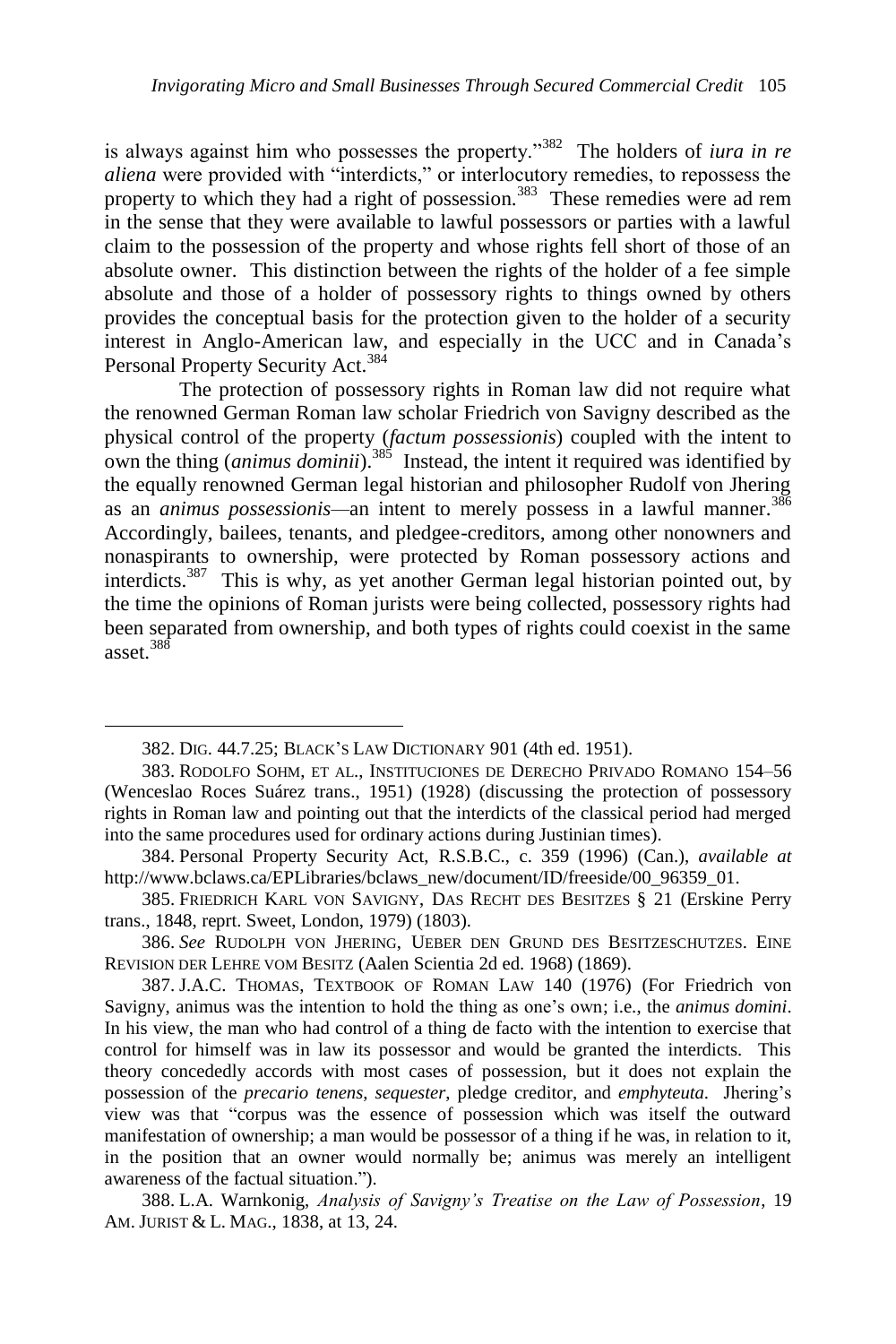is always against him who possesses the property."<sup>382</sup> The holders of *iura in re aliena* were provided with "interdicts," or interlocutory remedies, to repossess the property to which they had a right of possession.<sup>383</sup> These remedies were ad rem in the sense that they were available to lawful possessors or parties with a lawful claim to the possession of the property and whose rights fell short of those of an absolute owner. This distinction between the rights of the holder of a fee simple absolute and those of a holder of possessory rights to things owned by others provides the conceptual basis for the protection given to the holder of a security interest in Anglo-American law, and especially in the UCC and in Canada's Personal Property Security Act.<sup>384</sup>

The protection of possessory rights in Roman law did not require what the renowned German Roman law scholar Friedrich von Savigny described as the physical control of the property (*factum possessionis*) coupled with the intent to own the thing *(animus dominii)*.<sup>385</sup> Instead, the intent it required was identified by the equally renowned German legal historian and philosopher Rudolf von Jhering as an *animus possessionis—*an intent to merely possess in a lawful manner.<sup>386</sup> Accordingly, bailees, tenants, and pledgee-creditors, among other nonowners and nonaspirants to ownership, were protected by Roman possessory actions and interdicts.<sup>387</sup> This is why, as yet another German legal historian pointed out, by the time the opinions of Roman jurists were being collected, possessory rights had been separated from ownership, and both types of rights could coexist in the same asset  $388$ 

<span id="page-62-0"></span><sup>382.</sup> DIG. 44.7.25; BLACK'S LAW DICTIONARY 901 (4th ed. 1951).

<sup>383.</sup> RODOLFO SOHM, ET AL., INSTITUCIONES DE DERECHO PRIVADO ROMANO 154–56 (Wenceslao Roces Suárez trans., 1951) (1928) (discussing the protection of possessory rights in Roman law and pointing out that the interdicts of the classical period had merged into the same procedures used for ordinary actions during Justinian times).

<sup>384.</sup> Personal Property Security Act, R.S.B.C., c. 359 (1996) (Can.), *available at* http://www.bclaws.ca/EPLibraries/bclaws\_new/document/ID/freeside/00\_96359\_01.

<sup>385.</sup> FRIEDRICH KARL VON SAVIGNY, DAS RECHT DES BESITZES § 21 (Erskine Perry trans., 1848, reprt. Sweet, London, 1979) (1803).

<sup>386.</sup> *See* RUDOLPH VON JHERING, UEBER DEN GRUND DES BESITZESCHUTZES. EINE REVISION DER LEHRE VOM BESITZ (Aalen Scientia 2d ed. 1968) (1869).

<sup>387.</sup> J.A.C. THOMAS, TEXTBOOK OF ROMAN LAW 140 (1976) (For Friedrich von Savigny, animus was the intention to hold the thing as one's own; i.e., the *animus domini*. In his view, the man who had control of a thing de facto with the intention to exercise that control for himself was in law its possessor and would be granted the interdicts. This theory concededly accords with most cases of possession, but it does not explain the possession of the *precario tenens*, *sequester*, pledge creditor, and *emphyteuta.* Jhering's view was that ―corpus was the essence of possession which was itself the outward manifestation of ownership; a man would be possessor of a thing if he was, in relation to it, in the position that an owner would normally be; animus was merely an intelligent awareness of the factual situation.").

<sup>388.</sup> L.A. Warnkonig, *Analysis of Savigny's Treatise on the Law of Possession*, 19 AM. JURIST & L. MAG., 1838, at 13, 24.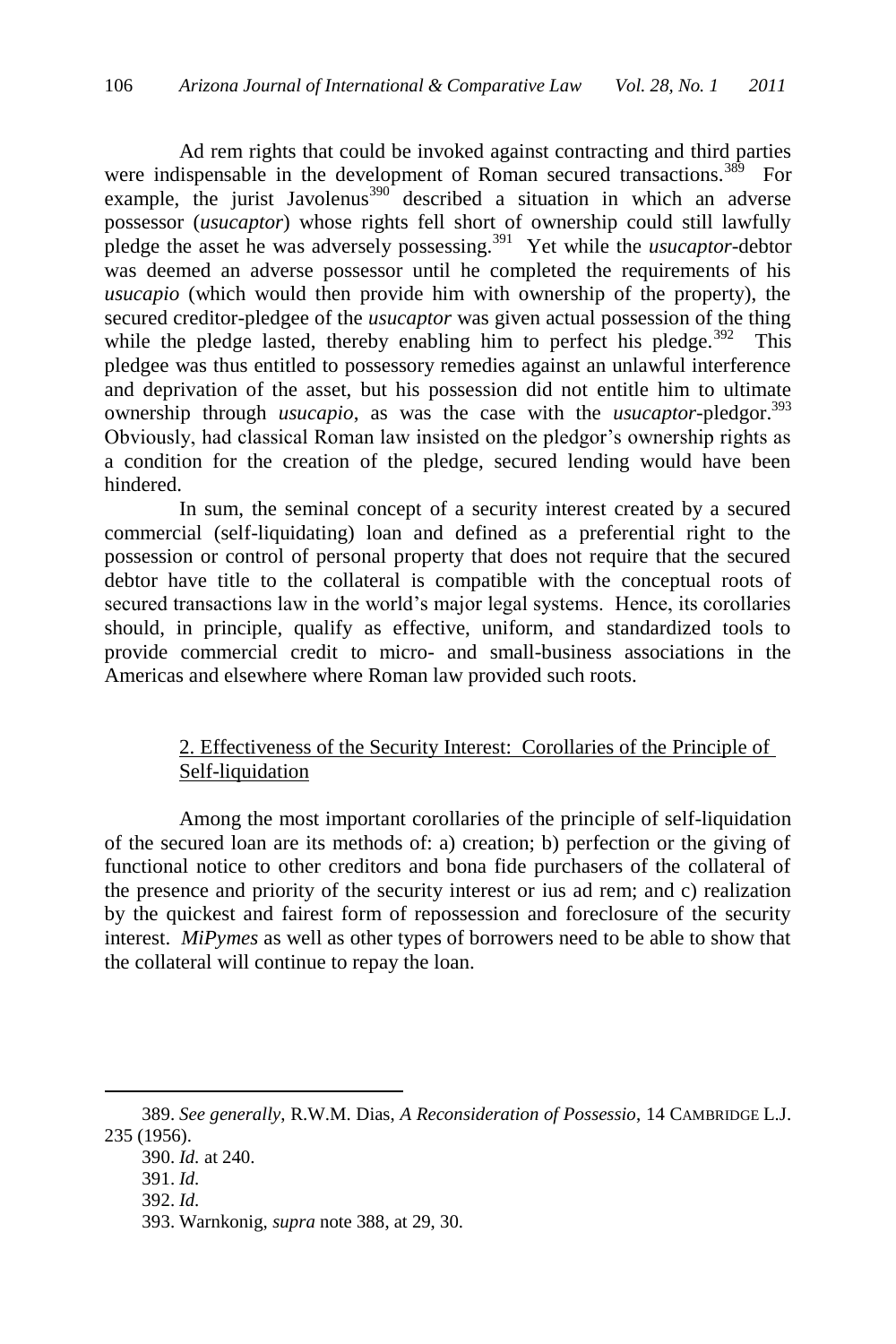Ad rem rights that could be invoked against contracting and third parties were indispensable in the development of Roman secured transactions.<sup>389</sup> For example, the jurist Javolenus<sup>390</sup> described a situation in which an adverse possessor (*usucaptor*) whose rights fell short of ownership could still lawfully pledge the asset he was adversely possessing.<sup>391</sup> Yet while the *usucaptor*-debtor was deemed an adverse possessor until he completed the requirements of his *usucapio* (which would then provide him with ownership of the property), the secured creditor-pledgee of the *usucaptor* was given actual possession of the thing while the pledge lasted, thereby enabling him to perfect his pledge. $392$  This pledgee was thus entitled to possessory remedies against an unlawful interference and deprivation of the asset, but his possession did not entitle him to ultimate ownership through *usucapio*, as was the case with the *usucaptor-*pledgor.<sup>393</sup> Obviously, had classical Roman law insisted on the pledgor's ownership rights as a condition for the creation of the pledge, secured lending would have been hindered.

In sum, the seminal concept of a security interest created by a secured commercial (self-liquidating) loan and defined as a preferential right to the possession or control of personal property that does not require that the secured debtor have title to the collateral is compatible with the conceptual roots of secured transactions law in the world's major legal systems. Hence, its corollaries should, in principle, qualify as effective, uniform, and standardized tools to provide commercial credit to micro- and small-business associations in the Americas and elsewhere where Roman law provided such roots.

# 2. Effectiveness of the Security Interest: Corollaries of the Principle of Self-liquidation

Among the most important corollaries of the principle of self-liquidation of the secured loan are its methods of: a) creation; b) perfection or the giving of functional notice to other creditors and bona fide purchasers of the collateral of the presence and priority of the security interest or ius ad rem; and c) realization by the quickest and fairest form of repossession and foreclosure of the security interest. *MiPymes* as well as other types of borrowers need to be able to show that the collateral will continue to repay the loan.

<sup>389.</sup> *See generally*, R.W.M. Dias, *A Reconsideration of Possessio*, 14 CAMBRIDGE L.J. 235 (1956).

<sup>390.</sup> *Id.* at 240.

<sup>391.</sup> *Id.*

<sup>392.</sup> *Id.*

<sup>393.</sup> Warnkonig, *supra* note [388,](#page-62-0) at 29, 30.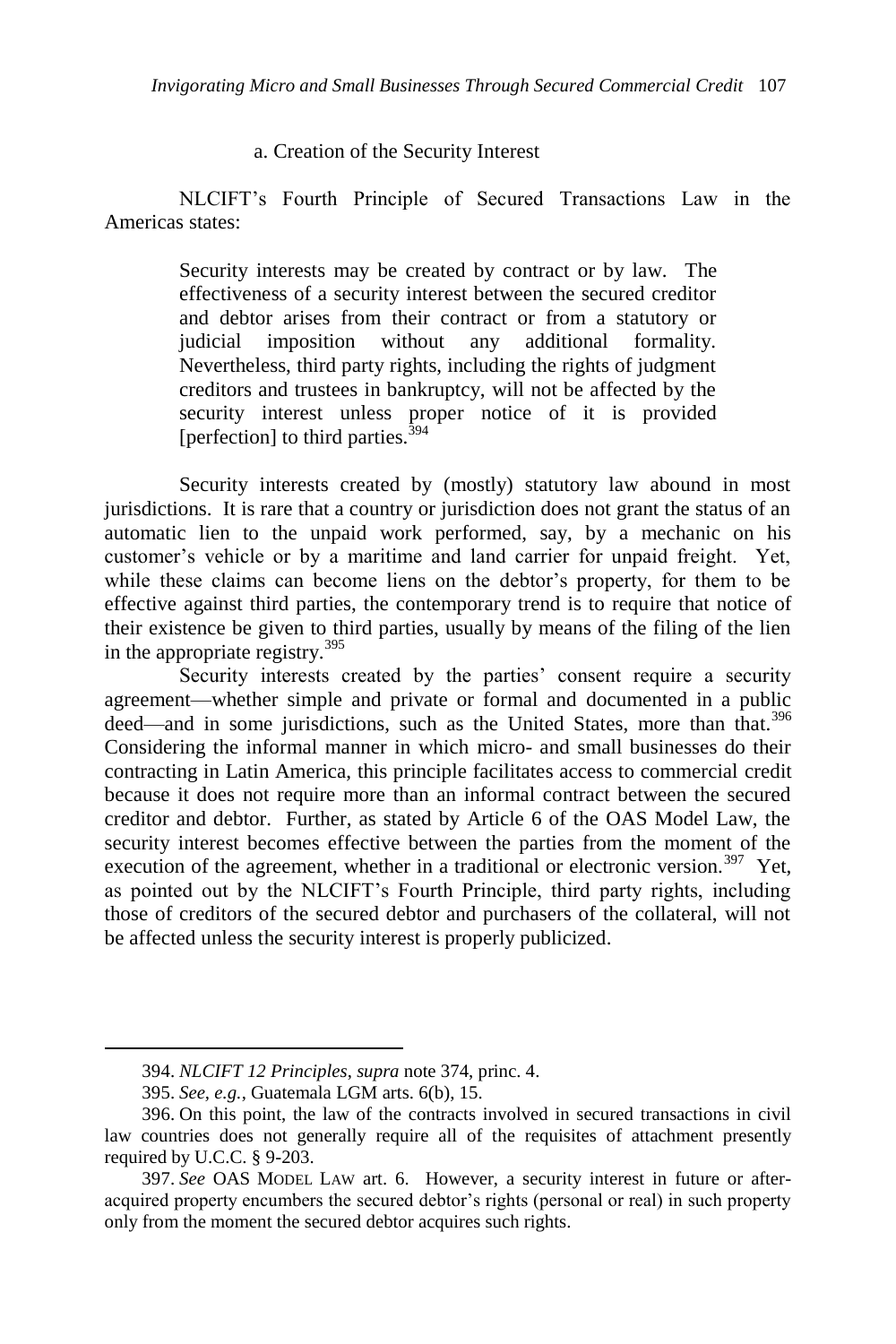### a. Creation of the Security Interest

NLCIFT's Fourth Principle of Secured Transactions Law in the Americas states:

> Security interests may be created by contract or by law. The effectiveness of a security interest between the secured creditor and debtor arises from their contract or from a statutory or judicial imposition without any additional formality. Nevertheless, third party rights, including the rights of judgment creditors and trustees in bankruptcy, will not be affected by the security interest unless proper notice of it is provided [perfection] to third parties. $394$

Security interests created by (mostly) statutory law abound in most jurisdictions. It is rare that a country or jurisdiction does not grant the status of an automatic lien to the unpaid work performed, say, by a mechanic on his customer's vehicle or by a maritime and land carrier for unpaid freight. Yet, while these claims can become liens on the debtor's property, for them to be effective against third parties, the contemporary trend is to require that notice of their existence be given to third parties, usually by means of the filing of the lien in the appropriate registry.<sup>395</sup>

Security interests created by the parties' consent require a security agreement—whether simple and private or formal and documented in a public deed—and in some jurisdictions, such as the United States, more than that.<sup>396</sup> Considering the informal manner in which micro- and small businesses do their contracting in Latin America, this principle facilitates access to commercial credit because it does not require more than an informal contract between the secured creditor and debtor. Further, as stated by Article 6 of the OAS Model Law, the security interest becomes effective between the parties from the moment of the execution of the agreement, whether in a traditional or electronic version.<sup>397</sup> Yet, as pointed out by the NLCIFT's Fourth Principle, third party rights, including those of creditors of the secured debtor and purchasers of the collateral, will not be affected unless the security interest is properly publicized.

<sup>394.</sup> *NLCIFT 12 Principles*, *supra* not[e 374,](#page-60-0) princ. 4.

<sup>395.</sup> *See, e.g.*, Guatemala LGM arts. 6(b), 15.

<sup>396.</sup> On this point, the law of the contracts involved in secured transactions in civil law countries does not generally require all of the requisites of attachment presently required by U.C.C. § 9-203.

<sup>397.</sup> *See* OAS MODEL LAW art. 6. However, a security interest in future or afteracquired property encumbers the secured debtor's rights (personal or real) in such property only from the moment the secured debtor acquires such rights.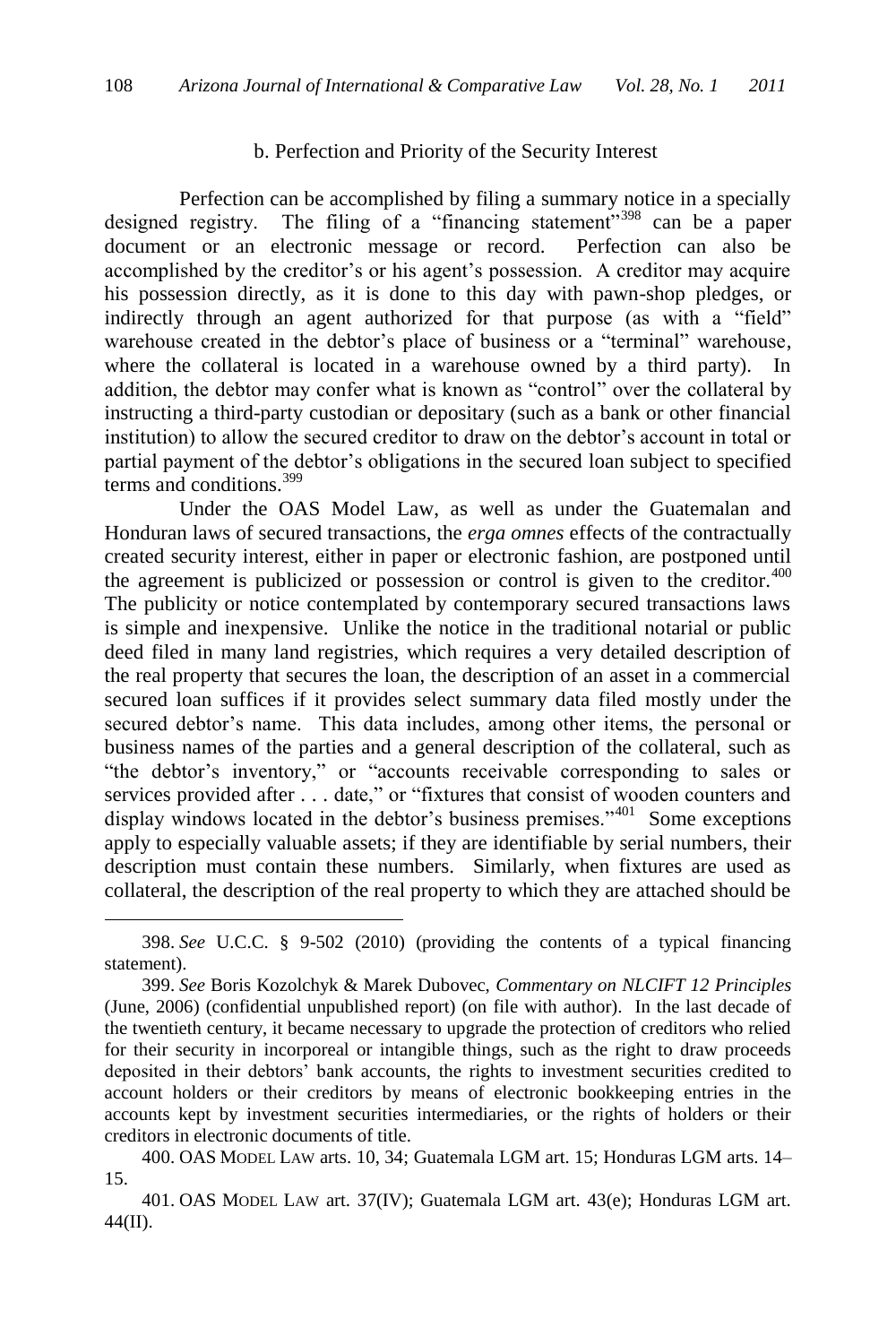### b. Perfection and Priority of the Security Interest

Perfection can be accomplished by filing a summary notice in a specially designed registry. The filing of a "financing statement"<sup>398</sup> can be a paper document or an electronic message or record. Perfection can also be accomplished by the creditor's or his agent's possession. A creditor may acquire his possession directly, as it is done to this day with pawn-shop pledges, or indirectly through an agent authorized for that purpose (as with a "field" warehouse created in the debtor's place of business or a "terminal" warehouse, where the collateral is located in a warehouse owned by a third party). In addition, the debtor may confer what is known as "control" over the collateral by instructing a third-party custodian or depositary (such as a bank or other financial institution) to allow the secured creditor to draw on the debtor's account in total or partial payment of the debtor's obligations in the secured loan subject to specified terms and conditions.<sup>399</sup>

Under the OAS Model Law, as well as under the Guatemalan and Honduran laws of secured transactions, the *erga omnes* effects of the contractually created security interest, either in paper or electronic fashion, are postponed until the agreement is publicized or possession or control is given to the creditor.<sup>400</sup> The publicity or notice contemplated by contemporary secured transactions laws is simple and inexpensive. Unlike the notice in the traditional notarial or public deed filed in many land registries, which requires a very detailed description of the real property that secures the loan, the description of an asset in a commercial secured loan suffices if it provides select summary data filed mostly under the secured debtor's name. This data includes, among other items, the personal or business names of the parties and a general description of the collateral, such as "the debtor's inventory," or "accounts receivable corresponding to sales or services provided after . . . date," or "fixtures that consist of wooden counters and display windows located in the debtor's business premises."<sup>401</sup> Some exceptions apply to especially valuable assets; if they are identifiable by serial numbers, their description must contain these numbers. Similarly, when fixtures are used as collateral, the description of the real property to which they are attached should be

<sup>398.</sup> *See* U.C.C. § 9-502 (2010) (providing the contents of a typical financing statement).

<sup>399.</sup> *See* Boris Kozolchyk & Marek Dubovec, *Commentary on NLCIFT 12 Principles* (June, 2006) (confidential unpublished report) (on file with author). In the last decade of the twentieth century, it became necessary to upgrade the protection of creditors who relied for their security in incorporeal or intangible things, such as the right to draw proceeds deposited in their debtors' bank accounts, the rights to investment securities credited to account holders or their creditors by means of electronic bookkeeping entries in the accounts kept by investment securities intermediaries, or the rights of holders or their creditors in electronic documents of title.

<sup>400.</sup> OAS MODEL LAW arts. 10, 34; Guatemala LGM art. 15; Honduras LGM arts. 14– 15.

<sup>401.</sup> OAS MODEL LAW art. 37(IV); Guatemala LGM art. 43(e); Honduras LGM art. 44(II).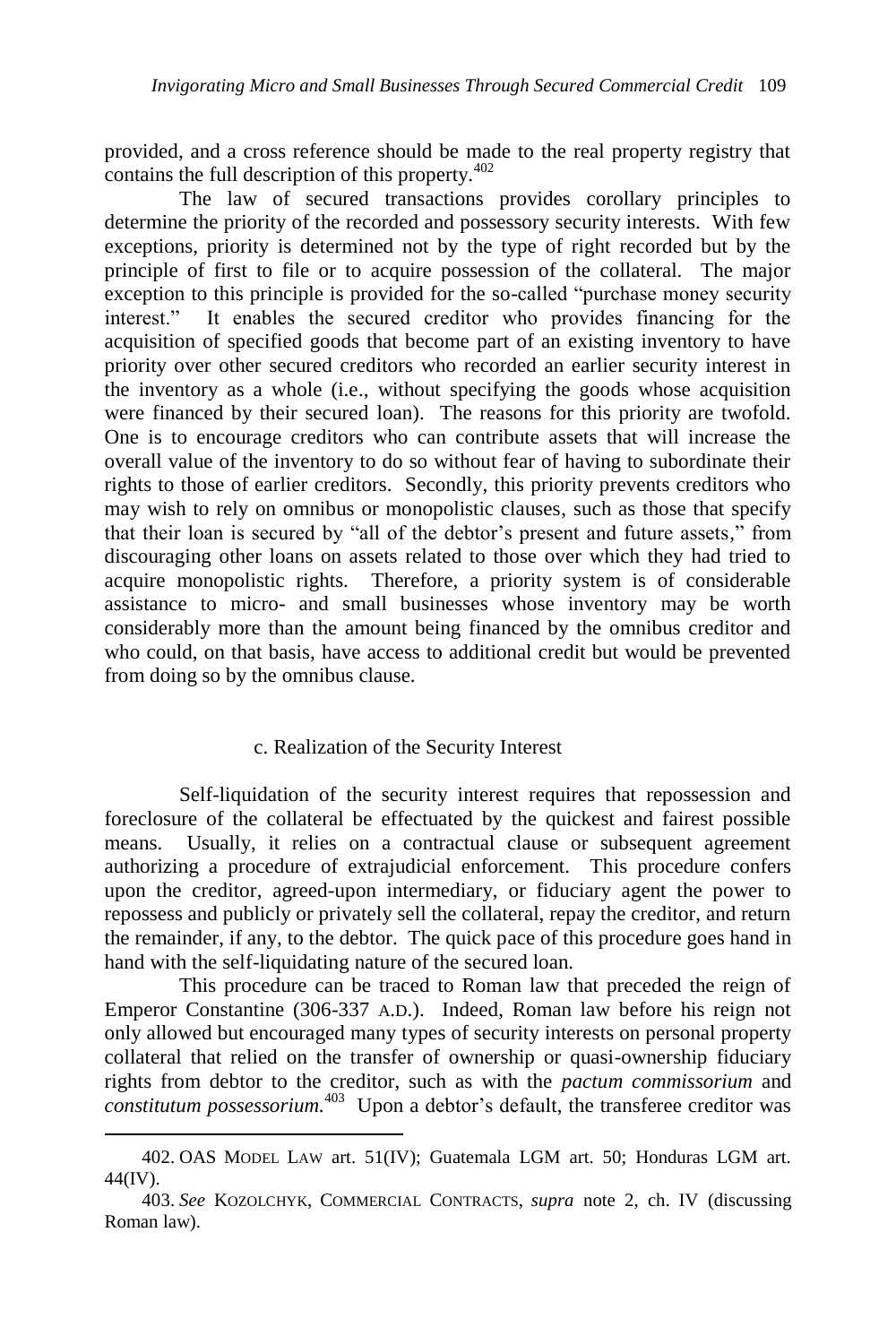provided, and a cross reference should be made to the real property registry that contains the full description of this property. $402$ 

The law of secured transactions provides corollary principles to determine the priority of the recorded and possessory security interests. With few exceptions, priority is determined not by the type of right recorded but by the principle of first to file or to acquire possession of the collateral. The major exception to this principle is provided for the so-called "purchase money security interest.‖ It enables the secured creditor who provides financing for the acquisition of specified goods that become part of an existing inventory to have priority over other secured creditors who recorded an earlier security interest in the inventory as a whole (i.e., without specifying the goods whose acquisition were financed by their secured loan). The reasons for this priority are twofold. One is to encourage creditors who can contribute assets that will increase the overall value of the inventory to do so without fear of having to subordinate their rights to those of earlier creditors. Secondly, this priority prevents creditors who may wish to rely on omnibus or monopolistic clauses, such as those that specify that their loan is secured by "all of the debtor's present and future assets," from discouraging other loans on assets related to those over which they had tried to acquire monopolistic rights. Therefore, a priority system is of considerable assistance to micro- and small businesses whose inventory may be worth considerably more than the amount being financed by the omnibus creditor and who could, on that basis, have access to additional credit but would be prevented from doing so by the omnibus clause.

#### c. Realization of the Security Interest

Self-liquidation of the security interest requires that repossession and foreclosure of the collateral be effectuated by the quickest and fairest possible means. Usually, it relies on a contractual clause or subsequent agreement authorizing a procedure of extrajudicial enforcement. This procedure confers upon the creditor, agreed-upon intermediary, or fiduciary agent the power to repossess and publicly or privately sell the collateral, repay the creditor, and return the remainder, if any, to the debtor. The quick pace of this procedure goes hand in hand with the self-liquidating nature of the secured loan.

This procedure can be traced to Roman law that preceded the reign of Emperor Constantine (306-337 A.D.). Indeed, Roman law before his reign not only allowed but encouraged many types of security interests on personal property collateral that relied on the transfer of ownership or quasi-ownership fiduciary rights from debtor to the creditor, such as with the *pactum commissorium* and *constitutum possessorium.*<sup>403</sup> Upon a debtor's default, the transferee creditor was

<sup>402.</sup> OAS MODEL LAW art. 51(IV); Guatemala LGM art. 50; Honduras LGM art. 44(IV).

<sup>403.</sup> *See* KOZOLCHYK, COMMERCIAL CONTRACTS, *supra* note 2, ch. IV (discussing Roman law).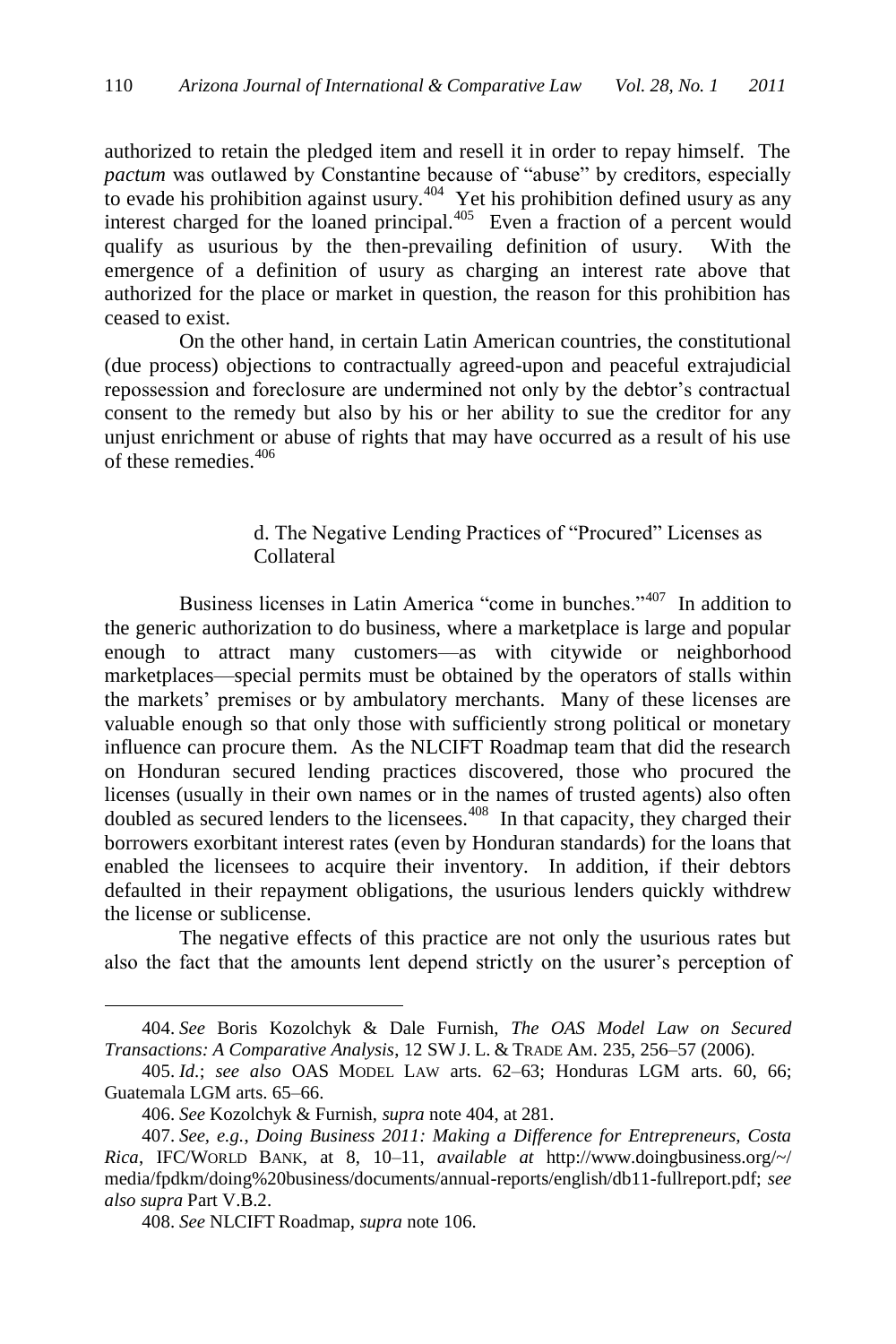<span id="page-67-0"></span>authorized to retain the pledged item and resell it in order to repay himself. The *pactum* was outlawed by Constantine because of "abuse" by creditors, especially to evade his prohibition against usury.<sup> $404$ </sup> Yet his prohibition defined usury as any interest charged for the loaned principal.<sup>405</sup> Even a fraction of a percent would qualify as usurious by the then-prevailing definition of usury. With the emergence of a definition of usury as charging an interest rate above that authorized for the place or market in question, the reason for this prohibition has ceased to exist.

On the other hand, in certain Latin American countries, the constitutional (due process) objections to contractually agreed-upon and peaceful extrajudicial repossession and foreclosure are undermined not only by the debtor's contractual consent to the remedy but also by his or her ability to sue the creditor for any unjust enrichment or abuse of rights that may have occurred as a result of his use of these remedies.<sup>406</sup>

# d. The Negative Lending Practices of "Procured" Licenses as Collateral

Business licenses in Latin America "come in bunches."<sup>407</sup> In addition to the generic authorization to do business, where a marketplace is large and popular enough to attract many customers—as with citywide or neighborhood marketplaces—special permits must be obtained by the operators of stalls within the markets' premises or by ambulatory merchants. Many of these licenses are valuable enough so that only those with sufficiently strong political or monetary influence can procure them. As the NLCIFT Roadmap team that did the research on Honduran secured lending practices discovered, those who procured the licenses (usually in their own names or in the names of trusted agents) also often doubled as secured lenders to the licensees.<sup>408</sup> In that capacity, they charged their borrowers exorbitant interest rates (even by Honduran standards) for the loans that enabled the licensees to acquire their inventory. In addition, if their debtors defaulted in their repayment obligations, the usurious lenders quickly withdrew the license or sublicense.

The negative effects of this practice are not only the usurious rates but also the fact that the amounts lent depend strictly on the usurer's perception of

<sup>404.</sup> *See* Boris Kozolchyk & Dale Furnish, *The OAS Model Law on Secured Transactions: A Comparative Analysis*, 12 SW J. L. & TRADE AM. 235, 256–57 (2006).

<sup>405.</sup> *Id.*; *see also* OAS MODEL LAW arts. 62–63; Honduras LGM arts. 60, 66; Guatemala LGM arts. 65–66.

<sup>406.</sup> *See* Kozolchyk & Furnish, *supra* not[e 404,](#page-67-0) at 281.

<sup>407.</sup> *See, e.g.*, *Doing Business 2011: Making a Difference for Entrepreneurs, Costa Rica*, IFC/WORLD BANK, at 8, 10–11, *available at* http://www.doingbusiness.org/~/ media/fpdkm/doing%20business/documents/annual-reports/english/db11-fullreport.pdf; *see also supra* Part V.B.2.

<sup>408.</sup> *See* NLCIFT Roadmap, *supra* note 106.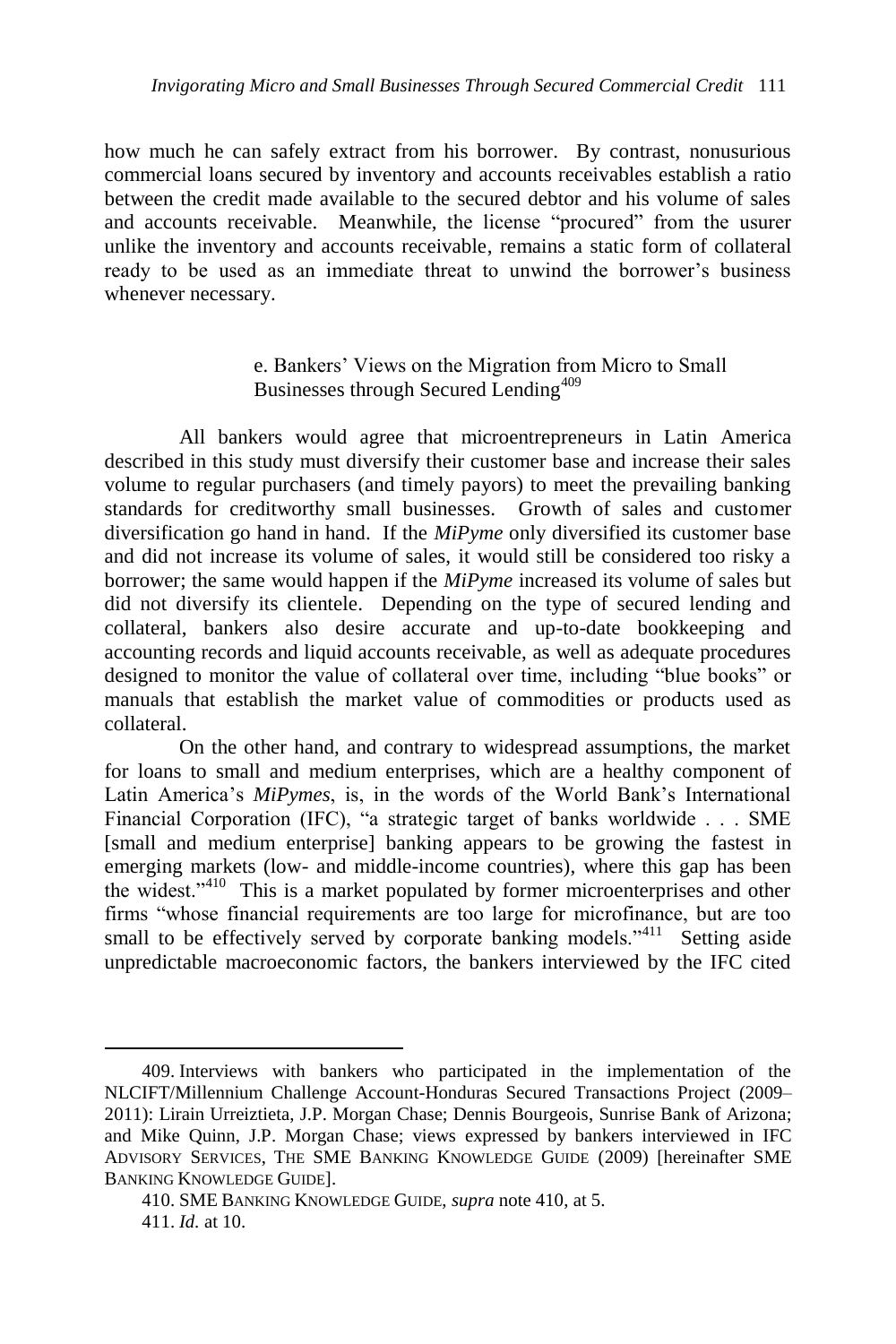how much he can safely extract from his borrower. By contrast, nonusurious commercial loans secured by inventory and accounts receivables establish a ratio between the credit made available to the secured debtor and his volume of sales and accounts receivable. Meanwhile, the license "procured" from the usurer unlike the inventory and accounts receivable, remains a static form of collateral ready to be used as an immediate threat to unwind the borrower's business whenever necessary.

# e. Bankers' Views on the Migration from Micro to Small Businesses through Secured Lending<sup>409</sup>

All bankers would agree that microentrepreneurs in Latin America described in this study must diversify their customer base and increase their sales volume to regular purchasers (and timely payors) to meet the prevailing banking standards for creditworthy small businesses. Growth of sales and customer diversification go hand in hand. If the *MiPyme* only diversified its customer base and did not increase its volume of sales, it would still be considered too risky a borrower; the same would happen if the *MiPyme* increased its volume of sales but did not diversify its clientele. Depending on the type of secured lending and collateral, bankers also desire accurate and up-to-date bookkeeping and accounting records and liquid accounts receivable, as well as adequate procedures designed to monitor the value of collateral over time, including "blue books" or manuals that establish the market value of commodities or products used as collateral.

On the other hand, and contrary to widespread assumptions, the market for loans to small and medium enterprises, which are a healthy component of Latin America's *MiPymes*, is, in the words of the World Bank's International Financial Corporation (IFC), "a strategic target of banks worldwide . . . SME [small and medium enterprise] banking appears to be growing the fastest in emerging markets (low- and middle-income countries), where this gap has been the widest."<sup>410</sup> This is a market populated by former microenterprises and other firms "whose financial requirements are too large for microfinance, but are too small to be effectively served by corporate banking models."<sup>411</sup> Setting aside unpredictable macroeconomic factors, the bankers interviewed by the IFC cited

<sup>409.</sup> Interviews with bankers who participated in the implementation of the NLCIFT/Millennium Challenge Account-Honduras Secured Transactions Project (2009– 2011): Lirain Urreiztieta, J.P. Morgan Chase; Dennis Bourgeois, Sunrise Bank of Arizona; and Mike Quinn, J.P. Morgan Chase; views expressed by bankers interviewed in IFC ADVISORY SERVICES, THE SME BANKING KNOWLEDGE GUIDE (2009) [hereinafter SME BANKING KNOWLEDGE GUIDE].

<sup>410.</sup> SME BANKING KNOWLEDGE GUIDE, *supra* note 410, at 5. 411. *Id.* at 10.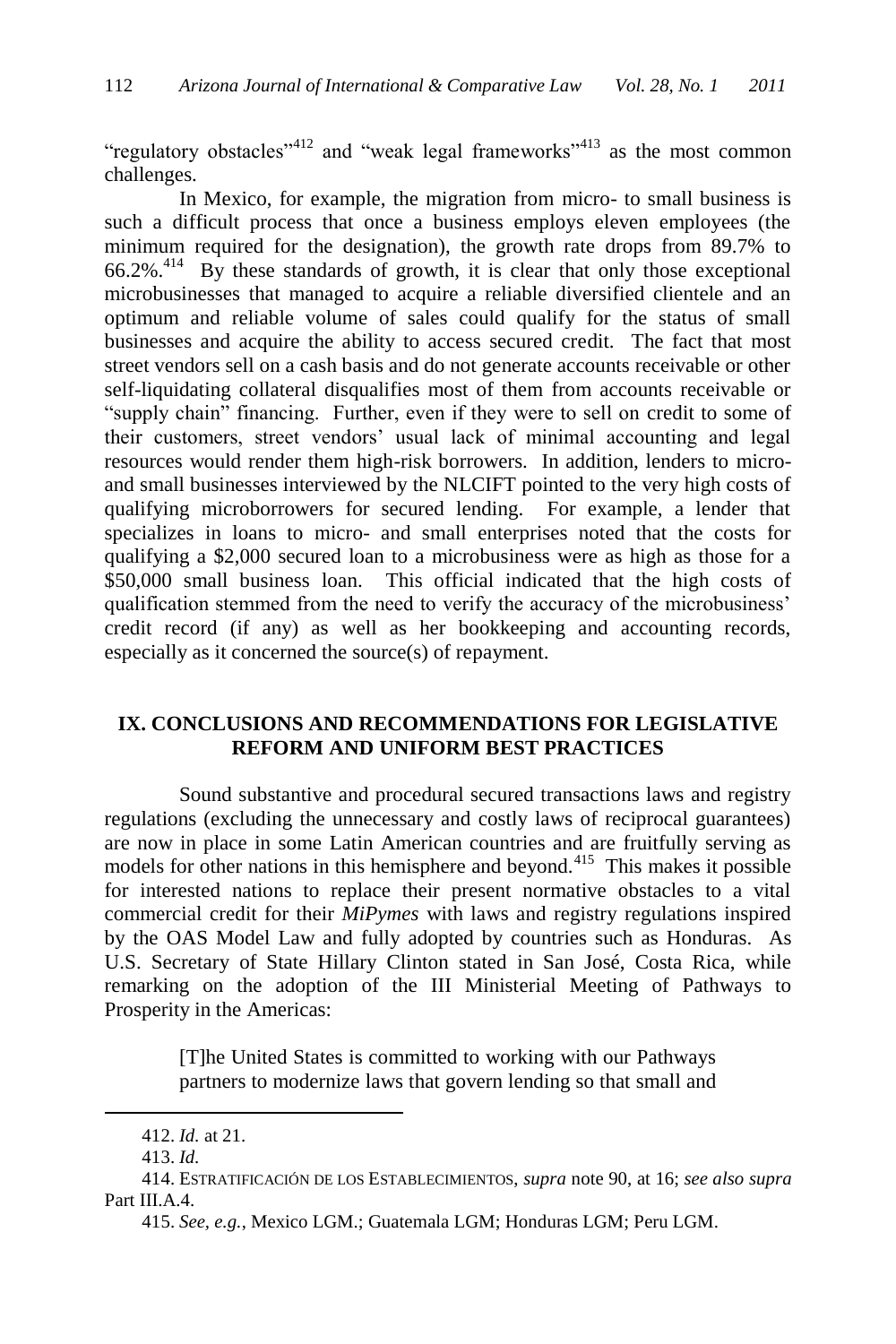"regulatory obstacles"<sup>412</sup> and "weak legal frameworks"<sup>413</sup> as the most common challenges.

In Mexico, for example, the migration from micro- to small business is such a difficult process that once a business employs eleven employees (the minimum required for the designation), the growth rate drops from 89.7% to 66.2%.<sup>414</sup> By these standards of growth, it is clear that only those exceptional microbusinesses that managed to acquire a reliable diversified clientele and an optimum and reliable volume of sales could qualify for the status of small businesses and acquire the ability to access secured credit. The fact that most street vendors sell on a cash basis and do not generate accounts receivable or other self-liquidating collateral disqualifies most of them from accounts receivable or "supply chain" financing. Further, even if they were to sell on credit to some of their customers, street vendors' usual lack of minimal accounting and legal resources would render them high-risk borrowers. In addition, lenders to microand small businesses interviewed by the NLCIFT pointed to the very high costs of qualifying microborrowers for secured lending. For example, a lender that specializes in loans to micro- and small enterprises noted that the costs for qualifying a \$2,000 secured loan to a microbusiness were as high as those for a \$50,000 small business loan. This official indicated that the high costs of qualification stemmed from the need to verify the accuracy of the microbusiness' credit record (if any) as well as her bookkeeping and accounting records, especially as it concerned the source(s) of repayment.

## **IX. CONCLUSIONS AND RECOMMENDATIONS FOR LEGISLATIVE REFORM AND UNIFORM BEST PRACTICES**

Sound substantive and procedural secured transactions laws and registry regulations (excluding the unnecessary and costly laws of reciprocal guarantees) are now in place in some Latin American countries and are fruitfully serving as models for other nations in this hemisphere and beyond.<sup>415</sup> This makes it possible for interested nations to replace their present normative obstacles to a vital commercial credit for their *MiPymes* with laws and registry regulations inspired by the OAS Model Law and fully adopted by countries such as Honduras. As U.S. Secretary of State Hillary Clinton stated in San José, Costa Rica, while remarking on the adoption of the III Ministerial Meeting of Pathways to Prosperity in the Americas:

> [T]he United States is committed to working with our Pathways partners to modernize laws that govern lending so that small and

<sup>412.</sup> *Id.* at 21.

<sup>413.</sup> *Id.*

<sup>414.</sup> ESTRATIFICACIÓN DE LOS ESTABLECIMIENTOS, *supra* note 90, at 16; *see also supra*  Part III.A.4.

<sup>415.</sup> *See, e.g.*, Mexico LGM.; Guatemala LGM; Honduras LGM; Peru LGM.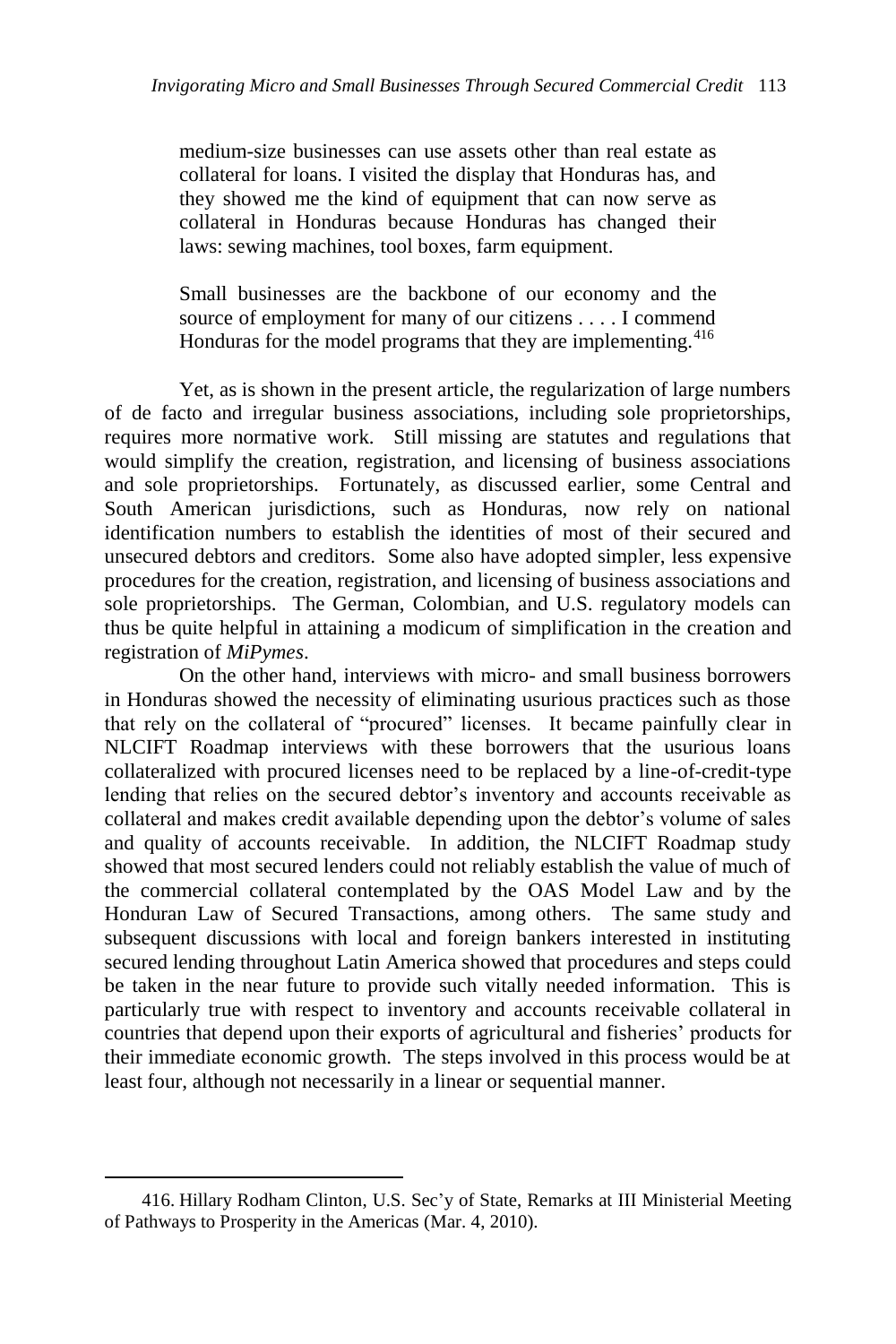medium-size businesses can use assets other than real estate as collateral for loans. I visited the display that Honduras has, and they showed me the kind of equipment that can now serve as collateral in Honduras because Honduras has changed their laws: sewing machines, tool boxes, farm equipment.

Small businesses are the backbone of our economy and the source of employment for many of our citizens . . . . I commend Honduras for the model programs that they are implementing.<sup>416</sup>

Yet, as is shown in the present article, the regularization of large numbers of de facto and irregular business associations, including sole proprietorships, requires more normative work. Still missing are statutes and regulations that would simplify the creation, registration, and licensing of business associations and sole proprietorships. Fortunately, as discussed earlier, some Central and South American jurisdictions, such as Honduras, now rely on national identification numbers to establish the identities of most of their secured and unsecured debtors and creditors. Some also have adopted simpler, less expensive procedures for the creation, registration, and licensing of business associations and sole proprietorships. The German, Colombian, and U.S. regulatory models can thus be quite helpful in attaining a modicum of simplification in the creation and registration of *MiPymes*.

On the other hand, interviews with micro- and small business borrowers in Honduras showed the necessity of eliminating usurious practices such as those that rely on the collateral of "procured" licenses. It became painfully clear in NLCIFT Roadmap interviews with these borrowers that the usurious loans collateralized with procured licenses need to be replaced by a line-of-credit-type lending that relies on the secured debtor's inventory and accounts receivable as collateral and makes credit available depending upon the debtor's volume of sales and quality of accounts receivable. In addition, the NLCIFT Roadmap study showed that most secured lenders could not reliably establish the value of much of the commercial collateral contemplated by the OAS Model Law and by the Honduran Law of Secured Transactions, among others. The same study and subsequent discussions with local and foreign bankers interested in instituting secured lending throughout Latin America showed that procedures and steps could be taken in the near future to provide such vitally needed information. This is particularly true with respect to inventory and accounts receivable collateral in countries that depend upon their exports of agricultural and fisheries' products for their immediate economic growth. The steps involved in this process would be at least four, although not necessarily in a linear or sequential manner.

<sup>416.</sup> Hillary Rodham Clinton, U.S. Sec'y of State, Remarks at III Ministerial Meeting of Pathways to Prosperity in the Americas (Mar. 4, 2010).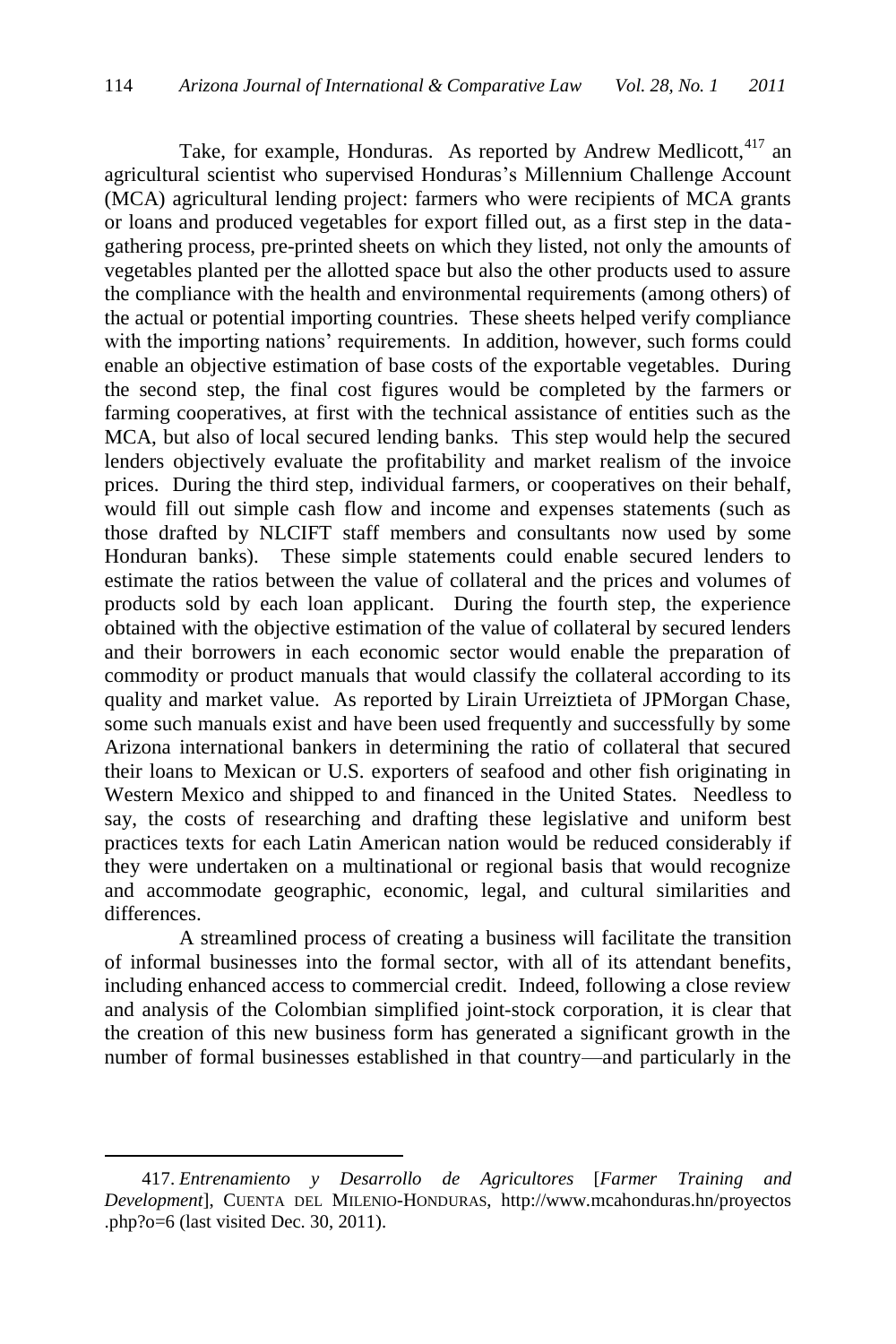Take, for example, Honduras. As reported by Andrew Medlicott,<sup>417</sup> an agricultural scientist who supervised Honduras's Millennium Challenge Account (MCA) agricultural lending project: farmers who were recipients of MCA grants or loans and produced vegetables for export filled out, as a first step in the datagathering process, pre-printed sheets on which they listed, not only the amounts of vegetables planted per the allotted space but also the other products used to assure the compliance with the health and environmental requirements (among others) of the actual or potential importing countries. These sheets helped verify compliance with the importing nations' requirements. In addition, however, such forms could enable an objective estimation of base costs of the exportable vegetables. During the second step, the final cost figures would be completed by the farmers or farming cooperatives, at first with the technical assistance of entities such as the MCA, but also of local secured lending banks. This step would help the secured lenders objectively evaluate the profitability and market realism of the invoice prices. During the third step, individual farmers, or cooperatives on their behalf, would fill out simple cash flow and income and expenses statements (such as those drafted by NLCIFT staff members and consultants now used by some Honduran banks). These simple statements could enable secured lenders to estimate the ratios between the value of collateral and the prices and volumes of products sold by each loan applicant. During the fourth step, the experience obtained with the objective estimation of the value of collateral by secured lenders and their borrowers in each economic sector would enable the preparation of commodity or product manuals that would classify the collateral according to its quality and market value. As reported by Lirain Urreiztieta of JPMorgan Chase, some such manuals exist and have been used frequently and successfully by some Arizona international bankers in determining the ratio of collateral that secured their loans to Mexican or U.S. exporters of seafood and other fish originating in Western Mexico and shipped to and financed in the United States. Needless to say, the costs of researching and drafting these legislative and uniform best practices texts for each Latin American nation would be reduced considerably if they were undertaken on a multinational or regional basis that would recognize and accommodate geographic, economic, legal, and cultural similarities and differences.

A streamlined process of creating a business will facilitate the transition of informal businesses into the formal sector, with all of its attendant benefits, including enhanced access to commercial credit. Indeed, following a close review and analysis of the Colombian simplified joint-stock corporation, it is clear that the creation of this new business form has generated a significant growth in the number of formal businesses established in that country—and particularly in the

<sup>417.</sup> *Entrenamiento y Desarrollo de Agricultores* [*Farmer Training and Development*], CUENTA DEL MILENIO-HONDURAS, http://www.mcahonduras.hn/proyectos .php?o=6 (last visited Dec. 30, 2011).